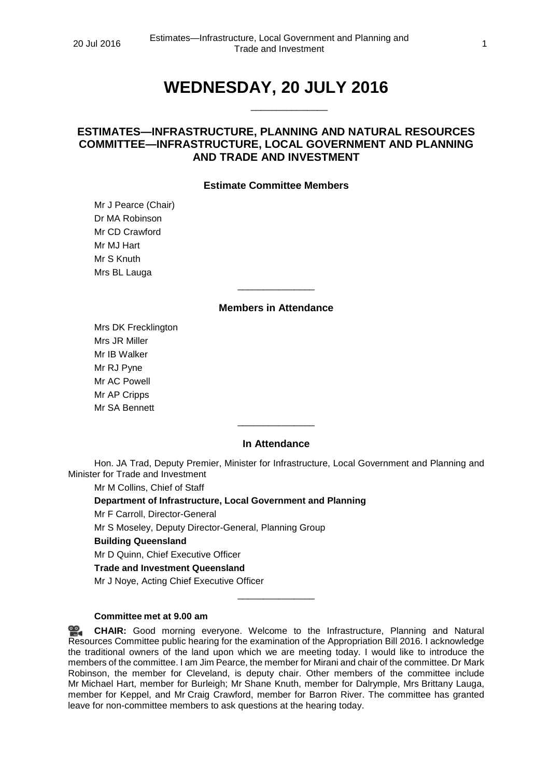# **WEDNESDAY, 20 JULY 2016**

\_\_\_\_\_\_\_\_\_\_\_\_\_\_\_

# **ESTIMATES—INFRASTRUCTURE, PLANNING AND NATURAL RESOURCES COMMITTEE—INFRASTRUCTURE, LOCAL GOVERNMENT AND PLANNING AND TRADE AND INVESTMENT**

# **Estimate Committee Members**

Mr J Pearce (Chair) Dr MA Robinson Mr CD Crawford Mr MJ Hart Mr S Knuth Mrs BL Lauga

# **Members in Attendance**

\_\_\_\_\_\_\_\_\_\_\_\_\_\_\_

Mrs DK Frecklington Mrs JR Miller Mr IB Walker Mr RJ Pyne Mr AC Powell Mr AP Cripps Mr SA Bennett

# **In Attendance**

 $\overline{\phantom{a}}$  , where the contract of the contract of  $\overline{\phantom{a}}$ 

Hon. JA Trad, Deputy Premier, Minister for Infrastructure, Local Government and Planning and Minister for Trade and Investment

Mr M Collins, Chief of Staff

# **Department of Infrastructure, Local Government and Planning**

Mr F Carroll, Director-General

Mr S Moseley, Deputy Director-General, Planning Group

# **Building Queensland**

Mr D Quinn, Chief Executive Officer

#### **Trade and Investment Queensland**

Mr J Noye, Acting Chief Executive Officer

# **Committee met at 9.00 am**

<u>ൈ</u> **[CHAIR:](http://www.parliament.qld.gov.au/docs/find.aspx?id=0Mba20160720_090056)** Good morning everyone. Welcome to the Infrastructure, Planning and Natural Resources Committee public hearing for the examination of the Appropriation Bill 2016. I acknowledge the traditional owners of the land upon which we are meeting today. I would like to introduce the members of the committee. I am Jim Pearce, the member for Mirani and chair of the committee. Dr Mark Robinson, the member for Cleveland, is deputy chair. Other members of the committee include Mr Michael Hart, member for Burleigh; Mr Shane Knuth, member for Dalrymple, Mrs Brittany Lauga, member for Keppel, and Mr Craig Crawford, member for Barron River. The committee has granted leave for non-committee members to ask questions at the hearing today.

\_\_\_\_\_\_\_\_\_\_\_\_\_\_\_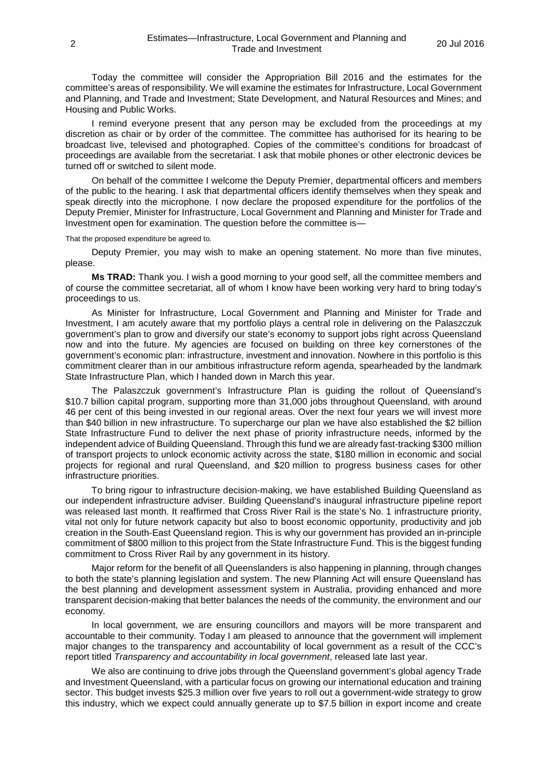Today the committee will consider the Appropriation Bill 2016 and the estimates for the committee's areas of responsibility. We will examine the estimates for Infrastructure, Local Government and Planning, and Trade and Investment; State Development, and Natural Resources and Mines; and Housing and Public Works.

I remind everyone present that any person may be excluded from the proceedings at my discretion as chair or by order of the committee. The committee has authorised for its hearing to be broadcast live, televised and photographed. Copies of the committee's conditions for broadcast of proceedings are available from the secretariat. I ask that mobile phones or other electronic devices be turned off or switched to silent mode.

On behalf of the committee I welcome the Deputy Premier, departmental officers and members of the public to the hearing. I ask that departmental officers identify themselves when they speak and speak directly into the microphone. I now declare the proposed expenditure for the portfolios of the Deputy Premier, Minister for Infrastructure, Local Government and Planning and Minister for Trade and Investment open for examination. The question before the committee is—

That the proposed expenditure be agreed to.

Deputy Premier, you may wish to make an opening statement. No more than five minutes, please.

**Ms TRAD:** Thank you. I wish a good morning to your good self, all the committee members and of course the committee secretariat, all of whom I know have been working very hard to bring today's proceedings to us.

As Minister for Infrastructure, Local Government and Planning and Minister for Trade and Investment, I am acutely aware that my portfolio plays a central role in delivering on the Palaszczuk government's plan to grow and diversify our state's economy to support jobs right across Queensland now and into the future. My agencies are focused on building on three key cornerstones of the government's economic plan: infrastructure, investment and innovation. Nowhere in this portfolio is this commitment clearer than in our ambitious infrastructure reform agenda, spearheaded by the landmark State Infrastructure Plan, which I handed down in March this year.

The Palaszczuk government's Infrastructure Plan is guiding the rollout of Queensland's \$10.7 billion capital program, supporting more than 31,000 jobs throughout Queensland, with around 46 per cent of this being invested in our regional areas. Over the next four years we will invest more than \$40 billion in new infrastructure. To supercharge our plan we have also established the \$2 billion State Infrastructure Fund to deliver the next phase of priority infrastructure needs, informed by the independent advice of Building Queensland. Through this fund we are already fast-tracking \$300 million of transport projects to unlock economic activity across the state, \$180 million in economic and social projects for regional and rural Queensland, and \$20 million to progress business cases for other infrastructure priorities.

To bring rigour to infrastructure decision-making, we have established Building Queensland as our independent infrastructure adviser. Building Queensland's inaugural infrastructure pipeline report was released last month. It reaffirmed that Cross River Rail is the state's No. 1 infrastructure priority, vital not only for future network capacity but also to boost economic opportunity, productivity and job creation in the South-East Queensland region. This is why our government has provided an in-principle commitment of \$800 million to this project from the State Infrastructure Fund. This is the biggest funding commitment to Cross River Rail by any government in its history.

Major reform for the benefit of all Queenslanders is also happening in planning, through changes to both the state's planning legislation and system. The new Planning Act will ensure Queensland has the best planning and development assessment system in Australia, providing enhanced and more transparent decision-making that better balances the needs of the community, the environment and our economy.

In local government, we are ensuring councillors and mayors will be more transparent and accountable to their community. Today I am pleased to announce that the government will implement major changes to the transparency and accountability of local government as a result of the CCC's report titled *Transparency and accountability in local government*, released late last year.

We also are continuing to drive jobs through the Queensland government's global agency Trade and Investment Queensland, with a particular focus on growing our international education and training sector. This budget invests \$25.3 million over five years to roll out a government-wide strategy to grow this industry, which we expect could annually generate up to \$7.5 billion in export income and create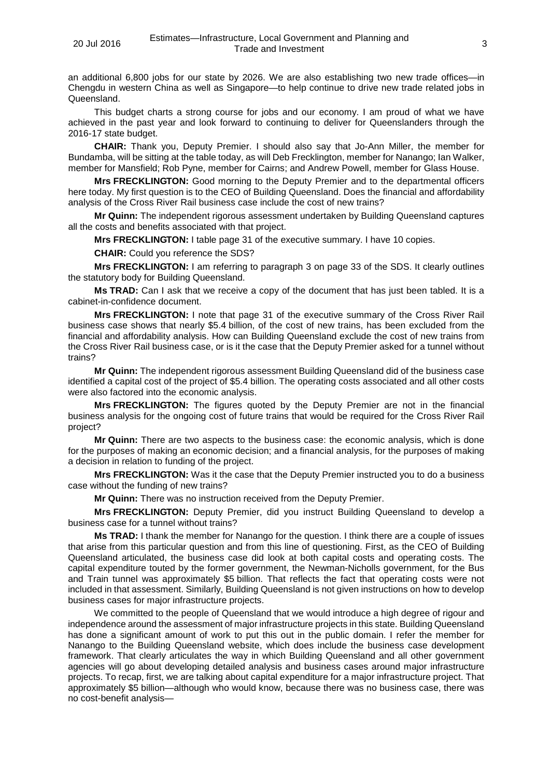an additional 6,800 jobs for our state by 2026. We are also establishing two new trade offices—in Chengdu in western China as well as Singapore—to help continue to drive new trade related jobs in Queensland.

This budget charts a strong course for jobs and our economy. I am proud of what we have achieved in the past year and look forward to continuing to deliver for Queenslanders through the 2016-17 state budget.

**CHAIR:** Thank you, Deputy Premier. I should also say that Jo-Ann Miller, the member for Bundamba, will be sitting at the table today, as will Deb Frecklington, member for Nanango; Ian Walker, member for Mansfield; Rob Pyne, member for Cairns; and Andrew Powell, member for Glass House.

**Mrs FRECKLINGTON:** Good morning to the Deputy Premier and to the departmental officers here today. My first question is to the CEO of Building Queensland. Does the financial and affordability analysis of the Cross River Rail business case include the cost of new trains?

**Mr Quinn:** The independent rigorous assessment undertaken by Building Queensland captures all the costs and benefits associated with that project.

**Mrs FRECKLINGTON:** I table page 31 of the executive summary. I have 10 copies.

**CHAIR:** Could you reference the SDS?

**Mrs FRECKLINGTON:** I am referring to paragraph 3 on page 33 of the SDS. It clearly outlines the statutory body for Building Queensland.

**Ms TRAD:** Can I ask that we receive a copy of the document that has just been tabled. It is a cabinet-in-confidence document.

**Mrs FRECKLINGTON:** I note that page 31 of the executive summary of the Cross River Rail business case shows that nearly \$5.4 billion, of the cost of new trains, has been excluded from the financial and affordability analysis. How can Building Queensland exclude the cost of new trains from the Cross River Rail business case, or is it the case that the Deputy Premier asked for a tunnel without trains?

**Mr Quinn:** The independent rigorous assessment Building Queensland did of the business case identified a capital cost of the project of \$5.4 billion. The operating costs associated and all other costs were also factored into the economic analysis.

**Mrs FRECKLINGTON:** The figures quoted by the Deputy Premier are not in the financial business analysis for the ongoing cost of future trains that would be required for the Cross River Rail project?

**Mr Quinn:** There are two aspects to the business case: the economic analysis, which is done for the purposes of making an economic decision; and a financial analysis, for the purposes of making a decision in relation to funding of the project.

**Mrs FRECKLINGTON:** Was it the case that the Deputy Premier instructed you to do a business case without the funding of new trains?

**Mr Quinn:** There was no instruction received from the Deputy Premier.

**Mrs FRECKLINGTON:** Deputy Premier, did you instruct Building Queensland to develop a business case for a tunnel without trains?

**Ms TRAD:** I thank the member for Nanango for the question. I think there are a couple of issues that arise from this particular question and from this line of questioning. First, as the CEO of Building Queensland articulated, the business case did look at both capital costs and operating costs. The capital expenditure touted by the former government, the Newman-Nicholls government, for the Bus and Train tunnel was approximately \$5 billion. That reflects the fact that operating costs were not included in that assessment. Similarly, Building Queensland is not given instructions on how to develop business cases for major infrastructure projects.

We committed to the people of Queensland that we would introduce a high degree of rigour and independence around the assessment of major infrastructure projects in this state. Building Queensland has done a significant amount of work to put this out in the public domain. I refer the member for Nanango to the Building Queensland website, which does include the business case development framework. That clearly articulates the way in which Building Queensland and all other government agencies will go about developing detailed analysis and business cases around major infrastructure projects. To recap, first, we are talking about capital expenditure for a major infrastructure project. That approximately \$5 billion—although who would know, because there was no business case, there was no cost-benefit analysis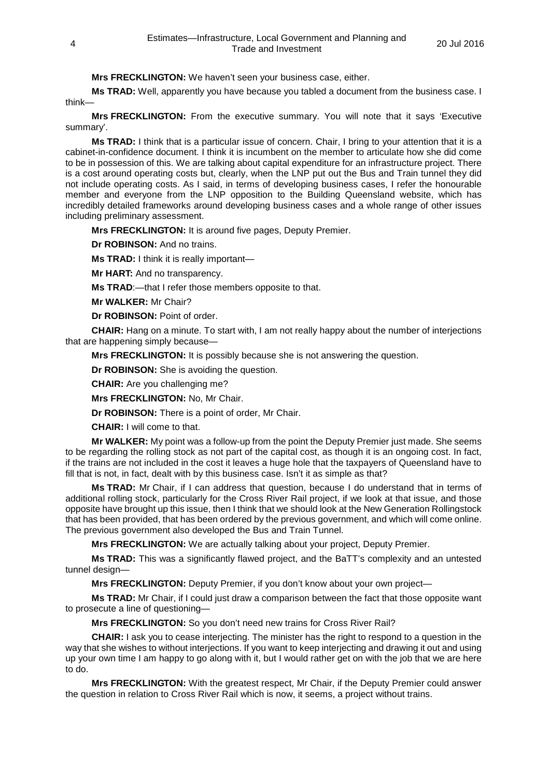**Mrs FRECKLINGTON:** We haven't seen your business case, either.

**Ms TRAD:** Well, apparently you have because you tabled a document from the business case. I think—

**Mrs FRECKLINGTON:** From the executive summary. You will note that it says 'Executive summary'.

**Ms TRAD:** I think that is a particular issue of concern. Chair, I bring to your attention that it is a cabinet-in-confidence document. I think it is incumbent on the member to articulate how she did come to be in possession of this. We are talking about capital expenditure for an infrastructure project. There is a cost around operating costs but, clearly, when the LNP put out the Bus and Train tunnel they did not include operating costs. As I said, in terms of developing business cases, I refer the honourable member and everyone from the LNP opposition to the Building Queensland website, which has incredibly detailed frameworks around developing business cases and a whole range of other issues including preliminary assessment.

**Mrs FRECKLINGTON:** It is around five pages, Deputy Premier.

**Dr ROBINSON:** And no trains.

**Ms TRAD:** I think it is really important—

**Mr HART:** And no transparency.

**Ms TRAD**:—that I refer those members opposite to that.

**Mr WALKER:** Mr Chair?

**Dr ROBINSON:** Point of order.

**CHAIR:** Hang on a minute. To start with, I am not really happy about the number of interjections that are happening simply because—

**Mrs FRECKLINGTON:** It is possibly because she is not answering the question.

**Dr ROBINSON:** She is avoiding the question.

**CHAIR:** Are you challenging me?

**Mrs FRECKLINGTON:** No, Mr Chair.

**Dr ROBINSON:** There is a point of order, Mr Chair.

**CHAIR:** I will come to that.

**Mr WALKER:** My point was a follow-up from the point the Deputy Premier just made. She seems to be regarding the rolling stock as not part of the capital cost, as though it is an ongoing cost. In fact, if the trains are not included in the cost it leaves a huge hole that the taxpayers of Queensland have to fill that is not, in fact, dealt with by this business case. Isn't it as simple as that?

**Ms TRAD:** Mr Chair, if I can address that question, because I do understand that in terms of additional rolling stock, particularly for the Cross River Rail project, if we look at that issue, and those opposite have brought up this issue, then I think that we should look at the New Generation Rollingstock that has been provided, that has been ordered by the previous government, and which will come online. The previous government also developed the Bus and Train Tunnel.

**Mrs FRECKLINGTON:** We are actually talking about your project, Deputy Premier.

**Ms TRAD:** This was a significantly flawed project, and the BaTT's complexity and an untested tunnel design—

**Mrs FRECKLINGTON:** Deputy Premier, if you don't know about your own project—

**Ms TRAD:** Mr Chair, if I could just draw a comparison between the fact that those opposite want to prosecute a line of questioning—

**Mrs FRECKLINGTON:** So you don't need new trains for Cross River Rail?

**CHAIR:** I ask you to cease interjecting. The minister has the right to respond to a question in the way that she wishes to without interjections. If you want to keep interjecting and drawing it out and using up your own time I am happy to go along with it, but I would rather get on with the job that we are here to do.

**Mrs FRECKLINGTON:** With the greatest respect, Mr Chair, if the Deputy Premier could answer the question in relation to Cross River Rail which is now, it seems, a project without trains.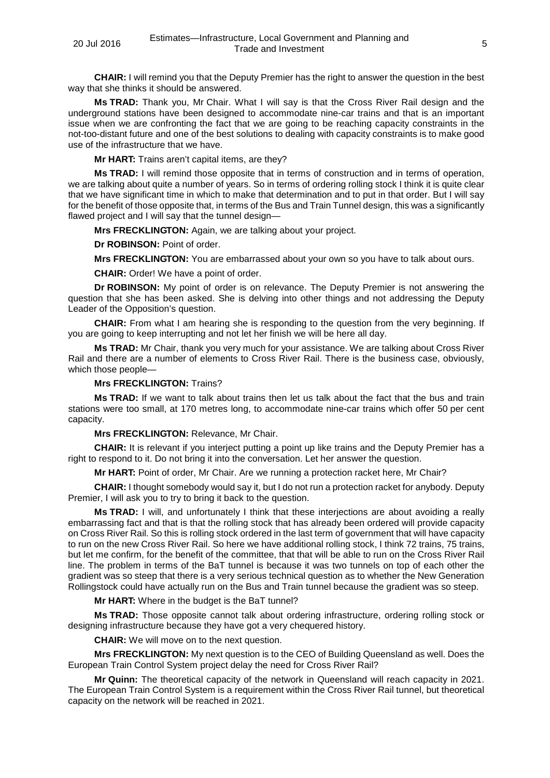**CHAIR:** I will remind you that the Deputy Premier has the right to answer the question in the best way that she thinks it should be answered.

**Ms TRAD:** Thank you, Mr Chair. What I will say is that the Cross River Rail design and the underground stations have been designed to accommodate nine-car trains and that is an important issue when we are confronting the fact that we are going to be reaching capacity constraints in the not-too-distant future and one of the best solutions to dealing with capacity constraints is to make good use of the infrastructure that we have.

**Mr HART:** Trains aren't capital items, are they?

**Ms TRAD:** I will remind those opposite that in terms of construction and in terms of operation, we are talking about quite a number of years. So in terms of ordering rolling stock I think it is quite clear that we have significant time in which to make that determination and to put in that order. But I will say for the benefit of those opposite that, in terms of the Bus and Train Tunnel design, this was a significantly flawed project and I will say that the tunnel design—

**Mrs FRECKLINGTON:** Again, we are talking about your project.

**Dr ROBINSON:** Point of order.

**Mrs FRECKLINGTON:** You are embarrassed about your own so you have to talk about ours.

**CHAIR:** Order! We have a point of order.

**Dr ROBINSON:** My point of order is on relevance. The Deputy Premier is not answering the question that she has been asked. She is delving into other things and not addressing the Deputy Leader of the Opposition's question.

**CHAIR:** From what I am hearing she is responding to the question from the very beginning. If you are going to keep interrupting and not let her finish we will be here all day.

**Ms TRAD:** Mr Chair, thank you very much for your assistance. We are talking about Cross River Rail and there are a number of elements to Cross River Rail. There is the business case, obviously, which those people—

**Mrs FRECKLINGTON:** Trains?

**Ms TRAD:** If we want to talk about trains then let us talk about the fact that the bus and train stations were too small, at 170 metres long, to accommodate nine-car trains which offer 50 per cent capacity.

**Mrs FRECKLINGTON:** Relevance, Mr Chair.

**CHAIR:** It is relevant if you interject putting a point up like trains and the Deputy Premier has a right to respond to it. Do not bring it into the conversation. Let her answer the question.

**Mr HART:** Point of order, Mr Chair. Are we running a protection racket here, Mr Chair?

**CHAIR:** I thought somebody would say it, but I do not run a protection racket for anybody. Deputy Premier, I will ask you to try to bring it back to the question.

**Ms TRAD:** I will, and unfortunately I think that these interjections are about avoiding a really embarrassing fact and that is that the rolling stock that has already been ordered will provide capacity on Cross River Rail. So this is rolling stock ordered in the last term of government that will have capacity to run on the new Cross River Rail. So here we have additional rolling stock, I think 72 trains, 75 trains, but let me confirm, for the benefit of the committee, that that will be able to run on the Cross River Rail line. The problem in terms of the BaT tunnel is because it was two tunnels on top of each other the gradient was so steep that there is a very serious technical question as to whether the New Generation Rollingstock could have actually run on the Bus and Train tunnel because the gradient was so steep.

**Mr HART:** Where in the budget is the BaT tunnel?

**Ms TRAD:** Those opposite cannot talk about ordering infrastructure, ordering rolling stock or designing infrastructure because they have got a very chequered history.

**CHAIR:** We will move on to the next question.

**Mrs FRECKLINGTON:** My next question is to the CEO of Building Queensland as well. Does the European Train Control System project delay the need for Cross River Rail?

**Mr Quinn:** The theoretical capacity of the network in Queensland will reach capacity in 2021. The European Train Control System is a requirement within the Cross River Rail tunnel, but theoretical capacity on the network will be reached in 2021.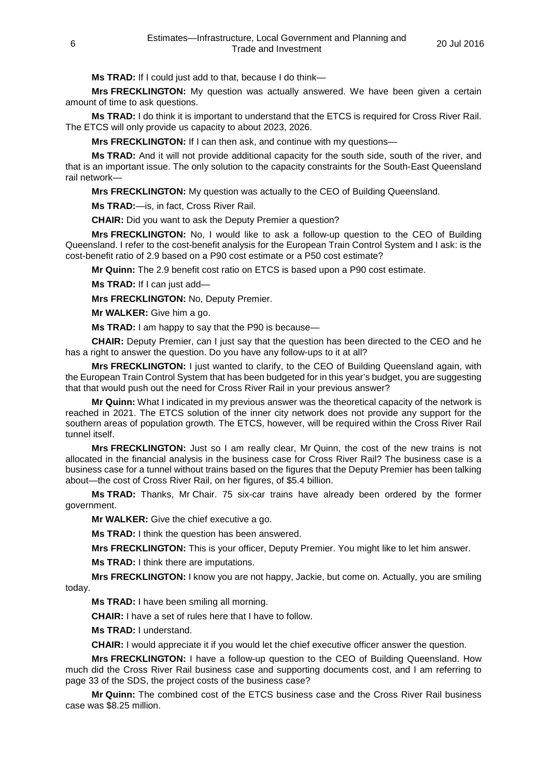**Ms TRAD:** If I could just add to that, because I do think—

**Mrs FRECKLINGTON:** My question was actually answered. We have been given a certain amount of time to ask questions.

**Ms TRAD:** I do think it is important to understand that the ETCS is required for Cross River Rail. The ETCS will only provide us capacity to about 2023, 2026.

**Mrs FRECKLINGTON:** If I can then ask, and continue with my questions—

**Ms TRAD:** And it will not provide additional capacity for the south side, south of the river, and that is an important issue. The only solution to the capacity constraints for the South-East Queensland rail network—

**Mrs FRECKLINGTON:** My question was actually to the CEO of Building Queensland.

**Ms TRAD:**—is, in fact, Cross River Rail.

**CHAIR:** Did you want to ask the Deputy Premier a question?

**Mrs FRECKLINGTON:** No, I would like to ask a follow-up question to the CEO of Building Queensland. I refer to the cost-benefit analysis for the European Train Control System and I ask: is the cost-benefit ratio of 2.9 based on a P90 cost estimate or a P50 cost estimate?

**Mr Quinn:** The 2.9 benefit cost ratio on ETCS is based upon a P90 cost estimate.

**Ms TRAD:** If I can just add—

**Mrs FRECKLINGTON:** No, Deputy Premier.

**Mr WALKER:** Give him a go.

**Ms TRAD:** I am happy to say that the P90 is because—

**CHAIR:** Deputy Premier, can I just say that the question has been directed to the CEO and he has a right to answer the question. Do you have any follow-ups to it at all?

**Mrs FRECKLINGTON:** I just wanted to clarify, to the CEO of Building Queensland again, with the European Train Control System that has been budgeted for in this year's budget, you are suggesting that that would push out the need for Cross River Rail in your previous answer?

**Mr Quinn:** What I indicated in my previous answer was the theoretical capacity of the network is reached in 2021. The ETCS solution of the inner city network does not provide any support for the southern areas of population growth. The ETCS, however, will be required within the Cross River Rail tunnel itself.

**Mrs FRECKLINGTON:** Just so I am really clear, Mr Quinn, the cost of the new trains is not allocated in the financial analysis in the business case for Cross River Rail? The business case is a business case for a tunnel without trains based on the figures that the Deputy Premier has been talking about—the cost of Cross River Rail, on her figures, of \$5.4 billion.

**Ms TRAD:** Thanks, Mr Chair. 75 six-car trains have already been ordered by the former government.

**Mr WALKER:** Give the chief executive a go.

**Ms TRAD:** I think the question has been answered.

**Mrs FRECKLINGTON:** This is your officer, Deputy Premier. You might like to let him answer.

**Ms TRAD:** I think there are imputations.

**Mrs FRECKLINGTON:** I know you are not happy, Jackie, but come on. Actually, you are smiling today.

**Ms TRAD:** I have been smiling all morning.

**CHAIR:** I have a set of rules here that I have to follow.

**Ms TRAD:** I understand.

**CHAIR:** I would appreciate it if you would let the chief executive officer answer the question.

**Mrs FRECKLINGTON:** I have a follow-up question to the CEO of Building Queensland. How much did the Cross River Rail business case and supporting documents cost, and I am referring to page 33 of the SDS, the project costs of the business case?

**Mr Quinn:** The combined cost of the ETCS business case and the Cross River Rail business case was \$8.25 million.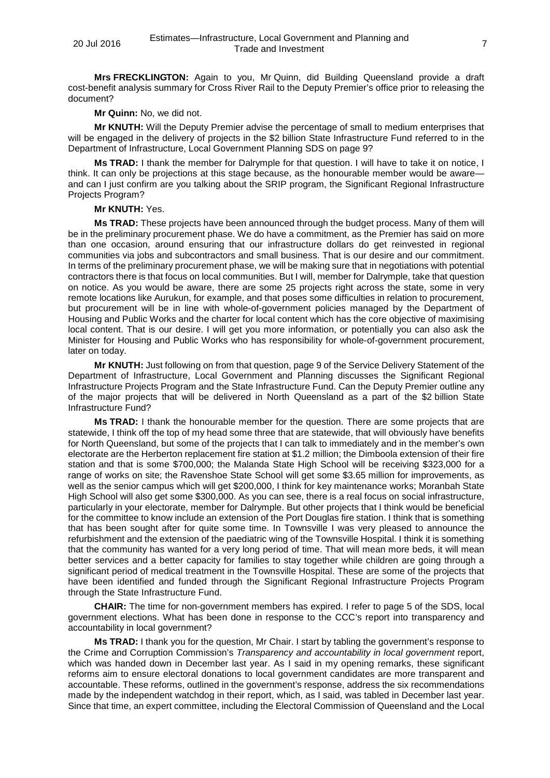**Mrs FRECKLINGTON:** Again to you, Mr Quinn, did Building Queensland provide a draft cost-benefit analysis summary for Cross River Rail to the Deputy Premier's office prior to releasing the document?

**Mr Quinn:** No, we did not.

**Mr KNUTH:** Will the Deputy Premier advise the percentage of small to medium enterprises that will be engaged in the delivery of projects in the \$2 billion State Infrastructure Fund referred to in the Department of Infrastructure, Local Government Planning SDS on page 9?

**Ms TRAD:** I thank the member for Dalrymple for that question. I will have to take it on notice, I think. It can only be projections at this stage because, as the honourable member would be aware and can I just confirm are you talking about the SRIP program, the Significant Regional Infrastructure Projects Program?

## **Mr KNUTH:** Yes.

**Ms TRAD:** These projects have been announced through the budget process. Many of them will be in the preliminary procurement phase. We do have a commitment, as the Premier has said on more than one occasion, around ensuring that our infrastructure dollars do get reinvested in regional communities via jobs and subcontractors and small business. That is our desire and our commitment. In terms of the preliminary procurement phase, we will be making sure that in negotiations with potential contractors there is that focus on local communities. But I will, member for Dalrymple, take that question on notice. As you would be aware, there are some 25 projects right across the state, some in very remote locations like Aurukun, for example, and that poses some difficulties in relation to procurement, but procurement will be in line with whole-of-government policies managed by the Department of Housing and Public Works and the charter for local content which has the core objective of maximising local content. That is our desire. I will get you more information, or potentially you can also ask the Minister for Housing and Public Works who has responsibility for whole-of-government procurement, later on today.

**Mr KNUTH:** Just following on from that question, page 9 of the Service Delivery Statement of the Department of Infrastructure, Local Government and Planning discusses the Significant Regional Infrastructure Projects Program and the State Infrastructure Fund. Can the Deputy Premier outline any of the major projects that will be delivered in North Queensland as a part of the \$2 billion State Infrastructure Fund?

**Ms TRAD:** I thank the honourable member for the question. There are some projects that are statewide, I think off the top of my head some three that are statewide, that will obviously have benefits for North Queensland, but some of the projects that I can talk to immediately and in the member's own electorate are the Herberton replacement fire station at \$1.2 million; the Dimboola extension of their fire station and that is some \$700,000; the Malanda State High School will be receiving \$323,000 for a range of works on site; the Ravenshoe State School will get some \$3.65 million for improvements, as well as the senior campus which will get \$200,000, I think for key maintenance works; Moranbah State High School will also get some \$300,000. As you can see, there is a real focus on social infrastructure, particularly in your electorate, member for Dalrymple. But other projects that I think would be beneficial for the committee to know include an extension of the Port Douglas fire station. I think that is something that has been sought after for quite some time. In Townsville I was very pleased to announce the refurbishment and the extension of the paediatric wing of the Townsville Hospital. I think it is something that the community has wanted for a very long period of time. That will mean more beds, it will mean better services and a better capacity for families to stay together while children are going through a significant period of medical treatment in the Townsville Hospital. These are some of the projects that have been identified and funded through the Significant Regional Infrastructure Projects Program through the State Infrastructure Fund.

**CHAIR:** The time for non-government members has expired. I refer to page 5 of the SDS, local government elections. What has been done in response to the CCC's report into transparency and accountability in local government?

**Ms TRAD:** I thank you for the question, Mr Chair. I start by tabling the government's response to the Crime and Corruption Commission's *Transparency and accountability in local government* report, which was handed down in December last year. As I said in my opening remarks, these significant reforms aim to ensure electoral donations to local government candidates are more transparent and accountable. These reforms, outlined in the government's response, address the six recommendations made by the independent watchdog in their report, which, as I said, was tabled in December last year. Since that time, an expert committee, including the Electoral Commission of Queensland and the Local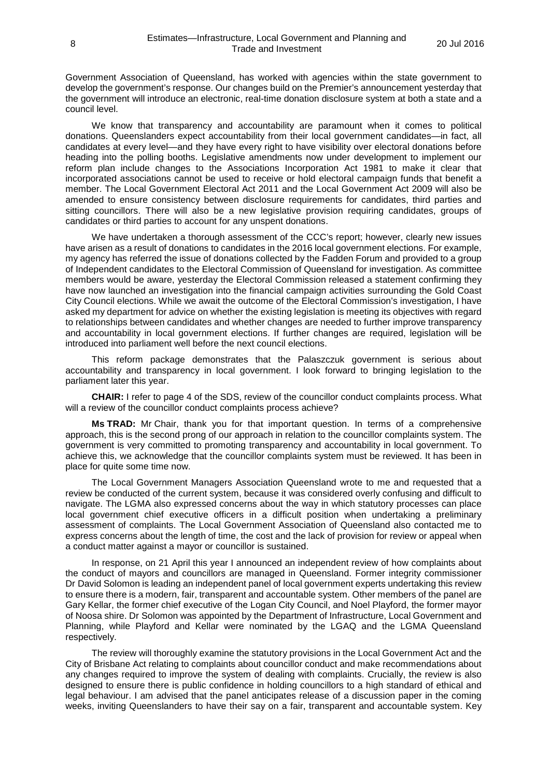Government Association of Queensland, has worked with agencies within the state government to develop the government's response. Our changes build on the Premier's announcement yesterday that the government will introduce an electronic, real-time donation disclosure system at both a state and a council level.

We know that transparency and accountability are paramount when it comes to political donations. Queenslanders expect accountability from their local government candidates—in fact, all candidates at every level—and they have every right to have visibility over electoral donations before heading into the polling booths. Legislative amendments now under development to implement our reform plan include changes to the Associations Incorporation Act 1981 to make it clear that incorporated associations cannot be used to receive or hold electoral campaign funds that benefit a member. The Local Government Electoral Act 2011 and the Local Government Act 2009 will also be amended to ensure consistency between disclosure requirements for candidates, third parties and sitting councillors. There will also be a new legislative provision requiring candidates, groups of candidates or third parties to account for any unspent donations.

We have undertaken a thorough assessment of the CCC's report; however, clearly new issues have arisen as a result of donations to candidates in the 2016 local government elections. For example, my agency has referred the issue of donations collected by the Fadden Forum and provided to a group of Independent candidates to the Electoral Commission of Queensland for investigation. As committee members would be aware, yesterday the Electoral Commission released a statement confirming they have now launched an investigation into the financial campaign activities surrounding the Gold Coast City Council elections. While we await the outcome of the Electoral Commission's investigation, I have asked my department for advice on whether the existing legislation is meeting its objectives with regard to relationships between candidates and whether changes are needed to further improve transparency and accountability in local government elections. If further changes are required, legislation will be introduced into parliament well before the next council elections.

This reform package demonstrates that the Palaszczuk government is serious about accountability and transparency in local government. I look forward to bringing legislation to the parliament later this year.

**CHAIR:** I refer to page 4 of the SDS, review of the councillor conduct complaints process. What will a review of the councillor conduct complaints process achieve?

**Ms TRAD:** Mr Chair, thank you for that important question. In terms of a comprehensive approach, this is the second prong of our approach in relation to the councillor complaints system. The government is very committed to promoting transparency and accountability in local government. To achieve this, we acknowledge that the councillor complaints system must be reviewed. It has been in place for quite some time now.

The Local Government Managers Association Queensland wrote to me and requested that a review be conducted of the current system, because it was considered overly confusing and difficult to navigate. The LGMA also expressed concerns about the way in which statutory processes can place local government chief executive officers in a difficult position when undertaking a preliminary assessment of complaints. The Local Government Association of Queensland also contacted me to express concerns about the length of time, the cost and the lack of provision for review or appeal when a conduct matter against a mayor or councillor is sustained.

In response, on 21 April this year I announced an independent review of how complaints about the conduct of mayors and councillors are managed in Queensland. Former integrity commissioner Dr David Solomon is leading an independent panel of local government experts undertaking this review to ensure there is a modern, fair, transparent and accountable system. Other members of the panel are Gary Kellar, the former chief executive of the Logan City Council, and Noel Playford, the former mayor of Noosa shire. Dr Solomon was appointed by the Department of Infrastructure, Local Government and Planning, while Playford and Kellar were nominated by the LGAQ and the LGMA Queensland respectively.

The review will thoroughly examine the statutory provisions in the Local Government Act and the City of Brisbane Act relating to complaints about councillor conduct and make recommendations about any changes required to improve the system of dealing with complaints. Crucially, the review is also designed to ensure there is public confidence in holding councillors to a high standard of ethical and legal behaviour. I am advised that the panel anticipates release of a discussion paper in the coming weeks, inviting Queenslanders to have their say on a fair, transparent and accountable system. Key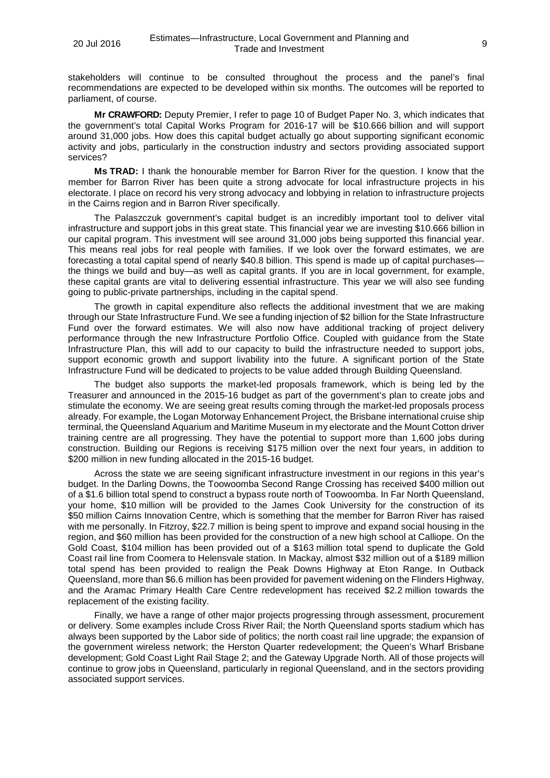stakeholders will continue to be consulted throughout the process and the panel's final recommendations are expected to be developed within six months. The outcomes will be reported to parliament, of course.

**Mr CRAWFORD:** Deputy Premier, I refer to page 10 of Budget Paper No. 3, which indicates that the government's total Capital Works Program for 2016-17 will be \$10.666 billion and will support around 31,000 jobs. How does this capital budget actually go about supporting significant economic activity and jobs, particularly in the construction industry and sectors providing associated support services?

**Ms TRAD:** I thank the honourable member for Barron River for the question. I know that the member for Barron River has been quite a strong advocate for local infrastructure projects in his electorate. I place on record his very strong advocacy and lobbying in relation to infrastructure projects in the Cairns region and in Barron River specifically.

The Palaszczuk government's capital budget is an incredibly important tool to deliver vital infrastructure and support jobs in this great state. This financial year we are investing \$10.666 billion in our capital program. This investment will see around 31,000 jobs being supported this financial year. This means real jobs for real people with families. If we look over the forward estimates, we are forecasting a total capital spend of nearly \$40.8 billion. This spend is made up of capital purchases the things we build and buy—as well as capital grants. If you are in local government, for example, these capital grants are vital to delivering essential infrastructure. This year we will also see funding going to public-private partnerships, including in the capital spend.

The growth in capital expenditure also reflects the additional investment that we are making through our State Infrastructure Fund. We see a funding injection of \$2 billion for the State Infrastructure Fund over the forward estimates. We will also now have additional tracking of project delivery performance through the new Infrastructure Portfolio Office. Coupled with guidance from the State Infrastructure Plan, this will add to our capacity to build the infrastructure needed to support jobs, support economic growth and support livability into the future. A significant portion of the State Infrastructure Fund will be dedicated to projects to be value added through Building Queensland.

The budget also supports the market-led proposals framework, which is being led by the Treasurer and announced in the 2015-16 budget as part of the government's plan to create jobs and stimulate the economy. We are seeing great results coming through the market-led proposals process already. For example, the Logan Motorway Enhancement Project, the Brisbane international cruise ship terminal, the Queensland Aquarium and Maritime Museum in my electorate and the Mount Cotton driver training centre are all progressing. They have the potential to support more than 1,600 jobs during construction. Building our Regions is receiving \$175 million over the next four years, in addition to \$200 million in new funding allocated in the 2015-16 budget.

Across the state we are seeing significant infrastructure investment in our regions in this year's budget. In the Darling Downs, the Toowoomba Second Range Crossing has received \$400 million out of a \$1.6 billion total spend to construct a bypass route north of Toowoomba. In Far North Queensland, your home, \$10 million will be provided to the James Cook University for the construction of its \$50 million Cairns Innovation Centre, which is something that the member for Barron River has raised with me personally. In Fitzroy, \$22.7 million is being spent to improve and expand social housing in the region, and \$60 million has been provided for the construction of a new high school at Calliope. On the Gold Coast, \$104 million has been provided out of a \$163 million total spend to duplicate the Gold Coast rail line from Coomera to Helensvale station. In Mackay, almost \$32 million out of a \$189 million total spend has been provided to realign the Peak Downs Highway at Eton Range. In Outback Queensland, more than \$6.6 million has been provided for pavement widening on the Flinders Highway, and the Aramac Primary Health Care Centre redevelopment has received \$2.2 million towards the replacement of the existing facility.

Finally, we have a range of other major projects progressing through assessment, procurement or delivery. Some examples include Cross River Rail; the North Queensland sports stadium which has always been supported by the Labor side of politics; the north coast rail line upgrade; the expansion of the government wireless network; the Herston Quarter redevelopment; the Queen's Wharf Brisbane development; Gold Coast Light Rail Stage 2; and the Gateway Upgrade North. All of those projects will continue to grow jobs in Queensland, particularly in regional Queensland, and in the sectors providing associated support services.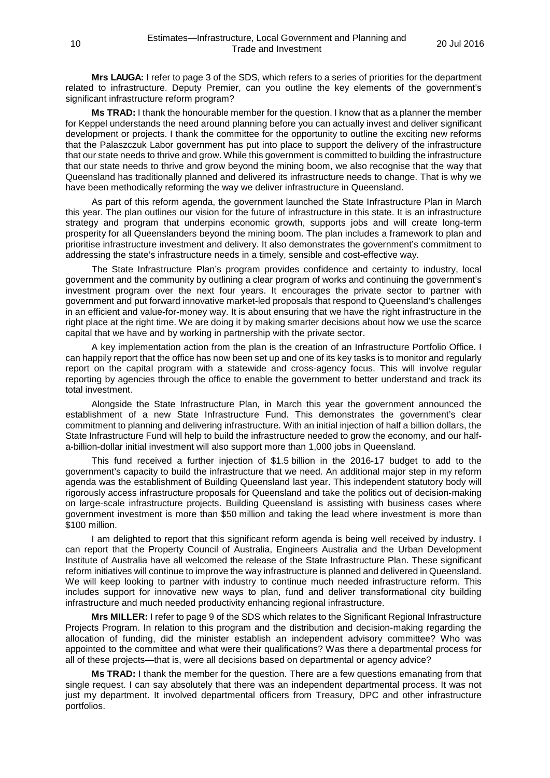**Mrs LAUGA:** I refer to page 3 of the SDS, which refers to a series of priorities for the department related to infrastructure. Deputy Premier, can you outline the key elements of the government's significant infrastructure reform program?

**Ms TRAD:** I thank the honourable member for the question. I know that as a planner the member for Keppel understands the need around planning before you can actually invest and deliver significant development or projects. I thank the committee for the opportunity to outline the exciting new reforms that the Palaszczuk Labor government has put into place to support the delivery of the infrastructure that our state needs to thrive and grow. While this government is committed to building the infrastructure that our state needs to thrive and grow beyond the mining boom, we also recognise that the way that Queensland has traditionally planned and delivered its infrastructure needs to change. That is why we have been methodically reforming the way we deliver infrastructure in Queensland.

As part of this reform agenda, the government launched the State Infrastructure Plan in March this year. The plan outlines our vision for the future of infrastructure in this state. It is an infrastructure strategy and program that underpins economic growth, supports jobs and will create long-term prosperity for all Queenslanders beyond the mining boom. The plan includes a framework to plan and prioritise infrastructure investment and delivery. It also demonstrates the government's commitment to addressing the state's infrastructure needs in a timely, sensible and cost-effective way.

The State Infrastructure Plan's program provides confidence and certainty to industry, local government and the community by outlining a clear program of works and continuing the government's investment program over the next four years. It encourages the private sector to partner with government and put forward innovative market-led proposals that respond to Queensland's challenges in an efficient and value-for-money way. It is about ensuring that we have the right infrastructure in the right place at the right time. We are doing it by making smarter decisions about how we use the scarce capital that we have and by working in partnership with the private sector.

A key implementation action from the plan is the creation of an Infrastructure Portfolio Office. I can happily report that the office has now been set up and one of its key tasks is to monitor and regularly report on the capital program with a statewide and cross-agency focus. This will involve regular reporting by agencies through the office to enable the government to better understand and track its total investment.

Alongside the State Infrastructure Plan, in March this year the government announced the establishment of a new State Infrastructure Fund. This demonstrates the government's clear commitment to planning and delivering infrastructure. With an initial injection of half a billion dollars, the State Infrastructure Fund will help to build the infrastructure needed to grow the economy, and our halfa-billion-dollar initial investment will also support more than 1,000 jobs in Queensland.

This fund received a further injection of \$1.5 billion in the 2016-17 budget to add to the government's capacity to build the infrastructure that we need. An additional major step in my reform agenda was the establishment of Building Queensland last year. This independent statutory body will rigorously access infrastructure proposals for Queensland and take the politics out of decision-making on large-scale infrastructure projects. Building Queensland is assisting with business cases where government investment is more than \$50 million and taking the lead where investment is more than \$100 million.

I am delighted to report that this significant reform agenda is being well received by industry. I can report that the Property Council of Australia, Engineers Australia and the Urban Development Institute of Australia have all welcomed the release of the State Infrastructure Plan. These significant reform initiatives will continue to improve the way infrastructure is planned and delivered in Queensland. We will keep looking to partner with industry to continue much needed infrastructure reform. This includes support for innovative new ways to plan, fund and deliver transformational city building infrastructure and much needed productivity enhancing regional infrastructure.

**Mrs MILLER:** I refer to page 9 of the SDS which relates to the Significant Regional Infrastructure Projects Program. In relation to this program and the distribution and decision-making regarding the allocation of funding, did the minister establish an independent advisory committee? Who was appointed to the committee and what were their qualifications? Was there a departmental process for all of these projects—that is, were all decisions based on departmental or agency advice?

**Ms TRAD:** I thank the member for the question. There are a few questions emanating from that single request. I can say absolutely that there was an independent departmental process. It was not just my department. It involved departmental officers from Treasury, DPC and other infrastructure portfolios.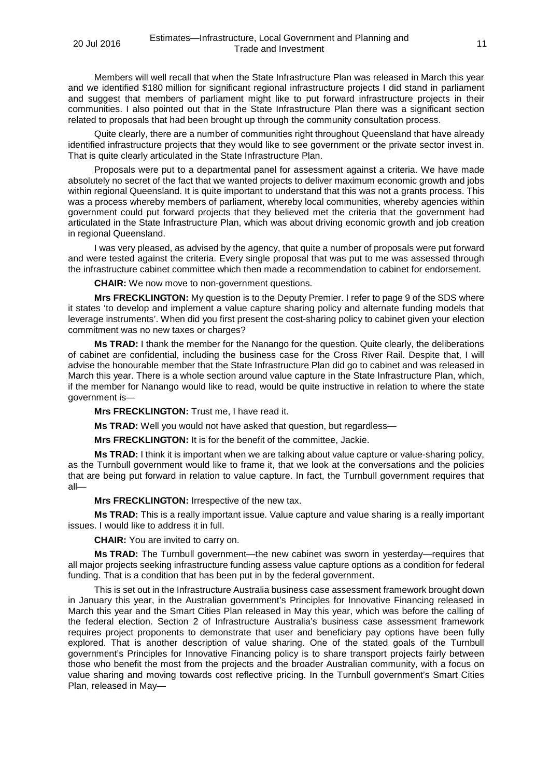Members will well recall that when the State Infrastructure Plan was released in March this year and we identified \$180 million for significant regional infrastructure projects I did stand in parliament and suggest that members of parliament might like to put forward infrastructure projects in their communities. I also pointed out that in the State Infrastructure Plan there was a significant section related to proposals that had been brought up through the community consultation process.

Quite clearly, there are a number of communities right throughout Queensland that have already identified infrastructure projects that they would like to see government or the private sector invest in. That is quite clearly articulated in the State Infrastructure Plan.

Proposals were put to a departmental panel for assessment against a criteria. We have made absolutely no secret of the fact that we wanted projects to deliver maximum economic growth and jobs within regional Queensland. It is quite important to understand that this was not a grants process. This was a process whereby members of parliament, whereby local communities, whereby agencies within government could put forward projects that they believed met the criteria that the government had articulated in the State Infrastructure Plan, which was about driving economic growth and job creation in regional Queensland.

I was very pleased, as advised by the agency, that quite a number of proposals were put forward and were tested against the criteria. Every single proposal that was put to me was assessed through the infrastructure cabinet committee which then made a recommendation to cabinet for endorsement.

**CHAIR:** We now move to non-government questions.

**Mrs FRECKLINGTON:** My question is to the Deputy Premier. I refer to page 9 of the SDS where it states 'to develop and implement a value capture sharing policy and alternate funding models that leverage instruments'. When did you first present the cost-sharing policy to cabinet given your election commitment was no new taxes or charges?

**Ms TRAD:** I thank the member for the Nanango for the question. Quite clearly, the deliberations of cabinet are confidential, including the business case for the Cross River Rail. Despite that, I will advise the honourable member that the State Infrastructure Plan did go to cabinet and was released in March this year. There is a whole section around value capture in the State Infrastructure Plan, which, if the member for Nanango would like to read, would be quite instructive in relation to where the state government is—

**Mrs FRECKLINGTON:** Trust me, I have read it.

**Ms TRAD:** Well you would not have asked that question, but regardless—

**Mrs FRECKLINGTON:** It is for the benefit of the committee, Jackie.

**Ms TRAD:** I think it is important when we are talking about value capture or value-sharing policy, as the Turnbull government would like to frame it, that we look at the conversations and the policies that are being put forward in relation to value capture. In fact, the Turnbull government requires that all—

**Mrs FRECKLINGTON:** Irrespective of the new tax.

**Ms TRAD:** This is a really important issue. Value capture and value sharing is a really important issues. I would like to address it in full.

**CHAIR:** You are invited to carry on.

**Ms TRAD:** The Turnbull government—the new cabinet was sworn in yesterday—requires that all major projects seeking infrastructure funding assess value capture options as a condition for federal funding. That is a condition that has been put in by the federal government.

This is set out in the Infrastructure Australia business case assessment framework brought down in January this year, in the Australian government's Principles for Innovative Financing released in March this year and the Smart Cities Plan released in May this year, which was before the calling of the federal election. Section 2 of Infrastructure Australia's business case assessment framework requires project proponents to demonstrate that user and beneficiary pay options have been fully explored. That is another description of value sharing. One of the stated goals of the Turnbull government's Principles for Innovative Financing policy is to share transport projects fairly between those who benefit the most from the projects and the broader Australian community, with a focus on value sharing and moving towards cost reflective pricing. In the Turnbull government's Smart Cities Plan, released in May—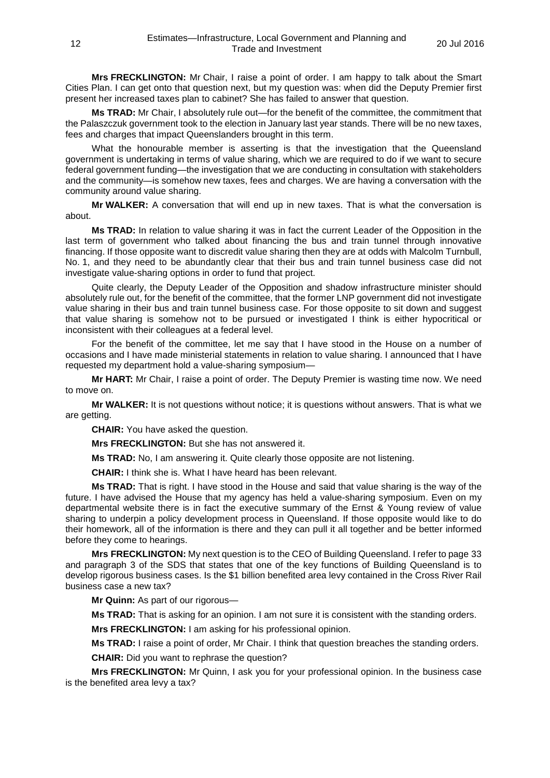**Mrs FRECKLINGTON:** Mr Chair, I raise a point of order. I am happy to talk about the Smart Cities Plan. I can get onto that question next, but my question was: when did the Deputy Premier first present her increased taxes plan to cabinet? She has failed to answer that question.

**Ms TRAD:** Mr Chair, I absolutely rule out—for the benefit of the committee, the commitment that the Palaszczuk government took to the election in January last year stands. There will be no new taxes, fees and charges that impact Queenslanders brought in this term.

What the honourable member is asserting is that the investigation that the Queensland government is undertaking in terms of value sharing, which we are required to do if we want to secure federal government funding—the investigation that we are conducting in consultation with stakeholders and the community—is somehow new taxes, fees and charges. We are having a conversation with the community around value sharing.

**Mr WALKER:** A conversation that will end up in new taxes. That is what the conversation is about.

**Ms TRAD:** In relation to value sharing it was in fact the current Leader of the Opposition in the last term of government who talked about financing the bus and train tunnel through innovative financing. If those opposite want to discredit value sharing then they are at odds with Malcolm Turnbull, No. 1, and they need to be abundantly clear that their bus and train tunnel business case did not investigate value-sharing options in order to fund that project.

Quite clearly, the Deputy Leader of the Opposition and shadow infrastructure minister should absolutely rule out, for the benefit of the committee, that the former LNP government did not investigate value sharing in their bus and train tunnel business case. For those opposite to sit down and suggest that value sharing is somehow not to be pursued or investigated I think is either hypocritical or inconsistent with their colleagues at a federal level.

For the benefit of the committee, let me say that I have stood in the House on a number of occasions and I have made ministerial statements in relation to value sharing. I announced that I have requested my department hold a value-sharing symposium—

**Mr HART:** Mr Chair, I raise a point of order. The Deputy Premier is wasting time now. We need to move on.

**Mr WALKER:** It is not questions without notice; it is questions without answers. That is what we are getting.

**CHAIR:** You have asked the question.

**Mrs FRECKLINGTON:** But she has not answered it.

**Ms TRAD:** No, I am answering it. Quite clearly those opposite are not listening.

**CHAIR:** I think she is. What I have heard has been relevant.

**Ms TRAD:** That is right. I have stood in the House and said that value sharing is the way of the future. I have advised the House that my agency has held a value-sharing symposium. Even on my departmental website there is in fact the executive summary of the Ernst & Young review of value sharing to underpin a policy development process in Queensland. If those opposite would like to do their homework, all of the information is there and they can pull it all together and be better informed before they come to hearings.

**Mrs FRECKLINGTON:** My next question is to the CEO of Building Queensland. I refer to page 33 and paragraph 3 of the SDS that states that one of the key functions of Building Queensland is to develop rigorous business cases. Is the \$1 billion benefited area levy contained in the Cross River Rail business case a new tax?

**Mr Quinn:** As part of our rigorous—

**Ms TRAD:** That is asking for an opinion. I am not sure it is consistent with the standing orders.

**Mrs FRECKLINGTON:** I am asking for his professional opinion.

**Ms TRAD:** I raise a point of order, Mr Chair. I think that question breaches the standing orders.

**CHAIR:** Did you want to rephrase the question?

**Mrs FRECKLINGTON:** Mr Quinn, I ask you for your professional opinion. In the business case is the benefited area levy a tax?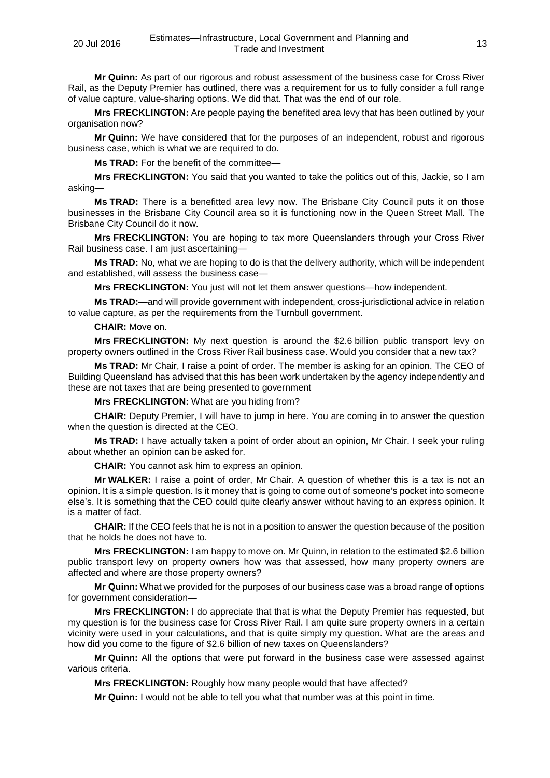**Mr Quinn:** As part of our rigorous and robust assessment of the business case for Cross River Rail, as the Deputy Premier has outlined, there was a requirement for us to fully consider a full range of value capture, value-sharing options. We did that. That was the end of our role.

**Mrs FRECKLINGTON:** Are people paying the benefited area levy that has been outlined by your organisation now?

**Mr Quinn:** We have considered that for the purposes of an independent, robust and rigorous business case, which is what we are required to do.

**Ms TRAD:** For the benefit of the committee—

**Mrs FRECKLINGTON:** You said that you wanted to take the politics out of this, Jackie, so I am asking—

**Ms TRAD:** There is a benefitted area levy now. The Brisbane City Council puts it on those businesses in the Brisbane City Council area so it is functioning now in the Queen Street Mall. The Brisbane City Council do it now.

**Mrs FRECKLINGTON:** You are hoping to tax more Queenslanders through your Cross River Rail business case. I am just ascertaining-

**Ms TRAD:** No, what we are hoping to do is that the delivery authority, which will be independent and established, will assess the business case—

**Mrs FRECKLINGTON:** You just will not let them answer questions—how independent.

**Ms TRAD:**—and will provide government with independent, cross-jurisdictional advice in relation to value capture, as per the requirements from the Turnbull government.

#### **CHAIR:** Move on.

**Mrs FRECKLINGTON:** My next question is around the \$2.6 billion public transport levy on property owners outlined in the Cross River Rail business case. Would you consider that a new tax?

**Ms TRAD:** Mr Chair, I raise a point of order. The member is asking for an opinion. The CEO of Building Queensland has advised that this has been work undertaken by the agency independently and these are not taxes that are being presented to government

**Mrs FRECKLINGTON:** What are you hiding from?

**CHAIR:** Deputy Premier, I will have to jump in here. You are coming in to answer the question when the question is directed at the CEO.

**Ms TRAD:** I have actually taken a point of order about an opinion, Mr Chair. I seek your ruling about whether an opinion can be asked for.

**CHAIR:** You cannot ask him to express an opinion.

**Mr WALKER:** I raise a point of order, Mr Chair. A question of whether this is a tax is not an opinion. It is a simple question. Is it money that is going to come out of someone's pocket into someone else's. It is something that the CEO could quite clearly answer without having to an express opinion. It is a matter of fact.

**CHAIR:** If the CEO feels that he is not in a position to answer the question because of the position that he holds he does not have to.

**Mrs FRECKLINGTON:** I am happy to move on. Mr Quinn, in relation to the estimated \$2.6 billion public transport levy on property owners how was that assessed, how many property owners are affected and where are those property owners?

**Mr Quinn:** What we provided for the purposes of our business case was a broad range of options for government consideration—

**Mrs FRECKLINGTON:** I do appreciate that that is what the Deputy Premier has requested, but my question is for the business case for Cross River Rail. I am quite sure property owners in a certain vicinity were used in your calculations, and that is quite simply my question. What are the areas and how did you come to the figure of \$2.6 billion of new taxes on Queenslanders?

**Mr Quinn:** All the options that were put forward in the business case were assessed against various criteria.

**Mrs FRECKLINGTON:** Roughly how many people would that have affected?

**Mr Quinn:** I would not be able to tell you what that number was at this point in time.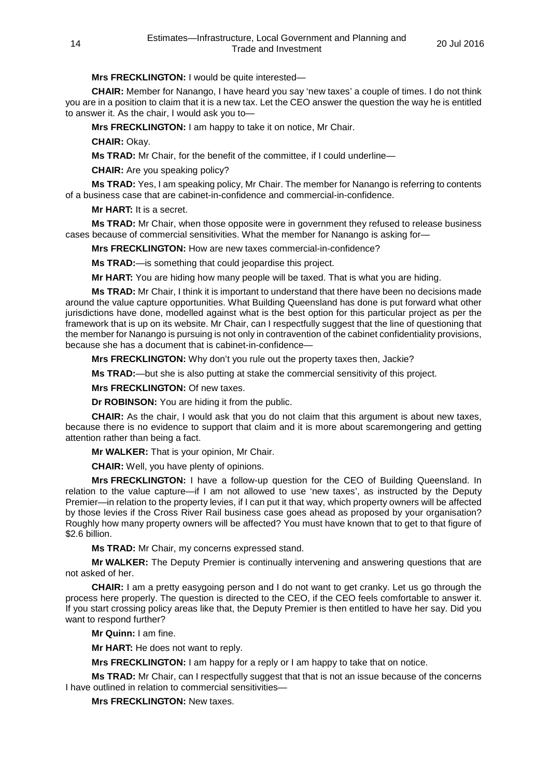# **Mrs FRECKLINGTON:** I would be quite interested—

**CHAIR:** Member for Nanango, I have heard you say 'new taxes' a couple of times. I do not think you are in a position to claim that it is a new tax. Let the CEO answer the question the way he is entitled to answer it. As the chair, I would ask you to—

**Mrs FRECKLINGTON:** I am happy to take it on notice, Mr Chair.

**CHAIR:** Okay.

**Ms TRAD:** Mr Chair, for the benefit of the committee, if I could underline—

**CHAIR:** Are you speaking policy?

**Ms TRAD:** Yes, I am speaking policy, Mr Chair. The member for Nanango is referring to contents of a business case that are cabinet-in-confidence and commercial-in-confidence.

**Mr HART:** It is a secret.

**Ms TRAD:** Mr Chair, when those opposite were in government they refused to release business cases because of commercial sensitivities. What the member for Nanango is asking for—

**Mrs FRECKLINGTON:** How are new taxes commercial-in-confidence?

**Ms TRAD:**—is something that could jeopardise this project.

**Mr HART:** You are hiding how many people will be taxed. That is what you are hiding.

**Ms TRAD:** Mr Chair, I think it is important to understand that there have been no decisions made around the value capture opportunities. What Building Queensland has done is put forward what other jurisdictions have done, modelled against what is the best option for this particular project as per the framework that is up on its website. Mr Chair, can I respectfully suggest that the line of questioning that the member for Nanango is pursuing is not only in contravention of the cabinet confidentiality provisions, because she has a document that is cabinet-in-confidence—

**Mrs FRECKLINGTON:** Why don't you rule out the property taxes then, Jackie?

**Ms TRAD:**—but she is also putting at stake the commercial sensitivity of this project.

**Mrs FRECKLINGTON:** Of new taxes.

**Dr ROBINSON:** You are hiding it from the public.

**CHAIR:** As the chair, I would ask that you do not claim that this argument is about new taxes, because there is no evidence to support that claim and it is more about scaremongering and getting attention rather than being a fact.

**Mr WALKER:** That is your opinion, Mr Chair.

**CHAIR:** Well, you have plenty of opinions.

**Mrs FRECKLINGTON:** I have a follow-up question for the CEO of Building Queensland. In relation to the value capture—if I am not allowed to use 'new taxes', as instructed by the Deputy Premier—in relation to the property levies, if I can put it that way, which property owners will be affected by those levies if the Cross River Rail business case goes ahead as proposed by your organisation? Roughly how many property owners will be affected? You must have known that to get to that figure of \$2.6 billion.

**Ms TRAD:** Mr Chair, my concerns expressed stand.

**Mr WALKER:** The Deputy Premier is continually intervening and answering questions that are not asked of her.

**CHAIR:** I am a pretty easygoing person and I do not want to get cranky. Let us go through the process here properly. The question is directed to the CEO, if the CEO feels comfortable to answer it. If you start crossing policy areas like that, the Deputy Premier is then entitled to have her say. Did you want to respond further?

**Mr Quinn:** I am fine.

**Mr HART:** He does not want to reply.

**Mrs FRECKLINGTON:** I am happy for a reply or I am happy to take that on notice.

**Ms TRAD:** Mr Chair, can I respectfully suggest that that is not an issue because of the concerns I have outlined in relation to commercial sensitivities—

**Mrs FRECKLINGTON:** New taxes.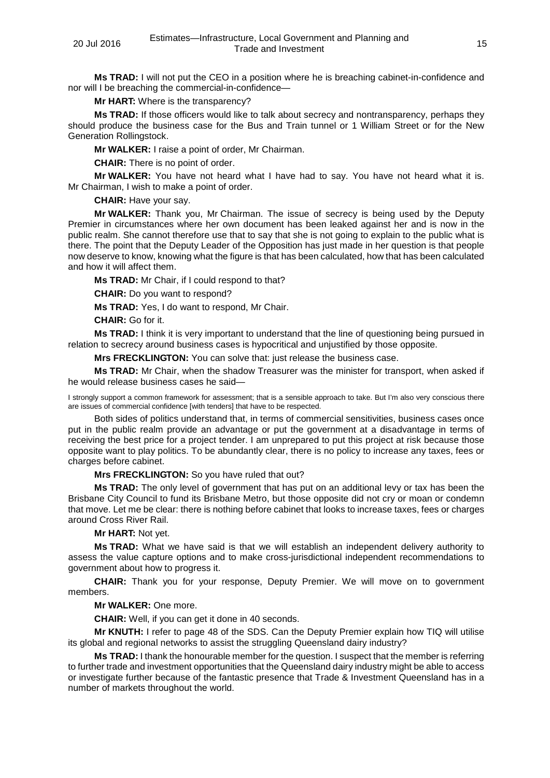**Ms TRAD:** I will not put the CEO in a position where he is breaching cabinet-in-confidence and nor will I be breaching the commercial-in-confidence—

**Mr HART:** Where is the transparency?

**Ms TRAD:** If those officers would like to talk about secrecy and nontransparency, perhaps they should produce the business case for the Bus and Train tunnel or 1 William Street or for the New Generation Rollingstock.

**Mr WALKER:** I raise a point of order, Mr Chairman.

**CHAIR:** There is no point of order.

**Mr WALKER:** You have not heard what I have had to say. You have not heard what it is. Mr Chairman, I wish to make a point of order.

**CHAIR:** Have your say.

**Mr WALKER:** Thank you, Mr Chairman. The issue of secrecy is being used by the Deputy Premier in circumstances where her own document has been leaked against her and is now in the public realm. She cannot therefore use that to say that she is not going to explain to the public what is there. The point that the Deputy Leader of the Opposition has just made in her question is that people now deserve to know, knowing what the figure is that has been calculated, how that has been calculated and how it will affect them.

**Ms TRAD:** Mr Chair, if I could respond to that?

**CHAIR:** Do you want to respond?

**Ms TRAD:** Yes, I do want to respond, Mr Chair.

**CHAIR:** Go for it.

**Ms TRAD:** I think it is very important to understand that the line of questioning being pursued in relation to secrecy around business cases is hypocritical and unjustified by those opposite.

**Mrs FRECKLINGTON:** You can solve that: just release the business case.

**Ms TRAD:** Mr Chair, when the shadow Treasurer was the minister for transport, when asked if he would release business cases he said—

I strongly support a common framework for assessment; that is a sensible approach to take. But I'm also very conscious there are issues of commercial confidence [with tenders] that have to be respected.

Both sides of politics understand that, in terms of commercial sensitivities, business cases once put in the public realm provide an advantage or put the government at a disadvantage in terms of receiving the best price for a project tender. I am unprepared to put this project at risk because those opposite want to play politics. To be abundantly clear, there is no policy to increase any taxes, fees or charges before cabinet.

**Mrs FRECKLINGTON:** So you have ruled that out?

**Ms TRAD:** The only level of government that has put on an additional levy or tax has been the Brisbane City Council to fund its Brisbane Metro, but those opposite did not cry or moan or condemn that move. Let me be clear: there is nothing before cabinet that looks to increase taxes, fees or charges around Cross River Rail.

**Mr HART:** Not yet.

**Ms TRAD:** What we have said is that we will establish an independent delivery authority to assess the value capture options and to make cross-jurisdictional independent recommendations to government about how to progress it.

**CHAIR:** Thank you for your response, Deputy Premier. We will move on to government members.

**Mr WALKER:** One more.

**CHAIR:** Well, if you can get it done in 40 seconds.

**Mr KNUTH:** I refer to page 48 of the SDS. Can the Deputy Premier explain how TIQ will utilise its global and regional networks to assist the struggling Queensland dairy industry?

**Ms TRAD:** I thank the honourable member for the question. I suspect that the member is referring to further trade and investment opportunities that the Queensland dairy industry might be able to access or investigate further because of the fantastic presence that Trade & Investment Queensland has in a number of markets throughout the world.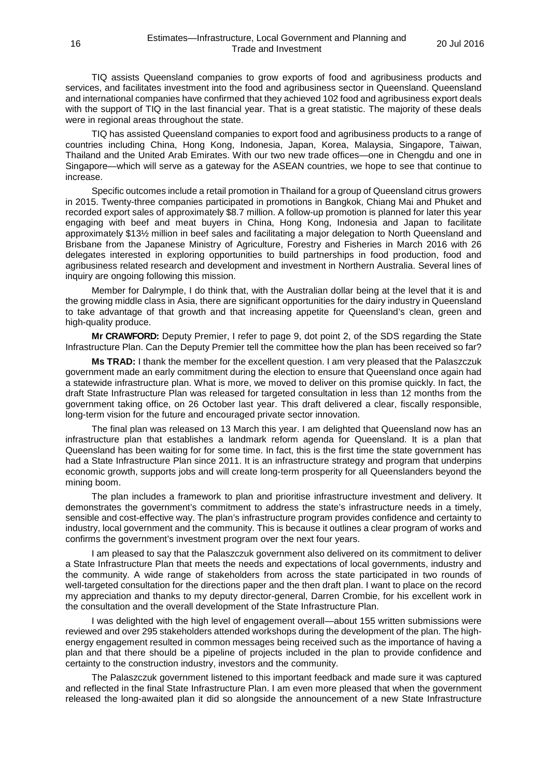TIQ assists Queensland companies to grow exports of food and agribusiness products and services, and facilitates investment into the food and agribusiness sector in Queensland. Queensland and international companies have confirmed that they achieved 102 food and agribusiness export deals with the support of TIQ in the last financial year. That is a great statistic. The majority of these deals were in regional areas throughout the state.

TIQ has assisted Queensland companies to export food and agribusiness products to a range of countries including China, Hong Kong, Indonesia, Japan, Korea, Malaysia, Singapore, Taiwan, Thailand and the United Arab Emirates. With our two new trade offices—one in Chengdu and one in Singapore—which will serve as a gateway for the ASEAN countries, we hope to see that continue to increase.

Specific outcomes include a retail promotion in Thailand for a group of Queensland citrus growers in 2015. Twenty-three companies participated in promotions in Bangkok, Chiang Mai and Phuket and recorded export sales of approximately \$8.7 million. A follow-up promotion is planned for later this year engaging with beef and meat buyers in China, Hong Kong, Indonesia and Japan to facilitate approximately \$13½ million in beef sales and facilitating a major delegation to North Queensland and Brisbane from the Japanese Ministry of Agriculture, Forestry and Fisheries in March 2016 with 26 delegates interested in exploring opportunities to build partnerships in food production, food and agribusiness related research and development and investment in Northern Australia. Several lines of inquiry are ongoing following this mission.

Member for Dalrymple, I do think that, with the Australian dollar being at the level that it is and the growing middle class in Asia, there are significant opportunities for the dairy industry in Queensland to take advantage of that growth and that increasing appetite for Queensland's clean, green and high-quality produce.

**Mr CRAWFORD:** Deputy Premier, I refer to page 9, dot point 2, of the SDS regarding the State Infrastructure Plan. Can the Deputy Premier tell the committee how the plan has been received so far?

**Ms TRAD:** I thank the member for the excellent question. I am very pleased that the Palaszczuk government made an early commitment during the election to ensure that Queensland once again had a statewide infrastructure plan. What is more, we moved to deliver on this promise quickly. In fact, the draft State Infrastructure Plan was released for targeted consultation in less than 12 months from the government taking office, on 26 October last year. This draft delivered a clear, fiscally responsible, long-term vision for the future and encouraged private sector innovation.

The final plan was released on 13 March this year. I am delighted that Queensland now has an infrastructure plan that establishes a landmark reform agenda for Queensland. It is a plan that Queensland has been waiting for for some time. In fact, this is the first time the state government has had a State Infrastructure Plan since 2011. It is an infrastructure strategy and program that underpins economic growth, supports jobs and will create long-term prosperity for all Queenslanders beyond the mining boom.

The plan includes a framework to plan and prioritise infrastructure investment and delivery. It demonstrates the government's commitment to address the state's infrastructure needs in a timely, sensible and cost-effective way. The plan's infrastructure program provides confidence and certainty to industry, local government and the community. This is because it outlines a clear program of works and confirms the government's investment program over the next four years.

I am pleased to say that the Palaszczuk government also delivered on its commitment to deliver a State Infrastructure Plan that meets the needs and expectations of local governments, industry and the community. A wide range of stakeholders from across the state participated in two rounds of well-targeted consultation for the directions paper and the then draft plan. I want to place on the record my appreciation and thanks to my deputy director-general, Darren Crombie, for his excellent work in the consultation and the overall development of the State Infrastructure Plan.

I was delighted with the high level of engagement overall—about 155 written submissions were reviewed and over 295 stakeholders attended workshops during the development of the plan. The highenergy engagement resulted in common messages being received such as the importance of having a plan and that there should be a pipeline of projects included in the plan to provide confidence and certainty to the construction industry, investors and the community.

The Palaszczuk government listened to this important feedback and made sure it was captured and reflected in the final State Infrastructure Plan. I am even more pleased that when the government released the long-awaited plan it did so alongside the announcement of a new State Infrastructure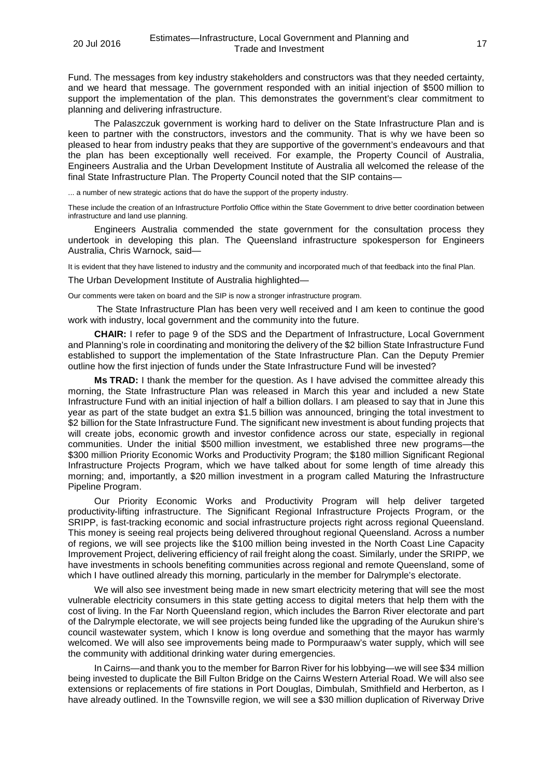Fund. The messages from key industry stakeholders and constructors was that they needed certainty, and we heard that message. The government responded with an initial injection of \$500 million to support the implementation of the plan. This demonstrates the government's clear commitment to planning and delivering infrastructure.

The Palaszczuk government is working hard to deliver on the State Infrastructure Plan and is keen to partner with the constructors, investors and the community. That is why we have been so pleased to hear from industry peaks that they are supportive of the government's endeavours and that the plan has been exceptionally well received. For example, the Property Council of Australia, Engineers Australia and the Urban Development Institute of Australia all welcomed the release of the final State Infrastructure Plan. The Property Council noted that the SIP contains—

... a number of new strategic actions that do have the support of the property industry.

These include the creation of an Infrastructure Portfolio Office within the State Government to drive better coordination between infrastructure and land use planning.

Engineers Australia commended the state government for the consultation process they undertook in developing this plan. The Queensland infrastructure spokesperson for Engineers Australia, Chris Warnock*,* said—

It is evident that they have listened to industry and the community and incorporated much of that feedback into the final Plan.

The Urban Development Institute of Australia highlighted—

Our comments were taken on board and the SIP is now a stronger infrastructure program.

The State Infrastructure Plan has been very well received and I am keen to continue the good work with industry, local government and the community into the future.

**CHAIR:** I refer to page 9 of the SDS and the Department of Infrastructure, Local Government and Planning's role in coordinating and monitoring the delivery of the \$2 billion State Infrastructure Fund established to support the implementation of the State Infrastructure Plan. Can the Deputy Premier outline how the first injection of funds under the State Infrastructure Fund will be invested?

**Ms TRAD:** I thank the member for the question. As I have advised the committee already this morning, the State Infrastructure Plan was released in March this year and included a new State Infrastructure Fund with an initial injection of half a billion dollars. I am pleased to say that in June this year as part of the state budget an extra \$1.5 billion was announced, bringing the total investment to \$2 billion for the State Infrastructure Fund. The significant new investment is about funding projects that will create jobs, economic growth and investor confidence across our state, especially in regional communities. Under the initial \$500 million investment, we established three new programs—the \$300 million Priority Economic Works and Productivity Program; the \$180 million Significant Regional Infrastructure Projects Program, which we have talked about for some length of time already this morning; and, importantly, a \$20 million investment in a program called Maturing the Infrastructure Pipeline Program.

Our Priority Economic Works and Productivity Program will help deliver targeted productivity-lifting infrastructure. The Significant Regional Infrastructure Projects Program, or the SRIPP, is fast-tracking economic and social infrastructure projects right across regional Queensland. This money is seeing real projects being delivered throughout regional Queensland. Across a number of regions, we will see projects like the \$100 million being invested in the North Coast Line Capacity Improvement Project, delivering efficiency of rail freight along the coast. Similarly, under the SRIPP, we have investments in schools benefiting communities across regional and remote Queensland, some of which I have outlined already this morning, particularly in the member for Dalrymple's electorate.

We will also see investment being made in new smart electricity metering that will see the most vulnerable electricity consumers in this state getting access to digital meters that help them with the cost of living. In the Far North Queensland region, which includes the Barron River electorate and part of the Dalrymple electorate, we will see projects being funded like the upgrading of the Aurukun shire's council wastewater system, which I know is long overdue and something that the mayor has warmly welcomed. We will also see improvements being made to Pormpuraaw's water supply, which will see the community with additional drinking water during emergencies.

In Cairns—and thank you to the member for Barron River for his lobbying—we will see \$34 million being invested to duplicate the Bill Fulton Bridge on the Cairns Western Arterial Road. We will also see extensions or replacements of fire stations in Port Douglas, Dimbulah, Smithfield and Herberton, as I have already outlined. In the Townsville region, we will see a \$30 million duplication of Riverway Drive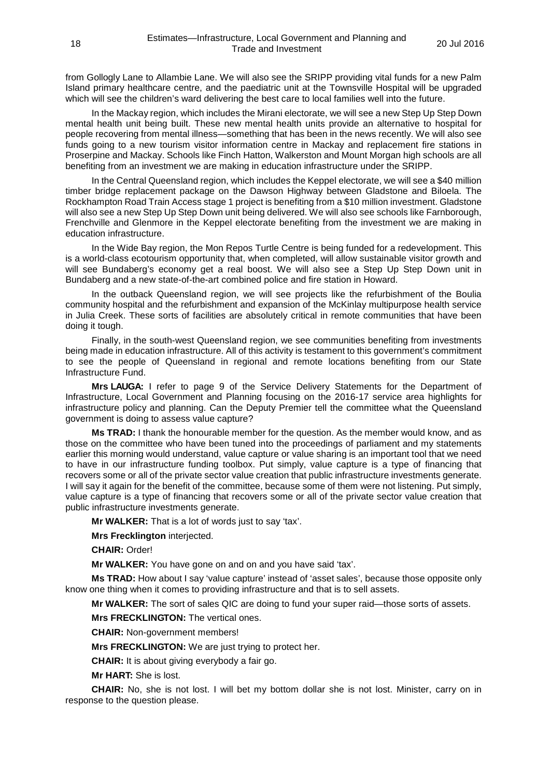from Gollogly Lane to Allambie Lane. We will also see the SRIPP providing vital funds for a new Palm Island primary healthcare centre, and the paediatric unit at the Townsville Hospital will be upgraded which will see the children's ward delivering the best care to local families well into the future.

In the Mackay region, which includes the Mirani electorate, we will see a new Step Up Step Down mental health unit being built. These new mental health units provide an alternative to hospital for people recovering from mental illness—something that has been in the news recently. We will also see funds going to a new tourism visitor information centre in Mackay and replacement fire stations in Proserpine and Mackay. Schools like Finch Hatton, Walkerston and Mount Morgan high schools are all benefiting from an investment we are making in education infrastructure under the SRIPP.

In the Central Queensland region, which includes the Keppel electorate, we will see a \$40 million timber bridge replacement package on the Dawson Highway between Gladstone and Biloela. The Rockhampton Road Train Access stage 1 project is benefiting from a \$10 million investment. Gladstone will also see a new Step Up Step Down unit being delivered. We will also see schools like Farnborough, Frenchville and Glenmore in the Keppel electorate benefiting from the investment we are making in education infrastructure.

In the Wide Bay region, the Mon Repos Turtle Centre is being funded for a redevelopment. This is a world-class ecotourism opportunity that, when completed, will allow sustainable visitor growth and will see Bundaberg's economy get a real boost. We will also see a Step Up Step Down unit in Bundaberg and a new state-of-the-art combined police and fire station in Howard.

In the outback Queensland region, we will see projects like the refurbishment of the Boulia community hospital and the refurbishment and expansion of the McKinlay multipurpose health service in Julia Creek. These sorts of facilities are absolutely critical in remote communities that have been doing it tough.

Finally, in the south-west Queensland region, we see communities benefiting from investments being made in education infrastructure. All of this activity is testament to this government's commitment to see the people of Queensland in regional and remote locations benefiting from our State Infrastructure Fund.

**Mrs LAUGA:** I refer to page 9 of the Service Delivery Statements for the Department of Infrastructure, Local Government and Planning focusing on the 2016-17 service area highlights for infrastructure policy and planning. Can the Deputy Premier tell the committee what the Queensland government is doing to assess value capture?

**Ms TRAD:** I thank the honourable member for the question. As the member would know, and as those on the committee who have been tuned into the proceedings of parliament and my statements earlier this morning would understand, value capture or value sharing is an important tool that we need to have in our infrastructure funding toolbox. Put simply, value capture is a type of financing that recovers some or all of the private sector value creation that public infrastructure investments generate. I will say it again for the benefit of the committee, because some of them were not listening. Put simply, value capture is a type of financing that recovers some or all of the private sector value creation that public infrastructure investments generate.

**Mr WALKER:** That is a lot of words just to say 'tax'.

**Mrs Frecklington** interjected.

**CHAIR:** Order!

**Mr WALKER:** You have gone on and on and you have said 'tax'.

**Ms TRAD:** How about I say 'value capture' instead of 'asset sales', because those opposite only know one thing when it comes to providing infrastructure and that is to sell assets.

**Mr WALKER:** The sort of sales QIC are doing to fund your super raid—those sorts of assets.

**Mrs FRECKLINGTON:** The vertical ones.

**CHAIR:** Non-government members!

**Mrs FRECKLINGTON:** We are just trying to protect her.

**CHAIR:** It is about giving everybody a fair go.

**Mr HART:** She is lost.

**CHAIR:** No, she is not lost. I will bet my bottom dollar she is not lost. Minister, carry on in response to the question please.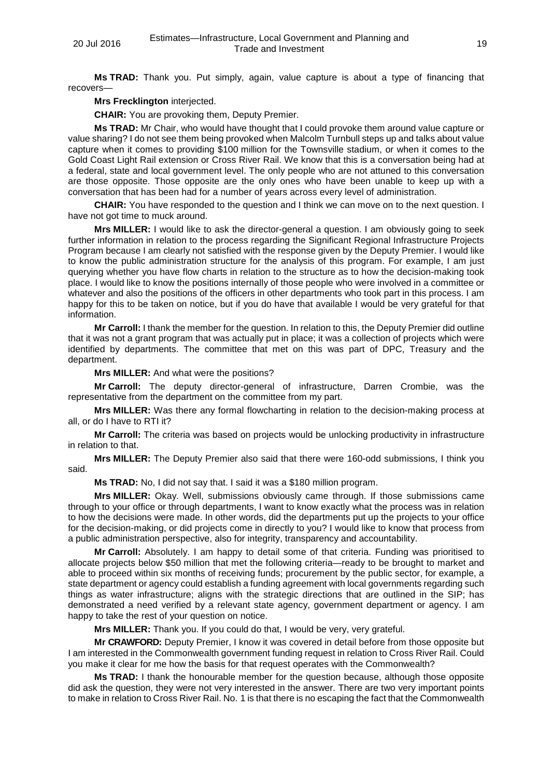**Ms TRAD:** Thank you. Put simply, again, value capture is about a type of financing that recovers—

**Mrs Frecklington** interjected.

**CHAIR:** You are provoking them, Deputy Premier.

**Ms TRAD:** Mr Chair, who would have thought that I could provoke them around value capture or value sharing? I do not see them being provoked when Malcolm Turnbull steps up and talks about value capture when it comes to providing \$100 million for the Townsville stadium, or when it comes to the Gold Coast Light Rail extension or Cross River Rail. We know that this is a conversation being had at a federal, state and local government level. The only people who are not attuned to this conversation are those opposite. Those opposite are the only ones who have been unable to keep up with a conversation that has been had for a number of years across every level of administration.

**CHAIR:** You have responded to the question and I think we can move on to the next question. I have not got time to muck around.

**Mrs MILLER:** I would like to ask the director-general a question. I am obviously going to seek further information in relation to the process regarding the Significant Regional Infrastructure Projects Program because I am clearly not satisfied with the response given by the Deputy Premier. I would like to know the public administration structure for the analysis of this program. For example, I am just querying whether you have flow charts in relation to the structure as to how the decision-making took place. I would like to know the positions internally of those people who were involved in a committee or whatever and also the positions of the officers in other departments who took part in this process. I am happy for this to be taken on notice, but if you do have that available I would be very grateful for that information.

**Mr Carroll:** I thank the member for the question. In relation to this, the Deputy Premier did outline that it was not a grant program that was actually put in place; it was a collection of projects which were identified by departments. The committee that met on this was part of DPC, Treasury and the department.

**Mrs MILLER:** And what were the positions?

**Mr Carroll:** The deputy director-general of infrastructure, Darren Crombie, was the representative from the department on the committee from my part.

**Mrs MILLER:** Was there any formal flowcharting in relation to the decision-making process at all, or do I have to RTI it?

**Mr Carroll:** The criteria was based on projects would be unlocking productivity in infrastructure in relation to that.

**Mrs MILLER:** The Deputy Premier also said that there were 160-odd submissions, I think you said.

**Ms TRAD:** No, I did not say that. I said it was a \$180 million program.

**Mrs MILLER:** Okay. Well, submissions obviously came through. If those submissions came through to your office or through departments, I want to know exactly what the process was in relation to how the decisions were made. In other words, did the departments put up the projects to your office for the decision-making, or did projects come in directly to you? I would like to know that process from a public administration perspective, also for integrity, transparency and accountability.

**Mr Carroll:** Absolutely. I am happy to detail some of that criteria. Funding was prioritised to allocate projects below \$50 million that met the following criteria—ready to be brought to market and able to proceed within six months of receiving funds; procurement by the public sector, for example, a state department or agency could establish a funding agreement with local governments regarding such things as water infrastructure; aligns with the strategic directions that are outlined in the SIP; has demonstrated a need verified by a relevant state agency, government department or agency. I am happy to take the rest of your question on notice.

**Mrs MILLER:** Thank you. If you could do that, I would be very, very grateful.

**Mr CRAWFORD:** Deputy Premier, I know it was covered in detail before from those opposite but I am interested in the Commonwealth government funding request in relation to Cross River Rail. Could you make it clear for me how the basis for that request operates with the Commonwealth?

**Ms TRAD:** I thank the honourable member for the question because, although those opposite did ask the question, they were not very interested in the answer. There are two very important points to make in relation to Cross River Rail. No. 1 is that there is no escaping the fact that the Commonwealth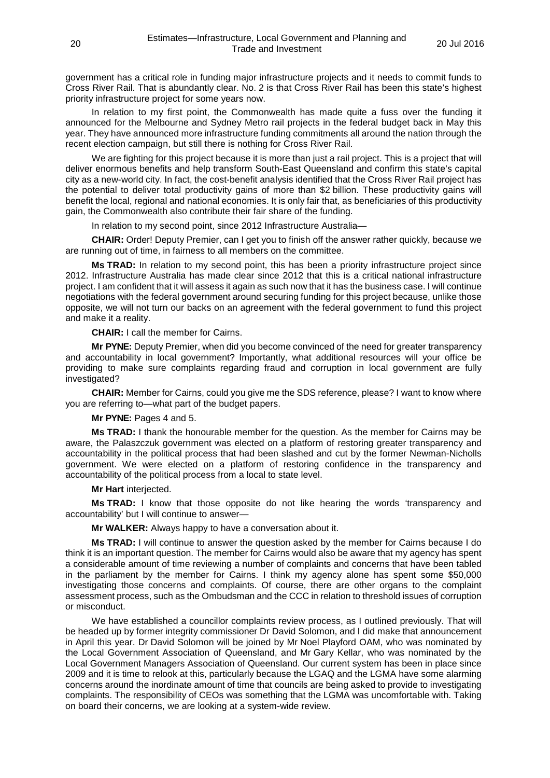government has a critical role in funding major infrastructure projects and it needs to commit funds to Cross River Rail. That is abundantly clear. No. 2 is that Cross River Rail has been this state's highest priority infrastructure project for some years now.

In relation to my first point, the Commonwealth has made quite a fuss over the funding it announced for the Melbourne and Sydney Metro rail projects in the federal budget back in May this year. They have announced more infrastructure funding commitments all around the nation through the recent election campaign, but still there is nothing for Cross River Rail.

We are fighting for this project because it is more than just a rail project. This is a project that will deliver enormous benefits and help transform South-East Queensland and confirm this state's capital city as a new-world city. In fact, the cost-benefit analysis identified that the Cross River Rail project has the potential to deliver total productivity gains of more than \$2 billion. These productivity gains will benefit the local, regional and national economies. It is only fair that, as beneficiaries of this productivity gain, the Commonwealth also contribute their fair share of the funding.

In relation to my second point, since 2012 Infrastructure Australia—

**CHAIR:** Order! Deputy Premier, can I get you to finish off the answer rather quickly, because we are running out of time, in fairness to all members on the committee.

**Ms TRAD:** In relation to my second point, this has been a priority infrastructure project since 2012. Infrastructure Australia has made clear since 2012 that this is a critical national infrastructure project. I am confident that it will assess it again as such now that it has the business case. I will continue negotiations with the federal government around securing funding for this project because, unlike those opposite, we will not turn our backs on an agreement with the federal government to fund this project and make it a reality.

**CHAIR:** I call the member for Cairns.

**Mr PYNE:** Deputy Premier, when did you become convinced of the need for greater transparency and accountability in local government? Importantly, what additional resources will your office be providing to make sure complaints regarding fraud and corruption in local government are fully investigated?

**CHAIR:** Member for Cairns, could you give me the SDS reference, please? I want to know where you are referring to—what part of the budget papers.

**Mr PYNE:** Pages 4 and 5.

**Ms TRAD:** I thank the honourable member for the question. As the member for Cairns may be aware, the Palaszczuk government was elected on a platform of restoring greater transparency and accountability in the political process that had been slashed and cut by the former Newman-Nicholls government. We were elected on a platform of restoring confidence in the transparency and accountability of the political process from a local to state level.

**Mr Hart** interjected.

**Ms TRAD:** I know that those opposite do not like hearing the words 'transparency and accountability' but I will continue to answer—

**Mr WALKER:** Always happy to have a conversation about it.

**Ms TRAD:** I will continue to answer the question asked by the member for Cairns because I do think it is an important question. The member for Cairns would also be aware that my agency has spent a considerable amount of time reviewing a number of complaints and concerns that have been tabled in the parliament by the member for Cairns. I think my agency alone has spent some \$50,000 investigating those concerns and complaints. Of course, there are other organs to the complaint assessment process, such as the Ombudsman and the CCC in relation to threshold issues of corruption or misconduct.

We have established a councillor complaints review process, as I outlined previously. That will be headed up by former integrity commissioner Dr David Solomon, and I did make that announcement in April this year. Dr David Solomon will be joined by Mr Noel Playford OAM, who was nominated by the Local Government Association of Queensland, and Mr Gary Kellar, who was nominated by the Local Government Managers Association of Queensland. Our current system has been in place since 2009 and it is time to relook at this, particularly because the LGAQ and the LGMA have some alarming concerns around the inordinate amount of time that councils are being asked to provide to investigating complaints. The responsibility of CEOs was something that the LGMA was uncomfortable with. Taking on board their concerns, we are looking at a system-wide review.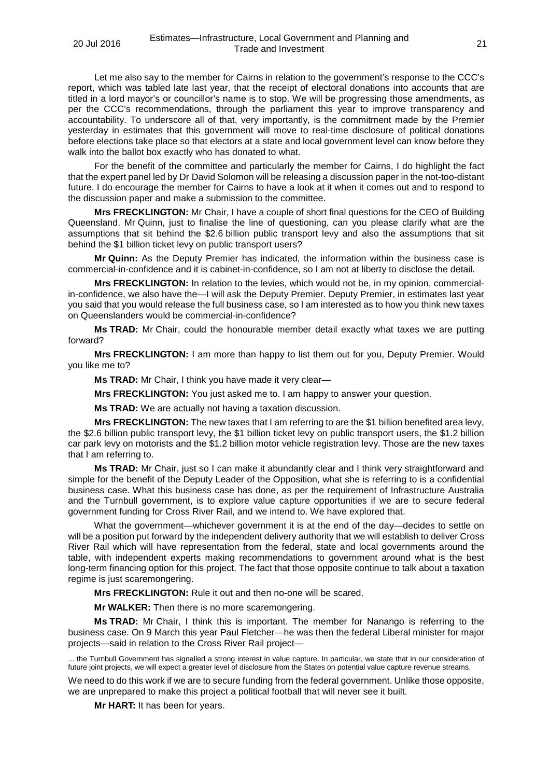Let me also say to the member for Cairns in relation to the government's response to the CCC's report, which was tabled late last year, that the receipt of electoral donations into accounts that are titled in a lord mayor's or councillor's name is to stop. We will be progressing those amendments, as per the CCC's recommendations, through the parliament this year to improve transparency and accountability. To underscore all of that, very importantly, is the commitment made by the Premier yesterday in estimates that this government will move to real-time disclosure of political donations before elections take place so that electors at a state and local government level can know before they walk into the ballot box exactly who has donated to what.

For the benefit of the committee and particularly the member for Cairns, I do highlight the fact that the expert panel led by Dr David Solomon will be releasing a discussion paper in the not-too-distant future. I do encourage the member for Cairns to have a look at it when it comes out and to respond to the discussion paper and make a submission to the committee.

**Mrs FRECKLINGTON:** Mr Chair, I have a couple of short final questions for the CEO of Building Queensland. Mr Quinn, just to finalise the line of questioning, can you please clarify what are the assumptions that sit behind the \$2.6 billion public transport levy and also the assumptions that sit behind the \$1 billion ticket levy on public transport users?

**Mr Quinn:** As the Deputy Premier has indicated, the information within the business case is commercial-in-confidence and it is cabinet-in-confidence, so I am not at liberty to disclose the detail.

**Mrs FRECKLINGTON:** In relation to the levies, which would not be, in my opinion, commercialin-confidence, we also have the—I will ask the Deputy Premier. Deputy Premier, in estimates last year you said that you would release the full business case, so I am interested as to how you think new taxes on Queenslanders would be commercial-in-confidence?

**Ms TRAD:** Mr Chair, could the honourable member detail exactly what taxes we are putting forward?

**Mrs FRECKLINGTON:** I am more than happy to list them out for you, Deputy Premier. Would you like me to?

**Ms TRAD:** Mr Chair, I think you have made it very clear—

**Mrs FRECKLINGTON:** You just asked me to. I am happy to answer your question.

**Ms TRAD:** We are actually not having a taxation discussion.

**Mrs FRECKLINGTON:** The new taxes that I am referring to are the \$1 billion benefited area levy, the \$2.6 billion public transport levy, the \$1 billion ticket levy on public transport users, the \$1.2 billion car park levy on motorists and the \$1.2 billion motor vehicle registration levy. Those are the new taxes that I am referring to.

**Ms TRAD:** Mr Chair, just so I can make it abundantly clear and I think very straightforward and simple for the benefit of the Deputy Leader of the Opposition, what she is referring to is a confidential business case. What this business case has done, as per the requirement of Infrastructure Australia and the Turnbull government, is to explore value capture opportunities if we are to secure federal government funding for Cross River Rail, and we intend to. We have explored that.

What the government—whichever government it is at the end of the day—decides to settle on will be a position put forward by the independent delivery authority that we will establish to deliver Cross River Rail which will have representation from the federal, state and local governments around the table, with independent experts making recommendations to government around what is the best long-term financing option for this project. The fact that those opposite continue to talk about a taxation regime is just scaremongering.

**Mrs FRECKLINGTON:** Rule it out and then no-one will be scared.

**Mr WALKER:** Then there is no more scaremongering.

**Ms TRAD:** Mr Chair, I think this is important. The member for Nanango is referring to the business case. On 9 March this year Paul Fletcher—he was then the federal Liberal minister for major projects—said in relation to the Cross River Rail project—

... the Turnbull Government has signalled a strong interest in value capture. In particular, we state that in our consideration of future joint projects, we will expect a greater level of disclosure from the States on potential value capture revenue streams.

We need to do this work if we are to secure funding from the federal government. Unlike those opposite, we are unprepared to make this project a political football that will never see it built.

**Mr HART:** It has been for years.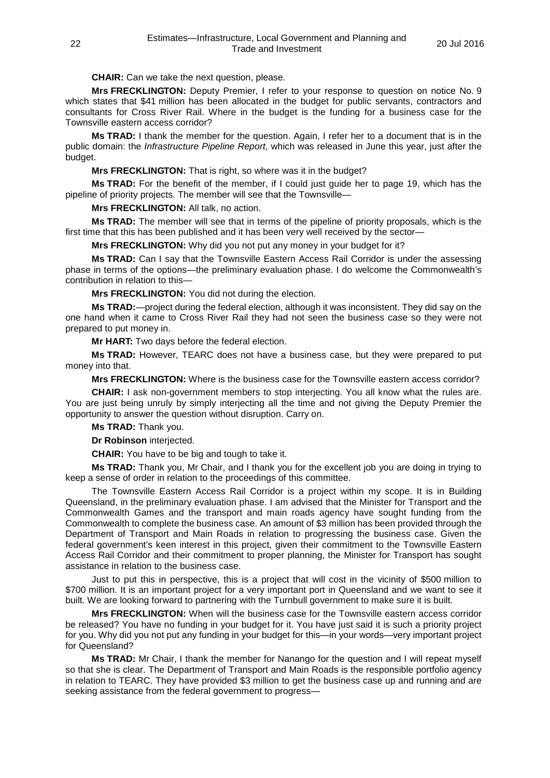**CHAIR:** Can we take the next question, please.

**Mrs FRECKLINGTON:** Deputy Premier, I refer to your response to question on notice No. 9 which states that \$41 million has been allocated in the budget for public servants, contractors and consultants for Cross River Rail. Where in the budget is the funding for a business case for the Townsville eastern access corridor?

**Ms TRAD:** I thank the member for the question. Again, I refer her to a document that is in the public domain: the *Infrastructure Pipeline Report*, which was released in June this year, just after the budget.

**Mrs FRECKLINGTON:** That is right, so where was it in the budget?

**Ms TRAD:** For the benefit of the member, if I could just guide her to page 19, which has the pipeline of priority projects. The member will see that the Townsville—

**Mrs FRECKLINGTON:** All talk, no action.

**Ms TRAD:** The member will see that in terms of the pipeline of priority proposals, which is the first time that this has been published and it has been very well received by the sector—

**Mrs FRECKLINGTON:** Why did you not put any money in your budget for it?

**Ms TRAD:** Can I say that the Townsville Eastern Access Rail Corridor is under the assessing phase in terms of the options—the preliminary evaluation phase. I do welcome the Commonwealth's contribution in relation to this—

**Mrs FRECKLINGTON:** You did not during the election.

**Ms TRAD:**—project during the federal election, although it was inconsistent. They did say on the one hand when it came to Cross River Rail they had not seen the business case so they were not prepared to put money in.

**Mr HART:** Two days before the federal election.

**Ms TRAD:** However, TEARC does not have a business case, but they were prepared to put money into that.

**Mrs FRECKLINGTON:** Where is the business case for the Townsville eastern access corridor?

**CHAIR:** I ask non-government members to stop interjecting. You all know what the rules are. You are just being unruly by simply interjecting all the time and not giving the Deputy Premier the opportunity to answer the question without disruption. Carry on.

**Ms TRAD:** Thank you.

**Dr Robinson** interjected.

**CHAIR:** You have to be big and tough to take it.

**Ms TRAD:** Thank you, Mr Chair, and I thank you for the excellent job you are doing in trying to keep a sense of order in relation to the proceedings of this committee.

The Townsville Eastern Access Rail Corridor is a project within my scope. It is in Building Queensland, in the preliminary evaluation phase. I am advised that the Minister for Transport and the Commonwealth Games and the transport and main roads agency have sought funding from the Commonwealth to complete the business case. An amount of \$3 million has been provided through the Department of Transport and Main Roads in relation to progressing the business case. Given the federal government's keen interest in this project, given their commitment to the Townsville Eastern Access Rail Corridor and their commitment to proper planning, the Minister for Transport has sought assistance in relation to the business case.

Just to put this in perspective, this is a project that will cost in the vicinity of \$500 million to \$700 million. It is an important project for a very important port in Queensland and we want to see it built. We are looking forward to partnering with the Turnbull government to make sure it is built.

**Mrs FRECKLINGTON:** When will the business case for the Townsville eastern access corridor be released? You have no funding in your budget for it. You have just said it is such a priority project for you. Why did you not put any funding in your budget for this—in your words—very important project for Queensland?

**Ms TRAD:** Mr Chair, I thank the member for Nanango for the question and I will repeat myself so that she is clear. The Department of Transport and Main Roads is the responsible portfolio agency in relation to TEARC. They have provided \$3 million to get the business case up and running and are seeking assistance from the federal government to progress—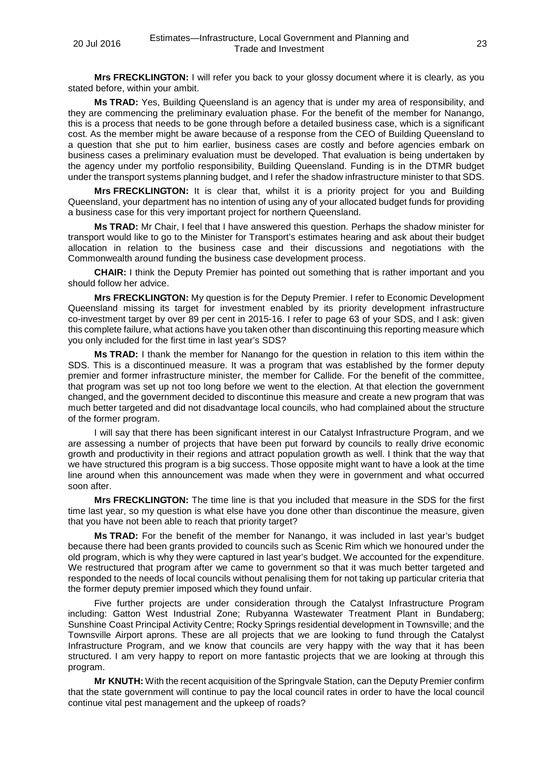**Mrs FRECKLINGTON:** I will refer you back to your glossy document where it is clearly, as you stated before, within your ambit.

**Ms TRAD:** Yes, Building Queensland is an agency that is under my area of responsibility, and they are commencing the preliminary evaluation phase. For the benefit of the member for Nanango, this is a process that needs to be gone through before a detailed business case, which is a significant cost. As the member might be aware because of a response from the CEO of Building Queensland to a question that she put to him earlier, business cases are costly and before agencies embark on business cases a preliminary evaluation must be developed. That evaluation is being undertaken by the agency under my portfolio responsibility, Building Queensland. Funding is in the DTMR budget under the transport systems planning budget, and I refer the shadow infrastructure minister to that SDS.

**Mrs FRECKLINGTON:** It is clear that, whilst it is a priority project for you and Building Queensland, your department has no intention of using any of your allocated budget funds for providing a business case for this very important project for northern Queensland.

**Ms TRAD:** Mr Chair, I feel that I have answered this question. Perhaps the shadow minister for transport would like to go to the Minister for Transport's estimates hearing and ask about their budget allocation in relation to the business case and their discussions and negotiations with the Commonwealth around funding the business case development process.

**CHAIR:** I think the Deputy Premier has pointed out something that is rather important and you should follow her advice.

**Mrs FRECKLINGTON:** My question is for the Deputy Premier. I refer to Economic Development Queensland missing its target for investment enabled by its priority development infrastructure co-investment target by over 89 per cent in 2015-16. I refer to page 63 of your SDS, and I ask: given this complete failure, what actions have you taken other than discontinuing this reporting measure which you only included for the first time in last year's SDS?

**Ms TRAD:** I thank the member for Nanango for the question in relation to this item within the SDS. This is a discontinued measure. It was a program that was established by the former deputy premier and former infrastructure minister, the member for Callide. For the benefit of the committee, that program was set up not too long before we went to the election. At that election the government changed, and the government decided to discontinue this measure and create a new program that was much better targeted and did not disadvantage local councils, who had complained about the structure of the former program.

I will say that there has been significant interest in our Catalyst Infrastructure Program, and we are assessing a number of projects that have been put forward by councils to really drive economic growth and productivity in their regions and attract population growth as well. I think that the way that we have structured this program is a big success. Those opposite might want to have a look at the time line around when this announcement was made when they were in government and what occurred soon after.

**Mrs FRECKLINGTON:** The time line is that you included that measure in the SDS for the first time last year, so my question is what else have you done other than discontinue the measure, given that you have not been able to reach that priority target?

**Ms TRAD:** For the benefit of the member for Nanango, it was included in last year's budget because there had been grants provided to councils such as Scenic Rim which we honoured under the old program, which is why they were captured in last year's budget. We accounted for the expenditure. We restructured that program after we came to government so that it was much better targeted and responded to the needs of local councils without penalising them for not taking up particular criteria that the former deputy premier imposed which they found unfair.

Five further projects are under consideration through the Catalyst Infrastructure Program including: Gatton West Industrial Zone; Rubyanna Wastewater Treatment Plant in Bundaberg; Sunshine Coast Principal Activity Centre; Rocky Springs residential development in Townsville; and the Townsville Airport aprons. These are all projects that we are looking to fund through the Catalyst Infrastructure Program, and we know that councils are very happy with the way that it has been structured. I am very happy to report on more fantastic projects that we are looking at through this program.

**Mr KNUTH:** With the recent acquisition of the Springvale Station, can the Deputy Premier confirm that the state government will continue to pay the local council rates in order to have the local council continue vital pest management and the upkeep of roads?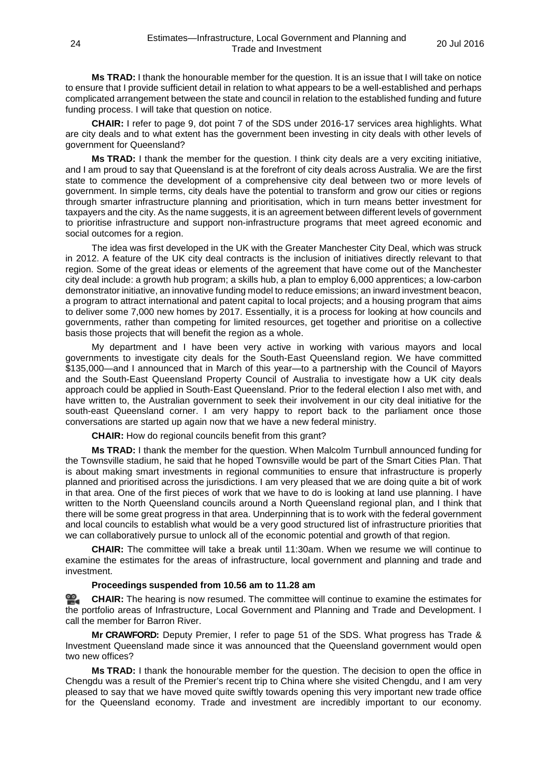**Ms TRAD:** I thank the honourable member for the question. It is an issue that I will take on notice to ensure that I provide sufficient detail in relation to what appears to be a well-established and perhaps complicated arrangement between the state and council in relation to the established funding and future funding process. I will take that question on notice.

**CHAIR:** I refer to page 9, dot point 7 of the SDS under 2016-17 services area highlights. What are city deals and to what extent has the government been investing in city deals with other levels of government for Queensland?

**Ms TRAD:** I thank the member for the question. I think city deals are a very exciting initiative, and I am proud to say that Queensland is at the forefront of city deals across Australia. We are the first state to commence the development of a comprehensive city deal between two or more levels of government. In simple terms, city deals have the potential to transform and grow our cities or regions through smarter infrastructure planning and prioritisation, which in turn means better investment for taxpayers and the city. As the name suggests, it is an agreement between different levels of government to prioritise infrastructure and support non-infrastructure programs that meet agreed economic and social outcomes for a region.

The idea was first developed in the UK with the Greater Manchester City Deal, which was struck in 2012. A feature of the UK city deal contracts is the inclusion of initiatives directly relevant to that region. Some of the great ideas or elements of the agreement that have come out of the Manchester city deal include: a growth hub program; a skills hub, a plan to employ 6,000 apprentices; a low-carbon demonstrator initiative, an innovative funding model to reduce emissions; an inward investment beacon, a program to attract international and patent capital to local projects; and a housing program that aims to deliver some 7,000 new homes by 2017. Essentially, it is a process for looking at how councils and governments, rather than competing for limited resources, get together and prioritise on a collective basis those projects that will benefit the region as a whole.

My department and I have been very active in working with various mayors and local governments to investigate city deals for the South-East Queensland region. We have committed \$135,000—and I announced that in March of this year—to a partnership with the Council of Mayors and the South-East Queensland Property Council of Australia to investigate how a UK city deals approach could be applied in South-East Queensland. Prior to the federal election I also met with, and have written to, the Australian government to seek their involvement in our city deal initiative for the south-east Queensland corner. I am very happy to report back to the parliament once those conversations are started up again now that we have a new federal ministry.

**CHAIR:** How do regional councils benefit from this grant?

**Ms TRAD:** I thank the member for the question. When Malcolm Turnbull announced funding for the Townsville stadium, he said that he hoped Townsville would be part of the Smart Cities Plan. That is about making smart investments in regional communities to ensure that infrastructure is properly planned and prioritised across the jurisdictions. I am very pleased that we are doing quite a bit of work in that area. One of the first pieces of work that we have to do is looking at land use planning. I have written to the North Queensland councils around a North Queensland regional plan, and I think that there will be some great progress in that area. Underpinning that is to work with the federal government and local councils to establish what would be a very good structured list of infrastructure priorities that we can collaboratively pursue to unlock all of the economic potential and growth of that region.

**CHAIR:** The committee will take a break until 11:30am. When we resume we will continue to examine the estimates for the areas of infrastructure, local government and planning and trade and investment.

# **Proceedings suspended from 10.56 am to 11.28 am**

**[CHAIR:](http://www.parliament.qld.gov.au/docs/find.aspx?id=0Mba20160720_112939)** The hearing is now resumed. The committee will continue to examine the estimates for the portfolio areas of Infrastructure, Local Government and Planning and Trade and Development. I call the member for Barron River.

**Mr CRAWFORD:** Deputy Premier, I refer to page 51 of the SDS. What progress has Trade & Investment Queensland made since it was announced that the Queensland government would open two new offices?

**Ms TRAD:** I thank the honourable member for the question. The decision to open the office in Chengdu was a result of the Premier's recent trip to China where she visited Chengdu, and I am very pleased to say that we have moved quite swiftly towards opening this very important new trade office for the Queensland economy. Trade and investment are incredibly important to our economy.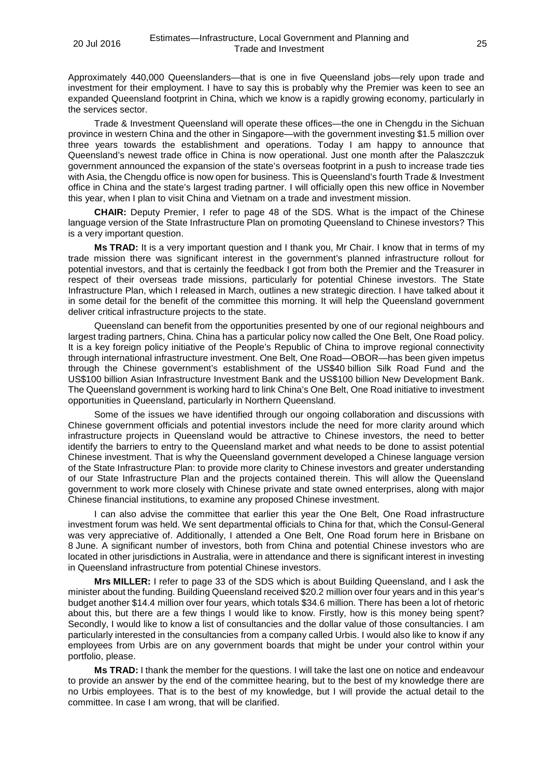Approximately 440,000 Queenslanders—that is one in five Queensland jobs—rely upon trade and investment for their employment. I have to say this is probably why the Premier was keen to see an expanded Queensland footprint in China, which we know is a rapidly growing economy, particularly in the services sector.

Trade & Investment Queensland will operate these offices—the one in Chengdu in the Sichuan province in western China and the other in Singapore—with the government investing \$1.5 million over three years towards the establishment and operations. Today I am happy to announce that Queensland's newest trade office in China is now operational. Just one month after the Palaszczuk government announced the expansion of the state's overseas footprint in a push to increase trade ties with Asia, the Chengdu office is now open for business. This is Queensland's fourth Trade & Investment office in China and the state's largest trading partner. I will officially open this new office in November this year, when I plan to visit China and Vietnam on a trade and investment mission.

**CHAIR:** Deputy Premier, I refer to page 48 of the SDS. What is the impact of the Chinese language version of the State Infrastructure Plan on promoting Queensland to Chinese investors? This is a very important question.

**Ms TRAD:** It is a very important question and I thank you, Mr Chair. I know that in terms of my trade mission there was significant interest in the government's planned infrastructure rollout for potential investors, and that is certainly the feedback I got from both the Premier and the Treasurer in respect of their overseas trade missions, particularly for potential Chinese investors. The State Infrastructure Plan, which I released in March, outlines a new strategic direction. I have talked about it in some detail for the benefit of the committee this morning. It will help the Queensland government deliver critical infrastructure projects to the state.

Queensland can benefit from the opportunities presented by one of our regional neighbours and largest trading partners, China. China has a particular policy now called the One Belt, One Road policy. It is a key foreign policy initiative of the People's Republic of China to improve regional connectivity through international infrastructure investment. One Belt, One Road—OBOR—has been given impetus through the Chinese government's establishment of the US\$40 billion Silk Road Fund and the US\$100 billion Asian Infrastructure Investment Bank and the US\$100 billion New Development Bank. The Queensland government is working hard to link China's One Belt, One Road initiative to investment opportunities in Queensland, particularly in Northern Queensland.

Some of the issues we have identified through our ongoing collaboration and discussions with Chinese government officials and potential investors include the need for more clarity around which infrastructure projects in Queensland would be attractive to Chinese investors, the need to better identify the barriers to entry to the Queensland market and what needs to be done to assist potential Chinese investment. That is why the Queensland government developed a Chinese language version of the State Infrastructure Plan: to provide more clarity to Chinese investors and greater understanding of our State Infrastructure Plan and the projects contained therein. This will allow the Queensland government to work more closely with Chinese private and state owned enterprises, along with major Chinese financial institutions, to examine any proposed Chinese investment.

I can also advise the committee that earlier this year the One Belt, One Road infrastructure investment forum was held. We sent departmental officials to China for that, which the Consul-General was very appreciative of. Additionally, I attended a One Belt, One Road forum here in Brisbane on 8 June. A significant number of investors, both from China and potential Chinese investors who are located in other jurisdictions in Australia, were in attendance and there is significant interest in investing in Queensland infrastructure from potential Chinese investors.

**Mrs MILLER:** I refer to page 33 of the SDS which is about Building Queensland, and I ask the minister about the funding. Building Queensland received \$20.2 million over four years and in this year's budget another \$14.4 million over four years, which totals \$34.6 million. There has been a lot of rhetoric about this, but there are a few things I would like to know. Firstly, how is this money being spent? Secondly, I would like to know a list of consultancies and the dollar value of those consultancies. I am particularly interested in the consultancies from a company called Urbis. I would also like to know if any employees from Urbis are on any government boards that might be under your control within your portfolio, please.

**Ms TRAD:** I thank the member for the questions. I will take the last one on notice and endeavour to provide an answer by the end of the committee hearing, but to the best of my knowledge there are no Urbis employees. That is to the best of my knowledge, but I will provide the actual detail to the committee. In case I am wrong, that will be clarified.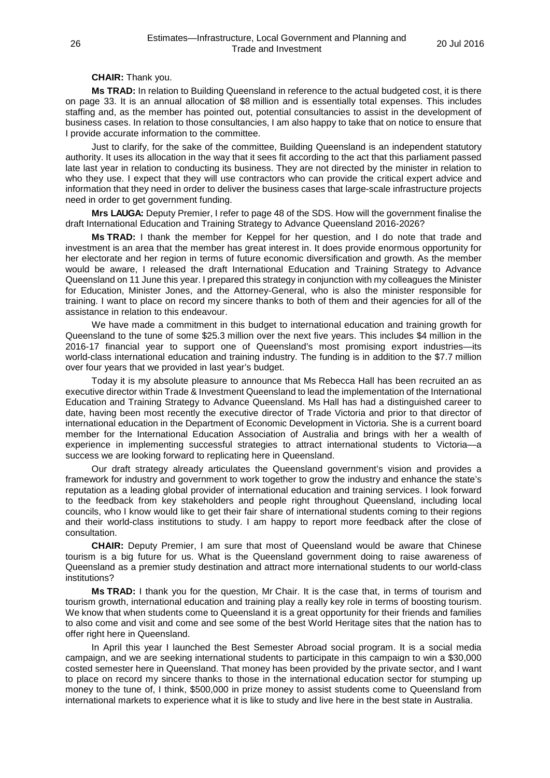# **CHAIR:** Thank you.

**Ms TRAD:** In relation to Building Queensland in reference to the actual budgeted cost, it is there on page 33. It is an annual allocation of \$8 million and is essentially total expenses. This includes staffing and, as the member has pointed out, potential consultancies to assist in the development of business cases. In relation to those consultancies, I am also happy to take that on notice to ensure that I provide accurate information to the committee.

Just to clarify, for the sake of the committee, Building Queensland is an independent statutory authority. It uses its allocation in the way that it sees fit according to the act that this parliament passed late last year in relation to conducting its business. They are not directed by the minister in relation to who they use. I expect that they will use contractors who can provide the critical expert advice and information that they need in order to deliver the business cases that large-scale infrastructure projects need in order to get government funding.

**Mrs LAUGA:** Deputy Premier, I refer to page 48 of the SDS. How will the government finalise the draft International Education and Training Strategy to Advance Queensland 2016-2026?

**Ms TRAD:** I thank the member for Keppel for her question, and I do note that trade and investment is an area that the member has great interest in. It does provide enormous opportunity for her electorate and her region in terms of future economic diversification and growth. As the member would be aware, I released the draft International Education and Training Strategy to Advance Queensland on 11 June this year. I prepared this strategy in conjunction with my colleagues the Minister for Education, Minister Jones, and the Attorney-General, who is also the minister responsible for training. I want to place on record my sincere thanks to both of them and their agencies for all of the assistance in relation to this endeavour.

We have made a commitment in this budget to international education and training growth for Queensland to the tune of some \$25.3 million over the next five years. This includes \$4 million in the 2016-17 financial year to support one of Queensland's most promising export industries—its world-class international education and training industry. The funding is in addition to the \$7.7 million over four years that we provided in last year's budget.

Today it is my absolute pleasure to announce that Ms Rebecca Hall has been recruited an as executive director within Trade & Investment Queensland to lead the implementation of the International Education and Training Strategy to Advance Queensland. Ms Hall has had a distinguished career to date, having been most recently the executive director of Trade Victoria and prior to that director of international education in the Department of Economic Development in Victoria. She is a current board member for the International Education Association of Australia and brings with her a wealth of experience in implementing successful strategies to attract international students to Victoria—a success we are looking forward to replicating here in Queensland.

Our draft strategy already articulates the Queensland government's vision and provides a framework for industry and government to work together to grow the industry and enhance the state's reputation as a leading global provider of international education and training services. I look forward to the feedback from key stakeholders and people right throughout Queensland, including local councils, who I know would like to get their fair share of international students coming to their regions and their world-class institutions to study. I am happy to report more feedback after the close of consultation.

**CHAIR:** Deputy Premier, I am sure that most of Queensland would be aware that Chinese tourism is a big future for us. What is the Queensland government doing to raise awareness of Queensland as a premier study destination and attract more international students to our world-class institutions?

**Ms TRAD:** I thank you for the question, Mr Chair. It is the case that, in terms of tourism and tourism growth, international education and training play a really key role in terms of boosting tourism. We know that when students come to Queensland it is a great opportunity for their friends and families to also come and visit and come and see some of the best World Heritage sites that the nation has to offer right here in Queensland.

In April this year I launched the Best Semester Abroad social program. It is a social media campaign, and we are seeking international students to participate in this campaign to win a \$30,000 costed semester here in Queensland. That money has been provided by the private sector, and I want to place on record my sincere thanks to those in the international education sector for stumping up money to the tune of, I think, \$500,000 in prize money to assist students come to Queensland from international markets to experience what it is like to study and live here in the best state in Australia.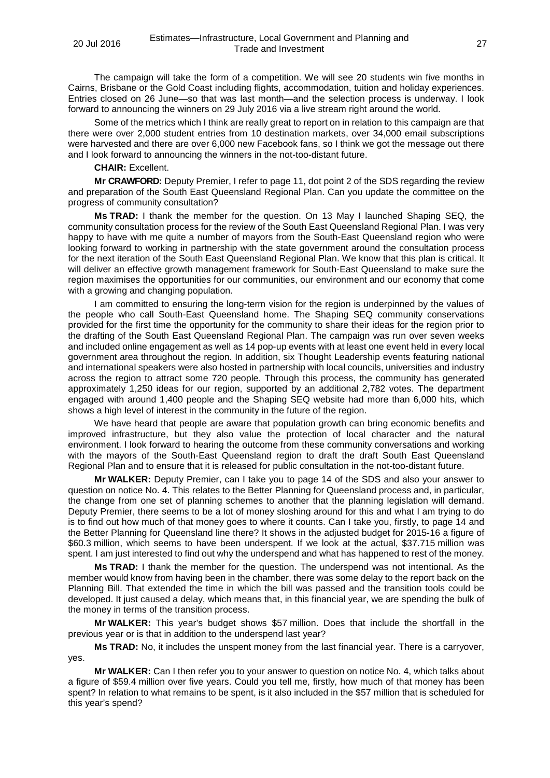The campaign will take the form of a competition. We will see 20 students win five months in Cairns, Brisbane or the Gold Coast including flights, accommodation, tuition and holiday experiences. Entries closed on 26 June—so that was last month—and the selection process is underway. I look forward to announcing the winners on 29 July 2016 via a live stream right around the world.

Some of the metrics which I think are really great to report on in relation to this campaign are that there were over 2,000 student entries from 10 destination markets, over 34,000 email subscriptions were harvested and there are over 6,000 new Facebook fans, so I think we got the message out there and I look forward to announcing the winners in the not-too-distant future.

# **CHAIR:** Excellent.

**Mr CRAWFORD:** Deputy Premier, I refer to page 11, dot point 2 of the SDS regarding the review and preparation of the South East Queensland Regional Plan. Can you update the committee on the progress of community consultation?

**Ms TRAD:** I thank the member for the question. On 13 May I launched Shaping SEQ, the community consultation process for the review of the South East Queensland Regional Plan. I was very happy to have with me quite a number of mayors from the South-East Queensland region who were looking forward to working in partnership with the state government around the consultation process for the next iteration of the South East Queensland Regional Plan. We know that this plan is critical. It will deliver an effective growth management framework for South-East Queensland to make sure the region maximises the opportunities for our communities, our environment and our economy that come with a growing and changing population.

I am committed to ensuring the long-term vision for the region is underpinned by the values of the people who call South-East Queensland home. The Shaping SEQ community conservations provided for the first time the opportunity for the community to share their ideas for the region prior to the drafting of the South East Queensland Regional Plan. The campaign was run over seven weeks and included online engagement as well as 14 pop-up events with at least one event held in every local government area throughout the region. In addition, six Thought Leadership events featuring national and international speakers were also hosted in partnership with local councils, universities and industry across the region to attract some 720 people. Through this process, the community has generated approximately 1,250 ideas for our region, supported by an additional 2,782 votes. The department engaged with around 1,400 people and the Shaping SEQ website had more than 6,000 hits, which shows a high level of interest in the community in the future of the region.

We have heard that people are aware that population growth can bring economic benefits and improved infrastructure, but they also value the protection of local character and the natural environment. I look forward to hearing the outcome from these community conversations and working with the mayors of the South-East Queensland region to draft the draft South East Queensland Regional Plan and to ensure that it is released for public consultation in the not-too-distant future.

**Mr WALKER:** Deputy Premier, can I take you to page 14 of the SDS and also your answer to question on notice No. 4. This relates to the Better Planning for Queensland process and, in particular, the change from one set of planning schemes to another that the planning legislation will demand. Deputy Premier, there seems to be a lot of money sloshing around for this and what I am trying to do is to find out how much of that money goes to where it counts. Can I take you, firstly, to page 14 and the Better Planning for Queensland line there? It shows in the adjusted budget for 2015-16 a figure of \$60.3 million, which seems to have been underspent. If we look at the actual, \$37.715 million was spent. I am just interested to find out why the underspend and what has happened to rest of the money.

**Ms TRAD:** I thank the member for the question. The underspend was not intentional. As the member would know from having been in the chamber, there was some delay to the report back on the Planning Bill. That extended the time in which the bill was passed and the transition tools could be developed. It just caused a delay, which means that, in this financial year, we are spending the bulk of the money in terms of the transition process.

**Mr WALKER:** This year's budget shows \$57 million. Does that include the shortfall in the previous year or is that in addition to the underspend last year?

**Ms TRAD:** No, it includes the unspent money from the last financial year. There is a carryover, yes.

**Mr WALKER:** Can I then refer you to your answer to question on notice No. 4, which talks about a figure of \$59.4 million over five years. Could you tell me, firstly, how much of that money has been spent? In relation to what remains to be spent, is it also included in the \$57 million that is scheduled for this year's spend?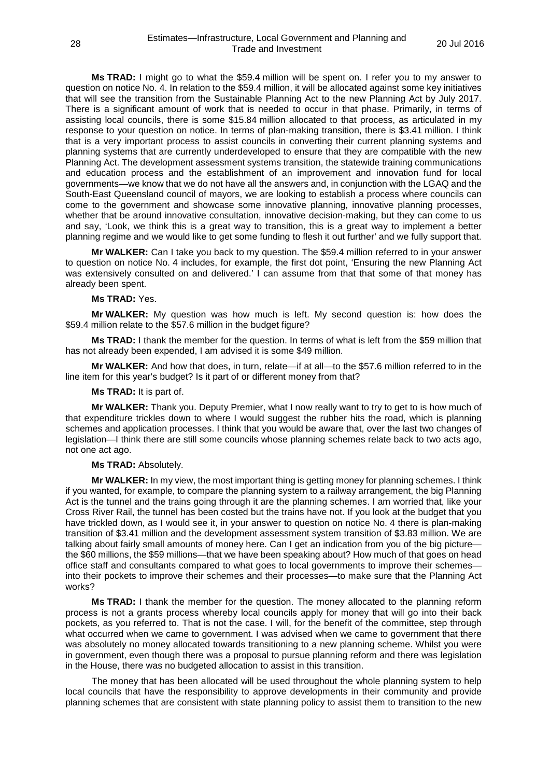**Ms TRAD:** I might go to what the \$59.4 million will be spent on. I refer you to my answer to question on notice No. 4. In relation to the \$59.4 million, it will be allocated against some key initiatives that will see the transition from the Sustainable Planning Act to the new Planning Act by July 2017. There is a significant amount of work that is needed to occur in that phase. Primarily, in terms of assisting local councils, there is some \$15.84 million allocated to that process, as articulated in my response to your question on notice. In terms of plan-making transition, there is \$3.41 million. I think that is a very important process to assist councils in converting their current planning systems and planning systems that are currently underdeveloped to ensure that they are compatible with the new Planning Act. The development assessment systems transition, the statewide training communications and education process and the establishment of an improvement and innovation fund for local governments—we know that we do not have all the answers and, in conjunction with the LGAQ and the South-East Queensland council of mayors, we are looking to establish a process where councils can come to the government and showcase some innovative planning, innovative planning processes, whether that be around innovative consultation, innovative decision-making, but they can come to us and say, 'Look, we think this is a great way to transition, this is a great way to implement a better planning regime and we would like to get some funding to flesh it out further' and we fully support that.

**Mr WALKER:** Can I take you back to my question. The \$59.4 million referred to in your answer to question on notice No. 4 includes, for example, the first dot point, 'Ensuring the new Planning Act was extensively consulted on and delivered.' I can assume from that that some of that money has already been spent.

# **Ms TRAD:** Yes.

**Mr WALKER:** My question was how much is left. My second question is: how does the \$59.4 million relate to the \$57.6 million in the budget figure?

**Ms TRAD:** I thank the member for the question. In terms of what is left from the \$59 million that has not already been expended, I am advised it is some \$49 million.

**Mr WALKER:** And how that does, in turn, relate—if at all—to the \$57.6 million referred to in the line item for this year's budget? Is it part of or different money from that?

# **Ms TRAD:** It is part of.

**Mr WALKER:** Thank you. Deputy Premier, what I now really want to try to get to is how much of that expenditure trickles down to where I would suggest the rubber hits the road, which is planning schemes and application processes. I think that you would be aware that, over the last two changes of legislation—I think there are still some councils whose planning schemes relate back to two acts ago, not one act ago.

## **Ms TRAD:** Absolutely.

**Mr WALKER:** In my view, the most important thing is getting money for planning schemes. I think if you wanted, for example, to compare the planning system to a railway arrangement, the big Planning Act is the tunnel and the trains going through it are the planning schemes. I am worried that, like your Cross River Rail, the tunnel has been costed but the trains have not. If you look at the budget that you have trickled down, as I would see it, in your answer to question on notice No. 4 there is plan-making transition of \$3.41 million and the development assessment system transition of \$3.83 million. We are talking about fairly small amounts of money here. Can I get an indication from you of the big picture the \$60 millions, the \$59 millions—that we have been speaking about? How much of that goes on head office staff and consultants compared to what goes to local governments to improve their schemes into their pockets to improve their schemes and their processes—to make sure that the Planning Act works?

**Ms TRAD:** I thank the member for the question. The money allocated to the planning reform process is not a grants process whereby local councils apply for money that will go into their back pockets, as you referred to. That is not the case. I will, for the benefit of the committee, step through what occurred when we came to government. I was advised when we came to government that there was absolutely no money allocated towards transitioning to a new planning scheme. Whilst you were in government, even though there was a proposal to pursue planning reform and there was legislation in the House, there was no budgeted allocation to assist in this transition.

The money that has been allocated will be used throughout the whole planning system to help local councils that have the responsibility to approve developments in their community and provide planning schemes that are consistent with state planning policy to assist them to transition to the new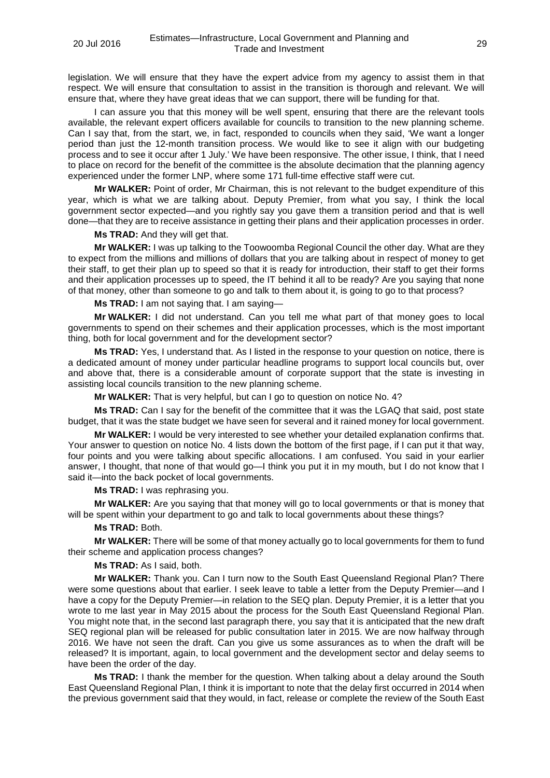legislation. We will ensure that they have the expert advice from my agency to assist them in that respect. We will ensure that consultation to assist in the transition is thorough and relevant. We will ensure that, where they have great ideas that we can support, there will be funding for that.

I can assure you that this money will be well spent, ensuring that there are the relevant tools available, the relevant expert officers available for councils to transition to the new planning scheme. Can I say that, from the start, we, in fact, responded to councils when they said, 'We want a longer period than just the 12-month transition process. We would like to see it align with our budgeting process and to see it occur after 1 July.' We have been responsive. The other issue, I think, that I need to place on record for the benefit of the committee is the absolute decimation that the planning agency experienced under the former LNP, where some 171 full-time effective staff were cut.

**Mr WALKER:** Point of order, Mr Chairman, this is not relevant to the budget expenditure of this year, which is what we are talking about. Deputy Premier, from what you say, I think the local government sector expected—and you rightly say you gave them a transition period and that is well done—that they are to receive assistance in getting their plans and their application processes in order.

**Ms TRAD:** And they will get that.

**Mr WALKER:** I was up talking to the Toowoomba Regional Council the other day. What are they to expect from the millions and millions of dollars that you are talking about in respect of money to get their staff, to get their plan up to speed so that it is ready for introduction, their staff to get their forms and their application processes up to speed, the IT behind it all to be ready? Are you saying that none of that money, other than someone to go and talk to them about it, is going to go to that process?

**Ms TRAD:** I am not saying that. I am saying—

**Mr WALKER:** I did not understand. Can you tell me what part of that money goes to local governments to spend on their schemes and their application processes, which is the most important thing, both for local government and for the development sector?

**Ms TRAD:** Yes, I understand that. As I listed in the response to your question on notice, there is a dedicated amount of money under particular headline programs to support local councils but, over and above that, there is a considerable amount of corporate support that the state is investing in assisting local councils transition to the new planning scheme.

**Mr WALKER:** That is very helpful, but can I go to question on notice No. 4?

**Ms TRAD:** Can I say for the benefit of the committee that it was the LGAQ that said, post state budget, that it was the state budget we have seen for several and it rained money for local government.

**Mr WALKER:** I would be very interested to see whether your detailed explanation confirms that. Your answer to question on notice No. 4 lists down the bottom of the first page, if I can put it that way, four points and you were talking about specific allocations. I am confused. You said in your earlier answer, I thought, that none of that would go—I think you put it in my mouth, but I do not know that I said it—into the back pocket of local governments.

**Ms TRAD:** I was rephrasing you.

**Mr WALKER:** Are you saying that that money will go to local governments or that is money that will be spent within your department to go and talk to local governments about these things?

#### **Ms TRAD:** Both.

**Mr WALKER:** There will be some of that money actually go to local governments for them to fund their scheme and application process changes?

# **Ms TRAD:** As I said, both.

**Mr WALKER:** Thank you. Can I turn now to the South East Queensland Regional Plan? There were some questions about that earlier. I seek leave to table a letter from the Deputy Premier—and I have a copy for the Deputy Premier—in relation to the SEQ plan. Deputy Premier, it is a letter that you wrote to me last year in May 2015 about the process for the South East Queensland Regional Plan. You might note that, in the second last paragraph there, you say that it is anticipated that the new draft SEQ regional plan will be released for public consultation later in 2015. We are now halfway through 2016. We have not seen the draft. Can you give us some assurances as to when the draft will be released? It is important, again, to local government and the development sector and delay seems to have been the order of the day.

**Ms TRAD:** I thank the member for the question. When talking about a delay around the South East Queensland Regional Plan, I think it is important to note that the delay first occurred in 2014 when the previous government said that they would, in fact, release or complete the review of the South East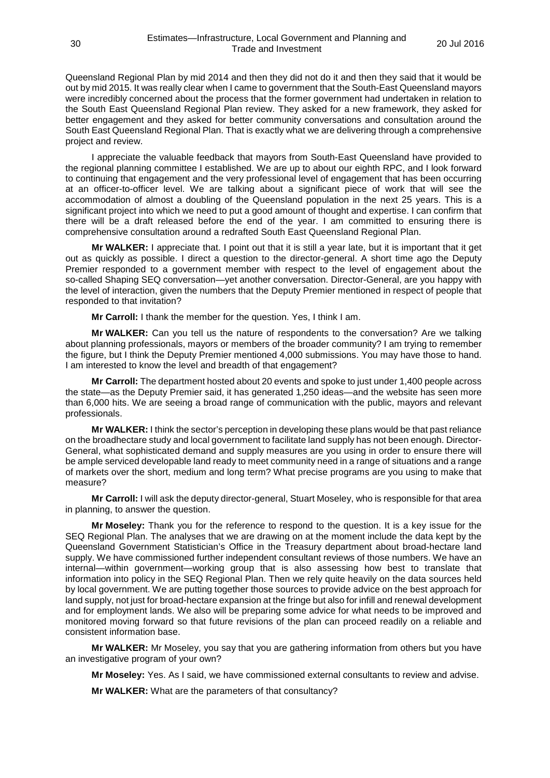Queensland Regional Plan by mid 2014 and then they did not do it and then they said that it would be out by mid 2015. It was really clear when I came to government that the South-East Queensland mayors were incredibly concerned about the process that the former government had undertaken in relation to the South East Queensland Regional Plan review. They asked for a new framework, they asked for better engagement and they asked for better community conversations and consultation around the South East Queensland Regional Plan. That is exactly what we are delivering through a comprehensive project and review.

I appreciate the valuable feedback that mayors from South-East Queensland have provided to the regional planning committee I established. We are up to about our eighth RPC, and I look forward to continuing that engagement and the very professional level of engagement that has been occurring at an officer-to-officer level. We are talking about a significant piece of work that will see the accommodation of almost a doubling of the Queensland population in the next 25 years. This is a significant project into which we need to put a good amount of thought and expertise. I can confirm that there will be a draft released before the end of the year. I am committed to ensuring there is comprehensive consultation around a redrafted South East Queensland Regional Plan.

**Mr WALKER:** I appreciate that. I point out that it is still a year late, but it is important that it get out as quickly as possible. I direct a question to the director-general. A short time ago the Deputy Premier responded to a government member with respect to the level of engagement about the so-called Shaping SEQ conversation—yet another conversation. Director-General, are you happy with the level of interaction, given the numbers that the Deputy Premier mentioned in respect of people that responded to that invitation?

**Mr Carroll:** I thank the member for the question. Yes, I think I am.

**Mr WALKER:** Can you tell us the nature of respondents to the conversation? Are we talking about planning professionals, mayors or members of the broader community? I am trying to remember the figure, but I think the Deputy Premier mentioned 4,000 submissions. You may have those to hand. I am interested to know the level and breadth of that engagement?

**Mr Carroll:** The department hosted about 20 events and spoke to just under 1,400 people across the state—as the Deputy Premier said, it has generated 1,250 ideas—and the website has seen more than 6,000 hits. We are seeing a broad range of communication with the public, mayors and relevant professionals.

**Mr WALKER:** I think the sector's perception in developing these plans would be that past reliance on the broadhectare study and local government to facilitate land supply has not been enough. Director-General, what sophisticated demand and supply measures are you using in order to ensure there will be ample serviced developable land ready to meet community need in a range of situations and a range of markets over the short, medium and long term? What precise programs are you using to make that measure?

**Mr Carroll:** I will ask the deputy director-general, Stuart Moseley, who is responsible for that area in planning, to answer the question.

**Mr Moseley:** Thank you for the reference to respond to the question. It is a key issue for the SEQ Regional Plan. The analyses that we are drawing on at the moment include the data kept by the Queensland Government Statistician's Office in the Treasury department about broad-hectare land supply. We have commissioned further independent consultant reviews of those numbers. We have an internal—within government—working group that is also assessing how best to translate that information into policy in the SEQ Regional Plan. Then we rely quite heavily on the data sources held by local government. We are putting together those sources to provide advice on the best approach for land supply, not just for broad-hectare expansion at the fringe but also for infill and renewal development and for employment lands. We also will be preparing some advice for what needs to be improved and monitored moving forward so that future revisions of the plan can proceed readily on a reliable and consistent information base.

**Mr WALKER:** Mr Moseley, you say that you are gathering information from others but you have an investigative program of your own?

**Mr Moseley:** Yes. As I said, we have commissioned external consultants to review and advise.

**Mr WALKER:** What are the parameters of that consultancy?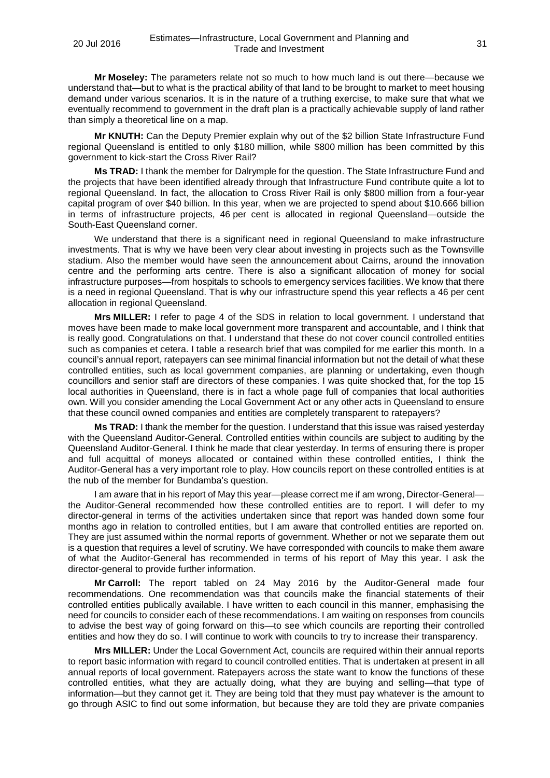**Mr Moseley:** The parameters relate not so much to how much land is out there—because we understand that—but to what is the practical ability of that land to be brought to market to meet housing demand under various scenarios. It is in the nature of a truthing exercise, to make sure that what we eventually recommend to government in the draft plan is a practically achievable supply of land rather than simply a theoretical line on a map.

**Mr KNUTH:** Can the Deputy Premier explain why out of the \$2 billion State Infrastructure Fund regional Queensland is entitled to only \$180 million, while \$800 million has been committed by this government to kick-start the Cross River Rail?

**Ms TRAD:** I thank the member for Dalrymple for the question. The State Infrastructure Fund and the projects that have been identified already through that Infrastructure Fund contribute quite a lot to regional Queensland. In fact, the allocation to Cross River Rail is only \$800 million from a four-year capital program of over \$40 billion. In this year, when we are projected to spend about \$10.666 billion in terms of infrastructure projects, 46 per cent is allocated in regional Queensland—outside the South-East Queensland corner.

We understand that there is a significant need in regional Queensland to make infrastructure investments. That is why we have been very clear about investing in projects such as the Townsville stadium. Also the member would have seen the announcement about Cairns, around the innovation centre and the performing arts centre. There is also a significant allocation of money for social infrastructure purposes—from hospitals to schools to emergency services facilities. We know that there is a need in regional Queensland. That is why our infrastructure spend this year reflects a 46 per cent allocation in regional Queensland.

**Mrs MILLER:** I refer to page 4 of the SDS in relation to local government. I understand that moves have been made to make local government more transparent and accountable, and I think that is really good. Congratulations on that. I understand that these do not cover council controlled entities such as companies et cetera. I table a research brief that was compiled for me earlier this month. In a council's annual report, ratepayers can see minimal financial information but not the detail of what these controlled entities, such as local government companies, are planning or undertaking, even though councillors and senior staff are directors of these companies. I was quite shocked that, for the top 15 local authorities in Queensland, there is in fact a whole page full of companies that local authorities own. Will you consider amending the Local Government Act or any other acts in Queensland to ensure that these council owned companies and entities are completely transparent to ratepayers?

**Ms TRAD:** I thank the member for the question. I understand that this issue was raised yesterday with the Queensland Auditor-General. Controlled entities within councils are subject to auditing by the Queensland Auditor-General. I think he made that clear yesterday. In terms of ensuring there is proper and full acquittal of moneys allocated or contained within these controlled entities, I think the Auditor-General has a very important role to play. How councils report on these controlled entities is at the nub of the member for Bundamba's question.

I am aware that in his report of May this year—please correct me if am wrong, Director-General the Auditor-General recommended how these controlled entities are to report. I will defer to my director-general in terms of the activities undertaken since that report was handed down some four months ago in relation to controlled entities, but I am aware that controlled entities are reported on. They are just assumed within the normal reports of government. Whether or not we separate them out is a question that requires a level of scrutiny. We have corresponded with councils to make them aware of what the Auditor-General has recommended in terms of his report of May this year. I ask the director-general to provide further information.

**Mr Carroll:** The report tabled on 24 May 2016 by the Auditor-General made four recommendations. One recommendation was that councils make the financial statements of their controlled entities publically available. I have written to each council in this manner, emphasising the need for councils to consider each of these recommendations. I am waiting on responses from councils to advise the best way of going forward on this—to see which councils are reporting their controlled entities and how they do so. I will continue to work with councils to try to increase their transparency.

**Mrs MILLER:** Under the Local Government Act, councils are required within their annual reports to report basic information with regard to council controlled entities. That is undertaken at present in all annual reports of local government. Ratepayers across the state want to know the functions of these controlled entities, what they are actually doing, what they are buying and selling—that type of information—but they cannot get it. They are being told that they must pay whatever is the amount to go through ASIC to find out some information, but because they are told they are private companies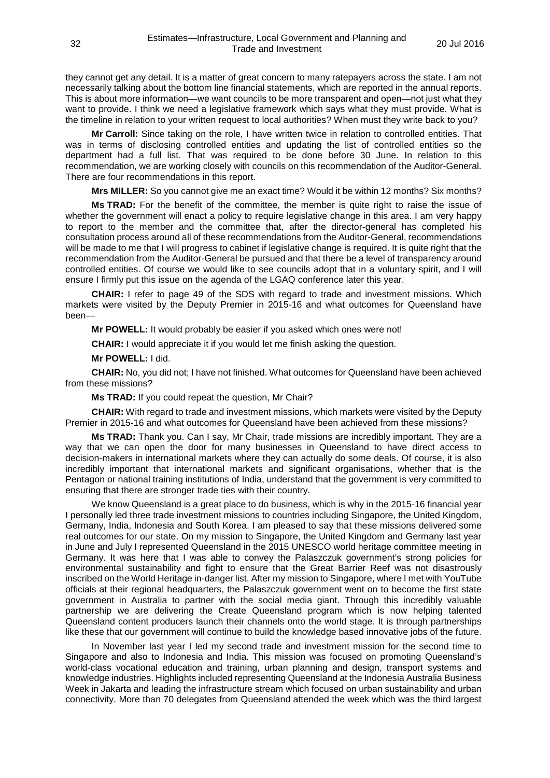they cannot get any detail. It is a matter of great concern to many ratepayers across the state. I am not necessarily talking about the bottom line financial statements, which are reported in the annual reports. This is about more information—we want councils to be more transparent and open—not just what they want to provide. I think we need a legislative framework which says what they must provide. What is the timeline in relation to your written request to local authorities? When must they write back to you?

**Mr Carroll:** Since taking on the role, I have written twice in relation to controlled entities. That was in terms of disclosing controlled entities and updating the list of controlled entities so the department had a full list. That was required to be done before 30 June. In relation to this recommendation, we are working closely with councils on this recommendation of the Auditor-General. There are four recommendations in this report.

**Mrs MILLER:** So you cannot give me an exact time? Would it be within 12 months? Six months?

**Ms TRAD:** For the benefit of the committee, the member is quite right to raise the issue of whether the government will enact a policy to require legislative change in this area. I am very happy to report to the member and the committee that, after the director-general has completed his consultation process around all of these recommendations from the Auditor-General, recommendations will be made to me that I will progress to cabinet if legislative change is required. It is quite right that the recommendation from the Auditor-General be pursued and that there be a level of transparency around controlled entities. Of course we would like to see councils adopt that in a voluntary spirit, and I will ensure I firmly put this issue on the agenda of the LGAQ conference later this year.

**CHAIR:** I refer to page 49 of the SDS with regard to trade and investment missions. Which markets were visited by the Deputy Premier in 2015-16 and what outcomes for Queensland have been—

**Mr POWELL:** It would probably be easier if you asked which ones were not!

**CHAIR:** I would appreciate it if you would let me finish asking the question.

**Mr POWELL:** I did.

**CHAIR:** No, you did not; I have not finished. What outcomes for Queensland have been achieved from these missions?

**Ms TRAD:** If you could repeat the question, Mr Chair?

**CHAIR:** With regard to trade and investment missions, which markets were visited by the Deputy Premier in 2015-16 and what outcomes for Queensland have been achieved from these missions?

**Ms TRAD:** Thank you. Can I say, Mr Chair, trade missions are incredibly important. They are a way that we can open the door for many businesses in Queensland to have direct access to decision-makers in international markets where they can actually do some deals. Of course, it is also incredibly important that international markets and significant organisations, whether that is the Pentagon or national training institutions of India, understand that the government is very committed to ensuring that there are stronger trade ties with their country.

We know Queensland is a great place to do business, which is why in the 2015-16 financial year I personally led three trade investment missions to countries including Singapore, the United Kingdom, Germany, India, Indonesia and South Korea. I am pleased to say that these missions delivered some real outcomes for our state. On my mission to Singapore, the United Kingdom and Germany last year in June and July I represented Queensland in the 2015 UNESCO world heritage committee meeting in Germany. It was here that I was able to convey the Palaszczuk government's strong policies for environmental sustainability and fight to ensure that the Great Barrier Reef was not disastrously inscribed on the World Heritage in-danger list. After my mission to Singapore, where I met with YouTube officials at their regional headquarters, the Palaszczuk government went on to become the first state government in Australia to partner with the social media giant. Through this incredibly valuable partnership we are delivering the Create Queensland program which is now helping talented Queensland content producers launch their channels onto the world stage. It is through partnerships like these that our government will continue to build the knowledge based innovative jobs of the future.

In November last year I led my second trade and investment mission for the second time to Singapore and also to Indonesia and India. This mission was focused on promoting Queensland's world-class vocational education and training, urban planning and design, transport systems and knowledge industries. Highlights included representing Queensland at the Indonesia Australia Business Week in Jakarta and leading the infrastructure stream which focused on urban sustainability and urban connectivity. More than 70 delegates from Queensland attended the week which was the third largest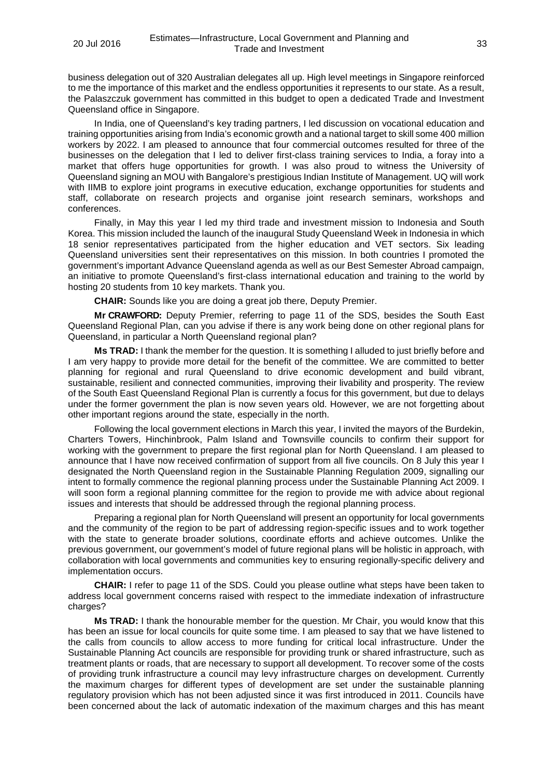business delegation out of 320 Australian delegates all up. High level meetings in Singapore reinforced to me the importance of this market and the endless opportunities it represents to our state. As a result, the Palaszczuk government has committed in this budget to open a dedicated Trade and Investment Queensland office in Singapore.

In India, one of Queensland's key trading partners, I led discussion on vocational education and training opportunities arising from India's economic growth and a national target to skill some 400 million workers by 2022. I am pleased to announce that four commercial outcomes resulted for three of the businesses on the delegation that I led to deliver first-class training services to India, a foray into a market that offers huge opportunities for growth. I was also proud to witness the University of Queensland signing an MOU with Bangalore's prestigious Indian Institute of Management. UQ will work with IIMB to explore joint programs in executive education, exchange opportunities for students and staff, collaborate on research projects and organise joint research seminars, workshops and conferences.

Finally, in May this year I led my third trade and investment mission to Indonesia and South Korea. This mission included the launch of the inaugural Study Queensland Week in Indonesia in which 18 senior representatives participated from the higher education and VET sectors. Six leading Queensland universities sent their representatives on this mission. In both countries I promoted the government's important Advance Queensland agenda as well as our Best Semester Abroad campaign, an initiative to promote Queensland's first-class international education and training to the world by hosting 20 students from 10 key markets. Thank you.

**CHAIR:** Sounds like you are doing a great job there, Deputy Premier.

**Mr CRAWFORD:** Deputy Premier, referring to page 11 of the SDS, besides the South East Queensland Regional Plan, can you advise if there is any work being done on other regional plans for Queensland, in particular a North Queensland regional plan?

**Ms TRAD:** I thank the member for the question. It is something I alluded to just briefly before and I am very happy to provide more detail for the benefit of the committee. We are committed to better planning for regional and rural Queensland to drive economic development and build vibrant, sustainable, resilient and connected communities, improving their livability and prosperity. The review of the South East Queensland Regional Plan is currently a focus for this government, but due to delays under the former government the plan is now seven years old. However, we are not forgetting about other important regions around the state, especially in the north.

Following the local government elections in March this year, I invited the mayors of the Burdekin, Charters Towers, Hinchinbrook, Palm Island and Townsville councils to confirm their support for working with the government to prepare the first regional plan for North Queensland. I am pleased to announce that I have now received confirmation of support from all five councils. On 8 July this year I designated the North Queensland region in the Sustainable Planning Regulation 2009, signalling our intent to formally commence the regional planning process under the Sustainable Planning Act 2009. I will soon form a regional planning committee for the region to provide me with advice about regional issues and interests that should be addressed through the regional planning process.

Preparing a regional plan for North Queensland will present an opportunity for local governments and the community of the region to be part of addressing region-specific issues and to work together with the state to generate broader solutions, coordinate efforts and achieve outcomes. Unlike the previous government, our government's model of future regional plans will be holistic in approach, with collaboration with local governments and communities key to ensuring regionally-specific delivery and implementation occurs.

**CHAIR:** I refer to page 11 of the SDS. Could you please outline what steps have been taken to address local government concerns raised with respect to the immediate indexation of infrastructure charges?

**Ms TRAD:** I thank the honourable member for the question. Mr Chair, you would know that this has been an issue for local councils for quite some time. I am pleased to say that we have listened to the calls from councils to allow access to more funding for critical local infrastructure. Under the Sustainable Planning Act councils are responsible for providing trunk or shared infrastructure, such as treatment plants or roads, that are necessary to support all development. To recover some of the costs of providing trunk infrastructure a council may levy infrastructure charges on development. Currently the maximum charges for different types of development are set under the sustainable planning regulatory provision which has not been adjusted since it was first introduced in 2011. Councils have been concerned about the lack of automatic indexation of the maximum charges and this has meant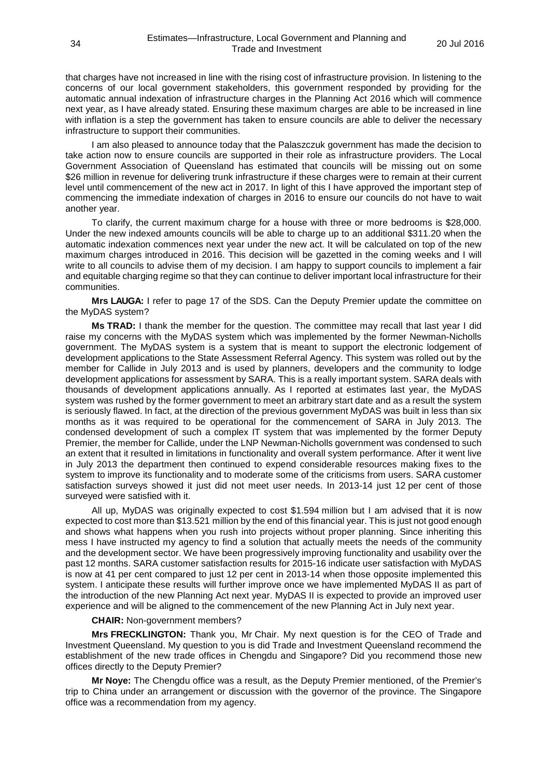that charges have not increased in line with the rising cost of infrastructure provision. In listening to the concerns of our local government stakeholders, this government responded by providing for the automatic annual indexation of infrastructure charges in the Planning Act 2016 which will commence next year, as I have already stated. Ensuring these maximum charges are able to be increased in line with inflation is a step the government has taken to ensure councils are able to deliver the necessary infrastructure to support their communities.

I am also pleased to announce today that the Palaszczuk government has made the decision to take action now to ensure councils are supported in their role as infrastructure providers. The Local Government Association of Queensland has estimated that councils will be missing out on some \$26 million in revenue for delivering trunk infrastructure if these charges were to remain at their current level until commencement of the new act in 2017. In light of this I have approved the important step of commencing the immediate indexation of charges in 2016 to ensure our councils do not have to wait another year.

To clarify, the current maximum charge for a house with three or more bedrooms is \$28,000. Under the new indexed amounts councils will be able to charge up to an additional \$311.20 when the automatic indexation commences next year under the new act. It will be calculated on top of the new maximum charges introduced in 2016. This decision will be gazetted in the coming weeks and I will write to all councils to advise them of my decision. I am happy to support councils to implement a fair and equitable charging regime so that they can continue to deliver important local infrastructure for their communities.

**Mrs LAUGA:** I refer to page 17 of the SDS. Can the Deputy Premier update the committee on the MyDAS system?

**Ms TRAD:** I thank the member for the question. The committee may recall that last year I did raise my concerns with the MyDAS system which was implemented by the former Newman-Nicholls government. The MyDAS system is a system that is meant to support the electronic lodgement of development applications to the State Assessment Referral Agency. This system was rolled out by the member for Callide in July 2013 and is used by planners, developers and the community to lodge development applications for assessment by SARA. This is a really important system. SARA deals with thousands of development applications annually. As I reported at estimates last year, the MyDAS system was rushed by the former government to meet an arbitrary start date and as a result the system is seriously flawed. In fact, at the direction of the previous government MyDAS was built in less than six months as it was required to be operational for the commencement of SARA in July 2013. The condensed development of such a complex IT system that was implemented by the former Deputy Premier, the member for Callide, under the LNP Newman-Nicholls government was condensed to such an extent that it resulted in limitations in functionality and overall system performance. After it went live in July 2013 the department then continued to expend considerable resources making fixes to the system to improve its functionality and to moderate some of the criticisms from users. SARA customer satisfaction surveys showed it just did not meet user needs. In 2013-14 just 12 per cent of those surveyed were satisfied with it.

All up, MyDAS was originally expected to cost \$1.594 million but I am advised that it is now expected to cost more than \$13.521 million by the end of this financial year. This is just not good enough and shows what happens when you rush into projects without proper planning. Since inheriting this mess I have instructed my agency to find a solution that actually meets the needs of the community and the development sector. We have been progressively improving functionality and usability over the past 12 months. SARA customer satisfaction results for 2015-16 indicate user satisfaction with MyDAS is now at 41 per cent compared to just 12 per cent in 2013-14 when those opposite implemented this system. I anticipate these results will further improve once we have implemented MyDAS II as part of the introduction of the new Planning Act next year. MyDAS II is expected to provide an improved user experience and will be aligned to the commencement of the new Planning Act in July next year.

**CHAIR:** Non-government members?

**Mrs FRECKLINGTON:** Thank you, Mr Chair. My next question is for the CEO of Trade and Investment Queensland. My question to you is did Trade and Investment Queensland recommend the establishment of the new trade offices in Chengdu and Singapore? Did you recommend those new offices directly to the Deputy Premier?

**Mr Noye:** The Chengdu office was a result, as the Deputy Premier mentioned, of the Premier's trip to China under an arrangement or discussion with the governor of the province. The Singapore office was a recommendation from my agency.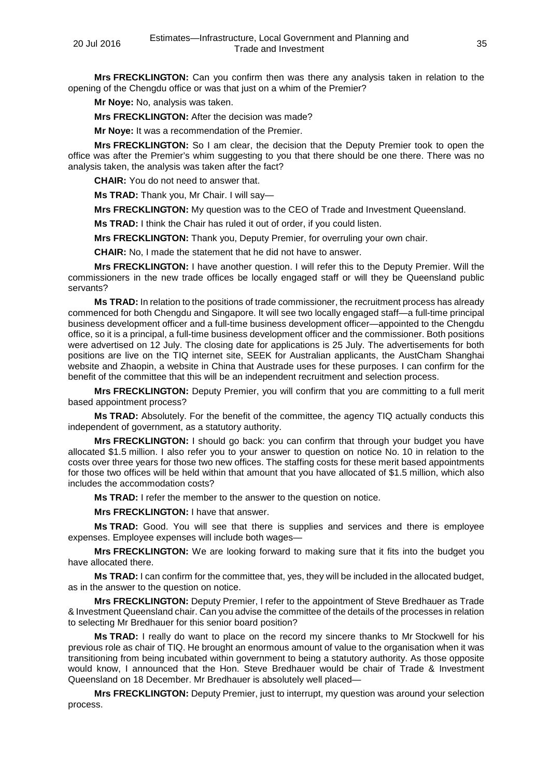**Mrs FRECKLINGTON:** Can you confirm then was there any analysis taken in relation to the opening of the Chengdu office or was that just on a whim of the Premier?

**Mr Noye:** No, analysis was taken.

**Mrs FRECKLINGTON:** After the decision was made?

**Mr Noye:** It was a recommendation of the Premier.

**Mrs FRECKLINGTON:** So I am clear, the decision that the Deputy Premier took to open the office was after the Premier's whim suggesting to you that there should be one there. There was no analysis taken, the analysis was taken after the fact?

**CHAIR:** You do not need to answer that.

**Ms TRAD:** Thank you, Mr Chair. I will say—

**Mrs FRECKLINGTON:** My question was to the CEO of Trade and Investment Queensland.

**Ms TRAD:** I think the Chair has ruled it out of order, if you could listen.

**Mrs FRECKLINGTON:** Thank you, Deputy Premier, for overruling your own chair.

**CHAIR:** No, I made the statement that he did not have to answer.

**Mrs FRECKLINGTON:** I have another question. I will refer this to the Deputy Premier. Will the commissioners in the new trade offices be locally engaged staff or will they be Queensland public servants?

**Ms TRAD:** In relation to the positions of trade commissioner, the recruitment process has already commenced for both Chengdu and Singapore. It will see two locally engaged staff—a full-time principal business development officer and a full-time business development officer—appointed to the Chengdu office, so it is a principal, a full-time business development officer and the commissioner. Both positions were advertised on 12 July. The closing date for applications is 25 July. The advertisements for both positions are live on the TIQ internet site, SEEK for Australian applicants, the AustCham Shanghai website and Zhaopin, a website in China that Austrade uses for these purposes. I can confirm for the benefit of the committee that this will be an independent recruitment and selection process.

**Mrs FRECKLINGTON:** Deputy Premier, you will confirm that you are committing to a full merit based appointment process?

**Ms TRAD:** Absolutely. For the benefit of the committee, the agency TIQ actually conducts this independent of government, as a statutory authority.

**Mrs FRECKLINGTON:** I should go back: you can confirm that through your budget you have allocated \$1.5 million. I also refer you to your answer to question on notice No. 10 in relation to the costs over three years for those two new offices. The staffing costs for these merit based appointments for those two offices will be held within that amount that you have allocated of \$1.5 million, which also includes the accommodation costs?

**Ms TRAD:** I refer the member to the answer to the question on notice.

**Mrs FRECKLINGTON:** I have that answer.

**Ms TRAD:** Good. You will see that there is supplies and services and there is employee expenses. Employee expenses will include both wages—

**Mrs FRECKLINGTON:** We are looking forward to making sure that it fits into the budget you have allocated there.

**Ms TRAD:** I can confirm for the committee that, yes, they will be included in the allocated budget, as in the answer to the question on notice.

**Mrs FRECKLINGTON:** Deputy Premier, I refer to the appointment of Steve Bredhauer as Trade & Investment Queensland chair. Can you advise the committee of the details of the processes in relation to selecting Mr Bredhauer for this senior board position?

**Ms TRAD:** I really do want to place on the record my sincere thanks to Mr Stockwell for his previous role as chair of TIQ. He brought an enormous amount of value to the organisation when it was transitioning from being incubated within government to being a statutory authority. As those opposite would know, I announced that the Hon. Steve Bredhauer would be chair of Trade & Investment Queensland on 18 December. Mr Bredhauer is absolutely well placed—

**Mrs FRECKLINGTON:** Deputy Premier, just to interrupt, my question was around your selection process.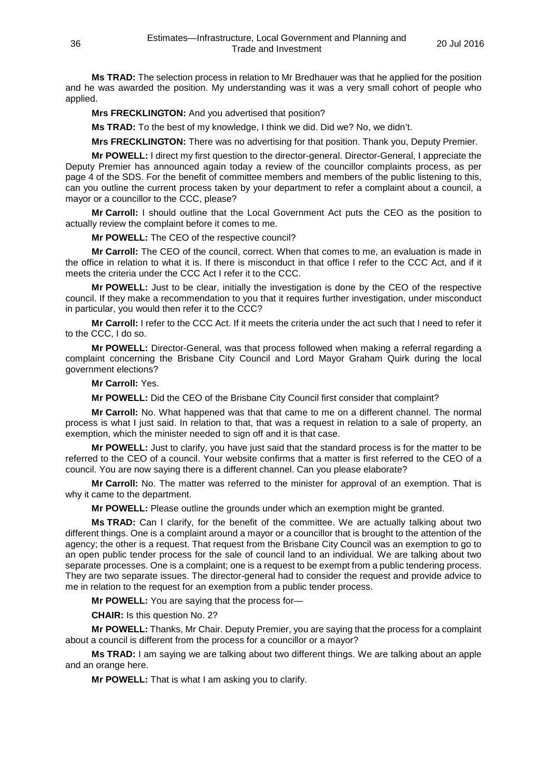**Ms TRAD:** The selection process in relation to Mr Bredhauer was that he applied for the position and he was awarded the position. My understanding was it was a very small cohort of people who applied.

**Mrs FRECKLINGTON:** And you advertised that position?

**Ms TRAD:** To the best of my knowledge, I think we did. Did we? No, we didn't.

**Mrs FRECKLINGTON:** There was no advertising for that position. Thank you, Deputy Premier.

**Mr POWELL:** I direct my first question to the director-general. Director-General, I appreciate the Deputy Premier has announced again today a review of the councillor complaints process, as per page 4 of the SDS. For the benefit of committee members and members of the public listening to this, can you outline the current process taken by your department to refer a complaint about a council, a mayor or a councillor to the CCC, please?

**Mr Carroll:** I should outline that the Local Government Act puts the CEO as the position to actually review the complaint before it comes to me.

**Mr POWELL:** The CEO of the respective council?

**Mr Carroll:** The CEO of the council, correct. When that comes to me, an evaluation is made in the office in relation to what it is. If there is misconduct in that office I refer to the CCC Act, and if it meets the criteria under the CCC Act I refer it to the CCC.

**Mr POWELL:** Just to be clear, initially the investigation is done by the CEO of the respective council. If they make a recommendation to you that it requires further investigation, under misconduct in particular, you would then refer it to the CCC?

**Mr Carroll:** I refer to the CCC Act. If it meets the criteria under the act such that I need to refer it to the CCC, I do so.

**Mr POWELL:** Director-General, was that process followed when making a referral regarding a complaint concerning the Brisbane City Council and Lord Mayor Graham Quirk during the local government elections?

**Mr Carroll:** Yes.

**Mr POWELL:** Did the CEO of the Brisbane City Council first consider that complaint?

**Mr Carroll:** No. What happened was that that came to me on a different channel. The normal process is what I just said. In relation to that, that was a request in relation to a sale of property, an exemption, which the minister needed to sign off and it is that case.

**Mr POWELL:** Just to clarify, you have just said that the standard process is for the matter to be referred to the CEO of a council. Your website confirms that a matter is first referred to the CEO of a council. You are now saying there is a different channel. Can you please elaborate?

**Mr Carroll:** No. The matter was referred to the minister for approval of an exemption. That is why it came to the department.

**Mr POWELL:** Please outline the grounds under which an exemption might be granted.

**Ms TRAD:** Can I clarify, for the benefit of the committee. We are actually talking about two different things. One is a complaint around a mayor or a councillor that is brought to the attention of the agency; the other is a request. That request from the Brisbane City Council was an exemption to go to an open public tender process for the sale of council land to an individual. We are talking about two separate processes. One is a complaint; one is a request to be exempt from a public tendering process. They are two separate issues. The director-general had to consider the request and provide advice to me in relation to the request for an exemption from a public tender process.

**Mr POWELL:** You are saying that the process for—

**CHAIR:** Is this question No. 2?

**Mr POWELL:** Thanks, Mr Chair. Deputy Premier, you are saying that the process for a complaint about a council is different from the process for a councillor or a mayor?

**Ms TRAD:** I am saying we are talking about two different things. We are talking about an apple and an orange here.

**Mr POWELL:** That is what I am asking you to clarify.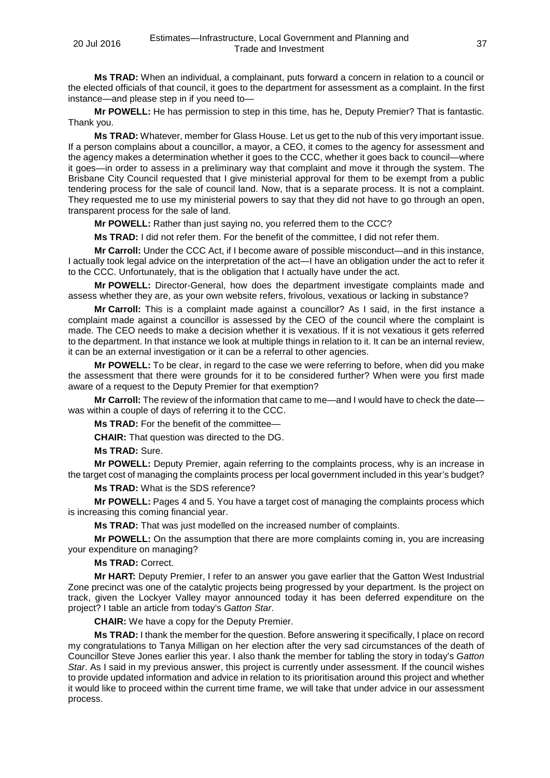**Ms TRAD:** When an individual, a complainant, puts forward a concern in relation to a council or the elected officials of that council, it goes to the department for assessment as a complaint. In the first instance—and please step in if you need to—

**Mr POWELL:** He has permission to step in this time, has he, Deputy Premier? That is fantastic. Thank you.

**Ms TRAD:** Whatever, member for Glass House. Let us get to the nub of this very important issue. If a person complains about a councillor, a mayor, a CEO, it comes to the agency for assessment and the agency makes a determination whether it goes to the CCC, whether it goes back to council—where it goes—in order to assess in a preliminary way that complaint and move it through the system. The Brisbane City Council requested that I give ministerial approval for them to be exempt from a public tendering process for the sale of council land. Now, that is a separate process. It is not a complaint. They requested me to use my ministerial powers to say that they did not have to go through an open, transparent process for the sale of land.

**Mr POWELL:** Rather than just saying no, you referred them to the CCC?

**Ms TRAD:** I did not refer them. For the benefit of the committee, I did not refer them.

**Mr Carroll:** Under the CCC Act, if I become aware of possible misconduct—and in this instance, I actually took legal advice on the interpretation of the act—I have an obligation under the act to refer it to the CCC. Unfortunately, that is the obligation that I actually have under the act.

**Mr POWELL:** Director-General, how does the department investigate complaints made and assess whether they are, as your own website refers, frivolous, vexatious or lacking in substance?

**Mr Carroll:** This is a complaint made against a councillor? As I said, in the first instance a complaint made against a councillor is assessed by the CEO of the council where the complaint is made. The CEO needs to make a decision whether it is vexatious. If it is not vexatious it gets referred to the department. In that instance we look at multiple things in relation to it. It can be an internal review, it can be an external investigation or it can be a referral to other agencies.

**Mr POWELL:** To be clear, in regard to the case we were referring to before, when did you make the assessment that there were grounds for it to be considered further? When were you first made aware of a request to the Deputy Premier for that exemption?

**Mr Carroll:** The review of the information that came to me—and I would have to check the date was within a couple of days of referring it to the CCC.

**Ms TRAD:** For the benefit of the committee—

**CHAIR:** That question was directed to the DG.

**Ms TRAD:** Sure.

**Mr POWELL:** Deputy Premier, again referring to the complaints process, why is an increase in the target cost of managing the complaints process per local government included in this year's budget?

**Ms TRAD:** What is the SDS reference?

**Mr POWELL:** Pages 4 and 5. You have a target cost of managing the complaints process which is increasing this coming financial year.

**Ms TRAD:** That was just modelled on the increased number of complaints.

**Mr POWELL:** On the assumption that there are more complaints coming in, you are increasing your expenditure on managing?

**Ms TRAD:** Correct.

**Mr HART:** Deputy Premier, I refer to an answer you gave earlier that the Gatton West Industrial Zone precinct was one of the catalytic projects being progressed by your department. Is the project on track, given the Lockyer Valley mayor announced today it has been deferred expenditure on the project? I table an article from today's *Gatton Star*.

**CHAIR:** We have a copy for the Deputy Premier.

**Ms TRAD:** I thank the member for the question. Before answering it specifically, I place on record my congratulations to Tanya Milligan on her election after the very sad circumstances of the death of Councillor Steve Jones earlier this year. I also thank the member for tabling the story in today's *Gatton Star*. As I said in my previous answer, this project is currently under assessment. If the council wishes to provide updated information and advice in relation to its prioritisation around this project and whether it would like to proceed within the current time frame, we will take that under advice in our assessment process.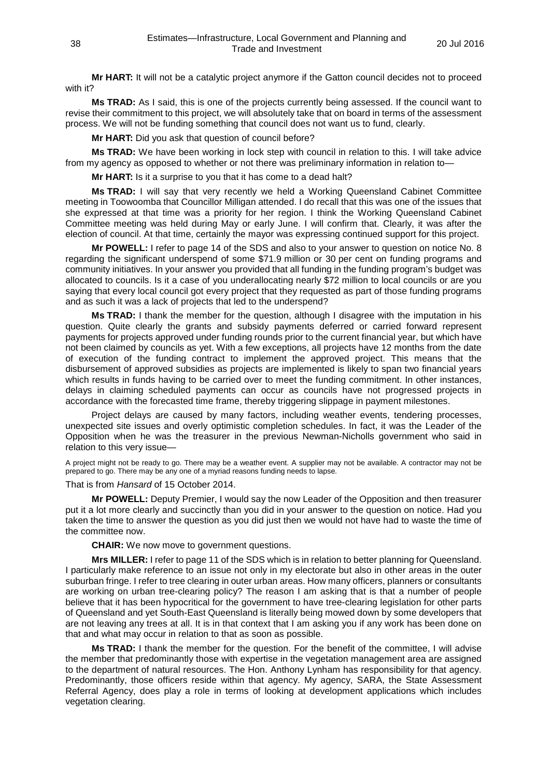**Mr HART:** It will not be a catalytic project anymore if the Gatton council decides not to proceed with it?

**Ms TRAD:** As I said, this is one of the projects currently being assessed. If the council want to revise their commitment to this project, we will absolutely take that on board in terms of the assessment process. We will not be funding something that council does not want us to fund, clearly.

**Mr HART:** Did you ask that question of council before?

**Ms TRAD:** We have been working in lock step with council in relation to this. I will take advice from my agency as opposed to whether or not there was preliminary information in relation to—

**Mr HART:** Is it a surprise to you that it has come to a dead halt?

**Ms TRAD:** I will say that very recently we held a Working Queensland Cabinet Committee meeting in Toowoomba that Councillor Milligan attended. I do recall that this was one of the issues that she expressed at that time was a priority for her region. I think the Working Queensland Cabinet Committee meeting was held during May or early June. I will confirm that. Clearly, it was after the election of council. At that time, certainly the mayor was expressing continued support for this project.

**Mr POWELL:** I refer to page 14 of the SDS and also to your answer to question on notice No. 8 regarding the significant underspend of some \$71.9 million or 30 per cent on funding programs and community initiatives. In your answer you provided that all funding in the funding program's budget was allocated to councils. Is it a case of you underallocating nearly \$72 million to local councils or are you saying that every local council got every project that they requested as part of those funding programs and as such it was a lack of projects that led to the underspend?

**Ms TRAD:** I thank the member for the question, although I disagree with the imputation in his question. Quite clearly the grants and subsidy payments deferred or carried forward represent payments for projects approved under funding rounds prior to the current financial year, but which have not been claimed by councils as yet. With a few exceptions, all projects have 12 months from the date of execution of the funding contract to implement the approved project. This means that the disbursement of approved subsidies as projects are implemented is likely to span two financial years which results in funds having to be carried over to meet the funding commitment. In other instances, delays in claiming scheduled payments can occur as councils have not progressed projects in accordance with the forecasted time frame, thereby triggering slippage in payment milestones.

Project delays are caused by many factors, including weather events, tendering processes, unexpected site issues and overly optimistic completion schedules. In fact, it was the Leader of the Opposition when he was the treasurer in the previous Newman-Nicholls government who said in relation to this very issue—

A project might not be ready to go. There may be a weather event. A supplier may not be available. A contractor may not be prepared to go. There may be any one of a myriad reasons funding needs to lapse.

That is from *Hansard* of 15 October 2014.

**Mr POWELL:** Deputy Premier, I would say the now Leader of the Opposition and then treasurer put it a lot more clearly and succinctly than you did in your answer to the question on notice. Had you taken the time to answer the question as you did just then we would not have had to waste the time of the committee now.

**CHAIR:** We now move to government questions.

**Mrs MILLER:** I refer to page 11 of the SDS which is in relation to better planning for Queensland. I particularly make reference to an issue not only in my electorate but also in other areas in the outer suburban fringe. I refer to tree clearing in outer urban areas. How many officers, planners or consultants are working on urban tree-clearing policy? The reason I am asking that is that a number of people believe that it has been hypocritical for the government to have tree-clearing legislation for other parts of Queensland and yet South-East Queensland is literally being mowed down by some developers that are not leaving any trees at all. It is in that context that I am asking you if any work has been done on that and what may occur in relation to that as soon as possible.

**Ms TRAD:** I thank the member for the question. For the benefit of the committee, I will advise the member that predominantly those with expertise in the vegetation management area are assigned to the department of natural resources. The Hon. Anthony Lynham has responsibility for that agency. Predominantly, those officers reside within that agency. My agency, SARA, the State Assessment Referral Agency, does play a role in terms of looking at development applications which includes vegetation clearing.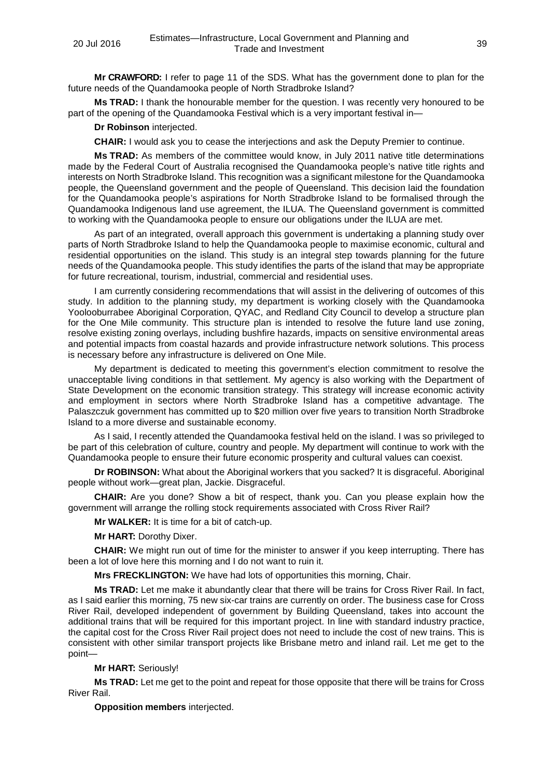**Mr CRAWFORD:** I refer to page 11 of the SDS. What has the government done to plan for the future needs of the Quandamooka people of North Stradbroke Island?

**Ms TRAD:** I thank the honourable member for the question. I was recently very honoured to be part of the opening of the Quandamooka Festival which is a very important festival in—

**Dr Robinson** interjected.

**CHAIR:** I would ask you to cease the interjections and ask the Deputy Premier to continue.

**Ms TRAD:** As members of the committee would know, in July 2011 native title determinations made by the Federal Court of Australia recognised the Quandamooka people's native title rights and interests on North Stradbroke Island. This recognition was a significant milestone for the Quandamooka people, the Queensland government and the people of Queensland. This decision laid the foundation for the Quandamooka people's aspirations for North Stradbroke Island to be formalised through the Quandamooka Indigenous land use agreement, the ILUA. The Queensland government is committed to working with the Quandamooka people to ensure our obligations under the ILUA are met.

As part of an integrated, overall approach this government is undertaking a planning study over parts of North Stradbroke Island to help the Quandamooka people to maximise economic, cultural and residential opportunities on the island. This study is an integral step towards planning for the future needs of the Quandamooka people. This study identifies the parts of the island that may be appropriate for future recreational, tourism, industrial, commercial and residential uses.

I am currently considering recommendations that will assist in the delivering of outcomes of this study. In addition to the planning study, my department is working closely with the Quandamooka Yoolooburrabee Aboriginal Corporation, QYAC, and Redland City Council to develop a structure plan for the One Mile community. This structure plan is intended to resolve the future land use zoning, resolve existing zoning overlays, including bushfire hazards, impacts on sensitive environmental areas and potential impacts from coastal hazards and provide infrastructure network solutions. This process is necessary before any infrastructure is delivered on One Mile.

My department is dedicated to meeting this government's election commitment to resolve the unacceptable living conditions in that settlement. My agency is also working with the Department of State Development on the economic transition strategy. This strategy will increase economic activity and employment in sectors where North Stradbroke Island has a competitive advantage. The Palaszczuk government has committed up to \$20 million over five years to transition North Stradbroke Island to a more diverse and sustainable economy.

As I said, I recently attended the Quandamooka festival held on the island. I was so privileged to be part of this celebration of culture, country and people. My department will continue to work with the Quandamooka people to ensure their future economic prosperity and cultural values can coexist.

**Dr ROBINSON:** What about the Aboriginal workers that you sacked? It is disgraceful. Aboriginal people without work—great plan, Jackie. Disgraceful.

**CHAIR:** Are you done? Show a bit of respect, thank you. Can you please explain how the government will arrange the rolling stock requirements associated with Cross River Rail?

**Mr WALKER:** It is time for a bit of catch-up.

**Mr HART:** Dorothy Dixer.

**CHAIR:** We might run out of time for the minister to answer if you keep interrupting. There has been a lot of love here this morning and I do not want to ruin it.

**Mrs FRECKLINGTON:** We have had lots of opportunities this morning, Chair.

**Ms TRAD:** Let me make it abundantly clear that there will be trains for Cross River Rail. In fact, as I said earlier this morning, 75 new six-car trains are currently on order. The business case for Cross River Rail, developed independent of government by Building Queensland, takes into account the additional trains that will be required for this important project. In line with standard industry practice, the capital cost for the Cross River Rail project does not need to include the cost of new trains. This is consistent with other similar transport projects like Brisbane metro and inland rail. Let me get to the point—

# **Mr HART:** Seriously!

**Ms TRAD:** Let me get to the point and repeat for those opposite that there will be trains for Cross River Rail.

**Opposition members** interjected.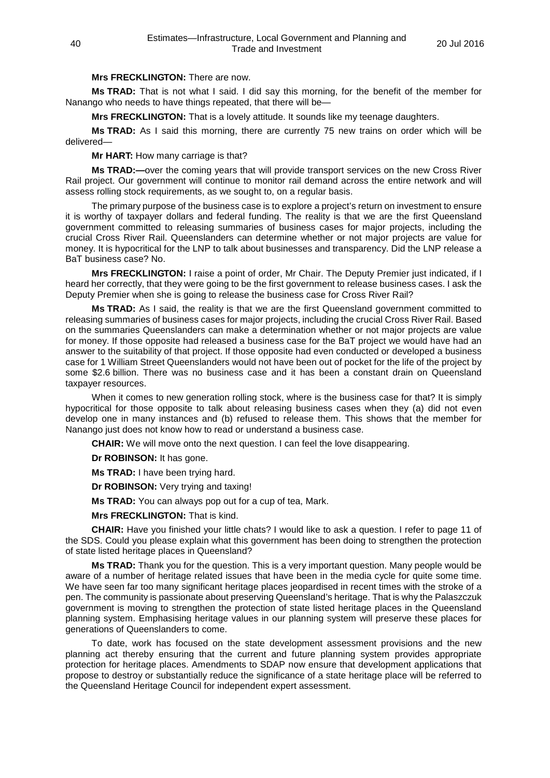# **Mrs FRECKLINGTON:** There are now.

**Ms TRAD:** That is not what I said. I did say this morning, for the benefit of the member for Nanango who needs to have things repeated, that there will be—

**Mrs FRECKLINGTON:** That is a lovely attitude. It sounds like my teenage daughters.

**Ms TRAD:** As I said this morning, there are currently 75 new trains on order which will be delivered—

**Mr HART:** How many carriage is that?

**Ms TRAD:—**over the coming years that will provide transport services on the new Cross River Rail project. Our government will continue to monitor rail demand across the entire network and will assess rolling stock requirements, as we sought to, on a regular basis.

The primary purpose of the business case is to explore a project's return on investment to ensure it is worthy of taxpayer dollars and federal funding. The reality is that we are the first Queensland government committed to releasing summaries of business cases for major projects, including the crucial Cross River Rail. Queenslanders can determine whether or not major projects are value for money. It is hypocritical for the LNP to talk about businesses and transparency. Did the LNP release a BaT business case? No.

**Mrs FRECKLINGTON:** I raise a point of order, Mr Chair. The Deputy Premier just indicated, if I heard her correctly, that they were going to be the first government to release business cases. I ask the Deputy Premier when she is going to release the business case for Cross River Rail?

**Ms TRAD:** As I said, the reality is that we are the first Queensland government committed to releasing summaries of business cases for major projects, including the crucial Cross River Rail. Based on the summaries Queenslanders can make a determination whether or not major projects are value for money. If those opposite had released a business case for the BaT project we would have had an answer to the suitability of that project. If those opposite had even conducted or developed a business case for 1 William Street Queenslanders would not have been out of pocket for the life of the project by some \$2.6 billion. There was no business case and it has been a constant drain on Queensland taxpayer resources.

When it comes to new generation rolling stock, where is the business case for that? It is simply hypocritical for those opposite to talk about releasing business cases when they (a) did not even develop one in many instances and (b) refused to release them. This shows that the member for Nanango just does not know how to read or understand a business case.

**CHAIR:** We will move onto the next question. I can feel the love disappearing.

**Dr ROBINSON:** It has gone.

**Ms TRAD:** I have been trying hard.

**Dr ROBINSON:** Very trying and taxing!

**Ms TRAD:** You can always pop out for a cup of tea, Mark.

**Mrs FRECKLINGTON:** That is kind.

**CHAIR:** Have you finished your little chats? I would like to ask a question. I refer to page 11 of the SDS. Could you please explain what this government has been doing to strengthen the protection of state listed heritage places in Queensland?

**Ms TRAD:** Thank you for the question. This is a very important question. Many people would be aware of a number of heritage related issues that have been in the media cycle for quite some time. We have seen far too many significant heritage places jeopardised in recent times with the stroke of a pen. The community is passionate about preserving Queensland's heritage. That is why the Palaszczuk government is moving to strengthen the protection of state listed heritage places in the Queensland planning system. Emphasising heritage values in our planning system will preserve these places for generations of Queenslanders to come.

To date, work has focused on the state development assessment provisions and the new planning act thereby ensuring that the current and future planning system provides appropriate protection for heritage places. Amendments to SDAP now ensure that development applications that propose to destroy or substantially reduce the significance of a state heritage place will be referred to the Queensland Heritage Council for independent expert assessment.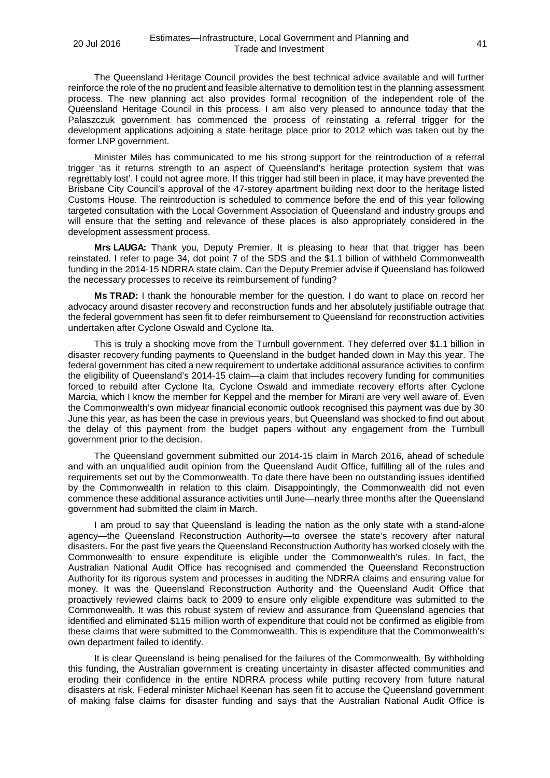The Queensland Heritage Council provides the best technical advice available and will further reinforce the role of the no prudent and feasible alternative to demolition test in the planning assessment process. The new planning act also provides formal recognition of the independent role of the Queensland Heritage Council in this process. I am also very pleased to announce today that the Palaszczuk government has commenced the process of reinstating a referral trigger for the development applications adjoining a state heritage place prior to 2012 which was taken out by the former LNP government.

Minister Miles has communicated to me his strong support for the reintroduction of a referral trigger 'as it returns strength to an aspect of Queensland's heritage protection system that was regrettably lost'. I could not agree more. If this trigger had still been in place, it may have prevented the Brisbane City Council's approval of the 47-storey apartment building next door to the heritage listed Customs House. The reintroduction is scheduled to commence before the end of this year following targeted consultation with the Local Government Association of Queensland and industry groups and will ensure that the setting and relevance of these places is also appropriately considered in the development assessment process.

**Mrs LAUGA:** Thank you, Deputy Premier. It is pleasing to hear that that trigger has been reinstated. I refer to page 34, dot point 7 of the SDS and the \$1.1 billion of withheld Commonwealth funding in the 2014-15 NDRRA state claim. Can the Deputy Premier advise if Queensland has followed the necessary processes to receive its reimbursement of funding?

**Ms TRAD:** I thank the honourable member for the question. I do want to place on record her advocacy around disaster recovery and reconstruction funds and her absolutely justifiable outrage that the federal government has seen fit to defer reimbursement to Queensland for reconstruction activities undertaken after Cyclone Oswald and Cyclone Ita.

This is truly a shocking move from the Turnbull government. They deferred over \$1.1 billion in disaster recovery funding payments to Queensland in the budget handed down in May this year. The federal government has cited a new requirement to undertake additional assurance activities to confirm the eligibility of Queensland's 2014-15 claim—a claim that includes recovery funding for communities forced to rebuild after Cyclone Ita, Cyclone Oswald and immediate recovery efforts after Cyclone Marcia, which I know the member for Keppel and the member for Mirani are very well aware of. Even the Commonwealth's own midyear financial economic outlook recognised this payment was due by 30 June this year, as has been the case in previous years, but Queensland was shocked to find out about the delay of this payment from the budget papers without any engagement from the Turnbull government prior to the decision.

The Queensland government submitted our 2014-15 claim in March 2016, ahead of schedule and with an unqualified audit opinion from the Queensland Audit Office, fulfilling all of the rules and requirements set out by the Commonwealth. To date there have been no outstanding issues identified by the Commonwealth in relation to this claim. Disappointingly, the Commonwealth did not even commence these additional assurance activities until June—nearly three months after the Queensland government had submitted the claim in March.

I am proud to say that Queensland is leading the nation as the only state with a stand-alone agency—the Queensland Reconstruction Authority—to oversee the state's recovery after natural disasters. For the past five years the Queensland Reconstruction Authority has worked closely with the Commonwealth to ensure expenditure is eligible under the Commonwealth's rules. In fact, the Australian National Audit Office has recognised and commended the Queensland Reconstruction Authority for its rigorous system and processes in auditing the NDRRA claims and ensuring value for money. It was the Queensland Reconstruction Authority and the Queensland Audit Office that proactively reviewed claims back to 2009 to ensure only eligible expenditure was submitted to the Commonwealth. It was this robust system of review and assurance from Queensland agencies that identified and eliminated \$115 million worth of expenditure that could not be confirmed as eligible from these claims that were submitted to the Commonwealth. This is expenditure that the Commonwealth's own department failed to identify.

It is clear Queensland is being penalised for the failures of the Commonwealth. By withholding this funding, the Australian government is creating uncertainty in disaster affected communities and eroding their confidence in the entire NDRRA process while putting recovery from future natural disasters at risk. Federal minister Michael Keenan has seen fit to accuse the Queensland government of making false claims for disaster funding and says that the Australian National Audit Office is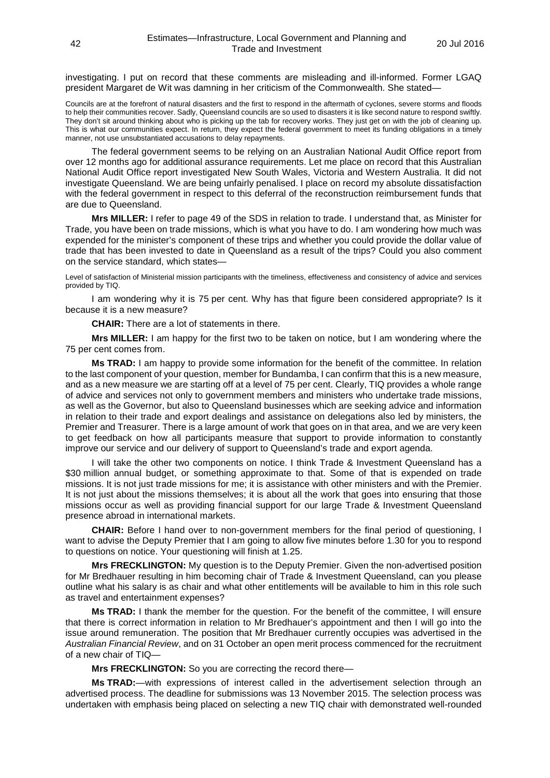investigating. I put on record that these comments are misleading and ill-informed. Former LGAQ president Margaret de Wit was damning in her criticism of the Commonwealth. She stated—

Councils are at the forefront of natural disasters and the first to respond in the aftermath of cyclones, severe storms and floods to help their communities recover. Sadly, Queensland councils are so used to disasters it is like second nature to respond swiftly. They don't sit around thinking about who is picking up the tab for recovery works. They just get on with the job of cleaning up. This is what our communities expect. In return, they expect the federal government to meet its funding obligations in a timely manner, not use unsubstantiated accusations to delay repayments.

The federal government seems to be relying on an Australian National Audit Office report from over 12 months ago for additional assurance requirements. Let me place on record that this Australian National Audit Office report investigated New South Wales, Victoria and Western Australia. It did not investigate Queensland. We are being unfairly penalised. I place on record my absolute dissatisfaction with the federal government in respect to this deferral of the reconstruction reimbursement funds that are due to Queensland.

**Mrs MILLER:** I refer to page 49 of the SDS in relation to trade. I understand that, as Minister for Trade, you have been on trade missions, which is what you have to do. I am wondering how much was expended for the minister's component of these trips and whether you could provide the dollar value of trade that has been invested to date in Queensland as a result of the trips? Could you also comment on the service standard, which states—

Level of satisfaction of Ministerial mission participants with the timeliness, effectiveness and consistency of advice and services provided by TIQ.

I am wondering why it is 75 per cent. Why has that figure been considered appropriate? Is it because it is a new measure?

**CHAIR:** There are a lot of statements in there.

**Mrs MILLER:** I am happy for the first two to be taken on notice, but I am wondering where the 75 per cent comes from.

**Ms TRAD:** I am happy to provide some information for the benefit of the committee. In relation to the last component of your question, member for Bundamba, I can confirm that this is a new measure, and as a new measure we are starting off at a level of 75 per cent. Clearly, TIQ provides a whole range of advice and services not only to government members and ministers who undertake trade missions, as well as the Governor, but also to Queensland businesses which are seeking advice and information in relation to their trade and export dealings and assistance on delegations also led by ministers, the Premier and Treasurer. There is a large amount of work that goes on in that area, and we are very keen to get feedback on how all participants measure that support to provide information to constantly improve our service and our delivery of support to Queensland's trade and export agenda.

I will take the other two components on notice. I think Trade & Investment Queensland has a \$30 million annual budget, or something approximate to that. Some of that is expended on trade missions. It is not just trade missions for me; it is assistance with other ministers and with the Premier. It is not just about the missions themselves; it is about all the work that goes into ensuring that those missions occur as well as providing financial support for our large Trade & Investment Queensland presence abroad in international markets.

**CHAIR:** Before I hand over to non-government members for the final period of questioning, I want to advise the Deputy Premier that I am going to allow five minutes before 1.30 for you to respond to questions on notice. Your questioning will finish at 1.25.

**Mrs FRECKLINGTON:** My question is to the Deputy Premier. Given the non-advertised position for Mr Bredhauer resulting in him becoming chair of Trade & Investment Queensland, can you please outline what his salary is as chair and what other entitlements will be available to him in this role such as travel and entertainment expenses?

**Ms TRAD:** I thank the member for the question. For the benefit of the committee, I will ensure that there is correct information in relation to Mr Bredhauer's appointment and then I will go into the issue around remuneration. The position that Mr Bredhauer currently occupies was advertised in the *Australian Financial Review*, and on 31 October an open merit process commenced for the recruitment of a new chair of TIQ—

**Mrs FRECKLINGTON:** So you are correcting the record there—

**Ms TRAD:**—with expressions of interest called in the advertisement selection through an advertised process. The deadline for submissions was 13 November 2015. The selection process was undertaken with emphasis being placed on selecting a new TIQ chair with demonstrated well-rounded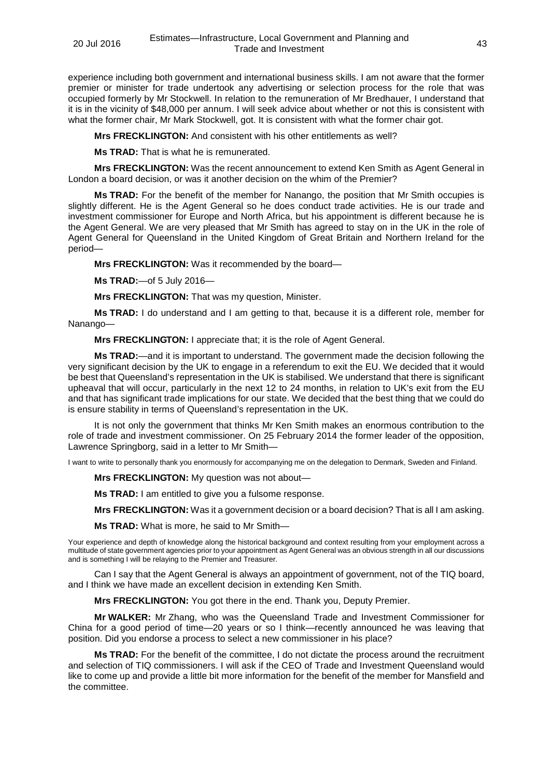experience including both government and international business skills. I am not aware that the former premier or minister for trade undertook any advertising or selection process for the role that was occupied formerly by Mr Stockwell. In relation to the remuneration of Mr Bredhauer, I understand that it is in the vicinity of \$48,000 per annum. I will seek advice about whether or not this is consistent with what the former chair, Mr Mark Stockwell, got. It is consistent with what the former chair got.

**Mrs FRECKLINGTON:** And consistent with his other entitlements as well?

**Ms TRAD:** That is what he is remunerated.

**Mrs FRECKLINGTON:** Was the recent announcement to extend Ken Smith as Agent General in London a board decision, or was it another decision on the whim of the Premier?

**Ms TRAD:** For the benefit of the member for Nanango, the position that Mr Smith occupies is slightly different. He is the Agent General so he does conduct trade activities. He is our trade and investment commissioner for Europe and North Africa, but his appointment is different because he is the Agent General. We are very pleased that Mr Smith has agreed to stay on in the UK in the role of Agent General for Queensland in the United Kingdom of Great Britain and Northern Ireland for the period—

**Mrs FRECKLINGTON:** Was it recommended by the board—

**Ms TRAD:**—of 5 July 2016—

**Mrs FRECKLINGTON:** That was my question, Minister.

**Ms TRAD:** I do understand and I am getting to that, because it is a different role, member for Nanango—

**Mrs FRECKLINGTON:** I appreciate that; it is the role of Agent General.

**Ms TRAD:**—and it is important to understand. The government made the decision following the very significant decision by the UK to engage in a referendum to exit the EU. We decided that it would be best that Queensland's representation in the UK is stabilised. We understand that there is significant upheaval that will occur, particularly in the next 12 to 24 months, in relation to UK's exit from the EU and that has significant trade implications for our state. We decided that the best thing that we could do is ensure stability in terms of Queensland's representation in the UK.

It is not only the government that thinks Mr Ken Smith makes an enormous contribution to the role of trade and investment commissioner. On 25 February 2014 the former leader of the opposition, Lawrence Springborg, said in a letter to Mr Smith—

I want to write to personally thank you enormously for accompanying me on the delegation to Denmark, Sweden and Finland.

**Mrs FRECKLINGTON:** My question was not about—

**Ms TRAD:** I am entitled to give you a fulsome response.

**Mrs FRECKLINGTON:** Was it a government decision or a board decision? That is all I am asking.

**Ms TRAD:** What is more, he said to Mr Smith—

Your experience and depth of knowledge along the historical background and context resulting from your employment across a multitude of state government agencies prior to your appointment as Agent General was an obvious strength in all our discussions and is something I will be relaying to the Premier and Treasurer.

Can I say that the Agent General is always an appointment of government, not of the TIQ board, and I think we have made an excellent decision in extending Ken Smith.

**Mrs FRECKLINGTON:** You got there in the end. Thank you, Deputy Premier.

**Mr WALKER:** Mr Zhang, who was the Queensland Trade and Investment Commissioner for China for a good period of time—20 years or so I think—recently announced he was leaving that position. Did you endorse a process to select a new commissioner in his place?

**Ms TRAD:** For the benefit of the committee, I do not dictate the process around the recruitment and selection of TIQ commissioners. I will ask if the CEO of Trade and Investment Queensland would like to come up and provide a little bit more information for the benefit of the member for Mansfield and the committee.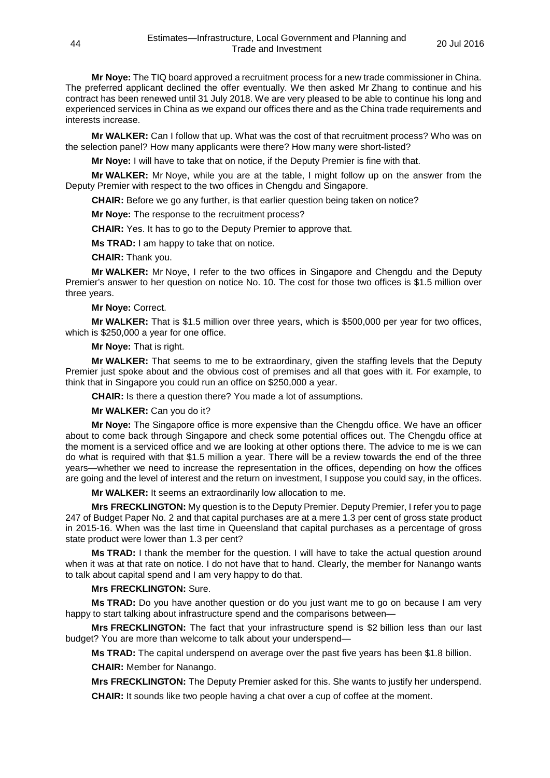**Mr Noye:** The TIQ board approved a recruitment process for a new trade commissioner in China. The preferred applicant declined the offer eventually. We then asked Mr Zhang to continue and his contract has been renewed until 31 July 2018. We are very pleased to be able to continue his long and experienced services in China as we expand our offices there and as the China trade requirements and interests increase.

**Mr WALKER:** Can I follow that up. What was the cost of that recruitment process? Who was on the selection panel? How many applicants were there? How many were short-listed?

**Mr Noye:** I will have to take that on notice, if the Deputy Premier is fine with that.

**Mr WALKER:** Mr Noye, while you are at the table, I might follow up on the answer from the Deputy Premier with respect to the two offices in Chengdu and Singapore.

**CHAIR:** Before we go any further, is that earlier question being taken on notice?

**Mr Noye:** The response to the recruitment process?

**CHAIR:** Yes. It has to go to the Deputy Premier to approve that.

**Ms TRAD:** I am happy to take that on notice.

**CHAIR:** Thank you.

**Mr WALKER:** Mr Noye, I refer to the two offices in Singapore and Chengdu and the Deputy Premier's answer to her question on notice No. 10. The cost for those two offices is \$1.5 million over three years.

#### **Mr Noye:** Correct.

**Mr WALKER:** That is \$1.5 million over three years, which is \$500,000 per year for two offices, which is \$250,000 a year for one office.

**Mr Noye:** That is right.

**Mr WALKER:** That seems to me to be extraordinary, given the staffing levels that the Deputy Premier just spoke about and the obvious cost of premises and all that goes with it. For example, to think that in Singapore you could run an office on \$250,000 a year.

**CHAIR:** Is there a question there? You made a lot of assumptions.

**Mr WALKER:** Can you do it?

**Mr Noye:** The Singapore office is more expensive than the Chengdu office. We have an officer about to come back through Singapore and check some potential offices out. The Chengdu office at the moment is a serviced office and we are looking at other options there. The advice to me is we can do what is required with that \$1.5 million a year. There will be a review towards the end of the three years—whether we need to increase the representation in the offices, depending on how the offices are going and the level of interest and the return on investment, I suppose you could say, in the offices.

**Mr WALKER:** It seems an extraordinarily low allocation to me.

**Mrs FRECKLINGTON:** My question is to the Deputy Premier. Deputy Premier, I refer you to page 247 of Budget Paper No. 2 and that capital purchases are at a mere 1.3 per cent of gross state product in 2015-16. When was the last time in Queensland that capital purchases as a percentage of gross state product were lower than 1.3 per cent?

**Ms TRAD:** I thank the member for the question. I will have to take the actual question around when it was at that rate on notice. I do not have that to hand. Clearly, the member for Nanango wants to talk about capital spend and I am very happy to do that.

# **Mrs FRECKLINGTON:** Sure.

**Ms TRAD:** Do you have another question or do you just want me to go on because I am very happy to start talking about infrastructure spend and the comparisons between—

**Mrs FRECKLINGTON:** The fact that your infrastructure spend is \$2 billion less than our last budget? You are more than welcome to talk about your underspend—

**Ms TRAD:** The capital underspend on average over the past five years has been \$1.8 billion.

**CHAIR:** Member for Nanango.

**Mrs FRECKLINGTON:** The Deputy Premier asked for this. She wants to justify her underspend. **CHAIR:** It sounds like two people having a chat over a cup of coffee at the moment.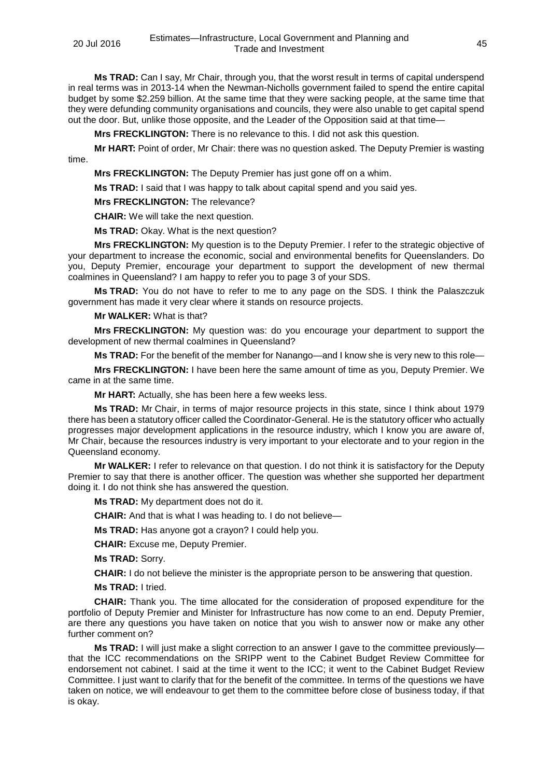**Ms TRAD:** Can I say, Mr Chair, through you, that the worst result in terms of capital underspend in real terms was in 2013-14 when the Newman-Nicholls government failed to spend the entire capital budget by some \$2.259 billion. At the same time that they were sacking people, at the same time that they were defunding community organisations and councils, they were also unable to get capital spend out the door. But, unlike those opposite, and the Leader of the Opposition said at that time—

**Mrs FRECKLINGTON:** There is no relevance to this. I did not ask this question.

**Mr HART:** Point of order, Mr Chair: there was no question asked. The Deputy Premier is wasting time.

**Mrs FRECKLINGTON:** The Deputy Premier has just gone off on a whim.

**Ms TRAD:** I said that I was happy to talk about capital spend and you said yes.

**Mrs FRECKLINGTON:** The relevance?

**CHAIR:** We will take the next question.

**Ms TRAD:** Okay. What is the next question?

**Mrs FRECKLINGTON:** My question is to the Deputy Premier. I refer to the strategic objective of your department to increase the economic, social and environmental benefits for Queenslanders. Do you, Deputy Premier, encourage your department to support the development of new thermal coalmines in Queensland? I am happy to refer you to page 3 of your SDS.

**Ms TRAD:** You do not have to refer to me to any page on the SDS. I think the Palaszczuk government has made it very clear where it stands on resource projects.

**Mr WALKER:** What is that?

**Mrs FRECKLINGTON:** My question was: do you encourage your department to support the development of new thermal coalmines in Queensland?

**Ms TRAD:** For the benefit of the member for Nanango—and I know she is very new to this role—

**Mrs FRECKLINGTON:** I have been here the same amount of time as you, Deputy Premier. We came in at the same time.

**Mr HART:** Actually, she has been here a few weeks less.

**Ms TRAD:** Mr Chair, in terms of major resource projects in this state, since I think about 1979 there has been a statutory officer called the Coordinator-General. He is the statutory officer who actually progresses major development applications in the resource industry, which I know you are aware of, Mr Chair, because the resources industry is very important to your electorate and to your region in the Queensland economy.

**Mr WALKER:** I refer to relevance on that question. I do not think it is satisfactory for the Deputy Premier to say that there is another officer. The question was whether she supported her department doing it. I do not think she has answered the question.

**Ms TRAD:** My department does not do it.

**CHAIR:** And that is what I was heading to. I do not believe—

**Ms TRAD:** Has anyone got a crayon? I could help you.

**CHAIR:** Excuse me, Deputy Premier.

**Ms TRAD:** Sorry.

**CHAIR:** I do not believe the minister is the appropriate person to be answering that question.

**Ms TRAD:** I tried.

**CHAIR:** Thank you. The time allocated for the consideration of proposed expenditure for the portfolio of Deputy Premier and Minister for Infrastructure has now come to an end. Deputy Premier, are there any questions you have taken on notice that you wish to answer now or make any other further comment on?

**Ms TRAD:** I will just make a slight correction to an answer I gave to the committee previously that the ICC recommendations on the SRIPP went to the Cabinet Budget Review Committee for endorsement not cabinet. I said at the time it went to the ICC; it went to the Cabinet Budget Review Committee. I just want to clarify that for the benefit of the committee. In terms of the questions we have taken on notice, we will endeavour to get them to the committee before close of business today, if that is okay.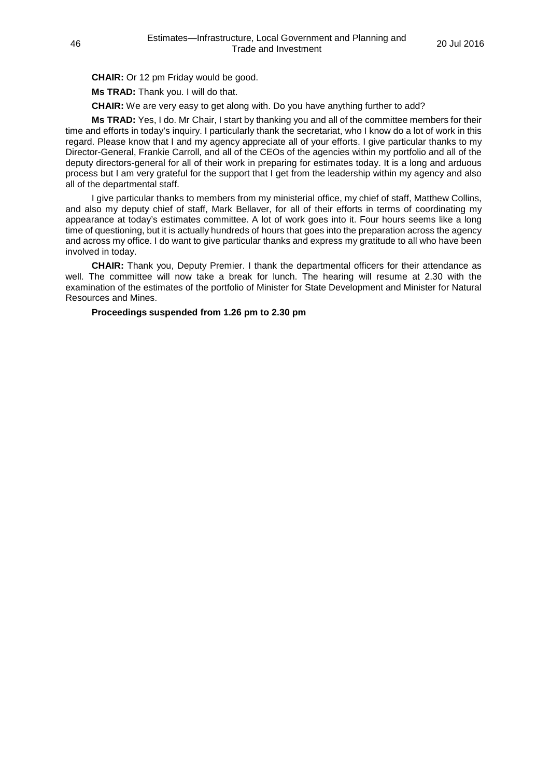**CHAIR:** Or 12 pm Friday would be good.

**Ms TRAD:** Thank you. I will do that.

**CHAIR:** We are very easy to get along with. Do you have anything further to add?

**Ms TRAD:** Yes, I do. Mr Chair, I start by thanking you and all of the committee members for their time and efforts in today's inquiry. I particularly thank the secretariat, who I know do a lot of work in this regard. Please know that I and my agency appreciate all of your efforts. I give particular thanks to my Director-General, Frankie Carroll, and all of the CEOs of the agencies within my portfolio and all of the deputy directors-general for all of their work in preparing for estimates today. It is a long and arduous process but I am very grateful for the support that I get from the leadership within my agency and also all of the departmental staff.

I give particular thanks to members from my ministerial office, my chief of staff, Matthew Collins, and also my deputy chief of staff, Mark Bellaver, for all of their efforts in terms of coordinating my appearance at today's estimates committee. A lot of work goes into it. Four hours seems like a long time of questioning, but it is actually hundreds of hours that goes into the preparation across the agency and across my office. I do want to give particular thanks and express my gratitude to all who have been involved in today.

**CHAIR:** Thank you, Deputy Premier. I thank the departmental officers for their attendance as well. The committee will now take a break for lunch. The hearing will resume at 2.30 with the examination of the estimates of the portfolio of Minister for State Development and Minister for Natural Resources and Mines.

**Proceedings suspended from 1.26 pm to 2.30 pm**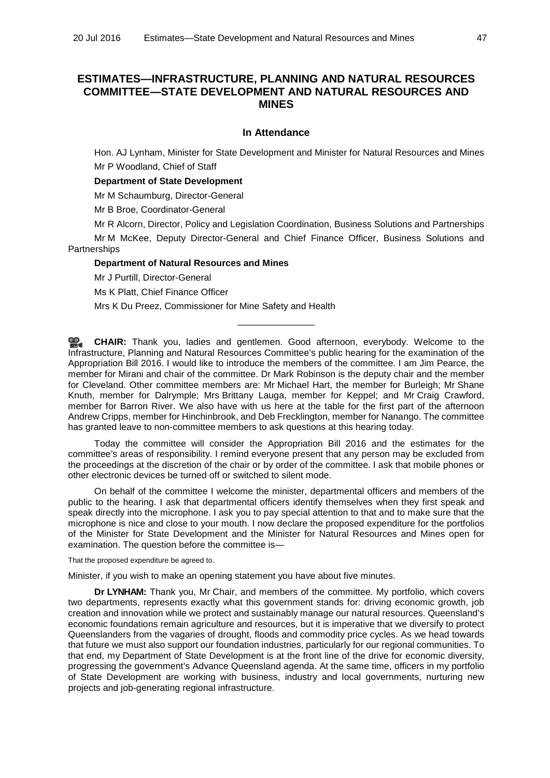# **ESTIMATES—INFRASTRUCTURE, PLANNING AND NATURAL RESOURCES COMMITTEE—STATE DEVELOPMENT AND NATURAL RESOURCES AND MINES**

#### **In Attendance**

Hon. AJ Lynham, Minister for State Development and Minister for Natural Resources and Mines Mr P Woodland, Chief of Staff

# **Department of State Development**

Mr M Schaumburg, Director-General

Mr B Broe, Coordinator-General

Mr R Alcorn, Director, Policy and Legislation Coordination, Business Solutions and Partnerships

Mr M McKee, Deputy Director-General and Chief Finance Officer, Business Solutions and **Partnerships** 

#### **Department of Natural Resources and Mines**

Mr J Purtill, Director-General

Ms K Platt, Chief Finance Officer

Mrs K Du Preez, Commissioner for Mine Safety and Health

**CHAIR:** Thank you, ladies and gentlemen. Good afternoon, everybody. Welcome to the Infrastructure, Planning and Natural Resources Committee's public hearing for the examination of the Appropriation Bill 2016. I would like to introduce the members of the committee. I am Jim Pearce, the member for Mirani and chair of the committee. Dr Mark Robinson is the deputy chair and the member for Cleveland. Other committee members are: Mr Michael Hart, the member for Burleigh; Mr Shane Knuth, member for Dalrymple; Mrs Brittany Lauga, member for Keppel; and Mr Craig Crawford, member for Barron River. We also have with us here at the table for the first part of the afternoon Andrew Cripps, member for Hinchinbrook, and Deb Frecklington, member for Nanango. The committee has granted leave to non-committee members to ask questions at this hearing today.

\_\_\_\_\_\_\_\_\_\_\_\_\_\_\_

Today the committee will consider the Appropriation Bill 2016 and the estimates for the committee's areas of responsibility. I remind everyone present that any person may be excluded from the proceedings at the discretion of the chair or by order of the committee. I ask that mobile phones or other electronic devices be turned off or switched to silent mode.

On behalf of the committee I welcome the minister, departmental officers and members of the public to the hearing. I ask that departmental officers identify themselves when they first speak and speak directly into the microphone. I ask you to pay special attention to that and to make sure that the microphone is nice and close to your mouth. I now declare the proposed expenditure for the portfolios of the Minister for State Development and the Minister for Natural Resources and Mines open for examination. The question before the committee is—

#### That the proposed expenditure be agreed to.

Minister, if you wish to make an opening statement you have about five minutes.

**Dr LYNHAM:** Thank you, Mr Chair, and members of the committee. My portfolio, which covers two departments, represents exactly what this government stands for: driving economic growth, job creation and innovation while we protect and sustainably manage our natural resources. Queensland's economic foundations remain agriculture and resources, but it is imperative that we diversify to protect Queenslanders from the vagaries of drought, floods and commodity price cycles. As we head towards that future we must also support our foundation industries, particularly for our regional communities. To that end, my Department of State Development is at the front line of the drive for economic diversity, progressing the government's Advance Queensland agenda. At the same time, officers in my portfolio of State Development are working with business, industry and local governments, nurturing new projects and job-generating regional infrastructure.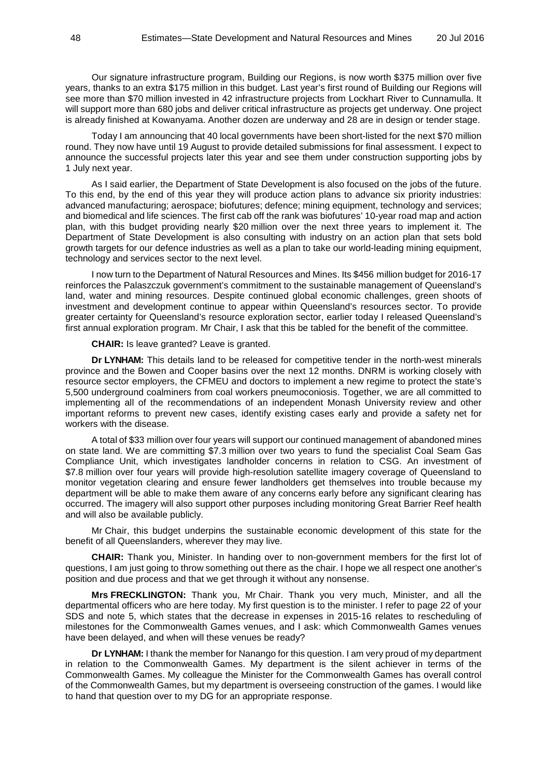Our signature infrastructure program, Building our Regions, is now worth \$375 million over five years, thanks to an extra \$175 million in this budget. Last year's first round of Building our Regions will see more than \$70 million invested in 42 infrastructure projects from Lockhart River to Cunnamulla. It will support more than 680 jobs and deliver critical infrastructure as projects get underway. One project is already finished at Kowanyama. Another dozen are underway and 28 are in design or tender stage.

Today I am announcing that 40 local governments have been short-listed for the next \$70 million round. They now have until 19 August to provide detailed submissions for final assessment. I expect to announce the successful projects later this year and see them under construction supporting jobs by 1 July next year.

As I said earlier, the Department of State Development is also focused on the jobs of the future. To this end, by the end of this year they will produce action plans to advance six priority industries: advanced manufacturing; aerospace; biofutures; defence; mining equipment, technology and services; and biomedical and life sciences. The first cab off the rank was biofutures' 10-year road map and action plan, with this budget providing nearly \$20 million over the next three years to implement it. The Department of State Development is also consulting with industry on an action plan that sets bold growth targets for our defence industries as well as a plan to take our world-leading mining equipment, technology and services sector to the next level.

I now turn to the Department of Natural Resources and Mines. Its \$456 million budget for 2016-17 reinforces the Palaszczuk government's commitment to the sustainable management of Queensland's land, water and mining resources. Despite continued global economic challenges, green shoots of investment and development continue to appear within Queensland's resources sector. To provide greater certainty for Queensland's resource exploration sector, earlier today I released Queensland's first annual exploration program. Mr Chair, I ask that this be tabled for the benefit of the committee.

**CHAIR:** Is leave granted? Leave is granted.

**Dr LYNHAM:** This details land to be released for competitive tender in the north-west minerals province and the Bowen and Cooper basins over the next 12 months. DNRM is working closely with resource sector employers, the CFMEU and doctors to implement a new regime to protect the state's 5,500 underground coalminers from coal workers pneumoconiosis. Together, we are all committed to implementing all of the recommendations of an independent Monash University review and other important reforms to prevent new cases, identify existing cases early and provide a safety net for workers with the disease.

A total of \$33 million over four years will support our continued management of abandoned mines on state land. We are committing \$7.3 million over two years to fund the specialist Coal Seam Gas Compliance Unit, which investigates landholder concerns in relation to CSG. An investment of \$7.8 million over four years will provide high-resolution satellite imagery coverage of Queensland to monitor vegetation clearing and ensure fewer landholders get themselves into trouble because my department will be able to make them aware of any concerns early before any significant clearing has occurred. The imagery will also support other purposes including monitoring Great Barrier Reef health and will also be available publicly.

Mr Chair, this budget underpins the sustainable economic development of this state for the benefit of all Queenslanders, wherever they may live.

**CHAIR:** Thank you, Minister. In handing over to non-government members for the first lot of questions, I am just going to throw something out there as the chair. I hope we all respect one another's position and due process and that we get through it without any nonsense.

**Mrs FRECKLINGTON:** Thank you, Mr Chair. Thank you very much, Minister, and all the departmental officers who are here today. My first question is to the minister. I refer to page 22 of your SDS and note 5, which states that the decrease in expenses in 2015-16 relates to rescheduling of milestones for the Commonwealth Games venues, and I ask: which Commonwealth Games venues have been delayed, and when will these venues be ready?

**Dr LYNHAM:** I thank the member for Nanango for this question. I am very proud of my department in relation to the Commonwealth Games. My department is the silent achiever in terms of the Commonwealth Games. My colleague the Minister for the Commonwealth Games has overall control of the Commonwealth Games, but my department is overseeing construction of the games. I would like to hand that question over to my DG for an appropriate response.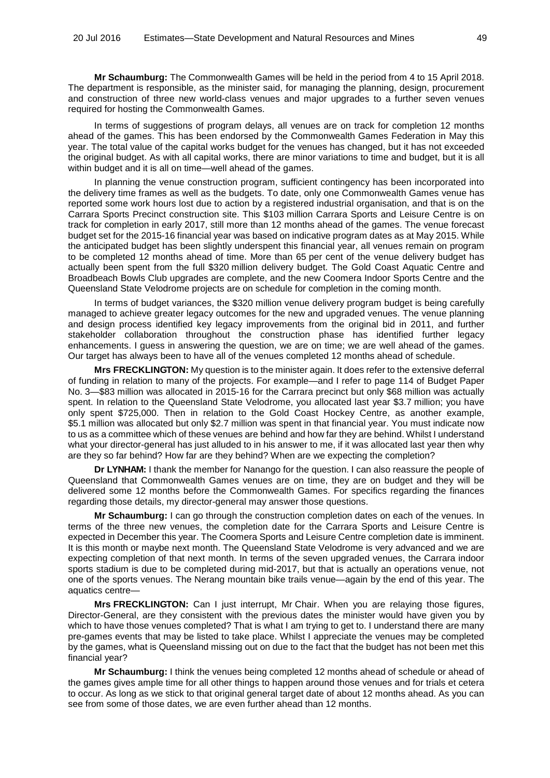**Mr Schaumburg:** The Commonwealth Games will be held in the period from 4 to 15 April 2018. The department is responsible, as the minister said, for managing the planning, design, procurement and construction of three new world-class venues and major upgrades to a further seven venues required for hosting the Commonwealth Games.

In terms of suggestions of program delays, all venues are on track for completion 12 months ahead of the games. This has been endorsed by the Commonwealth Games Federation in May this year. The total value of the capital works budget for the venues has changed, but it has not exceeded the original budget. As with all capital works, there are minor variations to time and budget, but it is all within budget and it is all on time—well ahead of the games.

In planning the venue construction program, sufficient contingency has been incorporated into the delivery time frames as well as the budgets. To date, only one Commonwealth Games venue has reported some work hours lost due to action by a registered industrial organisation, and that is on the Carrara Sports Precinct construction site. This \$103 million Carrara Sports and Leisure Centre is on track for completion in early 2017, still more than 12 months ahead of the games. The venue forecast budget set for the 2015-16 financial year was based on indicative program dates as at May 2015. While the anticipated budget has been slightly underspent this financial year, all venues remain on program to be completed 12 months ahead of time. More than 65 per cent of the venue delivery budget has actually been spent from the full \$320 million delivery budget. The Gold Coast Aquatic Centre and Broadbeach Bowls Club upgrades are complete, and the new Coomera Indoor Sports Centre and the Queensland State Velodrome projects are on schedule for completion in the coming month.

In terms of budget variances, the \$320 million venue delivery program budget is being carefully managed to achieve greater legacy outcomes for the new and upgraded venues. The venue planning and design process identified key legacy improvements from the original bid in 2011, and further stakeholder collaboration throughout the construction phase has identified further legacy enhancements. I guess in answering the question, we are on time; we are well ahead of the games. Our target has always been to have all of the venues completed 12 months ahead of schedule.

**Mrs FRECKLINGTON:** My question is to the minister again. It does refer to the extensive deferral of funding in relation to many of the projects. For example—and I refer to page 114 of Budget Paper No. 3—\$83 million was allocated in 2015-16 for the Carrara precinct but only \$68 million was actually spent. In relation to the Queensland State Velodrome, you allocated last year \$3.7 million; you have only spent \$725,000. Then in relation to the Gold Coast Hockey Centre, as another example, \$5.1 million was allocated but only \$2.7 million was spent in that financial year. You must indicate now to us as a committee which of these venues are behind and how far they are behind. Whilst I understand what your director-general has just alluded to in his answer to me, if it was allocated last year then why are they so far behind? How far are they behind? When are we expecting the completion?

**Dr LYNHAM:** I thank the member for Nanango for the question. I can also reassure the people of Queensland that Commonwealth Games venues are on time, they are on budget and they will be delivered some 12 months before the Commonwealth Games. For specifics regarding the finances regarding those details, my director-general may answer those questions.

**Mr Schaumburg:** I can go through the construction completion dates on each of the venues. In terms of the three new venues, the completion date for the Carrara Sports and Leisure Centre is expected in December this year. The Coomera Sports and Leisure Centre completion date is imminent. It is this month or maybe next month. The Queensland State Velodrome is very advanced and we are expecting completion of that next month. In terms of the seven upgraded venues, the Carrara indoor sports stadium is due to be completed during mid-2017, but that is actually an operations venue, not one of the sports venues. The Nerang mountain bike trails venue—again by the end of this year. The aquatics centre—

**Mrs FRECKLINGTON:** Can I just interrupt. Mr Chair. When you are relaying those figures, Director-General, are they consistent with the previous dates the minister would have given you by which to have those venues completed? That is what I am trying to get to. I understand there are many pre-games events that may be listed to take place. Whilst I appreciate the venues may be completed by the games, what is Queensland missing out on due to the fact that the budget has not been met this financial year?

**Mr Schaumburg:** I think the venues being completed 12 months ahead of schedule or ahead of the games gives ample time for all other things to happen around those venues and for trials et cetera to occur. As long as we stick to that original general target date of about 12 months ahead. As you can see from some of those dates, we are even further ahead than 12 months.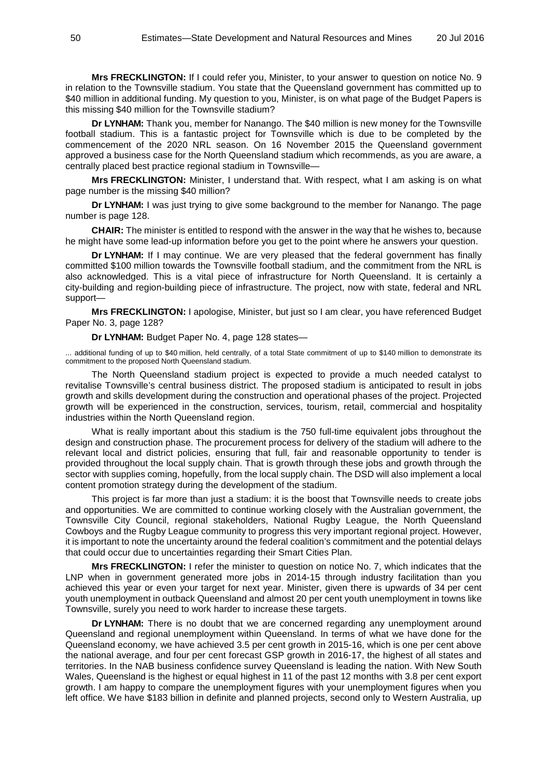**Mrs FRECKLINGTON:** If I could refer you, Minister, to your answer to question on notice No. 9 in relation to the Townsville stadium. You state that the Queensland government has committed up to \$40 million in additional funding. My question to you, Minister, is on what page of the Budget Papers is this missing \$40 million for the Townsville stadium?

**Dr LYNHAM:** Thank you, member for Nanango. The \$40 million is new money for the Townsville football stadium. This is a fantastic project for Townsville which is due to be completed by the commencement of the 2020 NRL season. On 16 November 2015 the Queensland government approved a business case for the North Queensland stadium which recommends, as you are aware, a centrally placed best practice regional stadium in Townsville—

**Mrs FRECKLINGTON:** Minister, I understand that. With respect, what I am asking is on what page number is the missing \$40 million?

**Dr LYNHAM:** I was just trying to give some background to the member for Nanango. The page number is page 128.

**CHAIR:** The minister is entitled to respond with the answer in the way that he wishes to, because he might have some lead-up information before you get to the point where he answers your question.

**Dr LYNHAM:** If I may continue. We are very pleased that the federal government has finally committed \$100 million towards the Townsville football stadium, and the commitment from the NRL is also acknowledged. This is a vital piece of infrastructure for North Queensland. It is certainly a city-building and region-building piece of infrastructure. The project, now with state, federal and NRL support—

**Mrs FRECKLINGTON:** I apologise, Minister, but just so I am clear, you have referenced Budget Paper No. 3, page 128?

**Dr LYNHAM:** Budget Paper No. 4, page 128 states—

... additional funding of up to \$40 million, held centrally, of a total State commitment of up to \$140 million to demonstrate its commitment to the proposed North Queensland stadium.

The North Queensland stadium project is expected to provide a much needed catalyst to revitalise Townsville's central business district. The proposed stadium is anticipated to result in jobs growth and skills development during the construction and operational phases of the project. Projected growth will be experienced in the construction, services, tourism, retail, commercial and hospitality industries within the North Queensland region.

What is really important about this stadium is the 750 full-time equivalent jobs throughout the design and construction phase. The procurement process for delivery of the stadium will adhere to the relevant local and district policies, ensuring that full, fair and reasonable opportunity to tender is provided throughout the local supply chain. That is growth through these jobs and growth through the sector with supplies coming, hopefully, from the local supply chain. The DSD will also implement a local content promotion strategy during the development of the stadium.

This project is far more than just a stadium: it is the boost that Townsville needs to create jobs and opportunities. We are committed to continue working closely with the Australian government, the Townsville City Council, regional stakeholders, National Rugby League, the North Queensland Cowboys and the Rugby League community to progress this very important regional project. However, it is important to note the uncertainty around the federal coalition's commitment and the potential delays that could occur due to uncertainties regarding their Smart Cities Plan.

**Mrs FRECKLINGTON:** I refer the minister to question on notice No. 7, which indicates that the LNP when in government generated more jobs in 2014-15 through industry facilitation than you achieved this year or even your target for next year. Minister, given there is upwards of 34 per cent youth unemployment in outback Queensland and almost 20 per cent youth unemployment in towns like Townsville, surely you need to work harder to increase these targets.

**Dr LYNHAM:** There is no doubt that we are concerned regarding any unemployment around Queensland and regional unemployment within Queensland. In terms of what we have done for the Queensland economy, we have achieved 3.5 per cent growth in 2015-16, which is one per cent above the national average, and four per cent forecast GSP growth in 2016-17, the highest of all states and territories. In the NAB business confidence survey Queensland is leading the nation. With New South Wales, Queensland is the highest or equal highest in 11 of the past 12 months with 3.8 per cent export growth. I am happy to compare the unemployment figures with your unemployment figures when you left office. We have \$183 billion in definite and planned projects, second only to Western Australia, up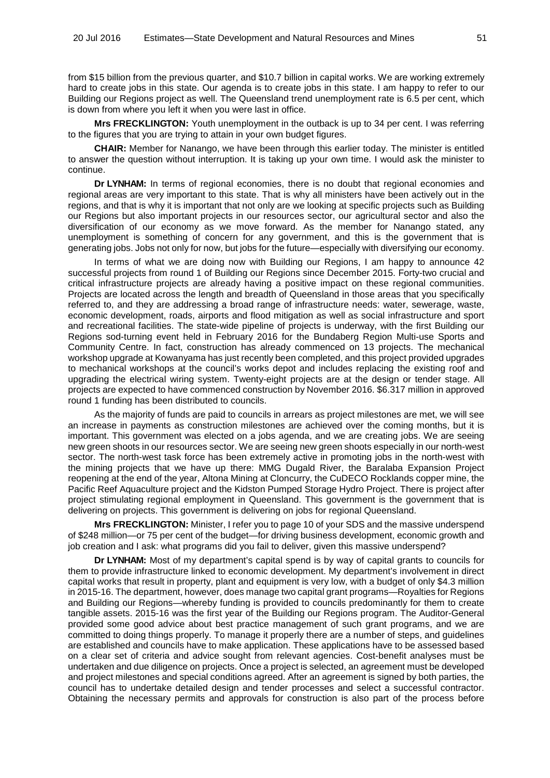from \$15 billion from the previous quarter, and \$10.7 billion in capital works. We are working extremely hard to create jobs in this state. Our agenda is to create jobs in this state. I am happy to refer to our Building our Regions project as well. The Queensland trend unemployment rate is 6.5 per cent, which is down from where you left it when you were last in office.

**Mrs FRECKLINGTON:** Youth unemployment in the outback is up to 34 per cent. I was referring to the figures that you are trying to attain in your own budget figures.

**CHAIR:** Member for Nanango, we have been through this earlier today. The minister is entitled to answer the question without interruption. It is taking up your own time. I would ask the minister to continue.

**Dr LYNHAM:** In terms of regional economies, there is no doubt that regional economies and regional areas are very important to this state. That is why all ministers have been actively out in the regions, and that is why it is important that not only are we looking at specific projects such as Building our Regions but also important projects in our resources sector, our agricultural sector and also the diversification of our economy as we move forward. As the member for Nanango stated, any unemployment is something of concern for any government, and this is the government that is generating jobs. Jobs not only for now, but jobs for the future—especially with diversifying our economy.

In terms of what we are doing now with Building our Regions, I am happy to announce 42 successful projects from round 1 of Building our Regions since December 2015. Forty-two crucial and critical infrastructure projects are already having a positive impact on these regional communities. Projects are located across the length and breadth of Queensland in those areas that you specifically referred to, and they are addressing a broad range of infrastructure needs: water, sewerage, waste, economic development, roads, airports and flood mitigation as well as social infrastructure and sport and recreational facilities. The state-wide pipeline of projects is underway, with the first Building our Regions sod-turning event held in February 2016 for the Bundaberg Region Multi-use Sports and Community Centre. In fact, construction has already commenced on 13 projects. The mechanical workshop upgrade at Kowanyama has just recently been completed, and this project provided upgrades to mechanical workshops at the council's works depot and includes replacing the existing roof and upgrading the electrical wiring system. Twenty-eight projects are at the design or tender stage. All projects are expected to have commenced construction by November 2016. \$6.317 million in approved round 1 funding has been distributed to councils.

As the majority of funds are paid to councils in arrears as project milestones are met, we will see an increase in payments as construction milestones are achieved over the coming months, but it is important. This government was elected on a jobs agenda, and we are creating jobs. We are seeing new green shoots in our resources sector. We are seeing new green shoots especially in our north-west sector. The north-west task force has been extremely active in promoting jobs in the north-west with the mining projects that we have up there: MMG Dugald River, the Baralaba Expansion Project reopening at the end of the year, Altona Mining at Cloncurry, the CuDECO Rocklands copper mine, the Pacific Reef Aquaculture project and the Kidston Pumped Storage Hydro Project. There is project after project stimulating regional employment in Queensland. This government is the government that is delivering on projects. This government is delivering on jobs for regional Queensland.

**Mrs FRECKLINGTON:** Minister, I refer you to page 10 of your SDS and the massive underspend of \$248 million—or 75 per cent of the budget—for driving business development, economic growth and job creation and I ask: what programs did you fail to deliver, given this massive underspend?

**Dr LYNHAM:** Most of my department's capital spend is by way of capital grants to councils for them to provide infrastructure linked to economic development. My department's involvement in direct capital works that result in property, plant and equipment is very low, with a budget of only \$4.3 million in 2015-16. The department, however, does manage two capital grant programs—Royalties for Regions and Building our Regions—whereby funding is provided to councils predominantly for them to create tangible assets. 2015-16 was the first year of the Building our Regions program. The Auditor-General provided some good advice about best practice management of such grant programs, and we are committed to doing things properly. To manage it properly there are a number of steps, and guidelines are established and councils have to make application. These applications have to be assessed based on a clear set of criteria and advice sought from relevant agencies. Cost-benefit analyses must be undertaken and due diligence on projects. Once a project is selected, an agreement must be developed and project milestones and special conditions agreed. After an agreement is signed by both parties, the council has to undertake detailed design and tender processes and select a successful contractor. Obtaining the necessary permits and approvals for construction is also part of the process before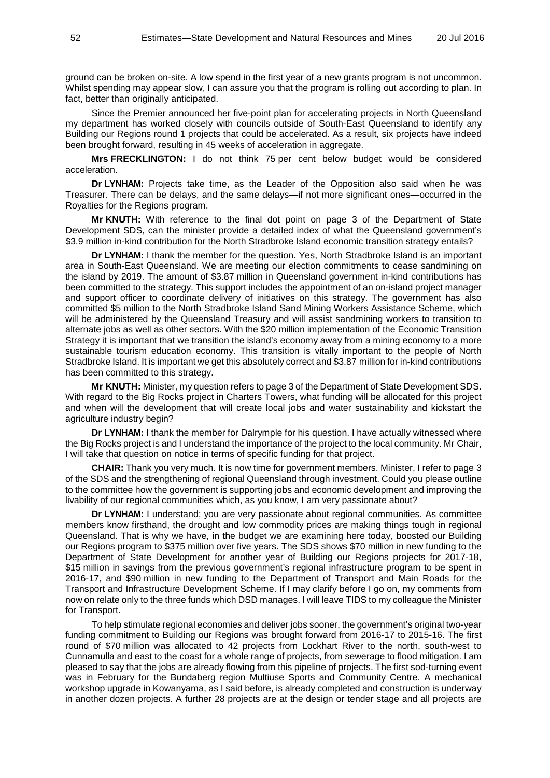ground can be broken on-site. A low spend in the first year of a new grants program is not uncommon. Whilst spending may appear slow, I can assure you that the program is rolling out according to plan. In fact, better than originally anticipated.

Since the Premier announced her five-point plan for accelerating projects in North Queensland my department has worked closely with councils outside of South-East Queensland to identify any Building our Regions round 1 projects that could be accelerated. As a result, six projects have indeed been brought forward, resulting in 45 weeks of acceleration in aggregate.

**Mrs FRECKLINGTON:** I do not think 75 per cent below budget would be considered acceleration.

**Dr LYNHAM:** Projects take time, as the Leader of the Opposition also said when he was Treasurer. There can be delays, and the same delays—if not more significant ones—occurred in the Royalties for the Regions program.

**Mr KNUTH:** With reference to the final dot point on page 3 of the Department of State Development SDS, can the minister provide a detailed index of what the Queensland government's \$3.9 million in-kind contribution for the North Stradbroke Island economic transition strategy entails?

**Dr LYNHAM:** I thank the member for the question. Yes, North Stradbroke Island is an important area in South-East Queensland. We are meeting our election commitments to cease sandmining on the island by 2019. The amount of \$3.87 million in Queensland government in-kind contributions has been committed to the strategy. This support includes the appointment of an on-island project manager and support officer to coordinate delivery of initiatives on this strategy. The government has also committed \$5 million to the North Stradbroke Island Sand Mining Workers Assistance Scheme, which will be administered by the Queensland Treasury and will assist sandmining workers to transition to alternate jobs as well as other sectors. With the \$20 million implementation of the Economic Transition Strategy it is important that we transition the island's economy away from a mining economy to a more sustainable tourism education economy. This transition is vitally important to the people of North Stradbroke Island. It is important we get this absolutely correct and \$3.87 million for in-kind contributions has been committed to this strategy.

**Mr KNUTH:** Minister, my question refers to page 3 of the Department of State Development SDS. With regard to the Big Rocks project in Charters Towers, what funding will be allocated for this project and when will the development that will create local jobs and water sustainability and kickstart the agriculture industry begin?

**Dr LYNHAM:** I thank the member for Dalrymple for his question. I have actually witnessed where the Big Rocks project is and I understand the importance of the project to the local community. Mr Chair, I will take that question on notice in terms of specific funding for that project.

**CHAIR:** Thank you very much. It is now time for government members. Minister, I refer to page 3 of the SDS and the strengthening of regional Queensland through investment. Could you please outline to the committee how the government is supporting jobs and economic development and improving the livability of our regional communities which, as you know, I am very passionate about?

**Dr LYNHAM:** I understand; you are very passionate about regional communities. As committee members know firsthand, the drought and low commodity prices are making things tough in regional Queensland. That is why we have, in the budget we are examining here today, boosted our Building our Regions program to \$375 million over five years. The SDS shows \$70 million in new funding to the Department of State Development for another year of Building our Regions projects for 2017-18, \$15 million in savings from the previous government's regional infrastructure program to be spent in 2016-17, and \$90 million in new funding to the Department of Transport and Main Roads for the Transport and Infrastructure Development Scheme. If I may clarify before I go on, my comments from now on relate only to the three funds which DSD manages. I will leave TIDS to my colleague the Minister for Transport.

To help stimulate regional economies and deliver jobs sooner, the government's original two-year funding commitment to Building our Regions was brought forward from 2016-17 to 2015-16. The first round of \$70 million was allocated to 42 projects from Lockhart River to the north, south-west to Cunnamulla and east to the coast for a whole range of projects, from sewerage to flood mitigation. I am pleased to say that the jobs are already flowing from this pipeline of projects. The first sod-turning event was in February for the Bundaberg region Multiuse Sports and Community Centre. A mechanical workshop upgrade in Kowanyama, as I said before, is already completed and construction is underway in another dozen projects. A further 28 projects are at the design or tender stage and all projects are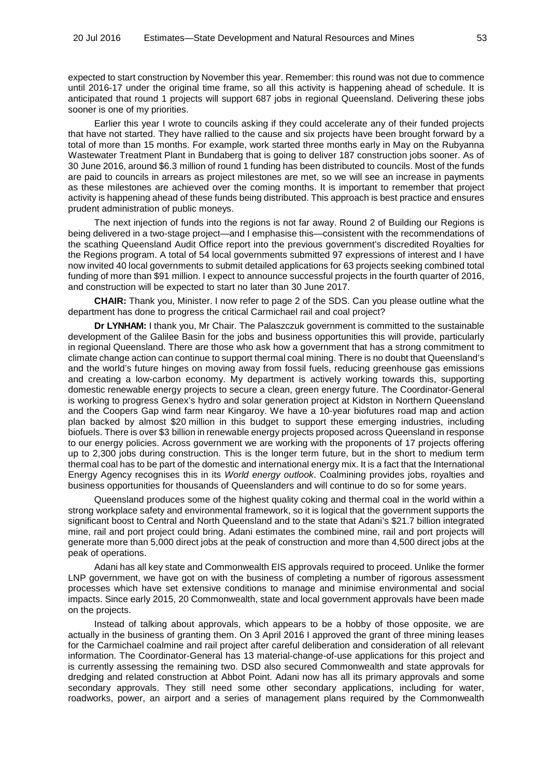expected to start construction by November this year. Remember: this round was not due to commence until 2016-17 under the original time frame, so all this activity is happening ahead of schedule. It is anticipated that round 1 projects will support 687 jobs in regional Queensland. Delivering these jobs sooner is one of my priorities.

Earlier this year I wrote to councils asking if they could accelerate any of their funded projects that have not started. They have rallied to the cause and six projects have been brought forward by a total of more than 15 months. For example, work started three months early in May on the Rubyanna Wastewater Treatment Plant in Bundaberg that is going to deliver 187 construction jobs sooner. As of 30 June 2016, around \$6.3 million of round 1 funding has been distributed to councils. Most of the funds are paid to councils in arrears as project milestones are met, so we will see an increase in payments as these milestones are achieved over the coming months. It is important to remember that project activity is happening ahead of these funds being distributed. This approach is best practice and ensures prudent administration of public moneys.

The next injection of funds into the regions is not far away. Round 2 of Building our Regions is being delivered in a two-stage project—and I emphasise this—consistent with the recommendations of the scathing Queensland Audit Office report into the previous government's discredited Royalties for the Regions program. A total of 54 local governments submitted 97 expressions of interest and I have now invited 40 local governments to submit detailed applications for 63 projects seeking combined total funding of more than \$91 million. I expect to announce successful projects in the fourth quarter of 2016, and construction will be expected to start no later than 30 June 2017.

**CHAIR:** Thank you, Minister. I now refer to page 2 of the SDS. Can you please outline what the department has done to progress the critical Carmichael rail and coal project?

**Dr LYNHAM:** I thank you, Mr Chair. The Palaszczuk government is committed to the sustainable development of the Galilee Basin for the jobs and business opportunities this will provide, particularly in regional Queensland. There are those who ask how a government that has a strong commitment to climate change action can continue to support thermal coal mining. There is no doubt that Queensland's and the world's future hinges on moving away from fossil fuels, reducing greenhouse gas emissions and creating a low-carbon economy. My department is actively working towards this, supporting domestic renewable energy projects to secure a clean, green energy future. The Coordinator-General is working to progress Genex's hydro and solar generation project at Kidston in Northern Queensland and the Coopers Gap wind farm near Kingaroy. We have a 10-year biofutures road map and action plan backed by almost \$20 million in this budget to support these emerging industries, including biofuels. There is over \$3 billion in renewable energy projects proposed across Queensland in response to our energy policies. Across government we are working with the proponents of 17 projects offering up to 2,300 jobs during construction. This is the longer term future, but in the short to medium term thermal coal has to be part of the domestic and international energy mix. It is a fact that the International Energy Agency recognises this in its *World energy outlook*. Coalmining provides jobs, royalties and business opportunities for thousands of Queenslanders and will continue to do so for some years.

Queensland produces some of the highest quality coking and thermal coal in the world within a strong workplace safety and environmental framework, so it is logical that the government supports the significant boost to Central and North Queensland and to the state that Adani's \$21.7 billion integrated mine, rail and port project could bring. Adani estimates the combined mine, rail and port projects will generate more than 5,000 direct jobs at the peak of construction and more than 4,500 direct jobs at the peak of operations.

Adani has all key state and Commonwealth EIS approvals required to proceed. Unlike the former LNP government, we have got on with the business of completing a number of rigorous assessment processes which have set extensive conditions to manage and minimise environmental and social impacts. Since early 2015, 20 Commonwealth, state and local government approvals have been made on the projects.

Instead of talking about approvals, which appears to be a hobby of those opposite, we are actually in the business of granting them. On 3 April 2016 I approved the grant of three mining leases for the Carmichael coalmine and rail project after careful deliberation and consideration of all relevant information. The Coordinator-General has 13 material-change-of-use applications for this project and is currently assessing the remaining two. DSD also secured Commonwealth and state approvals for dredging and related construction at Abbot Point. Adani now has all its primary approvals and some secondary approvals. They still need some other secondary applications, including for water, roadworks, power, an airport and a series of management plans required by the Commonwealth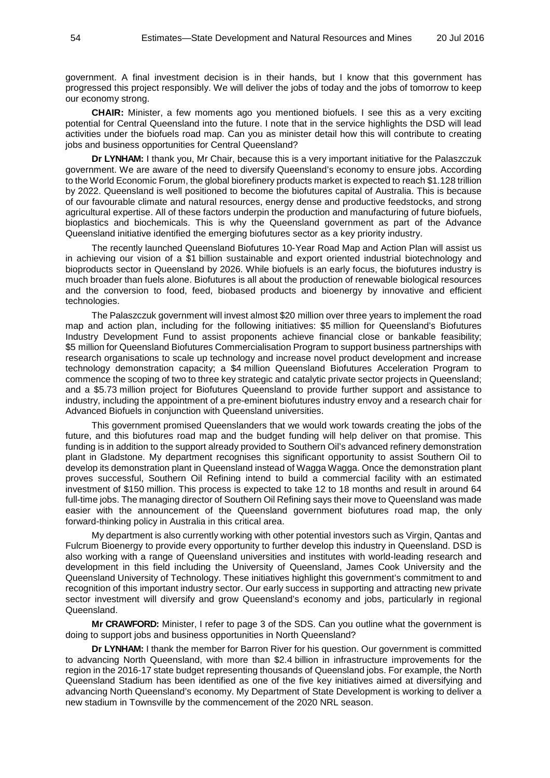government. A final investment decision is in their hands, but I know that this government has progressed this project responsibly. We will deliver the jobs of today and the jobs of tomorrow to keep our economy strong.

**CHAIR:** Minister, a few moments ago you mentioned biofuels. I see this as a very exciting potential for Central Queensland into the future. I note that in the service highlights the DSD will lead activities under the biofuels road map. Can you as minister detail how this will contribute to creating jobs and business opportunities for Central Queensland?

**Dr LYNHAM:** I thank you, Mr Chair, because this is a very important initiative for the Palaszczuk government. We are aware of the need to diversify Queensland's economy to ensure jobs. According to the World Economic Forum, the global biorefinery products market is expected to reach \$1.128 trillion by 2022. Queensland is well positioned to become the biofutures capital of Australia. This is because of our favourable climate and natural resources, energy dense and productive feedstocks, and strong agricultural expertise. All of these factors underpin the production and manufacturing of future biofuels, bioplastics and biochemicals. This is why the Queensland government as part of the Advance Queensland initiative identified the emerging biofutures sector as a key priority industry.

The recently launched Queensland Biofutures 10-Year Road Map and Action Plan will assist us in achieving our vision of a \$1 billion sustainable and export oriented industrial biotechnology and bioproducts sector in Queensland by 2026. While biofuels is an early focus, the biofutures industry is much broader than fuels alone. Biofutures is all about the production of renewable biological resources and the conversion to food, feed, biobased products and bioenergy by innovative and efficient technologies.

The Palaszczuk government will invest almost \$20 million over three years to implement the road map and action plan, including for the following initiatives: \$5 million for Queensland's Biofutures Industry Development Fund to assist proponents achieve financial close or bankable feasibility; \$5 million for Queensland Biofutures Commercialisation Program to support business partnerships with research organisations to scale up technology and increase novel product development and increase technology demonstration capacity; a \$4 million Queensland Biofutures Acceleration Program to commence the scoping of two to three key strategic and catalytic private sector projects in Queensland; and a \$5.73 million project for Biofutures Queensland to provide further support and assistance to industry, including the appointment of a pre-eminent biofutures industry envoy and a research chair for Advanced Biofuels in conjunction with Queensland universities.

This government promised Queenslanders that we would work towards creating the jobs of the future, and this biofutures road map and the budget funding will help deliver on that promise. This funding is in addition to the support already provided to Southern Oil's advanced refinery demonstration plant in Gladstone. My department recognises this significant opportunity to assist Southern Oil to develop its demonstration plant in Queensland instead of Wagga Wagga. Once the demonstration plant proves successful, Southern Oil Refining intend to build a commercial facility with an estimated investment of \$150 million. This process is expected to take 12 to 18 months and result in around 64 full-time jobs. The managing director of Southern Oil Refining says their move to Queensland was made easier with the announcement of the Queensland government biofutures road map, the only forward-thinking policy in Australia in this critical area.

My department is also currently working with other potential investors such as Virgin, Qantas and Fulcrum Bioenergy to provide every opportunity to further develop this industry in Queensland. DSD is also working with a range of Queensland universities and institutes with world-leading research and development in this field including the University of Queensland, James Cook University and the Queensland University of Technology. These initiatives highlight this government's commitment to and recognition of this important industry sector. Our early success in supporting and attracting new private sector investment will diversify and grow Queensland's economy and jobs, particularly in regional Queensland.

**Mr CRAWFORD:** Minister, I refer to page 3 of the SDS. Can you outline what the government is doing to support jobs and business opportunities in North Queensland?

**Dr LYNHAM:** I thank the member for Barron River for his question. Our government is committed to advancing North Queensland, with more than \$2.4 billion in infrastructure improvements for the region in the 2016-17 state budget representing thousands of Queensland jobs. For example, the North Queensland Stadium has been identified as one of the five key initiatives aimed at diversifying and advancing North Queensland's economy. My Department of State Development is working to deliver a new stadium in Townsville by the commencement of the 2020 NRL season.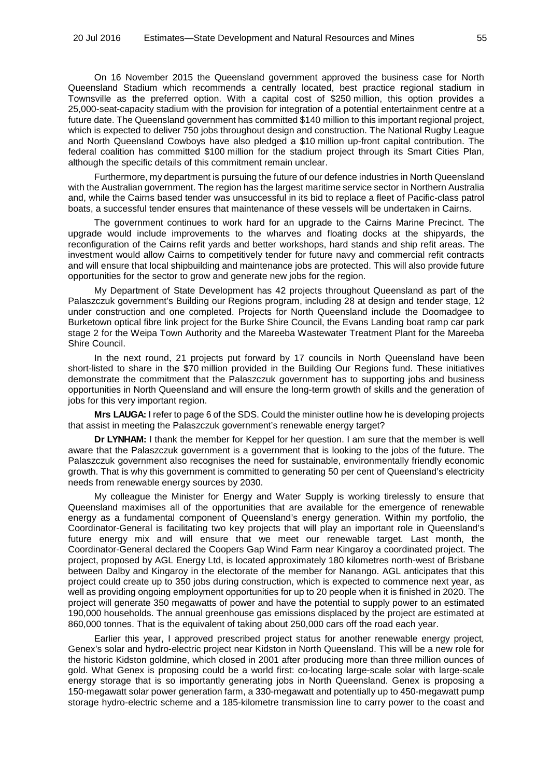On 16 November 2015 the Queensland government approved the business case for North Queensland Stadium which recommends a centrally located, best practice regional stadium in Townsville as the preferred option. With a capital cost of \$250 million, this option provides a 25,000-seat-capacity stadium with the provision for integration of a potential entertainment centre at a future date. The Queensland government has committed \$140 million to this important regional project, which is expected to deliver 750 jobs throughout design and construction. The National Rugby League and North Queensland Cowboys have also pledged a \$10 million up-front capital contribution. The federal coalition has committed \$100 million for the stadium project through its Smart Cities Plan, although the specific details of this commitment remain unclear.

Furthermore, my department is pursuing the future of our defence industries in North Queensland with the Australian government. The region has the largest maritime service sector in Northern Australia and, while the Cairns based tender was unsuccessful in its bid to replace a fleet of Pacific-class patrol boats, a successful tender ensures that maintenance of these vessels will be undertaken in Cairns.

The government continues to work hard for an upgrade to the Cairns Marine Precinct. The upgrade would include improvements to the wharves and floating docks at the shipyards, the reconfiguration of the Cairns refit yards and better workshops, hard stands and ship refit areas. The investment would allow Cairns to competitively tender for future navy and commercial refit contracts and will ensure that local shipbuilding and maintenance jobs are protected. This will also provide future opportunities for the sector to grow and generate new jobs for the region.

My Department of State Development has 42 projects throughout Queensland as part of the Palaszczuk government's Building our Regions program, including 28 at design and tender stage, 12 under construction and one completed. Projects for North Queensland include the Doomadgee to Burketown optical fibre link project for the Burke Shire Council, the Evans Landing boat ramp car park stage 2 for the Weipa Town Authority and the Mareeba Wastewater Treatment Plant for the Mareeba Shire Council.

In the next round, 21 projects put forward by 17 councils in North Queensland have been short-listed to share in the \$70 million provided in the Building Our Regions fund. These initiatives demonstrate the commitment that the Palaszczuk government has to supporting jobs and business opportunities in North Queensland and will ensure the long-term growth of skills and the generation of jobs for this very important region.

**Mrs LAUGA:** I refer to page 6 of the SDS. Could the minister outline how he is developing projects that assist in meeting the Palaszczuk government's renewable energy target?

**Dr LYNHAM:** I thank the member for Keppel for her question. I am sure that the member is well aware that the Palaszczuk government is a government that is looking to the jobs of the future. The Palaszczuk government also recognises the need for sustainable, environmentally friendly economic growth. That is why this government is committed to generating 50 per cent of Queensland's electricity needs from renewable energy sources by 2030.

My colleague the Minister for Energy and Water Supply is working tirelessly to ensure that Queensland maximises all of the opportunities that are available for the emergence of renewable energy as a fundamental component of Queensland's energy generation. Within my portfolio, the Coordinator-General is facilitating two key projects that will play an important role in Queensland's future energy mix and will ensure that we meet our renewable target. Last month, the Coordinator-General declared the Coopers Gap Wind Farm near Kingaroy a coordinated project. The project, proposed by AGL Energy Ltd, is located approximately 180 kilometres north-west of Brisbane between Dalby and Kingaroy in the electorate of the member for Nanango. AGL anticipates that this project could create up to 350 jobs during construction, which is expected to commence next year, as well as providing ongoing employment opportunities for up to 20 people when it is finished in 2020. The project will generate 350 megawatts of power and have the potential to supply power to an estimated 190,000 households. The annual greenhouse gas emissions displaced by the project are estimated at 860,000 tonnes. That is the equivalent of taking about 250,000 cars off the road each year.

Earlier this year, I approved prescribed project status for another renewable energy project, Genex's solar and hydro-electric project near Kidston in North Queensland. This will be a new role for the historic Kidston goldmine, which closed in 2001 after producing more than three million ounces of gold. What Genex is proposing could be a world first: co-locating large-scale solar with large-scale energy storage that is so importantly generating jobs in North Queensland. Genex is proposing a 150-megawatt solar power generation farm, a 330-megawatt and potentially up to 450-megawatt pump storage hydro-electric scheme and a 185-kilometre transmission line to carry power to the coast and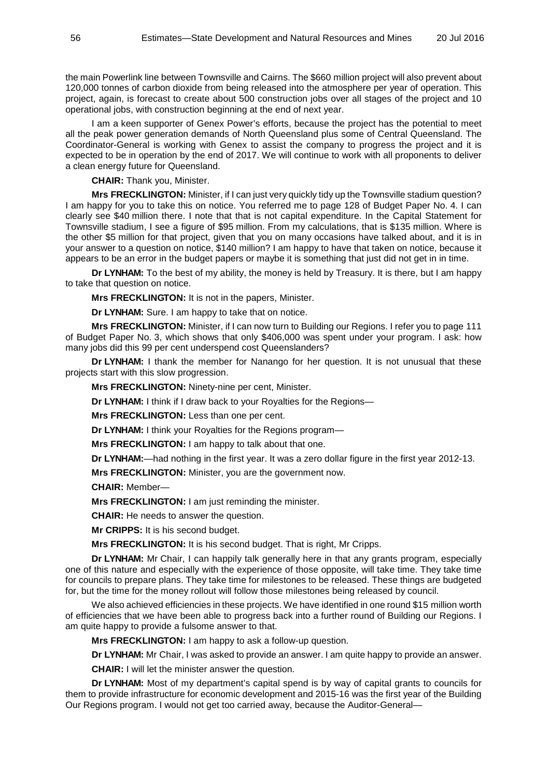the main Powerlink line between Townsville and Cairns. The \$660 million project will also prevent about 120,000 tonnes of carbon dioxide from being released into the atmosphere per year of operation. This project, again, is forecast to create about 500 construction jobs over all stages of the project and 10 operational jobs, with construction beginning at the end of next year.

I am a keen supporter of Genex Power's efforts, because the project has the potential to meet all the peak power generation demands of North Queensland plus some of Central Queensland. The Coordinator-General is working with Genex to assist the company to progress the project and it is expected to be in operation by the end of 2017. We will continue to work with all proponents to deliver a clean energy future for Queensland.

**CHAIR:** Thank you, Minister.

**Mrs FRECKLINGTON:** Minister, if I can just very quickly tidy up the Townsville stadium question? I am happy for you to take this on notice. You referred me to page 128 of Budget Paper No. 4. I can clearly see \$40 million there. I note that that is not capital expenditure. In the Capital Statement for Townsville stadium, I see a figure of \$95 million. From my calculations, that is \$135 million. Where is the other \$5 million for that project, given that you on many occasions have talked about, and it is in your answer to a question on notice, \$140 million? I am happy to have that taken on notice, because it appears to be an error in the budget papers or maybe it is something that just did not get in in time.

**Dr LYNHAM:** To the best of my ability, the money is held by Treasury. It is there, but I am happy to take that question on notice.

**Mrs FRECKLINGTON:** It is not in the papers, Minister.

**Dr LYNHAM:** Sure. I am happy to take that on notice.

**Mrs FRECKLINGTON:** Minister, if I can now turn to Building our Regions. I refer you to page 111 of Budget Paper No. 3, which shows that only \$406,000 was spent under your program. I ask: how many jobs did this 99 per cent underspend cost Queenslanders?

**Dr LYNHAM:** I thank the member for Nanango for her question. It is not unusual that these projects start with this slow progression.

**Mrs FRECKLINGTON:** Ninety-nine per cent, Minister.

**Dr LYNHAM:** I think if I draw back to your Royalties for the Regions—

**Mrs FRECKLINGTON:** Less than one per cent.

**Dr LYNHAM:** I think your Royalties for the Regions program—

**Mrs FRECKLINGTON:** I am happy to talk about that one.

**Dr LYNHAM:**—had nothing in the first year. It was a zero dollar figure in the first year 2012-13.

**Mrs FRECKLINGTON:** Minister, you are the government now.

**CHAIR:** Member—

**Mrs FRECKLINGTON:** I am just reminding the minister.

**CHAIR:** He needs to answer the question.

**Mr CRIPPS:** It is his second budget.

**Mrs FRECKLINGTON:** It is his second budget. That is right, Mr Cripps.

**Dr LYNHAM:** Mr Chair, I can happily talk generally here in that any grants program, especially one of this nature and especially with the experience of those opposite, will take time. They take time for councils to prepare plans. They take time for milestones to be released. These things are budgeted for, but the time for the money rollout will follow those milestones being released by council.

We also achieved efficiencies in these projects. We have identified in one round \$15 million worth of efficiencies that we have been able to progress back into a further round of Building our Regions. I am quite happy to provide a fulsome answer to that.

**Mrs FRECKLINGTON:** I am happy to ask a follow-up question.

**Dr LYNHAM:** Mr Chair, I was asked to provide an answer. I am quite happy to provide an answer.

**CHAIR:** I will let the minister answer the question.

**Dr LYNHAM:** Most of my department's capital spend is by way of capital grants to councils for them to provide infrastructure for economic development and 2015-16 was the first year of the Building Our Regions program. I would not get too carried away, because the Auditor-General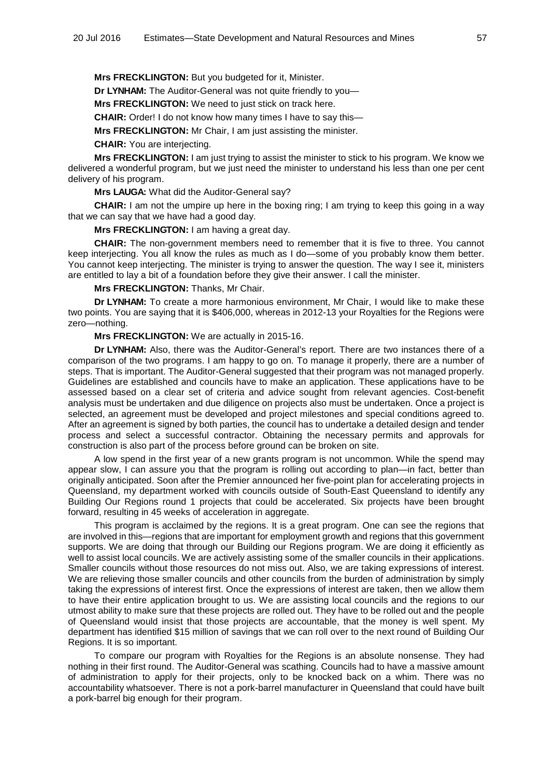**Mrs FRECKLINGTON:** But you budgeted for it, Minister.

**Dr LYNHAM:** The Auditor-General was not quite friendly to you—

**Mrs FRECKLINGTON:** We need to just stick on track here.

**CHAIR:** Order! I do not know how many times I have to say this—

**Mrs FRECKLINGTON:** Mr Chair, I am just assisting the minister.

**CHAIR:** You are interjecting.

**Mrs FRECKLINGTON:** I am just trying to assist the minister to stick to his program. We know we delivered a wonderful program, but we just need the minister to understand his less than one per cent delivery of his program.

**Mrs LAUGA:** What did the Auditor-General say?

**CHAIR:** I am not the umpire up here in the boxing ring; I am trying to keep this going in a way that we can say that we have had a good day.

**Mrs FRECKLINGTON:** I am having a great day.

**CHAIR:** The non-government members need to remember that it is five to three. You cannot keep interjecting. You all know the rules as much as I do—some of you probably know them better. You cannot keep interjecting. The minister is trying to answer the question. The way I see it, ministers are entitled to lay a bit of a foundation before they give their answer. I call the minister.

**Mrs FRECKLINGTON:** Thanks, Mr Chair.

**Dr LYNHAM:** To create a more harmonious environment, Mr Chair, I would like to make these two points. You are saying that it is \$406,000, whereas in 2012-13 your Royalties for the Regions were zero—nothing.

**Mrs FRECKLINGTON:** We are actually in 2015-16.

**Dr LYNHAM:** Also, there was the Auditor-General's report. There are two instances there of a comparison of the two programs. I am happy to go on. To manage it properly, there are a number of steps. That is important. The Auditor-General suggested that their program was not managed properly. Guidelines are established and councils have to make an application. These applications have to be assessed based on a clear set of criteria and advice sought from relevant agencies. Cost-benefit analysis must be undertaken and due diligence on projects also must be undertaken. Once a project is selected, an agreement must be developed and project milestones and special conditions agreed to. After an agreement is signed by both parties, the council has to undertake a detailed design and tender process and select a successful contractor. Obtaining the necessary permits and approvals for construction is also part of the process before ground can be broken on site.

A low spend in the first year of a new grants program is not uncommon. While the spend may appear slow, I can assure you that the program is rolling out according to plan—in fact, better than originally anticipated. Soon after the Premier announced her five-point plan for accelerating projects in Queensland, my department worked with councils outside of South-East Queensland to identify any Building Our Regions round 1 projects that could be accelerated. Six projects have been brought forward, resulting in 45 weeks of acceleration in aggregate.

This program is acclaimed by the regions. It is a great program. One can see the regions that are involved in this—regions that are important for employment growth and regions that this government supports. We are doing that through our Building our Regions program. We are doing it efficiently as well to assist local councils. We are actively assisting some of the smaller councils in their applications. Smaller councils without those resources do not miss out. Also, we are taking expressions of interest. We are relieving those smaller councils and other councils from the burden of administration by simply taking the expressions of interest first. Once the expressions of interest are taken, then we allow them to have their entire application brought to us. We are assisting local councils and the regions to our utmost ability to make sure that these projects are rolled out. They have to be rolled out and the people of Queensland would insist that those projects are accountable, that the money is well spent. My department has identified \$15 million of savings that we can roll over to the next round of Building Our Regions. It is so important.

To compare our program with Royalties for the Regions is an absolute nonsense. They had nothing in their first round. The Auditor-General was scathing. Councils had to have a massive amount of administration to apply for their projects, only to be knocked back on a whim. There was no accountability whatsoever. There is not a pork-barrel manufacturer in Queensland that could have built a pork-barrel big enough for their program.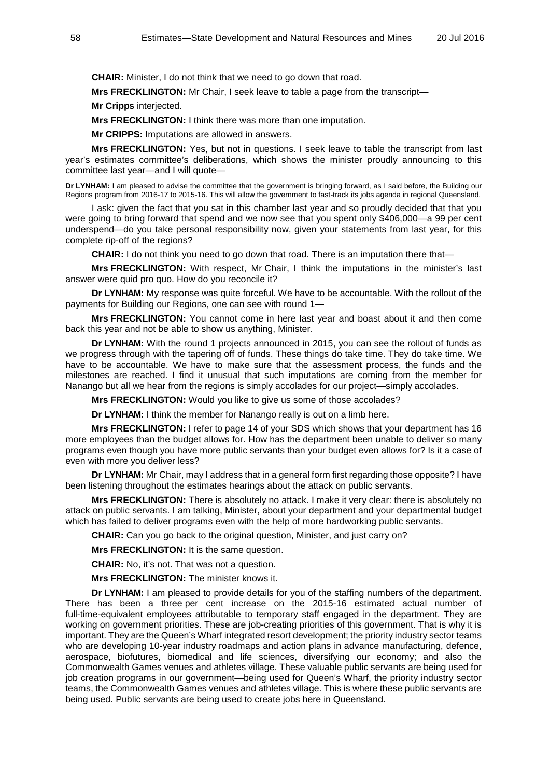**CHAIR:** Minister, I do not think that we need to go down that road.

**Mrs FRECKLINGTON:** Mr Chair, I seek leave to table a page from the transcript—

**Mr Cripps** interjected.

**Mrs FRECKLINGTON:** I think there was more than one imputation.

**Mr CRIPPS:** Imputations are allowed in answers.

**Mrs FRECKLINGTON:** Yes, but not in questions. I seek leave to table the transcript from last year's estimates committee's deliberations, which shows the minister proudly announcing to this committee last year—and I will quote—

**Dr LYNHAM:** I am pleased to advise the committee that the government is bringing forward, as I said before, the Building our Regions program from 2016-17 to 2015-16. This will allow the government to fast-track its jobs agenda in regional Queensland.

I ask: given the fact that you sat in this chamber last year and so proudly decided that that you were going to bring forward that spend and we now see that you spent only \$406,000—a 99 per cent underspend—do you take personal responsibility now, given your statements from last year, for this complete rip-off of the regions?

**CHAIR:** I do not think you need to go down that road. There is an imputation there that—

**Mrs FRECKLINGTON:** With respect, Mr Chair, I think the imputations in the minister's last answer were quid pro quo. How do you reconcile it?

**Dr LYNHAM:** My response was quite forceful. We have to be accountable. With the rollout of the payments for Building our Regions, one can see with round 1—

**Mrs FRECKLINGTON:** You cannot come in here last year and boast about it and then come back this year and not be able to show us anything, Minister.

**Dr LYNHAM:** With the round 1 projects announced in 2015, you can see the rollout of funds as we progress through with the tapering off of funds. These things do take time. They do take time. We have to be accountable. We have to make sure that the assessment process, the funds and the milestones are reached. I find it unusual that such imputations are coming from the member for Nanango but all we hear from the regions is simply accolades for our project—simply accolades.

**Mrs FRECKLINGTON:** Would you like to give us some of those accolades?

**Dr LYNHAM:** I think the member for Nanango really is out on a limb here.

**Mrs FRECKLINGTON:** I refer to page 14 of your SDS which shows that your department has 16 more employees than the budget allows for. How has the department been unable to deliver so many programs even though you have more public servants than your budget even allows for? Is it a case of even with more you deliver less?

**Dr LYNHAM:** Mr Chair, may I address that in a general form first regarding those opposite? I have been listening throughout the estimates hearings about the attack on public servants.

**Mrs FRECKLINGTON:** There is absolutely no attack. I make it very clear: there is absolutely no attack on public servants. I am talking, Minister, about your department and your departmental budget which has failed to deliver programs even with the help of more hardworking public servants.

**CHAIR:** Can you go back to the original question, Minister, and just carry on?

**Mrs FRECKLINGTON:** It is the same question.

**CHAIR:** No, it's not. That was not a question.

**Mrs FRECKLINGTON:** The minister knows it.

**Dr LYNHAM:** I am pleased to provide details for you of the staffing numbers of the department. There has been a three per cent increase on the 2015-16 estimated actual number of full-time-equivalent employees attributable to temporary staff engaged in the department. They are working on government priorities. These are job-creating priorities of this government. That is why it is important. They are the Queen's Wharf integrated resort development; the priority industry sector teams who are developing 10-year industry roadmaps and action plans in advance manufacturing, defence, aerospace, biofutures, biomedical and life sciences, diversifying our economy; and also the Commonwealth Games venues and athletes village. These valuable public servants are being used for job creation programs in our government—being used for Queen's Wharf, the priority industry sector teams, the Commonwealth Games venues and athletes village. This is where these public servants are being used. Public servants are being used to create jobs here in Queensland.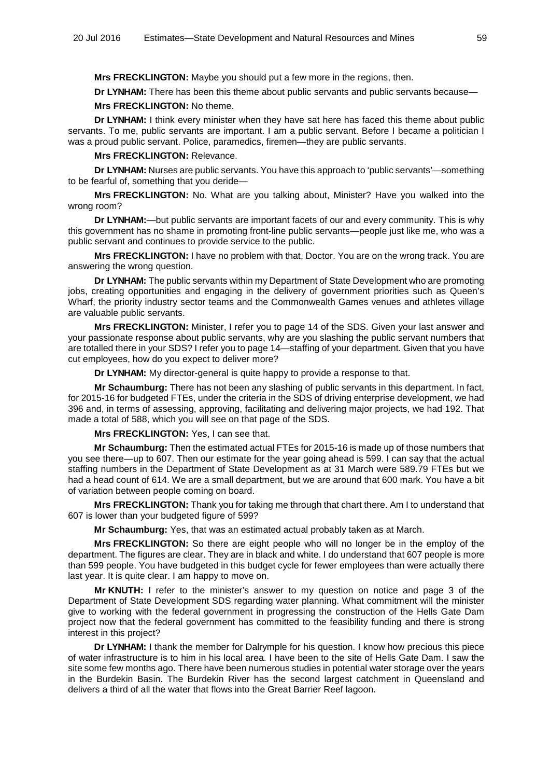**Mrs FRECKLINGTON:** Maybe you should put a few more in the regions, then.

**Dr LYNHAM:** There has been this theme about public servants and public servants because

#### **Mrs FRECKLINGTON:** No theme.

**Dr LYNHAM:** I think every minister when they have sat here has faced this theme about public servants. To me, public servants are important. I am a public servant. Before I became a politician I was a proud public servant. Police, paramedics, firemen—they are public servants.

**Mrs FRECKLINGTON:** Relevance.

**Dr LYNHAM:** Nurses are public servants. You have this approach to 'public servants'—something to be fearful of, something that you deride—

**Mrs FRECKLINGTON:** No. What are you talking about, Minister? Have you walked into the wrong room?

**Dr LYNHAM:**—but public servants are important facets of our and every community. This is why this government has no shame in promoting front-line public servants—people just like me, who was a public servant and continues to provide service to the public.

**Mrs FRECKLINGTON:** I have no problem with that, Doctor. You are on the wrong track. You are answering the wrong question.

**Dr LYNHAM:** The public servants within my Department of State Development who are promoting jobs, creating opportunities and engaging in the delivery of government priorities such as Queen's Wharf, the priority industry sector teams and the Commonwealth Games venues and athletes village are valuable public servants.

**Mrs FRECKLINGTON:** Minister, I refer you to page 14 of the SDS. Given your last answer and your passionate response about public servants, why are you slashing the public servant numbers that are totalled there in your SDS? I refer you to page 14—staffing of your department. Given that you have cut employees, how do you expect to deliver more?

**Dr LYNHAM:** My director-general is quite happy to provide a response to that.

**Mr Schaumburg:** There has not been any slashing of public servants in this department. In fact, for 2015-16 for budgeted FTEs, under the criteria in the SDS of driving enterprise development, we had 396 and, in terms of assessing, approving, facilitating and delivering major projects, we had 192. That made a total of 588, which you will see on that page of the SDS.

**Mrs FRECKLINGTON:** Yes, I can see that.

**Mr Schaumburg:** Then the estimated actual FTEs for 2015-16 is made up of those numbers that you see there—up to 607. Then our estimate for the year going ahead is 599. I can say that the actual staffing numbers in the Department of State Development as at 31 March were 589.79 FTEs but we had a head count of 614. We are a small department, but we are around that 600 mark. You have a bit of variation between people coming on board.

**Mrs FRECKLINGTON:** Thank you for taking me through that chart there. Am I to understand that 607 is lower than your budgeted figure of 599?

**Mr Schaumburg:** Yes, that was an estimated actual probably taken as at March.

**Mrs FRECKLINGTON:** So there are eight people who will no longer be in the employ of the department. The figures are clear. They are in black and white. I do understand that 607 people is more than 599 people. You have budgeted in this budget cycle for fewer employees than were actually there last year. It is quite clear. I am happy to move on.

**Mr KNUTH:** I refer to the minister's answer to my question on notice and page 3 of the Department of State Development SDS regarding water planning. What commitment will the minister give to working with the federal government in progressing the construction of the Hells Gate Dam project now that the federal government has committed to the feasibility funding and there is strong interest in this project?

**Dr LYNHAM:** I thank the member for Dalrymple for his question. I know how precious this piece of water infrastructure is to him in his local area. I have been to the site of Hells Gate Dam. I saw the site some few months ago. There have been numerous studies in potential water storage over the years in the Burdekin Basin. The Burdekin River has the second largest catchment in Queensland and delivers a third of all the water that flows into the Great Barrier Reef lagoon.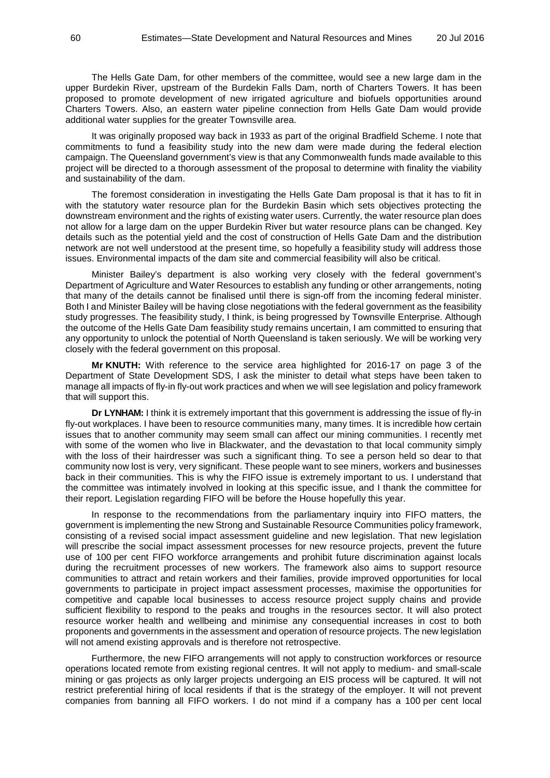The Hells Gate Dam, for other members of the committee, would see a new large dam in the upper Burdekin River, upstream of the Burdekin Falls Dam, north of Charters Towers. It has been proposed to promote development of new irrigated agriculture and biofuels opportunities around Charters Towers. Also, an eastern water pipeline connection from Hells Gate Dam would provide additional water supplies for the greater Townsville area.

It was originally proposed way back in 1933 as part of the original Bradfield Scheme. I note that commitments to fund a feasibility study into the new dam were made during the federal election campaign. The Queensland government's view is that any Commonwealth funds made available to this project will be directed to a thorough assessment of the proposal to determine with finality the viability and sustainability of the dam.

The foremost consideration in investigating the Hells Gate Dam proposal is that it has to fit in with the statutory water resource plan for the Burdekin Basin which sets objectives protecting the downstream environment and the rights of existing water users. Currently, the water resource plan does not allow for a large dam on the upper Burdekin River but water resource plans can be changed. Key details such as the potential yield and the cost of construction of Hells Gate Dam and the distribution network are not well understood at the present time, so hopefully a feasibility study will address those issues. Environmental impacts of the dam site and commercial feasibility will also be critical.

Minister Bailey's department is also working very closely with the federal government's Department of Agriculture and Water Resources to establish any funding or other arrangements, noting that many of the details cannot be finalised until there is sign-off from the incoming federal minister. Both I and Minister Bailey will be having close negotiations with the federal government as the feasibility study progresses. The feasibility study, I think, is being progressed by Townsville Enterprise. Although the outcome of the Hells Gate Dam feasibility study remains uncertain, I am committed to ensuring that any opportunity to unlock the potential of North Queensland is taken seriously. We will be working very closely with the federal government on this proposal.

**Mr KNUTH:** With reference to the service area highlighted for 2016-17 on page 3 of the Department of State Development SDS, I ask the minister to detail what steps have been taken to manage all impacts of fly-in fly-out work practices and when we will see legislation and policy framework that will support this.

**Dr LYNHAM:** I think it is extremely important that this government is addressing the issue of fly-in fly-out workplaces. I have been to resource communities many, many times. It is incredible how certain issues that to another community may seem small can affect our mining communities. I recently met with some of the women who live in Blackwater, and the devastation to that local community simply with the loss of their hairdresser was such a significant thing. To see a person held so dear to that community now lost is very, very significant. These people want to see miners, workers and businesses back in their communities. This is why the FIFO issue is extremely important to us. I understand that the committee was intimately involved in looking at this specific issue, and I thank the committee for their report. Legislation regarding FIFO will be before the House hopefully this year.

In response to the recommendations from the parliamentary inquiry into FIFO matters, the government is implementing the new Strong and Sustainable Resource Communities policy framework, consisting of a revised social impact assessment guideline and new legislation. That new legislation will prescribe the social impact assessment processes for new resource projects, prevent the future use of 100 per cent FIFO workforce arrangements and prohibit future discrimination against locals during the recruitment processes of new workers. The framework also aims to support resource communities to attract and retain workers and their families, provide improved opportunities for local governments to participate in project impact assessment processes, maximise the opportunities for competitive and capable local businesses to access resource project supply chains and provide sufficient flexibility to respond to the peaks and troughs in the resources sector. It will also protect resource worker health and wellbeing and minimise any consequential increases in cost to both proponents and governments in the assessment and operation of resource projects. The new legislation will not amend existing approvals and is therefore not retrospective.

Furthermore, the new FIFO arrangements will not apply to construction workforces or resource operations located remote from existing regional centres. It will not apply to medium- and small-scale mining or gas projects as only larger projects undergoing an EIS process will be captured. It will not restrict preferential hiring of local residents if that is the strategy of the employer. It will not prevent companies from banning all FIFO workers. I do not mind if a company has a 100 per cent local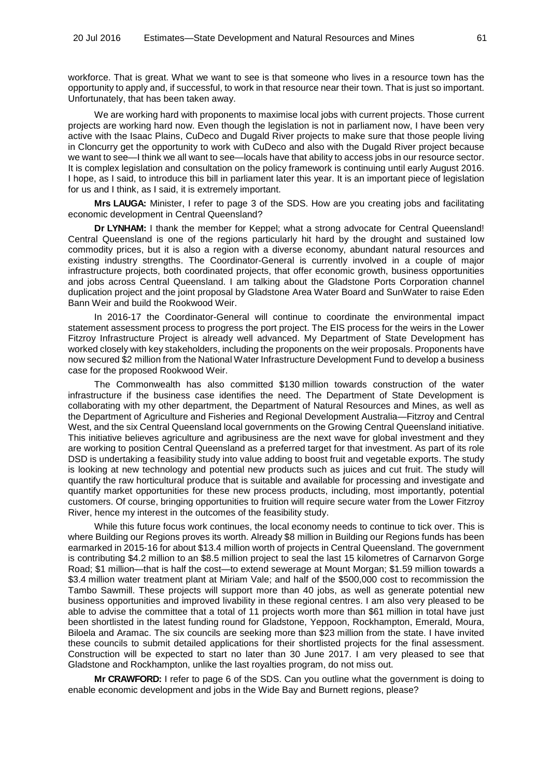workforce. That is great. What we want to see is that someone who lives in a resource town has the opportunity to apply and, if successful, to work in that resource near their town. That is just so important. Unfortunately, that has been taken away.

We are working hard with proponents to maximise local jobs with current projects. Those current projects are working hard now. Even though the legislation is not in parliament now, I have been very active with the Isaac Plains, CuDeco and Dugald River projects to make sure that those people living in Cloncurry get the opportunity to work with CuDeco and also with the Dugald River project because we want to see—I think we all want to see—locals have that ability to access jobs in our resource sector. It is complex legislation and consultation on the policy framework is continuing until early August 2016. I hope, as I said, to introduce this bill in parliament later this year. It is an important piece of legislation for us and I think, as I said, it is extremely important.

**Mrs LAUGA:** Minister, I refer to page 3 of the SDS. How are you creating jobs and facilitating economic development in Central Queensland?

**Dr LYNHAM:** I thank the member for Keppel; what a strong advocate for Central Queensland! Central Queensland is one of the regions particularly hit hard by the drought and sustained low commodity prices, but it is also a region with a diverse economy, abundant natural resources and existing industry strengths. The Coordinator-General is currently involved in a couple of major infrastructure projects, both coordinated projects, that offer economic growth, business opportunities and jobs across Central Queensland. I am talking about the Gladstone Ports Corporation channel duplication project and the joint proposal by Gladstone Area Water Board and SunWater to raise Eden Bann Weir and build the Rookwood Weir.

In 2016-17 the Coordinator-General will continue to coordinate the environmental impact statement assessment process to progress the port project. The EIS process for the weirs in the Lower Fitzroy Infrastructure Project is already well advanced. My Department of State Development has worked closely with key stakeholders, including the proponents on the weir proposals. Proponents have now secured \$2 million from the National Water Infrastructure Development Fund to develop a business case for the proposed Rookwood Weir.

The Commonwealth has also committed \$130 million towards construction of the water infrastructure if the business case identifies the need. The Department of State Development is collaborating with my other department, the Department of Natural Resources and Mines, as well as the Department of Agriculture and Fisheries and Regional Development Australia—Fitzroy and Central West, and the six Central Queensland local governments on the Growing Central Queensland initiative. This initiative believes agriculture and agribusiness are the next wave for global investment and they are working to position Central Queensland as a preferred target for that investment. As part of its role DSD is undertaking a feasibility study into value adding to boost fruit and vegetable exports. The study is looking at new technology and potential new products such as juices and cut fruit. The study will quantify the raw horticultural produce that is suitable and available for processing and investigate and quantify market opportunities for these new process products, including, most importantly, potential customers. Of course, bringing opportunities to fruition will require secure water from the Lower Fitzroy River, hence my interest in the outcomes of the feasibility study.

While this future focus work continues, the local economy needs to continue to tick over. This is where Building our Regions proves its worth. Already \$8 million in Building our Regions funds has been earmarked in 2015-16 for about \$13.4 million worth of projects in Central Queensland. The government is contributing \$4.2 million to an \$8.5 million project to seal the last 15 kilometres of Carnarvon Gorge Road; \$1 million—that is half the cost—to extend sewerage at Mount Morgan; \$1.59 million towards a \$3.4 million water treatment plant at Miriam Vale; and half of the \$500,000 cost to recommission the Tambo Sawmill. These projects will support more than 40 jobs, as well as generate potential new business opportunities and improved livability in these regional centres. I am also very pleased to be able to advise the committee that a total of 11 projects worth more than \$61 million in total have just been shortlisted in the latest funding round for Gladstone, Yeppoon, Rockhampton, Emerald, Moura, Biloela and Aramac. The six councils are seeking more than \$23 million from the state. I have invited these councils to submit detailed applications for their shortlisted projects for the final assessment. Construction will be expected to start no later than 30 June 2017. I am very pleased to see that Gladstone and Rockhampton, unlike the last royalties program, do not miss out.

**Mr CRAWFORD:** I refer to page 6 of the SDS. Can you outline what the government is doing to enable economic development and jobs in the Wide Bay and Burnett regions, please?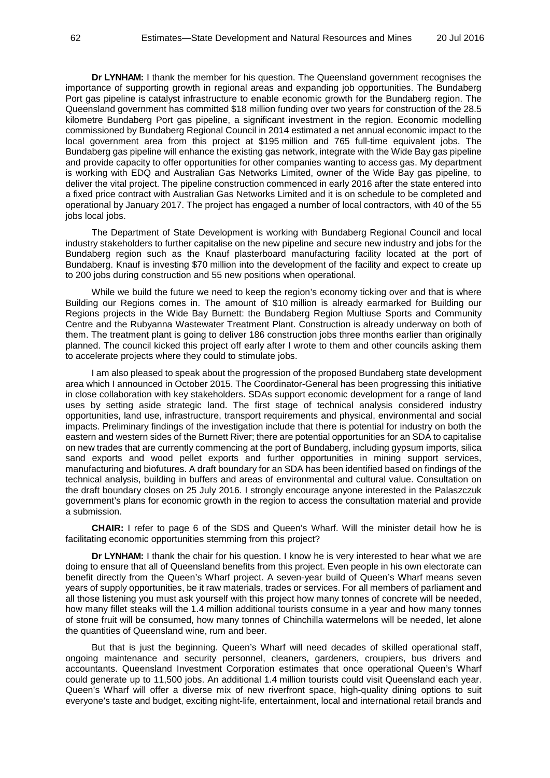**Dr LYNHAM:** I thank the member for his question. The Queensland government recognises the importance of supporting growth in regional areas and expanding job opportunities. The Bundaberg Port gas pipeline is catalyst infrastructure to enable economic growth for the Bundaberg region. The Queensland government has committed \$18 million funding over two years for construction of the 28.5 kilometre Bundaberg Port gas pipeline, a significant investment in the region. Economic modelling commissioned by Bundaberg Regional Council in 2014 estimated a net annual economic impact to the local government area from this project at \$195 million and 765 full-time equivalent jobs. The Bundaberg gas pipeline will enhance the existing gas network, integrate with the Wide Bay gas pipeline and provide capacity to offer opportunities for other companies wanting to access gas. My department is working with EDQ and Australian Gas Networks Limited, owner of the Wide Bay gas pipeline, to deliver the vital project. The pipeline construction commenced in early 2016 after the state entered into a fixed price contract with Australian Gas Networks Limited and it is on schedule to be completed and operational by January 2017. The project has engaged a number of local contractors, with 40 of the 55 jobs local jobs.

The Department of State Development is working with Bundaberg Regional Council and local industry stakeholders to further capitalise on the new pipeline and secure new industry and jobs for the Bundaberg region such as the Knauf plasterboard manufacturing facility located at the port of Bundaberg. Knauf is investing \$70 million into the development of the facility and expect to create up to 200 jobs during construction and 55 new positions when operational.

While we build the future we need to keep the region's economy ticking over and that is where Building our Regions comes in. The amount of \$10 million is already earmarked for Building our Regions projects in the Wide Bay Burnett: the Bundaberg Region Multiuse Sports and Community Centre and the Rubyanna Wastewater Treatment Plant. Construction is already underway on both of them. The treatment plant is going to deliver 186 construction jobs three months earlier than originally planned. The council kicked this project off early after I wrote to them and other councils asking them to accelerate projects where they could to stimulate jobs.

I am also pleased to speak about the progression of the proposed Bundaberg state development area which I announced in October 2015. The Coordinator-General has been progressing this initiative in close collaboration with key stakeholders. SDAs support economic development for a range of land uses by setting aside strategic land. The first stage of technical analysis considered industry opportunities, land use, infrastructure, transport requirements and physical, environmental and social impacts. Preliminary findings of the investigation include that there is potential for industry on both the eastern and western sides of the Burnett River; there are potential opportunities for an SDA to capitalise on new trades that are currently commencing at the port of Bundaberg, including gypsum imports, silica sand exports and wood pellet exports and further opportunities in mining support services, manufacturing and biofutures. A draft boundary for an SDA has been identified based on findings of the technical analysis, building in buffers and areas of environmental and cultural value. Consultation on the draft boundary closes on 25 July 2016. I strongly encourage anyone interested in the Palaszczuk government's plans for economic growth in the region to access the consultation material and provide a submission.

**CHAIR:** I refer to page 6 of the SDS and Queen's Wharf. Will the minister detail how he is facilitating economic opportunities stemming from this project?

**Dr LYNHAM:** I thank the chair for his question. I know he is very interested to hear what we are doing to ensure that all of Queensland benefits from this project. Even people in his own electorate can benefit directly from the Queen's Wharf project. A seven-year build of Queen's Wharf means seven years of supply opportunities, be it raw materials, trades or services. For all members of parliament and all those listening you must ask yourself with this project how many tonnes of concrete will be needed, how many fillet steaks will the 1.4 million additional tourists consume in a year and how many tonnes of stone fruit will be consumed, how many tonnes of Chinchilla watermelons will be needed, let alone the quantities of Queensland wine, rum and beer.

But that is just the beginning. Queen's Wharf will need decades of skilled operational staff, ongoing maintenance and security personnel, cleaners, gardeners, croupiers, bus drivers and accountants. Queensland Investment Corporation estimates that once operational Queen's Wharf could generate up to 11,500 jobs. An additional 1.4 million tourists could visit Queensland each year. Queen's Wharf will offer a diverse mix of new riverfront space, high-quality dining options to suit everyone's taste and budget, exciting night-life, entertainment, local and international retail brands and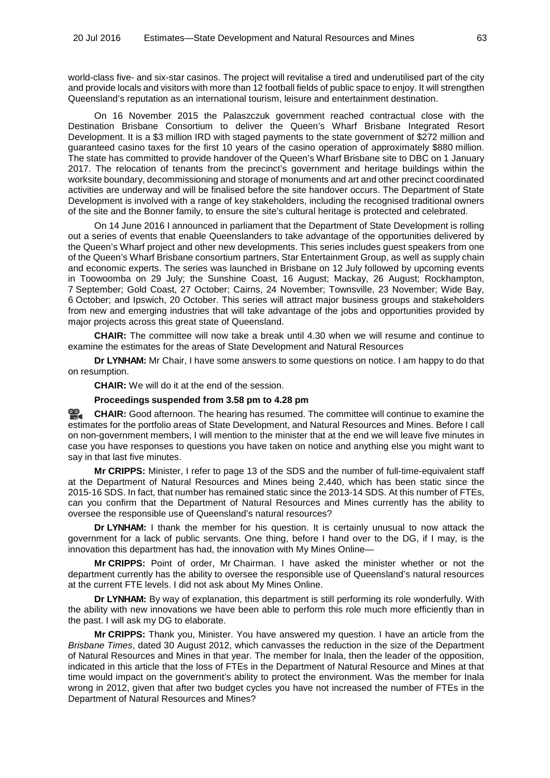world-class five- and six-star casinos. The project will revitalise a tired and underutilised part of the city and provide locals and visitors with more than 12 football fields of public space to enjoy. It will strengthen Queensland's reputation as an international tourism, leisure and entertainment destination.

On 16 November 2015 the Palaszczuk government reached contractual close with the Destination Brisbane Consortium to deliver the Queen's Wharf Brisbane Integrated Resort Development. It is a \$3 million IRD with staged payments to the state government of \$272 million and guaranteed casino taxes for the first 10 years of the casino operation of approximately \$880 million. The state has committed to provide handover of the Queen's Wharf Brisbane site to DBC on 1 January 2017. The relocation of tenants from the precinct's government and heritage buildings within the worksite boundary, decommissioning and storage of monuments and art and other precinct coordinated activities are underway and will be finalised before the site handover occurs. The Department of State Development is involved with a range of key stakeholders, including the recognised traditional owners of the site and the Bonner family, to ensure the site's cultural heritage is protected and celebrated.

On 14 June 2016 I announced in parliament that the Department of State Development is rolling out a series of events that enable Queenslanders to take advantage of the opportunities delivered by the Queen's Wharf project and other new developments. This series includes guest speakers from one of the Queen's Wharf Brisbane consortium partners, Star Entertainment Group, as well as supply chain and economic experts. The series was launched in Brisbane on 12 July followed by upcoming events in Toowoomba on 29 July; the Sunshine Coast, 16 August; Mackay, 26 August; Rockhampton, 7 September; Gold Coast, 27 October; Cairns, 24 November; Townsville, 23 November; Wide Bay, 6 October; and Ipswich, 20 October. This series will attract major business groups and stakeholders from new and emerging industries that will take advantage of the jobs and opportunities provided by major projects across this great state of Queensland.

**CHAIR:** The committee will now take a break until 4.30 when we will resume and continue to examine the estimates for the areas of State Development and Natural Resources

**Dr LYNHAM:** Mr Chair, I have some answers to some questions on notice. I am happy to do that on resumption.

**CHAIR:** We will do it at the end of the session.

#### **Proceedings suspended from 3.58 pm to 4.28 pm**

<u>ഇ.</u> **[CHAIR:](http://www.parliament.qld.gov.au/docs/find.aspx?id=0Mba20160720_162902)** Good afternoon. The hearing has resumed. The committee will continue to examine the estimates for the portfolio areas of State Development, and Natural Resources and Mines. Before I call on non-government members, I will mention to the minister that at the end we will leave five minutes in case you have responses to questions you have taken on notice and anything else you might want to say in that last five minutes.

**Mr CRIPPS:** Minister, I refer to page 13 of the SDS and the number of full-time-equivalent staff at the Department of Natural Resources and Mines being 2,440, which has been static since the 2015-16 SDS. In fact, that number has remained static since the 2013-14 SDS. At this number of FTEs, can you confirm that the Department of Natural Resources and Mines currently has the ability to oversee the responsible use of Queensland's natural resources?

**Dr LYNHAM:** I thank the member for his question. It is certainly unusual to now attack the government for a lack of public servants. One thing, before I hand over to the DG, if I may, is the innovation this department has had, the innovation with My Mines Online—

**Mr CRIPPS:** Point of order, Mr Chairman. I have asked the minister whether or not the department currently has the ability to oversee the responsible use of Queensland's natural resources at the current FTE levels. I did not ask about My Mines Online.

**Dr LYNHAM:** By way of explanation, this department is still performing its role wonderfully. With the ability with new innovations we have been able to perform this role much more efficiently than in the past. I will ask my DG to elaborate.

**Mr CRIPPS:** Thank you, Minister. You have answered my question. I have an article from the *Brisbane Times*, dated 30 August 2012, which canvasses the reduction in the size of the Department of Natural Resources and Mines in that year. The member for Inala, then the leader of the opposition, indicated in this article that the loss of FTEs in the Department of Natural Resource and Mines at that time would impact on the government's ability to protect the environment. Was the member for Inala wrong in 2012, given that after two budget cycles you have not increased the number of FTEs in the Department of Natural Resources and Mines?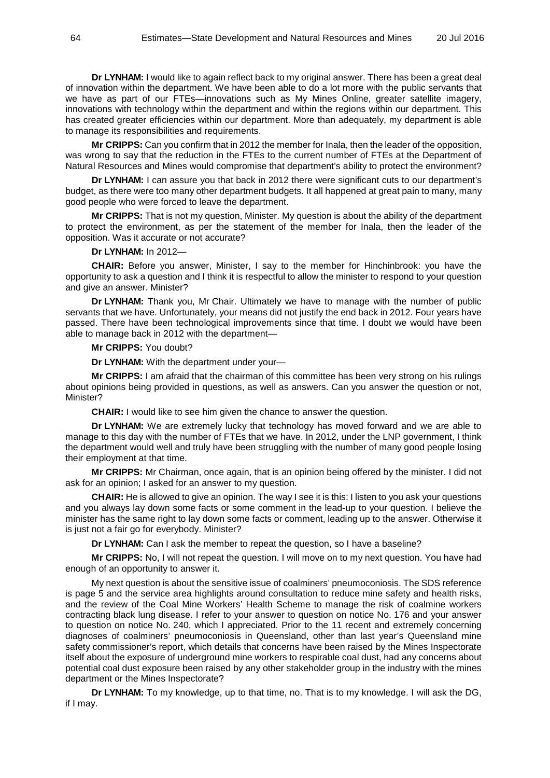**Dr LYNHAM:** I would like to again reflect back to my original answer. There has been a great deal of innovation within the department. We have been able to do a lot more with the public servants that we have as part of our FTEs—innovations such as My Mines Online, greater satellite imagery, innovations with technology within the department and within the regions within our department. This has created greater efficiencies within our department. More than adequately, my department is able to manage its responsibilities and requirements.

**Mr CRIPPS:** Can you confirm that in 2012 the member for Inala, then the leader of the opposition, was wrong to say that the reduction in the FTEs to the current number of FTEs at the Department of Natural Resources and Mines would compromise that department's ability to protect the environment?

**Dr LYNHAM:** I can assure you that back in 2012 there were significant cuts to our department's budget, as there were too many other department budgets. It all happened at great pain to many, many good people who were forced to leave the department.

**Mr CRIPPS:** That is not my question, Minister. My question is about the ability of the department to protect the environment, as per the statement of the member for Inala, then the leader of the opposition. Was it accurate or not accurate?

#### **Dr LYNHAM:** In 2012—

**CHAIR:** Before you answer, Minister, I say to the member for Hinchinbrook: you have the opportunity to ask a question and I think it is respectful to allow the minister to respond to your question and give an answer. Minister?

**Dr LYNHAM:** Thank you, Mr Chair. Ultimately we have to manage with the number of public servants that we have. Unfortunately, your means did not justify the end back in 2012. Four years have passed. There have been technological improvements since that time. I doubt we would have been able to manage back in 2012 with the department—

**Mr CRIPPS:** You doubt?

**Dr LYNHAM:** With the department under your—

**Mr CRIPPS:** I am afraid that the chairman of this committee has been very strong on his rulings about opinions being provided in questions, as well as answers. Can you answer the question or not, Minister?

**CHAIR:** I would like to see him given the chance to answer the question.

**Dr LYNHAM:** We are extremely lucky that technology has moved forward and we are able to manage to this day with the number of FTEs that we have. In 2012, under the LNP government, I think the department would well and truly have been struggling with the number of many good people losing their employment at that time.

**Mr CRIPPS:** Mr Chairman, once again, that is an opinion being offered by the minister. I did not ask for an opinion; I asked for an answer to my question.

**CHAIR:** He is allowed to give an opinion. The way I see it is this: I listen to you ask your questions and you always lay down some facts or some comment in the lead-up to your question. I believe the minister has the same right to lay down some facts or comment, leading up to the answer. Otherwise it is just not a fair go for everybody. Minister?

**Dr LYNHAM:** Can I ask the member to repeat the question, so I have a baseline?

**Mr CRIPPS:** No, I will not repeat the question. I will move on to my next question. You have had enough of an opportunity to answer it.

My next question is about the sensitive issue of coalminers' pneumoconiosis. The SDS reference is page 5 and the service area highlights around consultation to reduce mine safety and health risks, and the review of the Coal Mine Workers' Health Scheme to manage the risk of coalmine workers contracting black lung disease. I refer to your answer to question on notice No. 176 and your answer to question on notice No. 240, which I appreciated. Prior to the 11 recent and extremely concerning diagnoses of coalminers' pneumoconiosis in Queensland, other than last year's Queensland mine safety commissioner's report, which details that concerns have been raised by the Mines Inspectorate itself about the exposure of underground mine workers to respirable coal dust, had any concerns about potential coal dust exposure been raised by any other stakeholder group in the industry with the mines department or the Mines Inspectorate?

**Dr LYNHAM:** To my knowledge, up to that time, no. That is to my knowledge. I will ask the DG, if I may.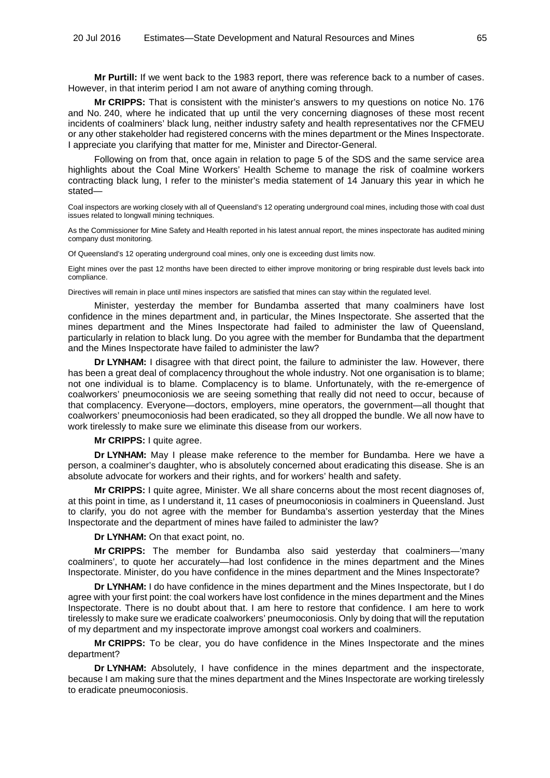**Mr Purtill:** If we went back to the 1983 report, there was reference back to a number of cases. However, in that interim period I am not aware of anything coming through.

**Mr CRIPPS:** That is consistent with the minister's answers to my questions on notice No. 176 and No. 240, where he indicated that up until the very concerning diagnoses of these most recent incidents of coalminers' black lung, neither industry safety and health representatives nor the CFMEU or any other stakeholder had registered concerns with the mines department or the Mines Inspectorate. I appreciate you clarifying that matter for me, Minister and Director-General.

Following on from that, once again in relation to page 5 of the SDS and the same service area highlights about the Coal Mine Workers' Health Scheme to manage the risk of coalmine workers contracting black lung, I refer to the minister's media statement of 14 January this year in which he stated—

Coal inspectors are working closely with all of Queensland's 12 operating underground coal mines, including those with coal dust issues related to longwall mining techniques.

As the Commissioner for Mine Safety and Health reported in his latest annual report, the mines inspectorate has audited mining company dust monitoring.

Of Queensland's 12 operating underground coal mines, only one is exceeding dust limits now.

Eight mines over the past 12 months have been directed to either improve monitoring or bring respirable dust levels back into compliance.

Directives will remain in place until mines inspectors are satisfied that mines can stay within the regulated level.

Minister, yesterday the member for Bundamba asserted that many coalminers have lost confidence in the mines department and, in particular, the Mines Inspectorate. She asserted that the mines department and the Mines Inspectorate had failed to administer the law of Queensland, particularly in relation to black lung. Do you agree with the member for Bundamba that the department and the Mines Inspectorate have failed to administer the law?

**Dr LYNHAM:** I disagree with that direct point, the failure to administer the law. However, there has been a great deal of complacency throughout the whole industry. Not one organisation is to blame; not one individual is to blame. Complacency is to blame. Unfortunately, with the re-emergence of coalworkers' pneumoconiosis we are seeing something that really did not need to occur, because of that complacency. Everyone—doctors, employers, mine operators, the government—all thought that coalworkers' pneumoconiosis had been eradicated, so they all dropped the bundle. We all now have to work tirelessly to make sure we eliminate this disease from our workers.

**Mr CRIPPS:** I quite agree.

**Dr LYNHAM:** May I please make reference to the member for Bundamba. Here we have a person, a coalminer's daughter, who is absolutely concerned about eradicating this disease. She is an absolute advocate for workers and their rights, and for workers' health and safety.

**Mr CRIPPS:** I quite agree, Minister. We all share concerns about the most recent diagnoses of, at this point in time, as I understand it, 11 cases of pneumoconiosis in coalminers in Queensland. Just to clarify, you do not agree with the member for Bundamba's assertion yesterday that the Mines Inspectorate and the department of mines have failed to administer the law?

**Dr LYNHAM:** On that exact point, no.

**Mr CRIPPS:** The member for Bundamba also said yesterday that coalminers—'many coalminers', to quote her accurately—had lost confidence in the mines department and the Mines Inspectorate. Minister, do you have confidence in the mines department and the Mines Inspectorate?

**Dr LYNHAM:** I do have confidence in the mines department and the Mines Inspectorate, but I do agree with your first point: the coal workers have lost confidence in the mines department and the Mines Inspectorate. There is no doubt about that. I am here to restore that confidence. I am here to work tirelessly to make sure we eradicate coalworkers' pneumoconiosis. Only by doing that will the reputation of my department and my inspectorate improve amongst coal workers and coalminers.

**Mr CRIPPS:** To be clear, you do have confidence in the Mines Inspectorate and the mines department?

**Dr LYNHAM:** Absolutely, I have confidence in the mines department and the inspectorate, because I am making sure that the mines department and the Mines Inspectorate are working tirelessly to eradicate pneumoconiosis.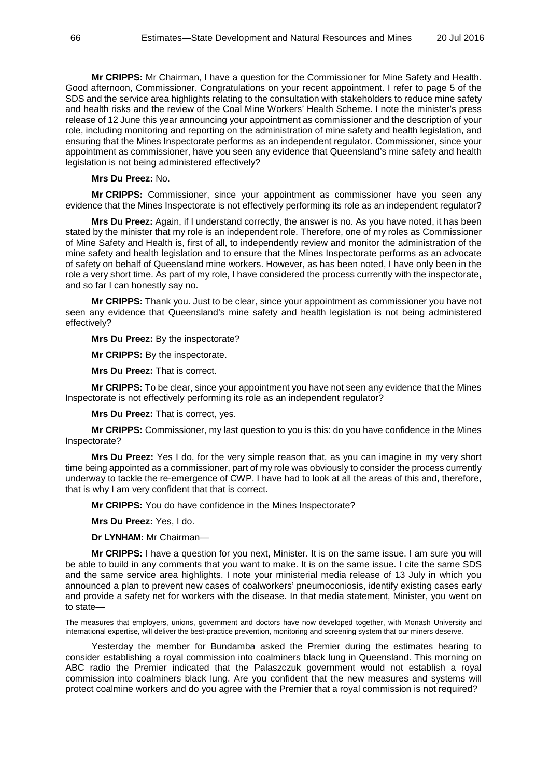**Mr CRIPPS:** Mr Chairman, I have a question for the Commissioner for Mine Safety and Health. Good afternoon, Commissioner. Congratulations on your recent appointment. I refer to page 5 of the SDS and the service area highlights relating to the consultation with stakeholders to reduce mine safety and health risks and the review of the Coal Mine Workers' Health Scheme. I note the minister's press release of 12 June this year announcing your appointment as commissioner and the description of your role, including monitoring and reporting on the administration of mine safety and health legislation, and ensuring that the Mines Inspectorate performs as an independent regulator. Commissioner, since your appointment as commissioner, have you seen any evidence that Queensland's mine safety and health legislation is not being administered effectively?

# **Mrs Du Preez:** No.

**Mr CRIPPS:** Commissioner, since your appointment as commissioner have you seen any evidence that the Mines Inspectorate is not effectively performing its role as an independent regulator?

**Mrs Du Preez:** Again, if I understand correctly, the answer is no. As you have noted, it has been stated by the minister that my role is an independent role. Therefore, one of my roles as Commissioner of Mine Safety and Health is, first of all, to independently review and monitor the administration of the mine safety and health legislation and to ensure that the Mines Inspectorate performs as an advocate of safety on behalf of Queensland mine workers. However, as has been noted, I have only been in the role a very short time. As part of my role, I have considered the process currently with the inspectorate, and so far I can honestly say no.

**Mr CRIPPS:** Thank you. Just to be clear, since your appointment as commissioner you have not seen any evidence that Queensland's mine safety and health legislation is not being administered effectively?

## **Mrs Du Preez:** By the inspectorate?

**Mr CRIPPS:** By the inspectorate.

**Mrs Du Preez:** That is correct.

**Mr CRIPPS:** To be clear, since your appointment you have not seen any evidence that the Mines Inspectorate is not effectively performing its role as an independent regulator?

**Mrs Du Preez:** That is correct, yes.

**Mr CRIPPS:** Commissioner, my last question to you is this: do you have confidence in the Mines Inspectorate?

**Mrs Du Preez:** Yes I do, for the very simple reason that, as you can imagine in my very short time being appointed as a commissioner, part of my role was obviously to consider the process currently underway to tackle the re-emergence of CWP. I have had to look at all the areas of this and, therefore, that is why I am very confident that that is correct.

**Mr CRIPPS:** You do have confidence in the Mines Inspectorate?

**Mrs Du Preez:** Yes, I do.

**Dr LYNHAM:** Mr Chairman—

**Mr CRIPPS:** I have a question for you next, Minister. It is on the same issue. I am sure you will be able to build in any comments that you want to make. It is on the same issue. I cite the same SDS and the same service area highlights. I note your ministerial media release of 13 July in which you announced a plan to prevent new cases of coalworkers' pneumoconiosis, identify existing cases early and provide a safety net for workers with the disease. In that media statement, Minister, you went on to state—

The measures that employers, unions, government and doctors have now developed together, with Monash University and international expertise, will deliver the best-practice prevention, monitoring and screening system that our miners deserve.

Yesterday the member for Bundamba asked the Premier during the estimates hearing to consider establishing a royal commission into coalminers black lung in Queensland. This morning on ABC radio the Premier indicated that the Palaszczuk government would not establish a royal commission into coalminers black lung. Are you confident that the new measures and systems will protect coalmine workers and do you agree with the Premier that a royal commission is not required?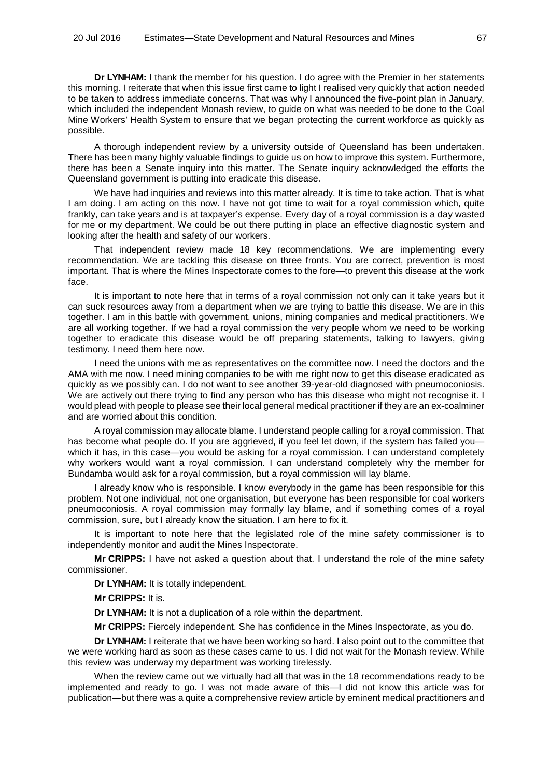**Dr LYNHAM:** I thank the member for his question. I do agree with the Premier in her statements this morning. I reiterate that when this issue first came to light I realised very quickly that action needed to be taken to address immediate concerns. That was why I announced the five-point plan in January, which included the independent Monash review, to guide on what was needed to be done to the Coal Mine Workers' Health System to ensure that we began protecting the current workforce as quickly as possible.

A thorough independent review by a university outside of Queensland has been undertaken. There has been many highly valuable findings to guide us on how to improve this system. Furthermore, there has been a Senate inquiry into this matter. The Senate inquiry acknowledged the efforts the Queensland government is putting into eradicate this disease.

We have had inquiries and reviews into this matter already. It is time to take action. That is what I am doing. I am acting on this now. I have not got time to wait for a royal commission which, quite frankly, can take years and is at taxpayer's expense. Every day of a royal commission is a day wasted for me or my department. We could be out there putting in place an effective diagnostic system and looking after the health and safety of our workers.

That independent review made 18 key recommendations. We are implementing every recommendation. We are tackling this disease on three fronts. You are correct, prevention is most important. That is where the Mines Inspectorate comes to the fore—to prevent this disease at the work face.

It is important to note here that in terms of a royal commission not only can it take years but it can suck resources away from a department when we are trying to battle this disease. We are in this together. I am in this battle with government, unions, mining companies and medical practitioners. We are all working together. If we had a royal commission the very people whom we need to be working together to eradicate this disease would be off preparing statements, talking to lawyers, giving testimony. I need them here now.

I need the unions with me as representatives on the committee now. I need the doctors and the AMA with me now. I need mining companies to be with me right now to get this disease eradicated as quickly as we possibly can. I do not want to see another 39-year-old diagnosed with pneumoconiosis. We are actively out there trying to find any person who has this disease who might not recognise it. I would plead with people to please see their local general medical practitioner if they are an ex-coalminer and are worried about this condition.

A royal commission may allocate blame. I understand people calling for a royal commission. That has become what people do. If you are aggrieved, if you feel let down, if the system has failed youwhich it has, in this case—you would be asking for a royal commission. I can understand completely why workers would want a royal commission. I can understand completely why the member for Bundamba would ask for a royal commission, but a royal commission will lay blame.

I already know who is responsible. I know everybody in the game has been responsible for this problem. Not one individual, not one organisation, but everyone has been responsible for coal workers pneumoconiosis. A royal commission may formally lay blame, and if something comes of a royal commission, sure, but I already know the situation. I am here to fix it.

It is important to note here that the legislated role of the mine safety commissioner is to independently monitor and audit the Mines Inspectorate.

**Mr CRIPPS:** I have not asked a question about that. I understand the role of the mine safety commissioner.

**Dr LYNHAM:** It is totally independent.

**Mr CRIPPS:** It is.

**Dr LYNHAM:** It is not a duplication of a role within the department.

**Mr CRIPPS:** Fiercely independent. She has confidence in the Mines Inspectorate, as you do.

**Dr LYNHAM:** I reiterate that we have been working so hard. I also point out to the committee that we were working hard as soon as these cases came to us. I did not wait for the Monash review. While this review was underway my department was working tirelessly.

When the review came out we virtually had all that was in the 18 recommendations ready to be implemented and ready to go. I was not made aware of this—I did not know this article was for publication—but there was a quite a comprehensive review article by eminent medical practitioners and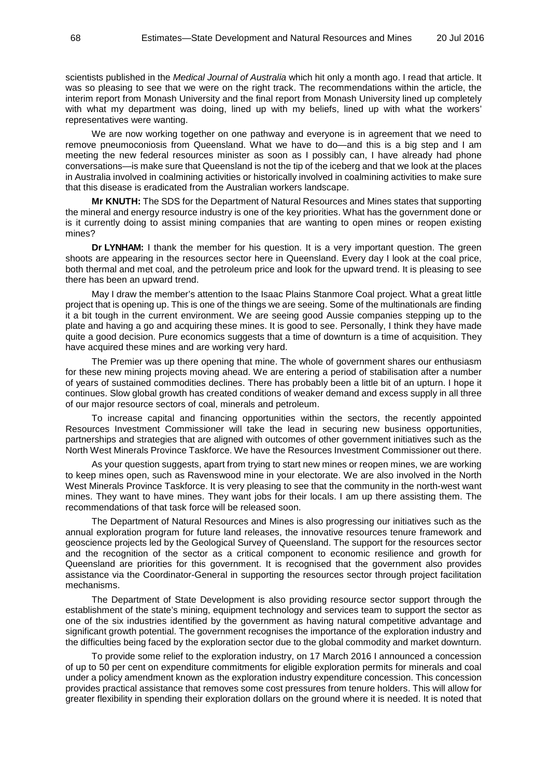scientists published in the *Medical Journal of Australia* which hit only a month ago. I read that article. It was so pleasing to see that we were on the right track. The recommendations within the article, the interim report from Monash University and the final report from Monash University lined up completely with what my department was doing, lined up with my beliefs, lined up with what the workers' representatives were wanting.

We are now working together on one pathway and everyone is in agreement that we need to remove pneumoconiosis from Queensland. What we have to do—and this is a big step and I am meeting the new federal resources minister as soon as I possibly can, I have already had phone conversations—is make sure that Queensland is not the tip of the iceberg and that we look at the places in Australia involved in coalmining activities or historically involved in coalmining activities to make sure that this disease is eradicated from the Australian workers landscape.

**Mr KNUTH:** The SDS for the Department of Natural Resources and Mines states that supporting the mineral and energy resource industry is one of the key priorities. What has the government done or is it currently doing to assist mining companies that are wanting to open mines or reopen existing mines?

**Dr LYNHAM:** I thank the member for his question. It is a very important question. The green shoots are appearing in the resources sector here in Queensland. Every day I look at the coal price, both thermal and met coal, and the petroleum price and look for the upward trend. It is pleasing to see there has been an upward trend.

May I draw the member's attention to the Isaac Plains Stanmore Coal project. What a great little project that is opening up. This is one of the things we are seeing. Some of the multinationals are finding it a bit tough in the current environment. We are seeing good Aussie companies stepping up to the plate and having a go and acquiring these mines. It is good to see. Personally, I think they have made quite a good decision. Pure economics suggests that a time of downturn is a time of acquisition. They have acquired these mines and are working very hard.

The Premier was up there opening that mine. The whole of government shares our enthusiasm for these new mining projects moving ahead. We are entering a period of stabilisation after a number of years of sustained commodities declines. There has probably been a little bit of an upturn. I hope it continues. Slow global growth has created conditions of weaker demand and excess supply in all three of our major resource sectors of coal, minerals and petroleum.

To increase capital and financing opportunities within the sectors, the recently appointed Resources Investment Commissioner will take the lead in securing new business opportunities, partnerships and strategies that are aligned with outcomes of other government initiatives such as the North West Minerals Province Taskforce. We have the Resources Investment Commissioner out there.

As your question suggests, apart from trying to start new mines or reopen mines, we are working to keep mines open, such as Ravenswood mine in your electorate. We are also involved in the North West Minerals Province Taskforce. It is very pleasing to see that the community in the north-west want mines. They want to have mines. They want jobs for their locals. I am up there assisting them. The recommendations of that task force will be released soon.

The Department of Natural Resources and Mines is also progressing our initiatives such as the annual exploration program for future land releases, the innovative resources tenure framework and geoscience projects led by the Geological Survey of Queensland. The support for the resources sector and the recognition of the sector as a critical component to economic resilience and growth for Queensland are priorities for this government. It is recognised that the government also provides assistance via the Coordinator-General in supporting the resources sector through project facilitation mechanisms.

The Department of State Development is also providing resource sector support through the establishment of the state's mining, equipment technology and services team to support the sector as one of the six industries identified by the government as having natural competitive advantage and significant growth potential. The government recognises the importance of the exploration industry and the difficulties being faced by the exploration sector due to the global commodity and market downturn.

To provide some relief to the exploration industry, on 17 March 2016 I announced a concession of up to 50 per cent on expenditure commitments for eligible exploration permits for minerals and coal under a policy amendment known as the exploration industry expenditure concession. This concession provides practical assistance that removes some cost pressures from tenure holders. This will allow for greater flexibility in spending their exploration dollars on the ground where it is needed. It is noted that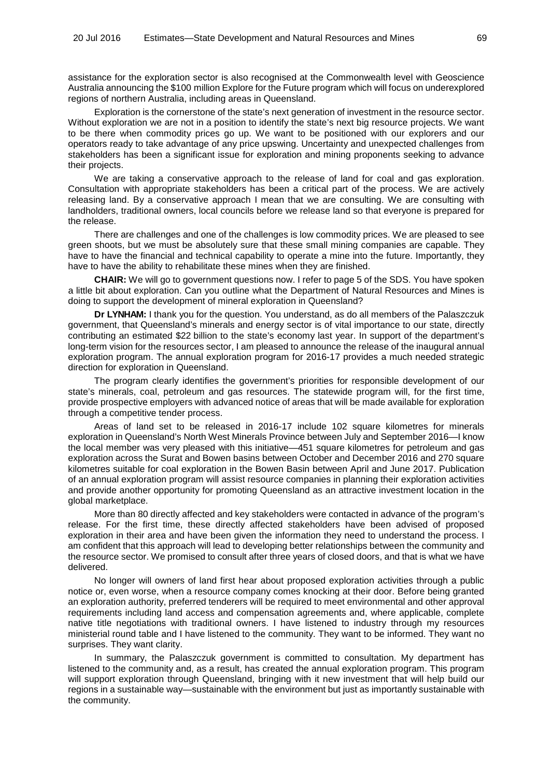assistance for the exploration sector is also recognised at the Commonwealth level with Geoscience Australia announcing the \$100 million Explore for the Future program which will focus on underexplored regions of northern Australia, including areas in Queensland.

Exploration is the cornerstone of the state's next generation of investment in the resource sector. Without exploration we are not in a position to identify the state's next big resource projects. We want to be there when commodity prices go up. We want to be positioned with our explorers and our operators ready to take advantage of any price upswing. Uncertainty and unexpected challenges from stakeholders has been a significant issue for exploration and mining proponents seeking to advance their projects.

We are taking a conservative approach to the release of land for coal and gas exploration. Consultation with appropriate stakeholders has been a critical part of the process. We are actively releasing land. By a conservative approach I mean that we are consulting. We are consulting with landholders, traditional owners, local councils before we release land so that everyone is prepared for the release.

There are challenges and one of the challenges is low commodity prices. We are pleased to see green shoots, but we must be absolutely sure that these small mining companies are capable. They have to have the financial and technical capability to operate a mine into the future. Importantly, they have to have the ability to rehabilitate these mines when they are finished.

**CHAIR:** We will go to government questions now. I refer to page 5 of the SDS. You have spoken a little bit about exploration. Can you outline what the Department of Natural Resources and Mines is doing to support the development of mineral exploration in Queensland?

**Dr LYNHAM:** I thank you for the question. You understand, as do all members of the Palaszczuk government, that Queensland's minerals and energy sector is of vital importance to our state, directly contributing an estimated \$22 billion to the state's economy last year. In support of the department's long-term vision for the resources sector, I am pleased to announce the release of the inaugural annual exploration program. The annual exploration program for 2016-17 provides a much needed strategic direction for exploration in Queensland.

The program clearly identifies the government's priorities for responsible development of our state's minerals, coal, petroleum and gas resources. The statewide program will, for the first time, provide prospective employers with advanced notice of areas that will be made available for exploration through a competitive tender process.

Areas of land set to be released in 2016-17 include 102 square kilometres for minerals exploration in Queensland's North West Minerals Province between July and September 2016—I know the local member was very pleased with this initiative—451 square kilometres for petroleum and gas exploration across the Surat and Bowen basins between October and December 2016 and 270 square kilometres suitable for coal exploration in the Bowen Basin between April and June 2017. Publication of an annual exploration program will assist resource companies in planning their exploration activities and provide another opportunity for promoting Queensland as an attractive investment location in the global marketplace.

More than 80 directly affected and key stakeholders were contacted in advance of the program's release. For the first time, these directly affected stakeholders have been advised of proposed exploration in their area and have been given the information they need to understand the process. I am confident that this approach will lead to developing better relationships between the community and the resource sector. We promised to consult after three years of closed doors, and that is what we have delivered.

No longer will owners of land first hear about proposed exploration activities through a public notice or, even worse, when a resource company comes knocking at their door. Before being granted an exploration authority, preferred tenderers will be required to meet environmental and other approval requirements including land access and compensation agreements and, where applicable, complete native title negotiations with traditional owners. I have listened to industry through my resources ministerial round table and I have listened to the community. They want to be informed. They want no surprises. They want clarity.

In summary, the Palaszczuk government is committed to consultation. My department has listened to the community and, as a result, has created the annual exploration program. This program will support exploration through Queensland, bringing with it new investment that will help build our regions in a sustainable way—sustainable with the environment but just as importantly sustainable with the community.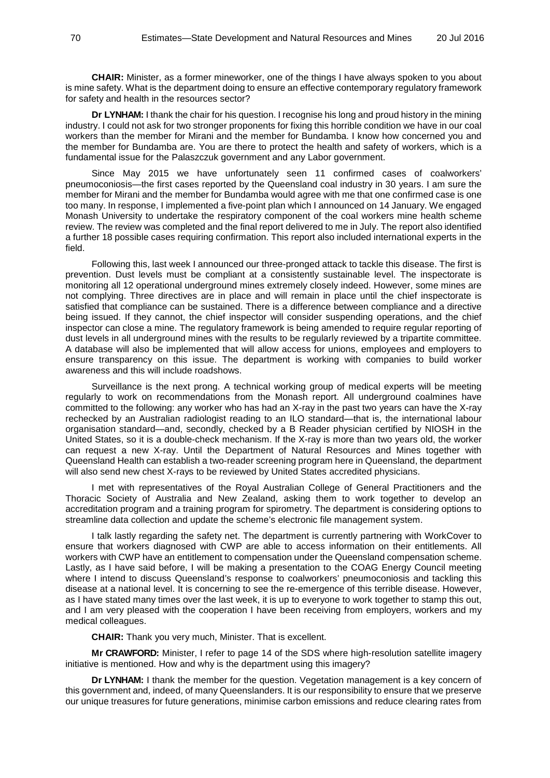**CHAIR:** Minister, as a former mineworker, one of the things I have always spoken to you about is mine safety. What is the department doing to ensure an effective contemporary regulatory framework for safety and health in the resources sector?

**Dr LYNHAM:** I thank the chair for his question. I recognise his long and proud history in the mining industry. I could not ask for two stronger proponents for fixing this horrible condition we have in our coal workers than the member for Mirani and the member for Bundamba. I know how concerned you and the member for Bundamba are. You are there to protect the health and safety of workers, which is a fundamental issue for the Palaszczuk government and any Labor government.

Since May 2015 we have unfortunately seen 11 confirmed cases of coalworkers' pneumoconiosis—the first cases reported by the Queensland coal industry in 30 years. I am sure the member for Mirani and the member for Bundamba would agree with me that one confirmed case is one too many. In response, I implemented a five-point plan which I announced on 14 January. We engaged Monash University to undertake the respiratory component of the coal workers mine health scheme review. The review was completed and the final report delivered to me in July. The report also identified a further 18 possible cases requiring confirmation. This report also included international experts in the field.

Following this, last week I announced our three-pronged attack to tackle this disease. The first is prevention. Dust levels must be compliant at a consistently sustainable level. The inspectorate is monitoring all 12 operational underground mines extremely closely indeed. However, some mines are not complying. Three directives are in place and will remain in place until the chief inspectorate is satisfied that compliance can be sustained. There is a difference between compliance and a directive being issued. If they cannot, the chief inspector will consider suspending operations, and the chief inspector can close a mine. The regulatory framework is being amended to require regular reporting of dust levels in all underground mines with the results to be regularly reviewed by a tripartite committee. A database will also be implemented that will allow access for unions, employees and employers to ensure transparency on this issue. The department is working with companies to build worker awareness and this will include roadshows.

Surveillance is the next prong. A technical working group of medical experts will be meeting regularly to work on recommendations from the Monash report. All underground coalmines have committed to the following: any worker who has had an X-ray in the past two years can have the X-ray rechecked by an Australian radiologist reading to an ILO standard—that is, the international labour organisation standard—and, secondly, checked by a B Reader physician certified by NIOSH in the United States, so it is a double-check mechanism. If the X-ray is more than two years old, the worker can request a new X-ray. Until the Department of Natural Resources and Mines together with Queensland Health can establish a two-reader screening program here in Queensland, the department will also send new chest X-rays to be reviewed by United States accredited physicians.

I met with representatives of the Royal Australian College of General Practitioners and the Thoracic Society of Australia and New Zealand, asking them to work together to develop an accreditation program and a training program for spirometry. The department is considering options to streamline data collection and update the scheme's electronic file management system.

I talk lastly regarding the safety net. The department is currently partnering with WorkCover to ensure that workers diagnosed with CWP are able to access information on their entitlements. All workers with CWP have an entitlement to compensation under the Queensland compensation scheme. Lastly, as I have said before, I will be making a presentation to the COAG Energy Council meeting where I intend to discuss Queensland's response to coalworkers' pneumoconiosis and tackling this disease at a national level. It is concerning to see the re-emergence of this terrible disease. However, as I have stated many times over the last week, it is up to everyone to work together to stamp this out, and I am very pleased with the cooperation I have been receiving from employers, workers and my medical colleagues.

**CHAIR:** Thank you very much, Minister. That is excellent.

**Mr CRAWFORD:** Minister, I refer to page 14 of the SDS where high-resolution satellite imagery initiative is mentioned. How and why is the department using this imagery?

**Dr LYNHAM:** I thank the member for the question. Vegetation management is a key concern of this government and, indeed, of many Queenslanders. It is our responsibility to ensure that we preserve our unique treasures for future generations, minimise carbon emissions and reduce clearing rates from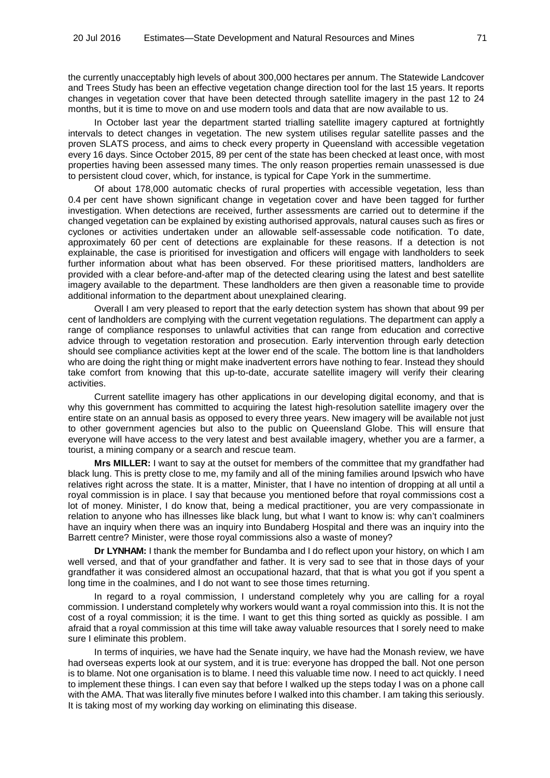the currently unacceptably high levels of about 300,000 hectares per annum. The Statewide Landcover and Trees Study has been an effective vegetation change direction tool for the last 15 years. It reports changes in vegetation cover that have been detected through satellite imagery in the past 12 to 24 months, but it is time to move on and use modern tools and data that are now available to us.

In October last year the department started trialling satellite imagery captured at fortnightly intervals to detect changes in vegetation. The new system utilises regular satellite passes and the proven SLATS process, and aims to check every property in Queensland with accessible vegetation every 16 days. Since October 2015, 89 per cent of the state has been checked at least once, with most properties having been assessed many times. The only reason properties remain unassessed is due to persistent cloud cover, which, for instance, is typical for Cape York in the summertime.

Of about 178,000 automatic checks of rural properties with accessible vegetation, less than 0.4 per cent have shown significant change in vegetation cover and have been tagged for further investigation. When detections are received, further assessments are carried out to determine if the changed vegetation can be explained by existing authorised approvals, natural causes such as fires or cyclones or activities undertaken under an allowable self-assessable code notification. To date, approximately 60 per cent of detections are explainable for these reasons. If a detection is not explainable, the case is prioritised for investigation and officers will engage with landholders to seek further information about what has been observed. For these prioritised matters, landholders are provided with a clear before-and-after map of the detected clearing using the latest and best satellite imagery available to the department. These landholders are then given a reasonable time to provide additional information to the department about unexplained clearing.

Overall I am very pleased to report that the early detection system has shown that about 99 per cent of landholders are complying with the current vegetation regulations. The department can apply a range of compliance responses to unlawful activities that can range from education and corrective advice through to vegetation restoration and prosecution. Early intervention through early detection should see compliance activities kept at the lower end of the scale. The bottom line is that landholders who are doing the right thing or might make inadvertent errors have nothing to fear. Instead they should take comfort from knowing that this up-to-date, accurate satellite imagery will verify their clearing activities.

Current satellite imagery has other applications in our developing digital economy, and that is why this government has committed to acquiring the latest high-resolution satellite imagery over the entire state on an annual basis as opposed to every three years. New imagery will be available not just to other government agencies but also to the public on Queensland Globe. This will ensure that everyone will have access to the very latest and best available imagery, whether you are a farmer, a tourist, a mining company or a search and rescue team.

**Mrs MILLER:** I want to say at the outset for members of the committee that my grandfather had black lung. This is pretty close to me, my family and all of the mining families around Ipswich who have relatives right across the state. It is a matter, Minister, that I have no intention of dropping at all until a royal commission is in place. I say that because you mentioned before that royal commissions cost a lot of money. Minister, I do know that, being a medical practitioner, you are very compassionate in relation to anyone who has illnesses like black lung, but what I want to know is: why can't coalminers have an inquiry when there was an inquiry into Bundaberg Hospital and there was an inquiry into the Barrett centre? Minister, were those royal commissions also a waste of money?

**Dr LYNHAM:** I thank the member for Bundamba and I do reflect upon your history, on which I am well versed, and that of your grandfather and father. It is very sad to see that in those days of your grandfather it was considered almost an occupational hazard, that that is what you got if you spent a long time in the coalmines, and I do not want to see those times returning.

In regard to a royal commission, I understand completely why you are calling for a royal commission. I understand completely why workers would want a royal commission into this. It is not the cost of a royal commission; it is the time. I want to get this thing sorted as quickly as possible. I am afraid that a royal commission at this time will take away valuable resources that I sorely need to make sure I eliminate this problem.

In terms of inquiries, we have had the Senate inquiry, we have had the Monash review, we have had overseas experts look at our system, and it is true: everyone has dropped the ball. Not one person is to blame. Not one organisation is to blame. I need this valuable time now. I need to act quickly. I need to implement these things. I can even say that before I walked up the steps today I was on a phone call with the AMA. That was literally five minutes before I walked into this chamber. I am taking this seriously. It is taking most of my working day working on eliminating this disease.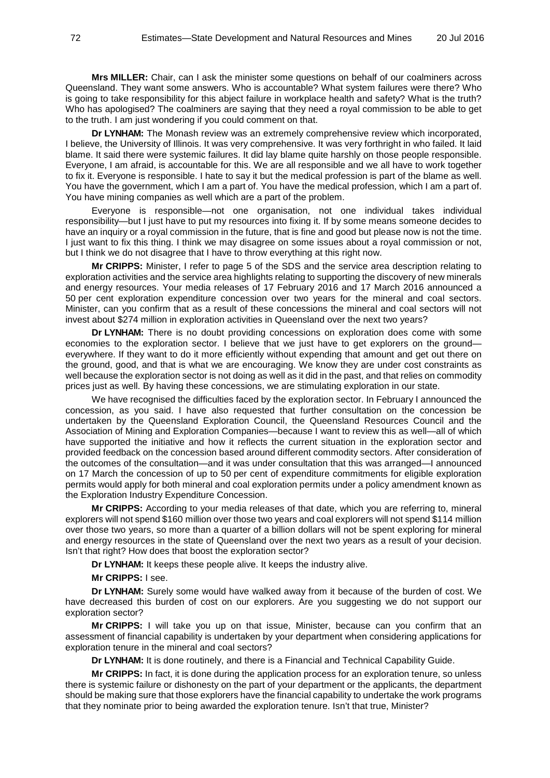**Mrs MILLER:** Chair, can I ask the minister some questions on behalf of our coalminers across Queensland. They want some answers. Who is accountable? What system failures were there? Who is going to take responsibility for this abject failure in workplace health and safety? What is the truth? Who has apologised? The coalminers are saying that they need a royal commission to be able to get to the truth. I am just wondering if you could comment on that.

**Dr LYNHAM:** The Monash review was an extremely comprehensive review which incorporated, I believe, the University of Illinois. It was very comprehensive. It was very forthright in who failed. It laid blame. It said there were systemic failures. It did lay blame quite harshly on those people responsible. Everyone, I am afraid, is accountable for this. We are all responsible and we all have to work together to fix it. Everyone is responsible. I hate to say it but the medical profession is part of the blame as well. You have the government, which I am a part of. You have the medical profession, which I am a part of. You have mining companies as well which are a part of the problem.

Everyone is responsible—not one organisation, not one individual takes individual responsibility—but I just have to put my resources into fixing it. If by some means someone decides to have an inquiry or a royal commission in the future, that is fine and good but please now is not the time. I just want to fix this thing. I think we may disagree on some issues about a royal commission or not, but I think we do not disagree that I have to throw everything at this right now.

**Mr CRIPPS:** Minister, I refer to page 5 of the SDS and the service area description relating to exploration activities and the service area highlights relating to supporting the discovery of new minerals and energy resources. Your media releases of 17 February 2016 and 17 March 2016 announced a 50 per cent exploration expenditure concession over two years for the mineral and coal sectors. Minister, can you confirm that as a result of these concessions the mineral and coal sectors will not invest about \$274 million in exploration activities in Queensland over the next two years?

**Dr LYNHAM:** There is no doubt providing concessions on exploration does come with some economies to the exploration sector. I believe that we just have to get explorers on the ground everywhere. If they want to do it more efficiently without expending that amount and get out there on the ground, good, and that is what we are encouraging. We know they are under cost constraints as well because the exploration sector is not doing as well as it did in the past, and that relies on commodity prices just as well. By having these concessions, we are stimulating exploration in our state.

We have recognised the difficulties faced by the exploration sector. In February I announced the concession, as you said. I have also requested that further consultation on the concession be undertaken by the Queensland Exploration Council, the Queensland Resources Council and the Association of Mining and Exploration Companies—because I want to review this as well—all of which have supported the initiative and how it reflects the current situation in the exploration sector and provided feedback on the concession based around different commodity sectors. After consideration of the outcomes of the consultation—and it was under consultation that this was arranged—I announced on 17 March the concession of up to 50 per cent of expenditure commitments for eligible exploration permits would apply for both mineral and coal exploration permits under a policy amendment known as the Exploration Industry Expenditure Concession.

**Mr CRIPPS:** According to your media releases of that date, which you are referring to, mineral explorers will not spend \$160 million over those two years and coal explorers will not spend \$114 million over those two years, so more than a quarter of a billion dollars will not be spent exploring for mineral and energy resources in the state of Queensland over the next two years as a result of your decision. Isn't that right? How does that boost the exploration sector?

**Dr LYNHAM:** It keeps these people alive. It keeps the industry alive.

**Mr CRIPPS:** I see.

**Dr LYNHAM:** Surely some would have walked away from it because of the burden of cost. We have decreased this burden of cost on our explorers. Are you suggesting we do not support our exploration sector?

**Mr CRIPPS:** I will take you up on that issue, Minister, because can you confirm that an assessment of financial capability is undertaken by your department when considering applications for exploration tenure in the mineral and coal sectors?

**Dr LYNHAM:** It is done routinely, and there is a Financial and Technical Capability Guide.

**Mr CRIPPS:** In fact, it is done during the application process for an exploration tenure, so unless there is systemic failure or dishonesty on the part of your department or the applicants, the department should be making sure that those explorers have the financial capability to undertake the work programs that they nominate prior to being awarded the exploration tenure. Isn't that true, Minister?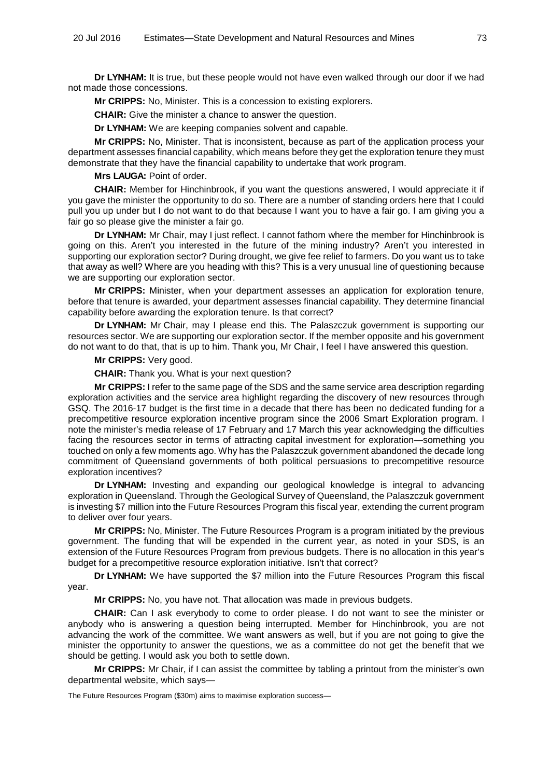**Dr LYNHAM:** It is true, but these people would not have even walked through our door if we had not made those concessions.

**Mr CRIPPS:** No, Minister. This is a concession to existing explorers.

**CHAIR:** Give the minister a chance to answer the question.

**Dr LYNHAM:** We are keeping companies solvent and capable.

**Mr CRIPPS:** No, Minister. That is inconsistent, because as part of the application process your department assesses financial capability, which means before they get the exploration tenure they must demonstrate that they have the financial capability to undertake that work program.

**Mrs LAUGA:** Point of order.

**CHAIR:** Member for Hinchinbrook, if you want the questions answered, I would appreciate it if you gave the minister the opportunity to do so. There are a number of standing orders here that I could pull you up under but I do not want to do that because I want you to have a fair go. I am giving you a fair go so please give the minister a fair go.

**Dr LYNHAM:** Mr Chair, may I just reflect. I cannot fathom where the member for Hinchinbrook is going on this. Aren't you interested in the future of the mining industry? Aren't you interested in supporting our exploration sector? During drought, we give fee relief to farmers. Do you want us to take that away as well? Where are you heading with this? This is a very unusual line of questioning because we are supporting our exploration sector.

**Mr CRIPPS:** Minister, when your department assesses an application for exploration tenure, before that tenure is awarded, your department assesses financial capability. They determine financial capability before awarding the exploration tenure. Is that correct?

**Dr LYNHAM:** Mr Chair, may I please end this. The Palaszczuk government is supporting our resources sector. We are supporting our exploration sector. If the member opposite and his government do not want to do that, that is up to him. Thank you, Mr Chair, I feel I have answered this question.

**Mr CRIPPS:** Very good.

**CHAIR:** Thank you. What is your next question?

**Mr CRIPPS:** I refer to the same page of the SDS and the same service area description regarding exploration activities and the service area highlight regarding the discovery of new resources through GSQ. The 2016-17 budget is the first time in a decade that there has been no dedicated funding for a precompetitive resource exploration incentive program since the 2006 Smart Exploration program. I note the minister's media release of 17 February and 17 March this year acknowledging the difficulties facing the resources sector in terms of attracting capital investment for exploration—something you touched on only a few moments ago. Why has the Palaszczuk government abandoned the decade long commitment of Queensland governments of both political persuasions to precompetitive resource exploration incentives?

**Dr LYNHAM:** Investing and expanding our geological knowledge is integral to advancing exploration in Queensland. Through the Geological Survey of Queensland, the Palaszczuk government is investing \$7 million into the Future Resources Program this fiscal year, extending the current program to deliver over four years.

**Mr CRIPPS:** No, Minister. The Future Resources Program is a program initiated by the previous government. The funding that will be expended in the current year, as noted in your SDS, is an extension of the Future Resources Program from previous budgets. There is no allocation in this year's budget for a precompetitive resource exploration initiative. Isn't that correct?

**Dr LYNHAM:** We have supported the \$7 million into the Future Resources Program this fiscal year.

**Mr CRIPPS:** No, you have not. That allocation was made in previous budgets.

**CHAIR:** Can I ask everybody to come to order please. I do not want to see the minister or anybody who is answering a question being interrupted. Member for Hinchinbrook, you are not advancing the work of the committee. We want answers as well, but if you are not going to give the minister the opportunity to answer the questions, we as a committee do not get the benefit that we should be getting. I would ask you both to settle down.

**Mr CRIPPS:** Mr Chair, if I can assist the committee by tabling a printout from the minister's own departmental website, which says—

The Future Resources Program (\$30m) aims to maximise exploration success—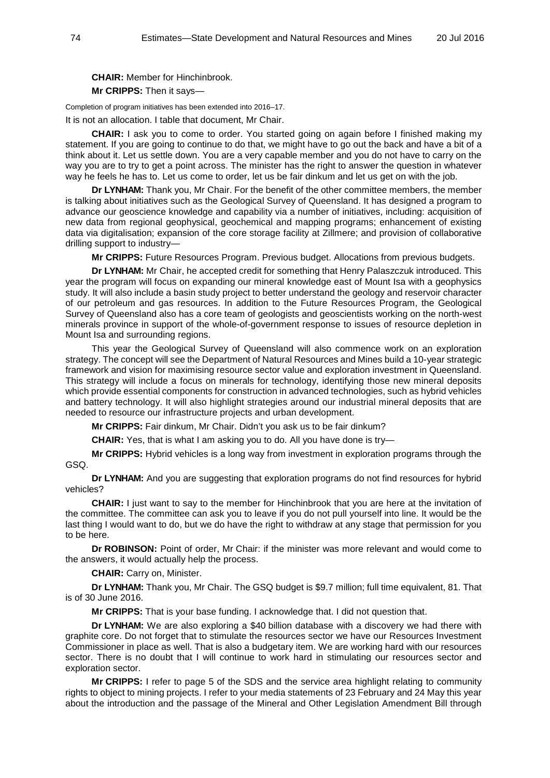**CHAIR:** Member for Hinchinbrook. **Mr CRIPPS:** Then it says—

Completion of program initiatives has been extended into 2016–17.

It is not an allocation. I table that document, Mr Chair.

**CHAIR:** I ask you to come to order. You started going on again before I finished making my statement. If you are going to continue to do that, we might have to go out the back and have a bit of a think about it. Let us settle down. You are a very capable member and you do not have to carry on the way you are to try to get a point across. The minister has the right to answer the question in whatever way he feels he has to. Let us come to order, let us be fair dinkum and let us get on with the job.

**Dr LYNHAM:** Thank you, Mr Chair. For the benefit of the other committee members, the member is talking about initiatives such as the Geological Survey of Queensland. It has designed a program to advance our geoscience knowledge and capability via a number of initiatives, including: acquisition of new data from regional geophysical, geochemical and mapping programs; enhancement of existing data via digitalisation; expansion of the core storage facility at Zillmere; and provision of collaborative drilling support to industry—

**Mr CRIPPS:** Future Resources Program. Previous budget. Allocations from previous budgets.

**Dr LYNHAM:** Mr Chair, he accepted credit for something that Henry Palaszczuk introduced. This year the program will focus on expanding our mineral knowledge east of Mount Isa with a geophysics study. It will also include a basin study project to better understand the geology and reservoir character of our petroleum and gas resources. In addition to the Future Resources Program, the Geological Survey of Queensland also has a core team of geologists and geoscientists working on the north-west minerals province in support of the whole-of-government response to issues of resource depletion in Mount Isa and surrounding regions.

This year the Geological Survey of Queensland will also commence work on an exploration strategy. The concept will see the Department of Natural Resources and Mines build a 10-year strategic framework and vision for maximising resource sector value and exploration investment in Queensland. This strategy will include a focus on minerals for technology, identifying those new mineral deposits which provide essential components for construction in advanced technologies, such as hybrid vehicles and battery technology. It will also highlight strategies around our industrial mineral deposits that are needed to resource our infrastructure projects and urban development.

**Mr CRIPPS:** Fair dinkum, Mr Chair. Didn't you ask us to be fair dinkum?

**CHAIR:** Yes, that is what I am asking you to do. All you have done is try—

**Mr CRIPPS:** Hybrid vehicles is a long way from investment in exploration programs through the GSQ.

**Dr LYNHAM:** And you are suggesting that exploration programs do not find resources for hybrid vehicles?

**CHAIR:** I just want to say to the member for Hinchinbrook that you are here at the invitation of the committee. The committee can ask you to leave if you do not pull yourself into line. It would be the last thing I would want to do, but we do have the right to withdraw at any stage that permission for you to be here.

**Dr ROBINSON:** Point of order, Mr Chair: if the minister was more relevant and would come to the answers, it would actually help the process.

**CHAIR:** Carry on, Minister.

**Dr LYNHAM:** Thank you, Mr Chair. The GSQ budget is \$9.7 million; full time equivalent, 81. That is of 30 June 2016.

**Mr CRIPPS:** That is your base funding. I acknowledge that. I did not question that.

**Dr LYNHAM:** We are also exploring a \$40 billion database with a discovery we had there with graphite core. Do not forget that to stimulate the resources sector we have our Resources Investment Commissioner in place as well. That is also a budgetary item. We are working hard with our resources sector. There is no doubt that I will continue to work hard in stimulating our resources sector and exploration sector.

**Mr CRIPPS:** I refer to page 5 of the SDS and the service area highlight relating to community rights to object to mining projects. I refer to your media statements of 23 February and 24 May this year about the introduction and the passage of the Mineral and Other Legislation Amendment Bill through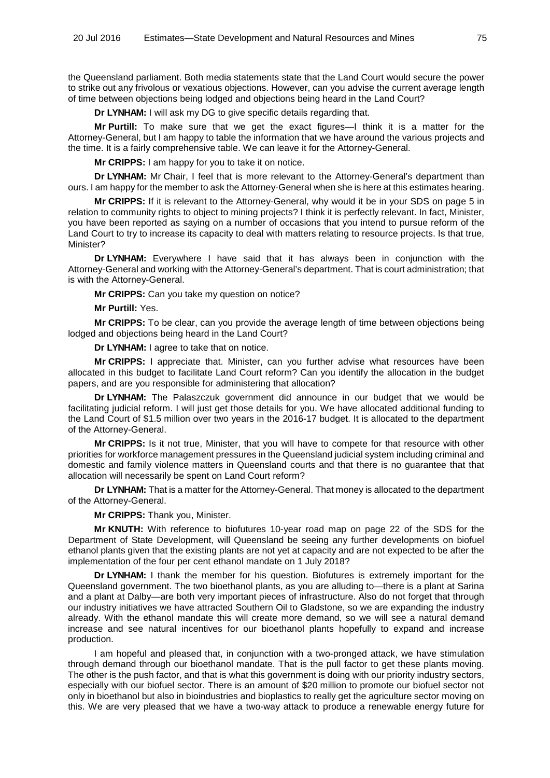the Queensland parliament. Both media statements state that the Land Court would secure the power to strike out any frivolous or vexatious objections. However, can you advise the current average length of time between objections being lodged and objections being heard in the Land Court?

**Dr LYNHAM:** I will ask my DG to give specific details regarding that.

**Mr Purtill:** To make sure that we get the exact figures—I think it is a matter for the Attorney-General, but I am happy to table the information that we have around the various projects and the time. It is a fairly comprehensive table. We can leave it for the Attorney-General.

**Mr CRIPPS:** I am happy for you to take it on notice.

**Dr LYNHAM:** Mr Chair, I feel that is more relevant to the Attorney-General's department than ours. I am happy for the member to ask the Attorney-General when she is here at this estimates hearing.

**Mr CRIPPS:** If it is relevant to the Attorney-General, why would it be in your SDS on page 5 in relation to community rights to object to mining projects? I think it is perfectly relevant. In fact, Minister, you have been reported as saying on a number of occasions that you intend to pursue reform of the Land Court to try to increase its capacity to deal with matters relating to resource projects. Is that true, Minister?

**Dr LYNHAM:** Everywhere I have said that it has always been in conjunction with the Attorney-General and working with the Attorney-General's department. That is court administration; that is with the Attorney-General.

**Mr CRIPPS:** Can you take my question on notice?

**Mr Purtill:** Yes.

**Mr CRIPPS:** To be clear, can you provide the average length of time between objections being lodged and objections being heard in the Land Court?

**Dr LYNHAM:** I agree to take that on notice.

**Mr CRIPPS:** I appreciate that. Minister, can you further advise what resources have been allocated in this budget to facilitate Land Court reform? Can you identify the allocation in the budget papers, and are you responsible for administering that allocation?

**Dr LYNHAM:** The Palaszczuk government did announce in our budget that we would be facilitating judicial reform. I will just get those details for you. We have allocated additional funding to the Land Court of \$1.5 million over two years in the 2016-17 budget. It is allocated to the department of the Attorney-General.

**Mr CRIPPS:** Is it not true, Minister, that you will have to compete for that resource with other priorities for workforce management pressures in the Queensland judicial system including criminal and domestic and family violence matters in Queensland courts and that there is no guarantee that that allocation will necessarily be spent on Land Court reform?

**Dr LYNHAM:** That is a matter for the Attorney-General. That money is allocated to the department of the Attorney-General.

**Mr CRIPPS:** Thank you, Minister.

**Mr KNUTH:** With reference to biofutures 10-year road map on page 22 of the SDS for the Department of State Development, will Queensland be seeing any further developments on biofuel ethanol plants given that the existing plants are not yet at capacity and are not expected to be after the implementation of the four per cent ethanol mandate on 1 July 2018?

**Dr LYNHAM:** I thank the member for his question. Biofutures is extremely important for the Queensland government. The two bioethanol plants, as you are alluding to—there is a plant at Sarina and a plant at Dalby—are both very important pieces of infrastructure. Also do not forget that through our industry initiatives we have attracted Southern Oil to Gladstone, so we are expanding the industry already. With the ethanol mandate this will create more demand, so we will see a natural demand increase and see natural incentives for our bioethanol plants hopefully to expand and increase production.

I am hopeful and pleased that, in conjunction with a two-pronged attack, we have stimulation through demand through our bioethanol mandate. That is the pull factor to get these plants moving. The other is the push factor, and that is what this government is doing with our priority industry sectors, especially with our biofuel sector. There is an amount of \$20 million to promote our biofuel sector not only in bioethanol but also in bioindustries and bioplastics to really get the agriculture sector moving on this. We are very pleased that we have a two-way attack to produce a renewable energy future for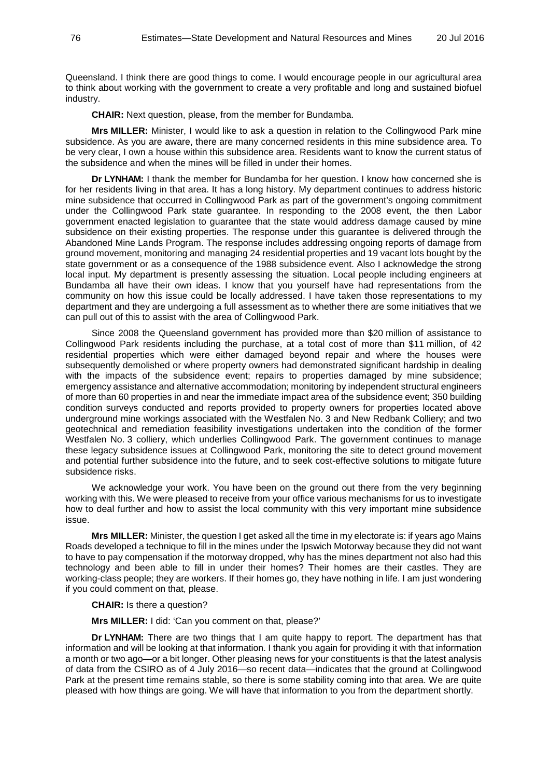Queensland. I think there are good things to come. I would encourage people in our agricultural area to think about working with the government to create a very profitable and long and sustained biofuel industry.

**CHAIR:** Next question, please, from the member for Bundamba.

**Mrs MILLER:** Minister, I would like to ask a question in relation to the Collingwood Park mine subsidence. As you are aware, there are many concerned residents in this mine subsidence area. To be very clear, I own a house within this subsidence area. Residents want to know the current status of the subsidence and when the mines will be filled in under their homes.

**Dr LYNHAM:** I thank the member for Bundamba for her question. I know how concerned she is for her residents living in that area. It has a long history. My department continues to address historic mine subsidence that occurred in Collingwood Park as part of the government's ongoing commitment under the Collingwood Park state guarantee. In responding to the 2008 event, the then Labor government enacted legislation to guarantee that the state would address damage caused by mine subsidence on their existing properties. The response under this guarantee is delivered through the Abandoned Mine Lands Program. The response includes addressing ongoing reports of damage from ground movement, monitoring and managing 24 residential properties and 19 vacant lots bought by the state government or as a consequence of the 1988 subsidence event. Also I acknowledge the strong local input. My department is presently assessing the situation. Local people including engineers at Bundamba all have their own ideas. I know that you yourself have had representations from the community on how this issue could be locally addressed. I have taken those representations to my department and they are undergoing a full assessment as to whether there are some initiatives that we can pull out of this to assist with the area of Collingwood Park.

Since 2008 the Queensland government has provided more than \$20 million of assistance to Collingwood Park residents including the purchase, at a total cost of more than \$11 million, of 42 residential properties which were either damaged beyond repair and where the houses were subsequently demolished or where property owners had demonstrated significant hardship in dealing with the impacts of the subsidence event; repairs to properties damaged by mine subsidence; emergency assistance and alternative accommodation; monitoring by independent structural engineers of more than 60 properties in and near the immediate impact area of the subsidence event; 350 building condition surveys conducted and reports provided to property owners for properties located above underground mine workings associated with the Westfalen No. 3 and New Redbank Colliery; and two geotechnical and remediation feasibility investigations undertaken into the condition of the former Westfalen No. 3 colliery, which underlies Collingwood Park. The government continues to manage these legacy subsidence issues at Collingwood Park, monitoring the site to detect ground movement and potential further subsidence into the future, and to seek cost-effective solutions to mitigate future subsidence risks.

We acknowledge your work. You have been on the ground out there from the very beginning working with this. We were pleased to receive from your office various mechanisms for us to investigate how to deal further and how to assist the local community with this very important mine subsidence issue.

**Mrs MILLER:** Minister, the question I get asked all the time in my electorate is: if years ago Mains Roads developed a technique to fill in the mines under the Ipswich Motorway because they did not want to have to pay compensation if the motorway dropped, why has the mines department not also had this technology and been able to fill in under their homes? Their homes are their castles. They are working-class people; they are workers. If their homes go, they have nothing in life. I am just wondering if you could comment on that, please.

**CHAIR:** Is there a question?

**Mrs MILLER:** I did: 'Can you comment on that, please?'

**Dr LYNHAM:** There are two things that I am quite happy to report. The department has that information and will be looking at that information. I thank you again for providing it with that information a month or two ago—or a bit longer. Other pleasing news for your constituents is that the latest analysis of data from the CSIRO as of 4 July 2016—so recent data—indicates that the ground at Collingwood Park at the present time remains stable, so there is some stability coming into that area. We are quite pleased with how things are going. We will have that information to you from the department shortly.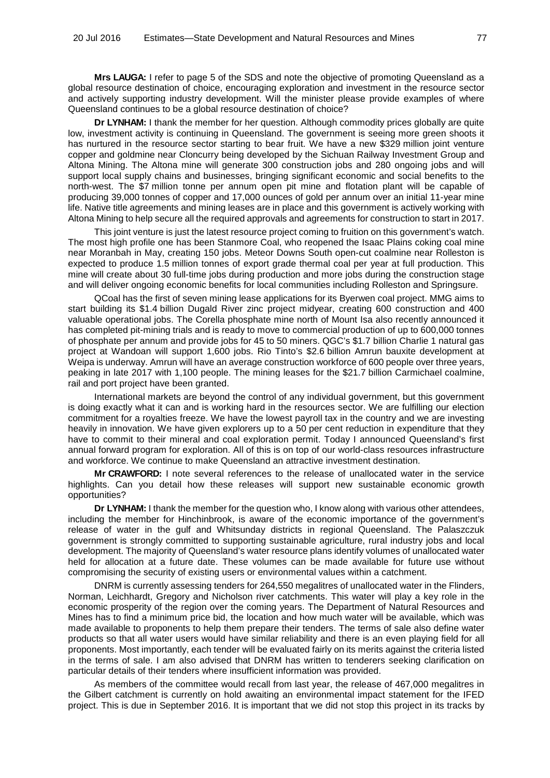**Mrs LAUGA:** I refer to page 5 of the SDS and note the objective of promoting Queensland as a global resource destination of choice, encouraging exploration and investment in the resource sector and actively supporting industry development. Will the minister please provide examples of where Queensland continues to be a global resource destination of choice?

**Dr LYNHAM:** I thank the member for her question. Although commodity prices globally are quite low, investment activity is continuing in Queensland. The government is seeing more green shoots it has nurtured in the resource sector starting to bear fruit. We have a new \$329 million joint venture copper and goldmine near Cloncurry being developed by the Sichuan Railway Investment Group and Altona Mining. The Altona mine will generate 300 construction jobs and 280 ongoing jobs and will support local supply chains and businesses, bringing significant economic and social benefits to the north-west. The \$7 million tonne per annum open pit mine and flotation plant will be capable of producing 39,000 tonnes of copper and 17,000 ounces of gold per annum over an initial 11-year mine life. Native title agreements and mining leases are in place and this government is actively working with Altona Mining to help secure all the required approvals and agreements for construction to start in 2017.

This joint venture is just the latest resource project coming to fruition on this government's watch. The most high profile one has been Stanmore Coal, who reopened the Isaac Plains coking coal mine near Moranbah in May, creating 150 jobs. Meteor Downs South open-cut coalmine near Rolleston is expected to produce 1.5 million tonnes of export grade thermal coal per year at full production. This mine will create about 30 full-time jobs during production and more jobs during the construction stage and will deliver ongoing economic benefits for local communities including Rolleston and Springsure.

QCoal has the first of seven mining lease applications for its Byerwen coal project. MMG aims to start building its \$1.4 billion Dugald River zinc project midyear, creating 600 construction and 400 valuable operational jobs. The Corella phosphate mine north of Mount Isa also recently announced it has completed pit-mining trials and is ready to move to commercial production of up to 600,000 tonnes of phosphate per annum and provide jobs for 45 to 50 miners. QGC's \$1.7 billion Charlie 1 natural gas project at Wandoan will support 1,600 jobs. Rio Tinto's \$2.6 billion Amrun bauxite development at Weipa is underway. Amrun will have an average construction workforce of 600 people over three years, peaking in late 2017 with 1,100 people. The mining leases for the \$21.7 billion Carmichael coalmine, rail and port project have been granted.

International markets are beyond the control of any individual government, but this government is doing exactly what it can and is working hard in the resources sector. We are fulfilling our election commitment for a royalties freeze. We have the lowest payroll tax in the country and we are investing heavily in innovation. We have given explorers up to a 50 per cent reduction in expenditure that they have to commit to their mineral and coal exploration permit. Today I announced Queensland's first annual forward program for exploration. All of this is on top of our world-class resources infrastructure and workforce. We continue to make Queensland an attractive investment destination.

**Mr CRAWFORD:** I note several references to the release of unallocated water in the service highlights. Can you detail how these releases will support new sustainable economic growth opportunities?

**Dr LYNHAM:** I thank the member for the question who, I know along with various other attendees, including the member for Hinchinbrook, is aware of the economic importance of the government's release of water in the gulf and Whitsunday districts in regional Queensland. The Palaszczuk government is strongly committed to supporting sustainable agriculture, rural industry jobs and local development. The majority of Queensland's water resource plans identify volumes of unallocated water held for allocation at a future date. These volumes can be made available for future use without compromising the security of existing users or environmental values within a catchment.

DNRM is currently assessing tenders for 264,550 megalitres of unallocated water in the Flinders, Norman, Leichhardt, Gregory and Nicholson river catchments. This water will play a key role in the economic prosperity of the region over the coming years. The Department of Natural Resources and Mines has to find a minimum price bid, the location and how much water will be available, which was made available to proponents to help them prepare their tenders. The terms of sale also define water products so that all water users would have similar reliability and there is an even playing field for all proponents. Most importantly, each tender will be evaluated fairly on its merits against the criteria listed in the terms of sale. I am also advised that DNRM has written to tenderers seeking clarification on particular details of their tenders where insufficient information was provided.

As members of the committee would recall from last year, the release of 467,000 megalitres in the Gilbert catchment is currently on hold awaiting an environmental impact statement for the IFED project. This is due in September 2016. It is important that we did not stop this project in its tracks by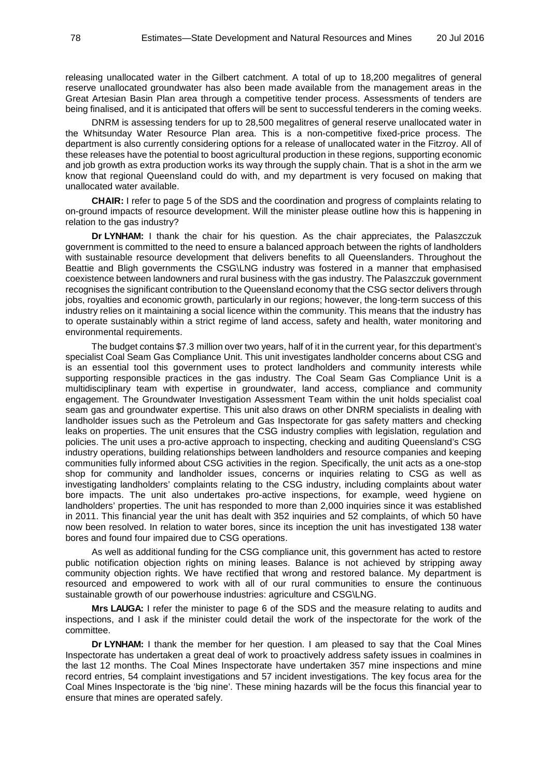releasing unallocated water in the Gilbert catchment. A total of up to 18,200 megalitres of general reserve unallocated groundwater has also been made available from the management areas in the Great Artesian Basin Plan area through a competitive tender process. Assessments of tenders are being finalised, and it is anticipated that offers will be sent to successful tenderers in the coming weeks.

DNRM is assessing tenders for up to 28,500 megalitres of general reserve unallocated water in the Whitsunday Water Resource Plan area. This is a non-competitive fixed-price process. The department is also currently considering options for a release of unallocated water in the Fitzroy. All of these releases have the potential to boost agricultural production in these regions, supporting economic and job growth as extra production works its way through the supply chain. That is a shot in the arm we know that regional Queensland could do with, and my department is very focused on making that unallocated water available.

**CHAIR:** I refer to page 5 of the SDS and the coordination and progress of complaints relating to on-ground impacts of resource development. Will the minister please outline how this is happening in relation to the gas industry?

**Dr LYNHAM:** I thank the chair for his question. As the chair appreciates, the Palaszczuk government is committed to the need to ensure a balanced approach between the rights of landholders with sustainable resource development that delivers benefits to all Queenslanders. Throughout the Beattie and Bligh governments the CSG\LNG industry was fostered in a manner that emphasised coexistence between landowners and rural business with the gas industry. The Palaszczuk government recognises the significant contribution to the Queensland economy that the CSG sector delivers through jobs, royalties and economic growth, particularly in our regions; however, the long-term success of this industry relies on it maintaining a social licence within the community. This means that the industry has to operate sustainably within a strict regime of land access, safety and health, water monitoring and environmental requirements.

The budget contains \$7.3 million over two years, half of it in the current year, for this department's specialist Coal Seam Gas Compliance Unit. This unit investigates landholder concerns about CSG and is an essential tool this government uses to protect landholders and community interests while supporting responsible practices in the gas industry. The Coal Seam Gas Compliance Unit is a multidisciplinary team with expertise in groundwater, land access, compliance and community engagement. The Groundwater Investigation Assessment Team within the unit holds specialist coal seam gas and groundwater expertise. This unit also draws on other DNRM specialists in dealing with landholder issues such as the Petroleum and Gas Inspectorate for gas safety matters and checking leaks on properties. The unit ensures that the CSG industry complies with legislation, regulation and policies. The unit uses a pro-active approach to inspecting, checking and auditing Queensland's CSG industry operations, building relationships between landholders and resource companies and keeping communities fully informed about CSG activities in the region. Specifically, the unit acts as a one-stop shop for community and landholder issues, concerns or inquiries relating to CSG as well as investigating landholders' complaints relating to the CSG industry, including complaints about water bore impacts. The unit also undertakes pro-active inspections, for example, weed hygiene on landholders' properties. The unit has responded to more than 2,000 inquiries since it was established in 2011. This financial year the unit has dealt with 352 inquiries and 52 complaints, of which 50 have now been resolved. In relation to water bores, since its inception the unit has investigated 138 water bores and found four impaired due to CSG operations.

As well as additional funding for the CSG compliance unit, this government has acted to restore public notification objection rights on mining leases. Balance is not achieved by stripping away community objection rights. We have rectified that wrong and restored balance. My department is resourced and empowered to work with all of our rural communities to ensure the continuous sustainable growth of our powerhouse industries: agriculture and CSG\LNG.

**Mrs LAUGA:** I refer the minister to page 6 of the SDS and the measure relating to audits and inspections, and I ask if the minister could detail the work of the inspectorate for the work of the committee.

**Dr LYNHAM:** I thank the member for her question. I am pleased to say that the Coal Mines Inspectorate has undertaken a great deal of work to proactively address safety issues in coalmines in the last 12 months. The Coal Mines Inspectorate have undertaken 357 mine inspections and mine record entries, 54 complaint investigations and 57 incident investigations. The key focus area for the Coal Mines Inspectorate is the 'big nine'. These mining hazards will be the focus this financial year to ensure that mines are operated safely.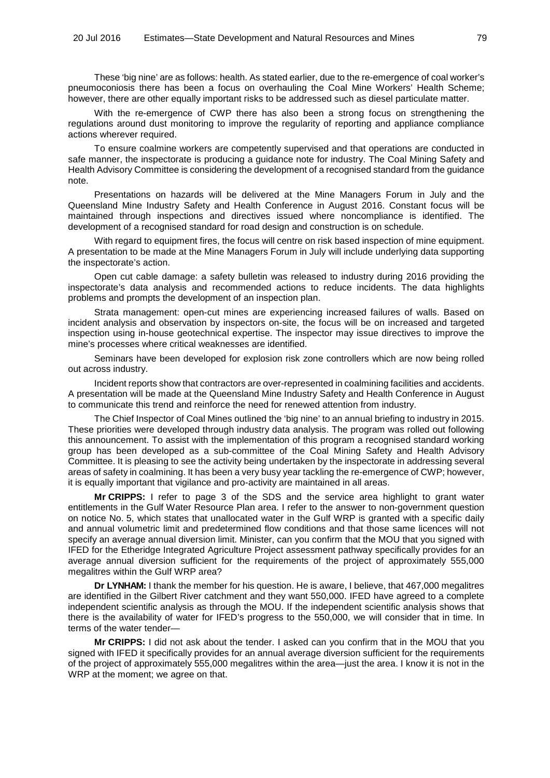These 'big nine' are as follows: health. As stated earlier, due to the re-emergence of coal worker's pneumoconiosis there has been a focus on overhauling the Coal Mine Workers' Health Scheme; however, there are other equally important risks to be addressed such as diesel particulate matter.

With the re-emergence of CWP there has also been a strong focus on strengthening the regulations around dust monitoring to improve the regularity of reporting and appliance compliance actions wherever required.

To ensure coalmine workers are competently supervised and that operations are conducted in safe manner, the inspectorate is producing a guidance note for industry. The Coal Mining Safety and Health Advisory Committee is considering the development of a recognised standard from the guidance note.

Presentations on hazards will be delivered at the Mine Managers Forum in July and the Queensland Mine Industry Safety and Health Conference in August 2016. Constant focus will be maintained through inspections and directives issued where noncompliance is identified. The development of a recognised standard for road design and construction is on schedule.

With regard to equipment fires, the focus will centre on risk based inspection of mine equipment. A presentation to be made at the Mine Managers Forum in July will include underlying data supporting the inspectorate's action.

Open cut cable damage: a safety bulletin was released to industry during 2016 providing the inspectorate's data analysis and recommended actions to reduce incidents. The data highlights problems and prompts the development of an inspection plan.

Strata management: open-cut mines are experiencing increased failures of walls. Based on incident analysis and observation by inspectors on-site, the focus will be on increased and targeted inspection using in-house geotechnical expertise. The inspector may issue directives to improve the mine's processes where critical weaknesses are identified.

Seminars have been developed for explosion risk zone controllers which are now being rolled out across industry.

Incident reports show that contractors are over-represented in coalmining facilities and accidents. A presentation will be made at the Queensland Mine Industry Safety and Health Conference in August to communicate this trend and reinforce the need for renewed attention from industry.

The Chief Inspector of Coal Mines outlined the 'big nine' to an annual briefing to industry in 2015. These priorities were developed through industry data analysis. The program was rolled out following this announcement. To assist with the implementation of this program a recognised standard working group has been developed as a sub-committee of the Coal Mining Safety and Health Advisory Committee. It is pleasing to see the activity being undertaken by the inspectorate in addressing several areas of safety in coalmining. It has been a very busy year tackling the re-emergence of CWP; however, it is equally important that vigilance and pro-activity are maintained in all areas.

**Mr CRIPPS:** I refer to page 3 of the SDS and the service area highlight to grant water entitlements in the Gulf Water Resource Plan area. I refer to the answer to non-government question on notice No. 5, which states that unallocated water in the Gulf WRP is granted with a specific daily and annual volumetric limit and predetermined flow conditions and that those same licences will not specify an average annual diversion limit. Minister, can you confirm that the MOU that you signed with IFED for the Etheridge Integrated Agriculture Project assessment pathway specifically provides for an average annual diversion sufficient for the requirements of the project of approximately 555,000 megalitres within the Gulf WRP area?

**Dr LYNHAM:** I thank the member for his question. He is aware, I believe, that 467,000 megalitres are identified in the Gilbert River catchment and they want 550,000. IFED have agreed to a complete independent scientific analysis as through the MOU. If the independent scientific analysis shows that there is the availability of water for IFED's progress to the 550,000, we will consider that in time. In terms of the water tender—

**Mr CRIPPS:** I did not ask about the tender. I asked can you confirm that in the MOU that you signed with IFED it specifically provides for an annual average diversion sufficient for the requirements of the project of approximately 555,000 megalitres within the area—just the area. I know it is not in the WRP at the moment; we agree on that.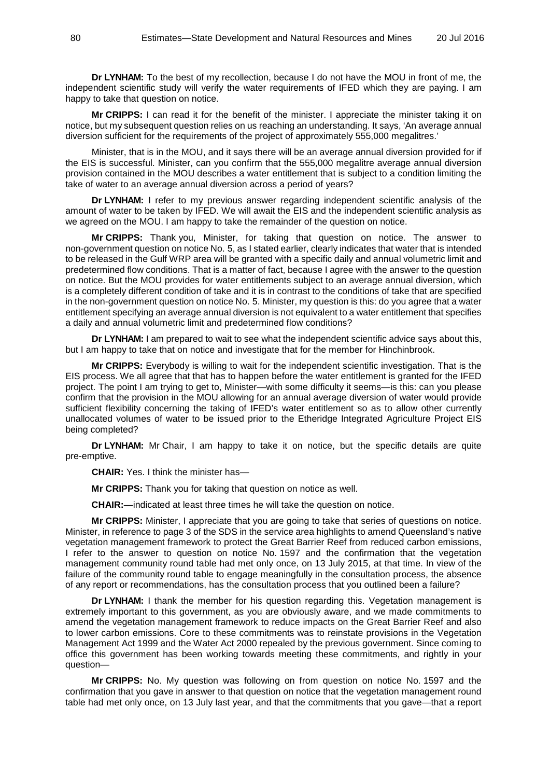**Dr LYNHAM:** To the best of my recollection, because I do not have the MOU in front of me, the independent scientific study will verify the water requirements of IFED which they are paying. I am happy to take that question on notice.

**Mr CRIPPS:** I can read it for the benefit of the minister. I appreciate the minister taking it on notice, but my subsequent question relies on us reaching an understanding. It says, 'An average annual diversion sufficient for the requirements of the project of approximately 555,000 megalitres.'

Minister, that is in the MOU, and it says there will be an average annual diversion provided for if the EIS is successful. Minister, can you confirm that the 555,000 megalitre average annual diversion provision contained in the MOU describes a water entitlement that is subject to a condition limiting the take of water to an average annual diversion across a period of years?

**Dr LYNHAM:** I refer to my previous answer regarding independent scientific analysis of the amount of water to be taken by IFED. We will await the EIS and the independent scientific analysis as we agreed on the MOU. I am happy to take the remainder of the question on notice.

**Mr CRIPPS:** Thank you, Minister, for taking that question on notice. The answer to non-government question on notice No. 5, as I stated earlier, clearly indicates that water that is intended to be released in the Gulf WRP area will be granted with a specific daily and annual volumetric limit and predetermined flow conditions. That is a matter of fact, because I agree with the answer to the question on notice. But the MOU provides for water entitlements subject to an average annual diversion, which is a completely different condition of take and it is in contrast to the conditions of take that are specified in the non-government question on notice No. 5. Minister, my question is this: do you agree that a water entitlement specifying an average annual diversion is not equivalent to a water entitlement that specifies a daily and annual volumetric limit and predetermined flow conditions?

**Dr LYNHAM:** I am prepared to wait to see what the independent scientific advice says about this, but I am happy to take that on notice and investigate that for the member for Hinchinbrook.

**Mr CRIPPS:** Everybody is willing to wait for the independent scientific investigation. That is the EIS process. We all agree that that has to happen before the water entitlement is granted for the IFED project. The point I am trying to get to, Minister—with some difficulty it seems—is this: can you please confirm that the provision in the MOU allowing for an annual average diversion of water would provide sufficient flexibility concerning the taking of IFED's water entitlement so as to allow other currently unallocated volumes of water to be issued prior to the Etheridge Integrated Agriculture Project EIS being completed?

**Dr LYNHAM:** Mr Chair, I am happy to take it on notice, but the specific details are quite pre-emptive.

**CHAIR:** Yes. I think the minister has—

**Mr CRIPPS:** Thank you for taking that question on notice as well.

**CHAIR:**—indicated at least three times he will take the question on notice.

**Mr CRIPPS:** Minister, I appreciate that you are going to take that series of questions on notice. Minister, in reference to page 3 of the SDS in the service area highlights to amend Queensland's native vegetation management framework to protect the Great Barrier Reef from reduced carbon emissions, I refer to the answer to question on notice No. 1597 and the confirmation that the vegetation management community round table had met only once, on 13 July 2015, at that time. In view of the failure of the community round table to engage meaningfully in the consultation process, the absence of any report or recommendations, has the consultation process that you outlined been a failure?

**Dr LYNHAM:** I thank the member for his question regarding this. Vegetation management is extremely important to this government, as you are obviously aware, and we made commitments to amend the vegetation management framework to reduce impacts on the Great Barrier Reef and also to lower carbon emissions. Core to these commitments was to reinstate provisions in the Vegetation Management Act 1999 and the Water Act 2000 repealed by the previous government. Since coming to office this government has been working towards meeting these commitments, and rightly in your question—

**Mr CRIPPS:** No. My question was following on from question on notice No. 1597 and the confirmation that you gave in answer to that question on notice that the vegetation management round table had met only once, on 13 July last year, and that the commitments that you gave—that a report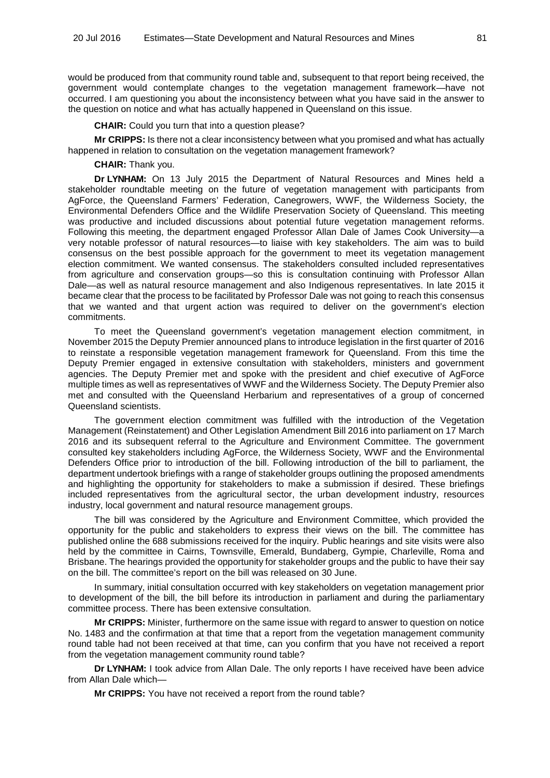would be produced from that community round table and, subsequent to that report being received, the government would contemplate changes to the vegetation management framework—have not occurred. I am questioning you about the inconsistency between what you have said in the answer to the question on notice and what has actually happened in Queensland on this issue.

**CHAIR:** Could you turn that into a question please?

**Mr CRIPPS:** Is there not a clear inconsistency between what you promised and what has actually happened in relation to consultation on the vegetation management framework?

**CHAIR:** Thank you.

**Dr LYNHAM:** On 13 July 2015 the Department of Natural Resources and Mines held a stakeholder roundtable meeting on the future of vegetation management with participants from AgForce, the Queensland Farmers' Federation, Canegrowers, WWF, the Wilderness Society, the Environmental Defenders Office and the Wildlife Preservation Society of Queensland. This meeting was productive and included discussions about potential future vegetation management reforms. Following this meeting, the department engaged Professor Allan Dale of James Cook University—a very notable professor of natural resources—to liaise with key stakeholders. The aim was to build consensus on the best possible approach for the government to meet its vegetation management election commitment. We wanted consensus. The stakeholders consulted included representatives from agriculture and conservation groups—so this is consultation continuing with Professor Allan Dale—as well as natural resource management and also Indigenous representatives. In late 2015 it became clear that the process to be facilitated by Professor Dale was not going to reach this consensus that we wanted and that urgent action was required to deliver on the government's election commitments.

To meet the Queensland government's vegetation management election commitment, in November 2015 the Deputy Premier announced plans to introduce legislation in the first quarter of 2016 to reinstate a responsible vegetation management framework for Queensland. From this time the Deputy Premier engaged in extensive consultation with stakeholders, ministers and government agencies. The Deputy Premier met and spoke with the president and chief executive of AgForce multiple times as well as representatives of WWF and the Wilderness Society. The Deputy Premier also met and consulted with the Queensland Herbarium and representatives of a group of concerned Queensland scientists.

The government election commitment was fulfilled with the introduction of the Vegetation Management (Reinstatement) and Other Legislation Amendment Bill 2016 into parliament on 17 March 2016 and its subsequent referral to the Agriculture and Environment Committee. The government consulted key stakeholders including AgForce, the Wilderness Society, WWF and the Environmental Defenders Office prior to introduction of the bill. Following introduction of the bill to parliament, the department undertook briefings with a range of stakeholder groups outlining the proposed amendments and highlighting the opportunity for stakeholders to make a submission if desired. These briefings included representatives from the agricultural sector, the urban development industry, resources industry, local government and natural resource management groups.

The bill was considered by the Agriculture and Environment Committee, which provided the opportunity for the public and stakeholders to express their views on the bill. The committee has published online the 688 submissions received for the inquiry. Public hearings and site visits were also held by the committee in Cairns, Townsville, Emerald, Bundaberg, Gympie, Charleville, Roma and Brisbane. The hearings provided the opportunity for stakeholder groups and the public to have their say on the bill. The committee's report on the bill was released on 30 June.

In summary, initial consultation occurred with key stakeholders on vegetation management prior to development of the bill, the bill before its introduction in parliament and during the parliamentary committee process. There has been extensive consultation.

**Mr CRIPPS:** Minister, furthermore on the same issue with regard to answer to question on notice No. 1483 and the confirmation at that time that a report from the vegetation management community round table had not been received at that time, can you confirm that you have not received a report from the vegetation management community round table?

**Dr LYNHAM:** I took advice from Allan Dale. The only reports I have received have been advice from Allan Dale which—

**Mr CRIPPS:** You have not received a report from the round table?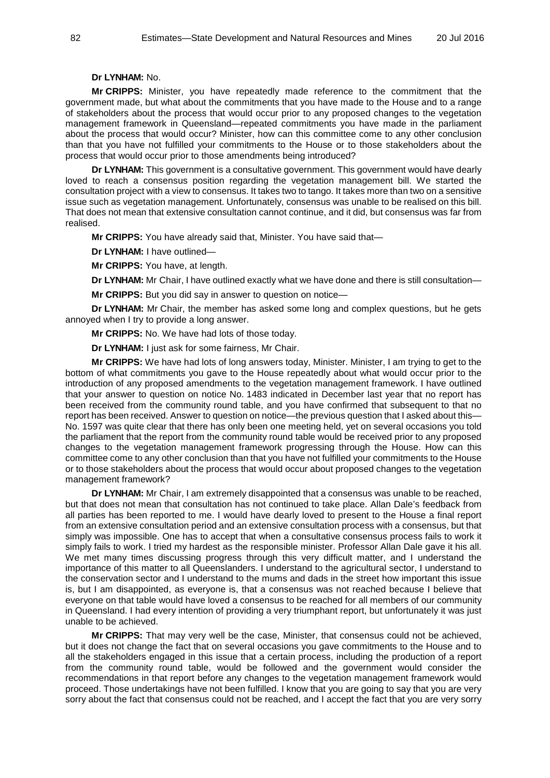# **Dr LYNHAM:** No.

**Mr CRIPPS:** Minister, you have repeatedly made reference to the commitment that the government made, but what about the commitments that you have made to the House and to a range of stakeholders about the process that would occur prior to any proposed changes to the vegetation management framework in Queensland—repeated commitments you have made in the parliament about the process that would occur? Minister, how can this committee come to any other conclusion than that you have not fulfilled your commitments to the House or to those stakeholders about the process that would occur prior to those amendments being introduced?

**Dr LYNHAM:** This government is a consultative government. This government would have dearly loved to reach a consensus position regarding the vegetation management bill. We started the consultation project with a view to consensus. It takes two to tango. It takes more than two on a sensitive issue such as vegetation management. Unfortunately, consensus was unable to be realised on this bill. That does not mean that extensive consultation cannot continue, and it did, but consensus was far from realised.

**Mr CRIPPS:** You have already said that, Minister. You have said that—

**Dr LYNHAM:** I have outlined—

**Mr CRIPPS:** You have, at length.

**Dr LYNHAM:** Mr Chair, I have outlined exactly what we have done and there is still consultation—

**Mr CRIPPS:** But you did say in answer to question on notice—

**Dr LYNHAM:** Mr Chair, the member has asked some long and complex questions, but he gets annoyed when I try to provide a long answer.

**Mr CRIPPS:** No. We have had lots of those today.

**Dr LYNHAM:** I just ask for some fairness, Mr Chair.

**Mr CRIPPS:** We have had lots of long answers today, Minister. Minister, I am trying to get to the bottom of what commitments you gave to the House repeatedly about what would occur prior to the introduction of any proposed amendments to the vegetation management framework. I have outlined that your answer to question on notice No. 1483 indicated in December last year that no report has been received from the community round table, and you have confirmed that subsequent to that no report has been received. Answer to question on notice—the previous question that I asked about this— No. 1597 was quite clear that there has only been one meeting held, yet on several occasions you told the parliament that the report from the community round table would be received prior to any proposed changes to the vegetation management framework progressing through the House. How can this committee come to any other conclusion than that you have not fulfilled your commitments to the House or to those stakeholders about the process that would occur about proposed changes to the vegetation management framework?

**Dr LYNHAM:** Mr Chair, I am extremely disappointed that a consensus was unable to be reached, but that does not mean that consultation has not continued to take place. Allan Dale's feedback from all parties has been reported to me. I would have dearly loved to present to the House a final report from an extensive consultation period and an extensive consultation process with a consensus, but that simply was impossible. One has to accept that when a consultative consensus process fails to work it simply fails to work. I tried my hardest as the responsible minister. Professor Allan Dale gave it his all. We met many times discussing progress through this very difficult matter, and I understand the importance of this matter to all Queenslanders. I understand to the agricultural sector, I understand to the conservation sector and I understand to the mums and dads in the street how important this issue is, but I am disappointed, as everyone is, that a consensus was not reached because I believe that everyone on that table would have loved a consensus to be reached for all members of our community in Queensland. I had every intention of providing a very triumphant report, but unfortunately it was just unable to be achieved.

**Mr CRIPPS:** That may very well be the case, Minister, that consensus could not be achieved, but it does not change the fact that on several occasions you gave commitments to the House and to all the stakeholders engaged in this issue that a certain process, including the production of a report from the community round table, would be followed and the government would consider the recommendations in that report before any changes to the vegetation management framework would proceed. Those undertakings have not been fulfilled. I know that you are going to say that you are very sorry about the fact that consensus could not be reached, and I accept the fact that you are very sorry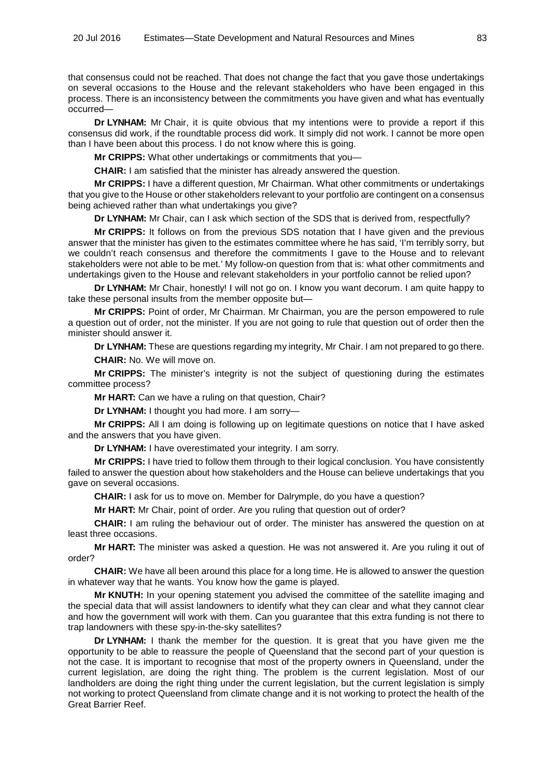that consensus could not be reached. That does not change the fact that you gave those undertakings on several occasions to the House and the relevant stakeholders who have been engaged in this process. There is an inconsistency between the commitments you have given and what has eventually occurred—

**Dr LYNHAM:** Mr Chair, it is quite obvious that my intentions were to provide a report if this consensus did work, if the roundtable process did work. It simply did not work. I cannot be more open than I have been about this process. I do not know where this is going.

**Mr CRIPPS:** What other undertakings or commitments that you—

**CHAIR:** I am satisfied that the minister has already answered the question.

**Mr CRIPPS:** I have a different question, Mr Chairman. What other commitments or undertakings that you give to the House or other stakeholders relevant to your portfolio are contingent on a consensus being achieved rather than what undertakings you give?

**Dr LYNHAM:** Mr Chair, can I ask which section of the SDS that is derived from, respectfully?

**Mr CRIPPS:** It follows on from the previous SDS notation that I have given and the previous answer that the minister has given to the estimates committee where he has said, 'I'm terribly sorry, but we couldn't reach consensus and therefore the commitments I gave to the House and to relevant stakeholders were not able to be met.' My follow-on question from that is: what other commitments and undertakings given to the House and relevant stakeholders in your portfolio cannot be relied upon?

**Dr LYNHAM:** Mr Chair, honestly! I will not go on. I know you want decorum. I am quite happy to take these personal insults from the member opposite but—

**Mr CRIPPS:** Point of order, Mr Chairman. Mr Chairman, you are the person empowered to rule a question out of order, not the minister. If you are not going to rule that question out of order then the minister should answer it.

**Dr LYNHAM:** These are questions regarding my integrity, Mr Chair. I am not prepared to go there. **CHAIR:** No. We will move on.

**Mr CRIPPS:** The minister's integrity is not the subject of questioning during the estimates committee process?

**Mr HART:** Can we have a ruling on that question, Chair?

**Dr LYNHAM:** I thought you had more. I am sorry—

**Mr CRIPPS:** All I am doing is following up on legitimate questions on notice that I have asked and the answers that you have given.

**Dr LYNHAM:** I have overestimated your integrity. I am sorry.

**Mr CRIPPS:** I have tried to follow them through to their logical conclusion. You have consistently failed to answer the question about how stakeholders and the House can believe undertakings that you gave on several occasions.

**CHAIR:** I ask for us to move on. Member for Dalrymple, do you have a question?

**Mr HART:** Mr Chair, point of order. Are you ruling that question out of order?

**CHAIR:** I am ruling the behaviour out of order. The minister has answered the question on at least three occasions.

**Mr HART:** The minister was asked a question. He was not answered it. Are you ruling it out of order?

**CHAIR:** We have all been around this place for a long time. He is allowed to answer the question in whatever way that he wants. You know how the game is played.

**Mr KNUTH:** In your opening statement you advised the committee of the satellite imaging and the special data that will assist landowners to identify what they can clear and what they cannot clear and how the government will work with them. Can you guarantee that this extra funding is not there to trap landowners with these spy-in-the-sky satellites?

**Dr LYNHAM:** I thank the member for the question. It is great that you have given me the opportunity to be able to reassure the people of Queensland that the second part of your question is not the case. It is important to recognise that most of the property owners in Queensland, under the current legislation, are doing the right thing. The problem is the current legislation. Most of our landholders are doing the right thing under the current legislation, but the current legislation is simply not working to protect Queensland from climate change and it is not working to protect the health of the Great Barrier Reef.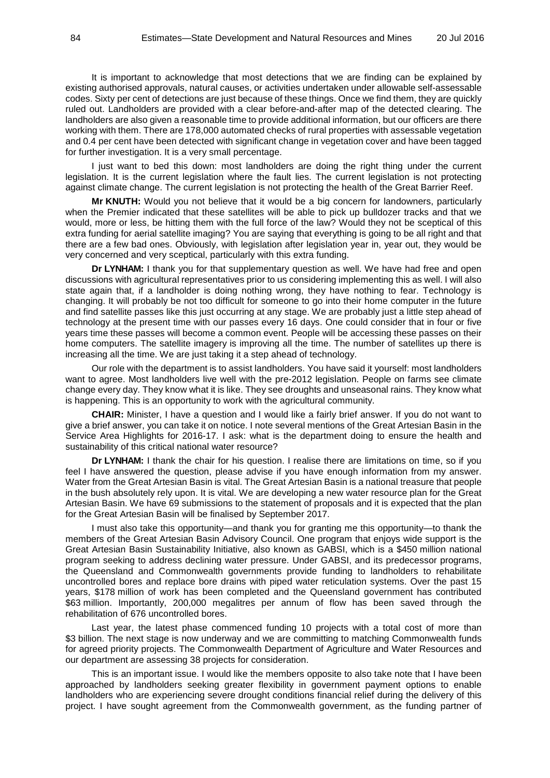It is important to acknowledge that most detections that we are finding can be explained by existing authorised approvals, natural causes, or activities undertaken under allowable self-assessable codes. Sixty per cent of detections are just because of these things. Once we find them, they are quickly ruled out. Landholders are provided with a clear before-and-after map of the detected clearing. The landholders are also given a reasonable time to provide additional information, but our officers are there working with them. There are 178,000 automated checks of rural properties with assessable vegetation and 0.4 per cent have been detected with significant change in vegetation cover and have been tagged for further investigation. It is a very small percentage.

I just want to bed this down: most landholders are doing the right thing under the current legislation. It is the current legislation where the fault lies. The current legislation is not protecting against climate change. The current legislation is not protecting the health of the Great Barrier Reef.

**Mr KNUTH:** Would you not believe that it would be a big concern for landowners, particularly when the Premier indicated that these satellites will be able to pick up bulldozer tracks and that we would, more or less, be hitting them with the full force of the law? Would they not be sceptical of this extra funding for aerial satellite imaging? You are saying that everything is going to be all right and that there are a few bad ones. Obviously, with legislation after legislation year in, year out, they would be very concerned and very sceptical, particularly with this extra funding.

**Dr LYNHAM:** I thank you for that supplementary question as well. We have had free and open discussions with agricultural representatives prior to us considering implementing this as well. I will also state again that, if a landholder is doing nothing wrong, they have nothing to fear. Technology is changing. It will probably be not too difficult for someone to go into their home computer in the future and find satellite passes like this just occurring at any stage. We are probably just a little step ahead of technology at the present time with our passes every 16 days. One could consider that in four or five years time these passes will become a common event. People will be accessing these passes on their home computers. The satellite imagery is improving all the time. The number of satellites up there is increasing all the time. We are just taking it a step ahead of technology.

Our role with the department is to assist landholders. You have said it yourself: most landholders want to agree. Most landholders live well with the pre-2012 legislation. People on farms see climate change every day. They know what it is like. They see droughts and unseasonal rains. They know what is happening. This is an opportunity to work with the agricultural community.

**CHAIR:** Minister, I have a question and I would like a fairly brief answer. If you do not want to give a brief answer, you can take it on notice. I note several mentions of the Great Artesian Basin in the Service Area Highlights for 2016-17. I ask: what is the department doing to ensure the health and sustainability of this critical national water resource?

**Dr LYNHAM:** I thank the chair for his question. I realise there are limitations on time, so if you feel I have answered the question, please advise if you have enough information from my answer. Water from the Great Artesian Basin is vital. The Great Artesian Basin is a national treasure that people in the bush absolutely rely upon. It is vital. We are developing a new water resource plan for the Great Artesian Basin. We have 69 submissions to the statement of proposals and it is expected that the plan for the Great Artesian Basin will be finalised by September 2017.

I must also take this opportunity—and thank you for granting me this opportunity—to thank the members of the Great Artesian Basin Advisory Council. One program that enjoys wide support is the Great Artesian Basin Sustainability Initiative, also known as GABSI, which is a \$450 million national program seeking to address declining water pressure. Under GABSI, and its predecessor programs, the Queensland and Commonwealth governments provide funding to landholders to rehabilitate uncontrolled bores and replace bore drains with piped water reticulation systems. Over the past 15 years, \$178 million of work has been completed and the Queensland government has contributed \$63 million. Importantly, 200,000 megalitres per annum of flow has been saved through the rehabilitation of 676 uncontrolled bores.

Last year, the latest phase commenced funding 10 projects with a total cost of more than \$3 billion. The next stage is now underway and we are committing to matching Commonwealth funds for agreed priority projects. The Commonwealth Department of Agriculture and Water Resources and our department are assessing 38 projects for consideration.

This is an important issue. I would like the members opposite to also take note that I have been approached by landholders seeking greater flexibility in government payment options to enable landholders who are experiencing severe drought conditions financial relief during the delivery of this project. I have sought agreement from the Commonwealth government, as the funding partner of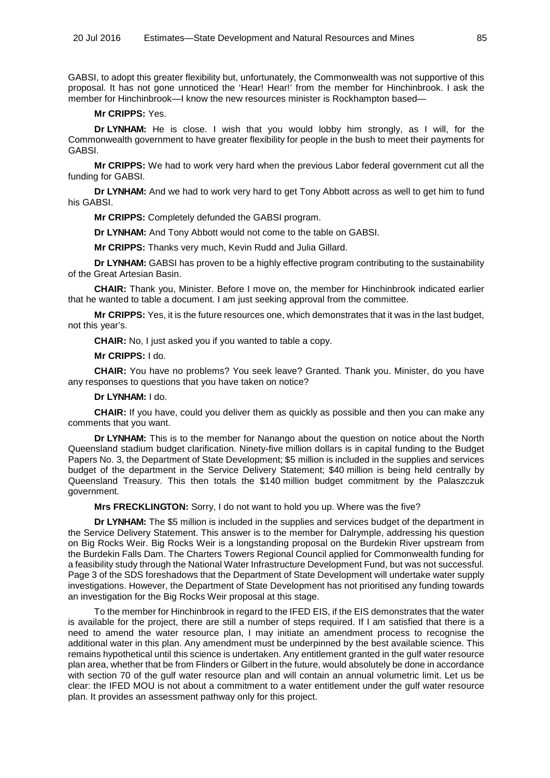GABSI, to adopt this greater flexibility but, unfortunately, the Commonwealth was not supportive of this proposal. It has not gone unnoticed the 'Hear! Hear!' from the member for Hinchinbrook. I ask the member for Hinchinbrook—I know the new resources minister is Rockhampton based—

#### **Mr CRIPPS:** Yes.

**Dr LYNHAM:** He is close. I wish that you would lobby him strongly, as I will, for the Commonwealth government to have greater flexibility for people in the bush to meet their payments for GABSI.

**Mr CRIPPS:** We had to work very hard when the previous Labor federal government cut all the funding for GABSI.

**Dr LYNHAM:** And we had to work very hard to get Tony Abbott across as well to get him to fund his GABSI.

**Mr CRIPPS:** Completely defunded the GABSI program.

**Dr LYNHAM:** And Tony Abbott would not come to the table on GABSI.

**Mr CRIPPS:** Thanks very much, Kevin Rudd and Julia Gillard.

**Dr LYNHAM:** GABSI has proven to be a highly effective program contributing to the sustainability of the Great Artesian Basin.

**CHAIR:** Thank you, Minister. Before I move on, the member for Hinchinbrook indicated earlier that he wanted to table a document. I am just seeking approval from the committee.

**Mr CRIPPS:** Yes, it is the future resources one, which demonstrates that it was in the last budget, not this year's.

**CHAIR:** No, I just asked you if you wanted to table a copy.

**Mr CRIPPS:** I do.

**CHAIR:** You have no problems? You seek leave? Granted. Thank you. Minister, do you have any responses to questions that you have taken on notice?

**Dr LYNHAM:** I do.

**CHAIR:** If you have, could you deliver them as quickly as possible and then you can make any comments that you want.

**Dr LYNHAM:** This is to the member for Nanango about the question on notice about the North Queensland stadium budget clarification. Ninety-five million dollars is in capital funding to the Budget Papers No. 3, the Department of State Development; \$5 million is included in the supplies and services budget of the department in the Service Delivery Statement; \$40 million is being held centrally by Queensland Treasury. This then totals the \$140 million budget commitment by the Palaszczuk government.

**Mrs FRECKLINGTON:** Sorry, I do not want to hold you up. Where was the five?

**Dr LYNHAM:** The \$5 million is included in the supplies and services budget of the department in the Service Delivery Statement. This answer is to the member for Dalrymple, addressing his question on Big Rocks Weir. Big Rocks Weir is a longstanding proposal on the Burdekin River upstream from the Burdekin Falls Dam. The Charters Towers Regional Council applied for Commonwealth funding for a feasibility study through the National Water Infrastructure Development Fund, but was not successful. Page 3 of the SDS foreshadows that the Department of State Development will undertake water supply investigations. However, the Department of State Development has not prioritised any funding towards an investigation for the Big Rocks Weir proposal at this stage.

To the member for Hinchinbrook in regard to the IFED EIS, if the EIS demonstrates that the water is available for the project, there are still a number of steps required. If I am satisfied that there is a need to amend the water resource plan, I may initiate an amendment process to recognise the additional water in this plan. Any amendment must be underpinned by the best available science. This remains hypothetical until this science is undertaken. Any entitlement granted in the gulf water resource plan area, whether that be from Flinders or Gilbert in the future, would absolutely be done in accordance with section 70 of the gulf water resource plan and will contain an annual volumetric limit. Let us be clear: the IFED MOU is not about a commitment to a water entitlement under the gulf water resource plan. It provides an assessment pathway only for this project.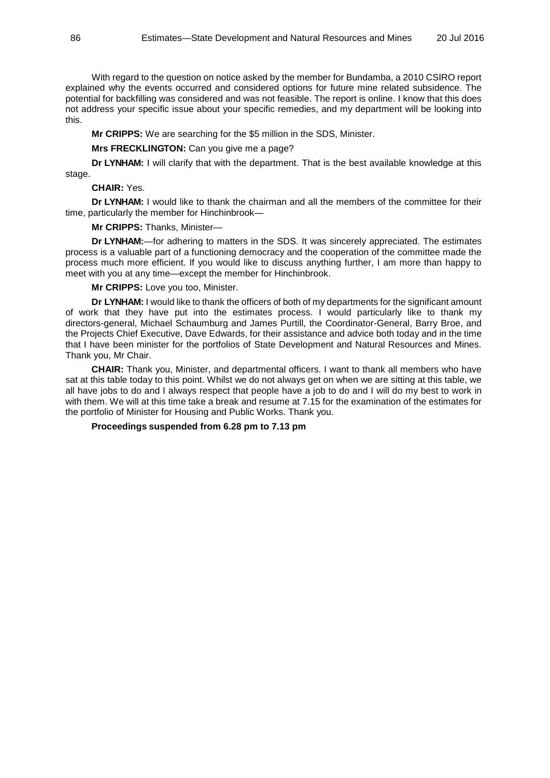With regard to the question on notice asked by the member for Bundamba, a 2010 CSIRO report explained why the events occurred and considered options for future mine related subsidence. The potential for backfilling was considered and was not feasible. The report is online. I know that this does not address your specific issue about your specific remedies, and my department will be looking into this.

**Mr CRIPPS:** We are searching for the \$5 million in the SDS, Minister.

**Mrs FRECKLINGTON:** Can you give me a page?

**Dr LYNHAM:** I will clarify that with the department. That is the best available knowledge at this stage.

## **CHAIR:** Yes.

**Dr LYNHAM:** I would like to thank the chairman and all the members of the committee for their time, particularly the member for Hinchinbrook—

**Mr CRIPPS:** Thanks, Minister—

**Dr LYNHAM:**—for adhering to matters in the SDS. It was sincerely appreciated. The estimates process is a valuable part of a functioning democracy and the cooperation of the committee made the process much more efficient. If you would like to discuss anything further, I am more than happy to meet with you at any time—except the member for Hinchinbrook.

**Mr CRIPPS:** Love you too, Minister.

**Dr LYNHAM:** I would like to thank the officers of both of my departments for the significant amount of work that they have put into the estimates process. I would particularly like to thank my directors-general, Michael Schaumburg and James Purtill, the Coordinator-General, Barry Broe, and the Projects Chief Executive, Dave Edwards, for their assistance and advice both today and in the time that I have been minister for the portfolios of State Development and Natural Resources and Mines. Thank you, Mr Chair.

**CHAIR:** Thank you, Minister, and departmental officers. I want to thank all members who have sat at this table today to this point. Whilst we do not always get on when we are sitting at this table, we all have jobs to do and I always respect that people have a job to do and I will do my best to work in with them. We will at this time take a break and resume at 7.15 for the examination of the estimates for the portfolio of Minister for Housing and Public Works. Thank you.

# **Proceedings suspended from 6.28 pm to 7.13 pm**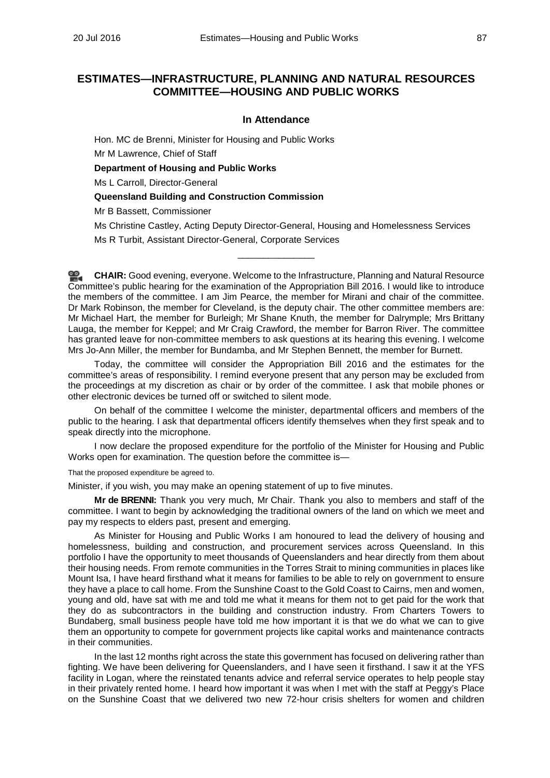# **ESTIMATES—INFRASTRUCTURE, PLANNING AND NATURAL RESOURCES COMMITTEE—HOUSING AND PUBLIC WORKS**

# **In Attendance**

Hon. MC de Brenni, Minister for Housing and Public Works Mr M Lawrence, Chief of Staff **Department of Housing and Public Works**

Ms L Carroll, Director-General

# **Queensland Building and Construction Commission**

Mr B Bassett, Commissioner

Ms Christine Castley, Acting Deputy Director-General, Housing and Homelessness Services

Ms R Turbit, Assistant Director-General, Corporate Services

**CHAIR:** Good evening, everyone. Welcome to the Infrastructure, Planning and Natural Resource Committee's public hearing for the examination of the Appropriation Bill 2016. I would like to introduce the members of the committee. I am Jim Pearce, the member for Mirani and chair of the committee. Dr Mark Robinson, the member for Cleveland, is the deputy chair. The other committee members are: Mr Michael Hart, the member for Burleigh; Mr Shane Knuth, the member for Dalrymple; Mrs Brittany Lauga, the member for Keppel; and Mr Craig Crawford, the member for Barron River. The committee has granted leave for non-committee members to ask questions at its hearing this evening. I welcome Mrs Jo-Ann Miller, the member for Bundamba, and Mr Stephen Bennett, the member for Burnett.

\_\_\_\_\_\_\_\_\_\_\_\_\_\_\_

Today, the committee will consider the Appropriation Bill 2016 and the estimates for the committee's areas of responsibility. I remind everyone present that any person may be excluded from the proceedings at my discretion as chair or by order of the committee. I ask that mobile phones or other electronic devices be turned off or switched to silent mode.

On behalf of the committee I welcome the minister, departmental officers and members of the public to the hearing. I ask that departmental officers identify themselves when they first speak and to speak directly into the microphone.

I now declare the proposed expenditure for the portfolio of the Minister for Housing and Public Works open for examination. The question before the committee is—

That the proposed expenditure be agreed to.

Minister, if you wish, you may make an opening statement of up to five minutes.

**Mr de BRENNI:** Thank you very much, Mr Chair. Thank you also to members and staff of the committee. I want to begin by acknowledging the traditional owners of the land on which we meet and pay my respects to elders past, present and emerging.

As Minister for Housing and Public Works I am honoured to lead the delivery of housing and homelessness, building and construction, and procurement services across Queensland. In this portfolio I have the opportunity to meet thousands of Queenslanders and hear directly from them about their housing needs. From remote communities in the Torres Strait to mining communities in places like Mount Isa, I have heard firsthand what it means for families to be able to rely on government to ensure they have a place to call home. From the Sunshine Coast to the Gold Coast to Cairns, men and women, young and old, have sat with me and told me what it means for them not to get paid for the work that they do as subcontractors in the building and construction industry. From Charters Towers to Bundaberg, small business people have told me how important it is that we do what we can to give them an opportunity to compete for government projects like capital works and maintenance contracts in their communities.

In the last 12 months right across the state this government has focused on delivering rather than fighting. We have been delivering for Queenslanders, and I have seen it firsthand. I saw it at the YFS facility in Logan, where the reinstated tenants advice and referral service operates to help people stay in their privately rented home. I heard how important it was when I met with the staff at Peggy's Place on the Sunshine Coast that we delivered two new 72-hour crisis shelters for women and children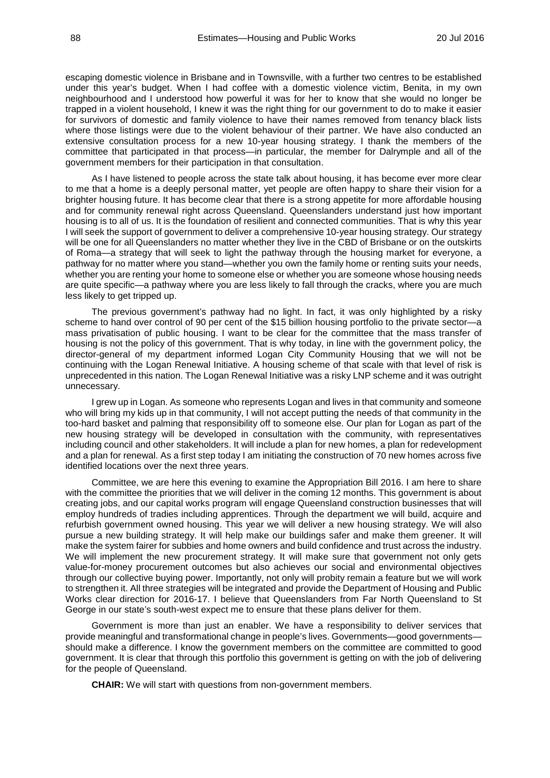escaping domestic violence in Brisbane and in Townsville, with a further two centres to be established under this year's budget. When I had coffee with a domestic violence victim, Benita, in my own neighbourhood and I understood how powerful it was for her to know that she would no longer be trapped in a violent household, I knew it was the right thing for our government to do to make it easier for survivors of domestic and family violence to have their names removed from tenancy black lists where those listings were due to the violent behaviour of their partner. We have also conducted an extensive consultation process for a new 10-year housing strategy. I thank the members of the committee that participated in that process—in particular, the member for Dalrymple and all of the government members for their participation in that consultation.

As I have listened to people across the state talk about housing, it has become ever more clear to me that a home is a deeply personal matter, yet people are often happy to share their vision for a brighter housing future. It has become clear that there is a strong appetite for more affordable housing and for community renewal right across Queensland. Queenslanders understand just how important housing is to all of us. It is the foundation of resilient and connected communities. That is why this year I will seek the support of government to deliver a comprehensive 10-year housing strategy. Our strategy will be one for all Queenslanders no matter whether they live in the CBD of Brisbane or on the outskirts of Roma—a strategy that will seek to light the pathway through the housing market for everyone, a pathway for no matter where you stand—whether you own the family home or renting suits your needs, whether you are renting your home to someone else or whether you are someone whose housing needs are quite specific—a pathway where you are less likely to fall through the cracks, where you are much less likely to get tripped up.

The previous government's pathway had no light. In fact, it was only highlighted by a risky scheme to hand over control of 90 per cent of the \$15 billion housing portfolio to the private sector—a mass privatisation of public housing. I want to be clear for the committee that the mass transfer of housing is not the policy of this government. That is why today, in line with the government policy, the director-general of my department informed Logan City Community Housing that we will not be continuing with the Logan Renewal Initiative. A housing scheme of that scale with that level of risk is unprecedented in this nation. The Logan Renewal Initiative was a risky LNP scheme and it was outright unnecessary.

I grew up in Logan. As someone who represents Logan and lives in that community and someone who will bring my kids up in that community, I will not accept putting the needs of that community in the too-hard basket and palming that responsibility off to someone else. Our plan for Logan as part of the new housing strategy will be developed in consultation with the community, with representatives including council and other stakeholders. It will include a plan for new homes, a plan for redevelopment and a plan for renewal. As a first step today I am initiating the construction of 70 new homes across five identified locations over the next three years.

Committee, we are here this evening to examine the Appropriation Bill 2016. I am here to share with the committee the priorities that we will deliver in the coming 12 months. This government is about creating jobs, and our capital works program will engage Queensland construction businesses that will employ hundreds of tradies including apprentices. Through the department we will build, acquire and refurbish government owned housing. This year we will deliver a new housing strategy. We will also pursue a new building strategy. It will help make our buildings safer and make them greener. It will make the system fairer for subbies and home owners and build confidence and trust across the industry. We will implement the new procurement strategy. It will make sure that government not only gets value-for-money procurement outcomes but also achieves our social and environmental objectives through our collective buying power. Importantly, not only will probity remain a feature but we will work to strengthen it. All three strategies will be integrated and provide the Department of Housing and Public Works clear direction for 2016-17. I believe that Queenslanders from Far North Queensland to St George in our state's south-west expect me to ensure that these plans deliver for them.

Government is more than just an enabler. We have a responsibility to deliver services that provide meaningful and transformational change in people's lives. Governments—good governments should make a difference. I know the government members on the committee are committed to good government. It is clear that through this portfolio this government is getting on with the job of delivering for the people of Queensland.

**CHAIR:** We will start with questions from non-government members.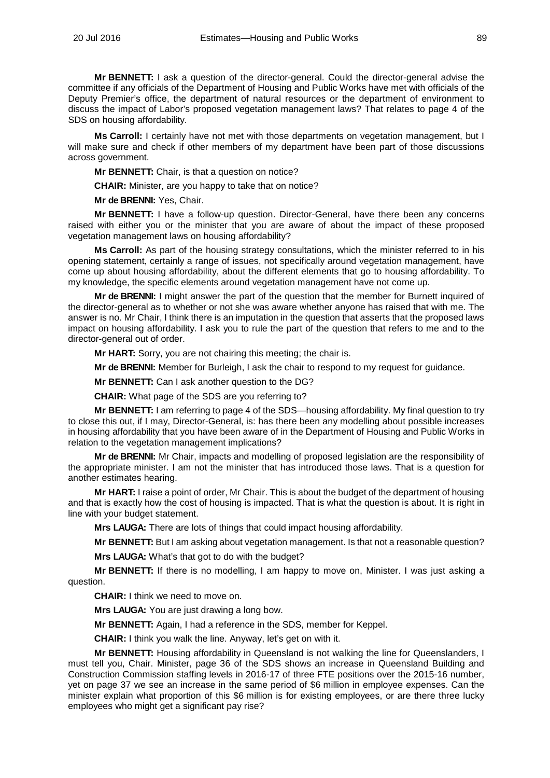**Mr BENNETT:** I ask a question of the director-general. Could the director-general advise the committee if any officials of the Department of Housing and Public Works have met with officials of the Deputy Premier's office, the department of natural resources or the department of environment to discuss the impact of Labor's proposed vegetation management laws? That relates to page 4 of the SDS on housing affordability.

**Ms Carroll:** I certainly have not met with those departments on vegetation management, but I will make sure and check if other members of my department have been part of those discussions across government.

**Mr BENNETT:** Chair, is that a question on notice?

**CHAIR:** Minister, are you happy to take that on notice?

**Mr de BRENNI:** Yes, Chair.

**Mr BENNETT:** I have a follow-up question. Director-General, have there been any concerns raised with either you or the minister that you are aware of about the impact of these proposed vegetation management laws on housing affordability?

**Ms Carroll:** As part of the housing strategy consultations, which the minister referred to in his opening statement, certainly a range of issues, not specifically around vegetation management, have come up about housing affordability, about the different elements that go to housing affordability. To my knowledge, the specific elements around vegetation management have not come up.

**Mr de BRENNI:** I might answer the part of the question that the member for Burnett inquired of the director-general as to whether or not she was aware whether anyone has raised that with me. The answer is no. Mr Chair, I think there is an imputation in the question that asserts that the proposed laws impact on housing affordability. I ask you to rule the part of the question that refers to me and to the director-general out of order.

**Mr HART:** Sorry, you are not chairing this meeting; the chair is.

**Mr de BRENNI:** Member for Burleigh, I ask the chair to respond to my request for guidance.

**Mr BENNETT:** Can I ask another question to the DG?

**CHAIR:** What page of the SDS are you referring to?

**Mr BENNETT:** I am referring to page 4 of the SDS—housing affordability. My final question to try to close this out, if I may, Director-General, is: has there been any modelling about possible increases in housing affordability that you have been aware of in the Department of Housing and Public Works in relation to the vegetation management implications?

**Mr de BRENNI:** Mr Chair, impacts and modelling of proposed legislation are the responsibility of the appropriate minister. I am not the minister that has introduced those laws. That is a question for another estimates hearing.

**Mr HART:** I raise a point of order, Mr Chair. This is about the budget of the department of housing and that is exactly how the cost of housing is impacted. That is what the question is about. It is right in line with your budget statement.

**Mrs LAUGA:** There are lots of things that could impact housing affordability.

**Mr BENNETT:** But I am asking about vegetation management. Is that not a reasonable question?

**Mrs LAUGA:** What's that got to do with the budget?

**Mr BENNETT:** If there is no modelling, I am happy to move on, Minister. I was just asking a question.

**CHAIR:** I think we need to move on.

**Mrs LAUGA:** You are just drawing a long bow.

**Mr BENNETT:** Again, I had a reference in the SDS, member for Keppel.

**CHAIR:** I think you walk the line. Anyway, let's get on with it.

**Mr BENNETT:** Housing affordability in Queensland is not walking the line for Queenslanders, I must tell you, Chair. Minister, page 36 of the SDS shows an increase in Queensland Building and Construction Commission staffing levels in 2016-17 of three FTE positions over the 2015-16 number, yet on page 37 we see an increase in the same period of \$6 million in employee expenses. Can the minister explain what proportion of this \$6 million is for existing employees, or are there three lucky employees who might get a significant pay rise?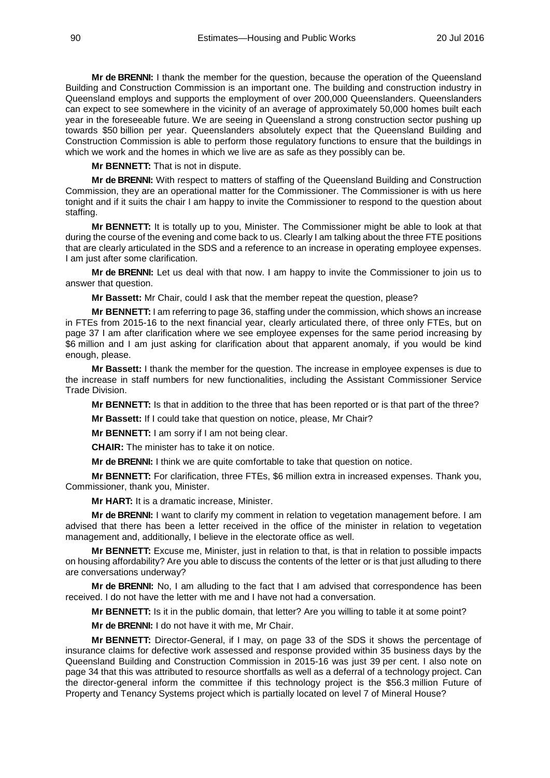**Mr de BRENNI:** I thank the member for the question, because the operation of the Queensland Building and Construction Commission is an important one. The building and construction industry in Queensland employs and supports the employment of over 200,000 Queenslanders. Queenslanders can expect to see somewhere in the vicinity of an average of approximately 50,000 homes built each year in the foreseeable future. We are seeing in Queensland a strong construction sector pushing up towards \$50 billion per year. Queenslanders absolutely expect that the Queensland Building and Construction Commission is able to perform those regulatory functions to ensure that the buildings in which we work and the homes in which we live are as safe as they possibly can be.

**Mr BENNETT:** That is not in dispute.

**Mr de BRENNI:** With respect to matters of staffing of the Queensland Building and Construction Commission, they are an operational matter for the Commissioner. The Commissioner is with us here tonight and if it suits the chair I am happy to invite the Commissioner to respond to the question about staffing.

**Mr BENNETT:** It is totally up to you, Minister. The Commissioner might be able to look at that during the course of the evening and come back to us. Clearly I am talking about the three FTE positions that are clearly articulated in the SDS and a reference to an increase in operating employee expenses. I am just after some clarification.

**Mr de BRENNI:** Let us deal with that now. I am happy to invite the Commissioner to join us to answer that question.

**Mr Bassett:** Mr Chair, could I ask that the member repeat the question, please?

**Mr BENNETT:** I am referring to page 36, staffing under the commission, which shows an increase in FTEs from 2015-16 to the next financial year, clearly articulated there, of three only FTEs, but on page 37 I am after clarification where we see employee expenses for the same period increasing by \$6 million and I am just asking for clarification about that apparent anomaly, if you would be kind enough, please.

**Mr Bassett:** I thank the member for the question. The increase in employee expenses is due to the increase in staff numbers for new functionalities, including the Assistant Commissioner Service Trade Division.

**Mr BENNETT:** Is that in addition to the three that has been reported or is that part of the three?

**Mr Bassett:** If I could take that question on notice, please, Mr Chair?

**Mr BENNETT:** I am sorry if I am not being clear.

**CHAIR:** The minister has to take it on notice.

**Mr de BRENNI:** I think we are quite comfortable to take that question on notice.

**Mr BENNETT:** For clarification, three FTEs, \$6 million extra in increased expenses. Thank you, Commissioner, thank you, Minister.

**Mr HART:** It is a dramatic increase, Minister.

**Mr de BRENNI:** I want to clarify my comment in relation to vegetation management before. I am advised that there has been a letter received in the office of the minister in relation to vegetation management and, additionally, I believe in the electorate office as well.

**Mr BENNETT:** Excuse me, Minister, just in relation to that, is that in relation to possible impacts on housing affordability? Are you able to discuss the contents of the letter or is that just alluding to there are conversations underway?

**Mr de BRENNI:** No, I am alluding to the fact that I am advised that correspondence has been received. I do not have the letter with me and I have not had a conversation.

**Mr BENNETT:** Is it in the public domain, that letter? Are you willing to table it at some point?

**Mr de BRENNI:** I do not have it with me, Mr Chair.

**Mr BENNETT:** Director-General, if I may, on page 33 of the SDS it shows the percentage of insurance claims for defective work assessed and response provided within 35 business days by the Queensland Building and Construction Commission in 2015-16 was just 39 per cent. I also note on page 34 that this was attributed to resource shortfalls as well as a deferral of a technology project. Can the director-general inform the committee if this technology project is the \$56.3 million Future of Property and Tenancy Systems project which is partially located on level 7 of Mineral House?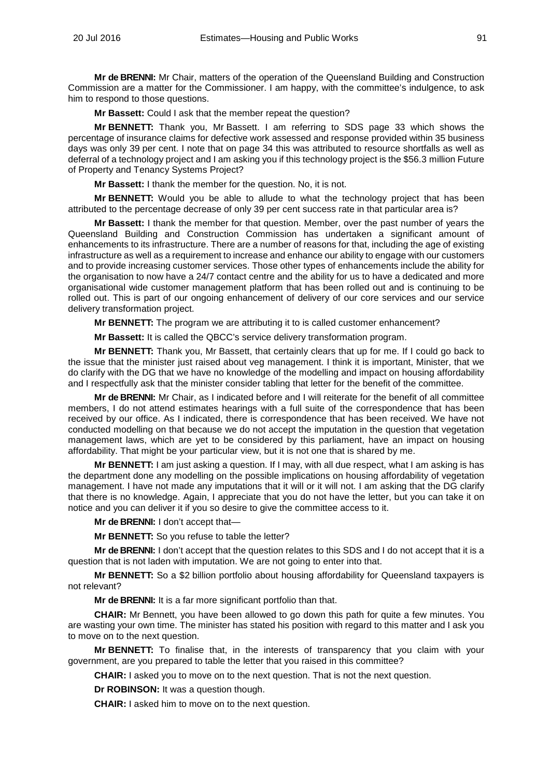**Mr de BRENNI:** Mr Chair, matters of the operation of the Queensland Building and Construction Commission are a matter for the Commissioner. I am happy, with the committee's indulgence, to ask him to respond to those questions.

**Mr Bassett:** Could I ask that the member repeat the question?

**Mr BENNETT:** Thank you, Mr Bassett. I am referring to SDS page 33 which shows the percentage of insurance claims for defective work assessed and response provided within 35 business days was only 39 per cent. I note that on page 34 this was attributed to resource shortfalls as well as deferral of a technology project and I am asking you if this technology project is the \$56.3 million Future of Property and Tenancy Systems Project?

**Mr Bassett:** I thank the member for the question. No, it is not.

**Mr BENNETT:** Would you be able to allude to what the technology project that has been attributed to the percentage decrease of only 39 per cent success rate in that particular area is?

**Mr Bassett:** I thank the member for that question. Member, over the past number of years the Queensland Building and Construction Commission has undertaken a significant amount of enhancements to its infrastructure. There are a number of reasons for that, including the age of existing infrastructure as well as a requirement to increase and enhance our ability to engage with our customers and to provide increasing customer services. Those other types of enhancements include the ability for the organisation to now have a 24/7 contact centre and the ability for us to have a dedicated and more organisational wide customer management platform that has been rolled out and is continuing to be rolled out. This is part of our ongoing enhancement of delivery of our core services and our service delivery transformation project.

**Mr BENNETT:** The program we are attributing it to is called customer enhancement?

**Mr Bassett:** It is called the QBCC's service delivery transformation program.

**Mr BENNETT:** Thank you, Mr Bassett, that certainly clears that up for me. If I could go back to the issue that the minister just raised about veg management. I think it is important, Minister, that we do clarify with the DG that we have no knowledge of the modelling and impact on housing affordability and I respectfully ask that the minister consider tabling that letter for the benefit of the committee.

**Mr de BRENNI:** Mr Chair, as I indicated before and I will reiterate for the benefit of all committee members, I do not attend estimates hearings with a full suite of the correspondence that has been received by our office. As I indicated, there is correspondence that has been received. We have not conducted modelling on that because we do not accept the imputation in the question that vegetation management laws, which are yet to be considered by this parliament, have an impact on housing affordability. That might be your particular view, but it is not one that is shared by me.

**Mr BENNETT:** I am just asking a question. If I may, with all due respect, what I am asking is has the department done any modelling on the possible implications on housing affordability of vegetation management. I have not made any imputations that it will or it will not. I am asking that the DG clarify that there is no knowledge. Again, I appreciate that you do not have the letter, but you can take it on notice and you can deliver it if you so desire to give the committee access to it.

**Mr de BRENNI:** I don't accept that—

**Mr BENNETT:** So you refuse to table the letter?

**Mr de BRENNI:** I don't accept that the question relates to this SDS and I do not accept that it is a question that is not laden with imputation. We are not going to enter into that.

**Mr BENNETT:** So a \$2 billion portfolio about housing affordability for Queensland taxpayers is not relevant?

**Mr de BRENNI:** It is a far more significant portfolio than that.

**CHAIR:** Mr Bennett, you have been allowed to go down this path for quite a few minutes. You are wasting your own time. The minister has stated his position with regard to this matter and I ask you to move on to the next question.

**Mr BENNETT:** To finalise that, in the interests of transparency that you claim with your government, are you prepared to table the letter that you raised in this committee?

**CHAIR:** I asked you to move on to the next question. That is not the next question.

**Dr ROBINSON:** It was a question though.

**CHAIR:** I asked him to move on to the next question.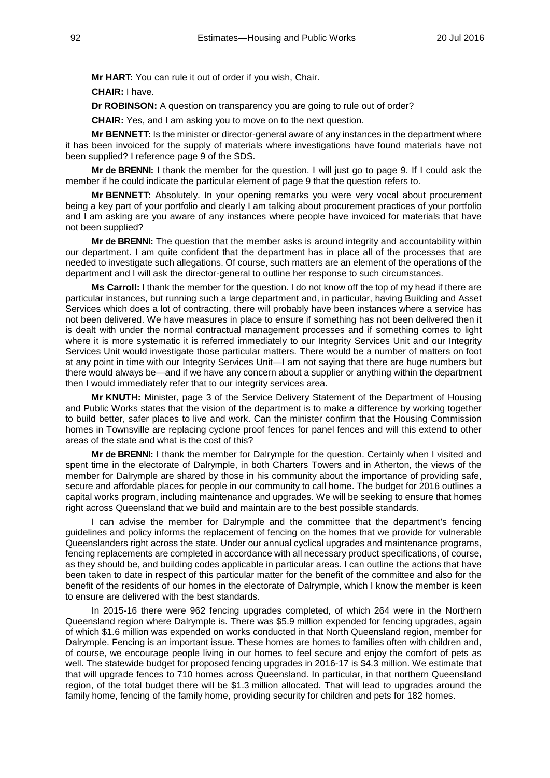**Mr HART:** You can rule it out of order if you wish, Chair.

**CHAIR:** I have.

**Dr ROBINSON:** A question on transparency you are going to rule out of order?

**CHAIR:** Yes, and I am asking you to move on to the next question.

**Mr BENNETT:** Is the minister or director-general aware of any instances in the department where it has been invoiced for the supply of materials where investigations have found materials have not been supplied? I reference page 9 of the SDS.

**Mr de BRENNI:** I thank the member for the question. I will just go to page 9. If I could ask the member if he could indicate the particular element of page 9 that the question refers to.

**Mr BENNETT:** Absolutely. In your opening remarks you were very vocal about procurement being a key part of your portfolio and clearly I am talking about procurement practices of your portfolio and I am asking are you aware of any instances where people have invoiced for materials that have not been supplied?

**Mr de BRENNI:** The question that the member asks is around integrity and accountability within our department. I am quite confident that the department has in place all of the processes that are needed to investigate such allegations. Of course, such matters are an element of the operations of the department and I will ask the director-general to outline her response to such circumstances.

**Ms Carroll:** I thank the member for the question. I do not know off the top of my head if there are particular instances, but running such a large department and, in particular, having Building and Asset Services which does a lot of contracting, there will probably have been instances where a service has not been delivered. We have measures in place to ensure if something has not been delivered then it is dealt with under the normal contractual management processes and if something comes to light where it is more systematic it is referred immediately to our Integrity Services Unit and our Integrity Services Unit would investigate those particular matters. There would be a number of matters on foot at any point in time with our Integrity Services Unit—I am not saying that there are huge numbers but there would always be—and if we have any concern about a supplier or anything within the department then I would immediately refer that to our integrity services area.

**Mr KNUTH:** Minister, page 3 of the Service Delivery Statement of the Department of Housing and Public Works states that the vision of the department is to make a difference by working together to build better, safer places to live and work. Can the minister confirm that the Housing Commission homes in Townsville are replacing cyclone proof fences for panel fences and will this extend to other areas of the state and what is the cost of this?

**Mr de BRENNI:** I thank the member for Dalrymple for the question. Certainly when I visited and spent time in the electorate of Dalrymple, in both Charters Towers and in Atherton, the views of the member for Dalrymple are shared by those in his community about the importance of providing safe, secure and affordable places for people in our community to call home. The budget for 2016 outlines a capital works program, including maintenance and upgrades. We will be seeking to ensure that homes right across Queensland that we build and maintain are to the best possible standards.

I can advise the member for Dalrymple and the committee that the department's fencing guidelines and policy informs the replacement of fencing on the homes that we provide for vulnerable Queenslanders right across the state. Under our annual cyclical upgrades and maintenance programs, fencing replacements are completed in accordance with all necessary product specifications, of course, as they should be, and building codes applicable in particular areas. I can outline the actions that have been taken to date in respect of this particular matter for the benefit of the committee and also for the benefit of the residents of our homes in the electorate of Dalrymple, which I know the member is keen to ensure are delivered with the best standards.

In 2015-16 there were 962 fencing upgrades completed, of which 264 were in the Northern Queensland region where Dalrymple is. There was \$5.9 million expended for fencing upgrades, again of which \$1.6 million was expended on works conducted in that North Queensland region, member for Dalrymple. Fencing is an important issue. These homes are homes to families often with children and, of course, we encourage people living in our homes to feel secure and enjoy the comfort of pets as well. The statewide budget for proposed fencing upgrades in 2016-17 is \$4.3 million. We estimate that that will upgrade fences to 710 homes across Queensland. In particular, in that northern Queensland region, of the total budget there will be \$1.3 million allocated. That will lead to upgrades around the family home, fencing of the family home, providing security for children and pets for 182 homes.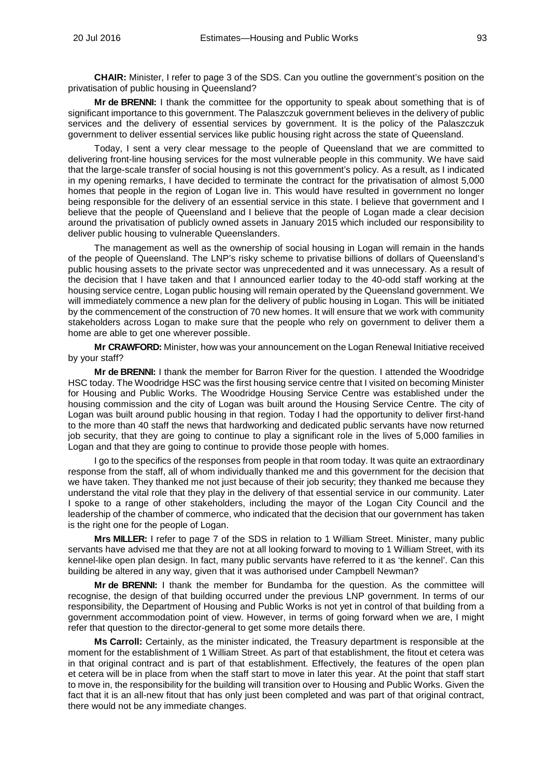**CHAIR:** Minister, I refer to page 3 of the SDS. Can you outline the government's position on the privatisation of public housing in Queensland?

**Mr de BRENNI:** I thank the committee for the opportunity to speak about something that is of significant importance to this government. The Palaszczuk government believes in the delivery of public services and the delivery of essential services by government. It is the policy of the Palaszczuk government to deliver essential services like public housing right across the state of Queensland.

Today, I sent a very clear message to the people of Queensland that we are committed to delivering front-line housing services for the most vulnerable people in this community. We have said that the large-scale transfer of social housing is not this government's policy. As a result, as I indicated in my opening remarks, I have decided to terminate the contract for the privatisation of almost 5,000 homes that people in the region of Logan live in. This would have resulted in government no longer being responsible for the delivery of an essential service in this state. I believe that government and I believe that the people of Queensland and I believe that the people of Logan made a clear decision around the privatisation of publicly owned assets in January 2015 which included our responsibility to deliver public housing to vulnerable Queenslanders.

The management as well as the ownership of social housing in Logan will remain in the hands of the people of Queensland. The LNP's risky scheme to privatise billions of dollars of Queensland's public housing assets to the private sector was unprecedented and it was unnecessary. As a result of the decision that I have taken and that I announced earlier today to the 40-odd staff working at the housing service centre, Logan public housing will remain operated by the Queensland government. We will immediately commence a new plan for the delivery of public housing in Logan. This will be initiated by the commencement of the construction of 70 new homes. It will ensure that we work with community stakeholders across Logan to make sure that the people who rely on government to deliver them a home are able to get one wherever possible.

**Mr CRAWFORD:** Minister, how was your announcement on the Logan Renewal Initiative received by your staff?

**Mr de BRENNI:** I thank the member for Barron River for the question. I attended the Woodridge HSC today. The Woodridge HSC was the first housing service centre that I visited on becoming Minister for Housing and Public Works. The Woodridge Housing Service Centre was established under the housing commission and the city of Logan was built around the Housing Service Centre. The city of Logan was built around public housing in that region. Today I had the opportunity to deliver first-hand to the more than 40 staff the news that hardworking and dedicated public servants have now returned job security, that they are going to continue to play a significant role in the lives of 5,000 families in Logan and that they are going to continue to provide those people with homes.

I go to the specifics of the responses from people in that room today. It was quite an extraordinary response from the staff, all of whom individually thanked me and this government for the decision that we have taken. They thanked me not just because of their job security; they thanked me because they understand the vital role that they play in the delivery of that essential service in our community. Later I spoke to a range of other stakeholders, including the mayor of the Logan City Council and the leadership of the chamber of commerce, who indicated that the decision that our government has taken is the right one for the people of Logan.

**Mrs MILLER:** I refer to page 7 of the SDS in relation to 1 William Street. Minister, many public servants have advised me that they are not at all looking forward to moving to 1 William Street, with its kennel-like open plan design. In fact, many public servants have referred to it as 'the kennel'. Can this building be altered in any way, given that it was authorised under Campbell Newman?

**Mr de BRENNI:** I thank the member for Bundamba for the question. As the committee will recognise, the design of that building occurred under the previous LNP government. In terms of our responsibility, the Department of Housing and Public Works is not yet in control of that building from a government accommodation point of view. However, in terms of going forward when we are, I might refer that question to the director-general to get some more details there.

**Ms Carroll:** Certainly, as the minister indicated, the Treasury department is responsible at the moment for the establishment of 1 William Street. As part of that establishment, the fitout et cetera was in that original contract and is part of that establishment. Effectively, the features of the open plan et cetera will be in place from when the staff start to move in later this year. At the point that staff start to move in, the responsibility for the building will transition over to Housing and Public Works. Given the fact that it is an all-new fitout that has only just been completed and was part of that original contract, there would not be any immediate changes.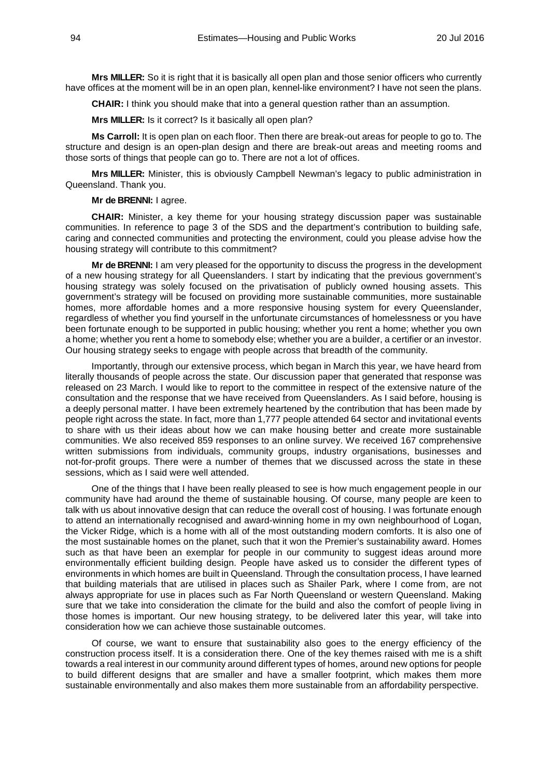**Mrs MILLER:** So it is right that it is basically all open plan and those senior officers who currently have offices at the moment will be in an open plan, kennel-like environment? I have not seen the plans.

**CHAIR:** I think you should make that into a general question rather than an assumption.

**Mrs MILLER:** Is it correct? Is it basically all open plan?

**Ms Carroll:** It is open plan on each floor. Then there are break-out areas for people to go to. The structure and design is an open-plan design and there are break-out areas and meeting rooms and those sorts of things that people can go to. There are not a lot of offices.

**Mrs MILLER:** Minister, this is obviously Campbell Newman's legacy to public administration in Queensland. Thank you.

**Mr de BRENNI:** I agree.

**CHAIR:** Minister, a key theme for your housing strategy discussion paper was sustainable communities. In reference to page 3 of the SDS and the department's contribution to building safe, caring and connected communities and protecting the environment, could you please advise how the housing strategy will contribute to this commitment?

**Mr de BRENNI:** I am very pleased for the opportunity to discuss the progress in the development of a new housing strategy for all Queenslanders. I start by indicating that the previous government's housing strategy was solely focused on the privatisation of publicly owned housing assets. This government's strategy will be focused on providing more sustainable communities, more sustainable homes, more affordable homes and a more responsive housing system for every Queenslander, regardless of whether you find yourself in the unfortunate circumstances of homelessness or you have been fortunate enough to be supported in public housing; whether you rent a home; whether you own a home; whether you rent a home to somebody else; whether you are a builder, a certifier or an investor. Our housing strategy seeks to engage with people across that breadth of the community.

Importantly, through our extensive process, which began in March this year, we have heard from literally thousands of people across the state. Our discussion paper that generated that response was released on 23 March. I would like to report to the committee in respect of the extensive nature of the consultation and the response that we have received from Queenslanders. As I said before, housing is a deeply personal matter. I have been extremely heartened by the contribution that has been made by people right across the state. In fact, more than 1,777 people attended 64 sector and invitational events to share with us their ideas about how we can make housing better and create more sustainable communities. We also received 859 responses to an online survey. We received 167 comprehensive written submissions from individuals, community groups, industry organisations, businesses and not-for-profit groups. There were a number of themes that we discussed across the state in these sessions, which as I said were well attended.

One of the things that I have been really pleased to see is how much engagement people in our community have had around the theme of sustainable housing. Of course, many people are keen to talk with us about innovative design that can reduce the overall cost of housing. I was fortunate enough to attend an internationally recognised and award-winning home in my own neighbourhood of Logan, the Vicker Ridge, which is a home with all of the most outstanding modern comforts. It is also one of the most sustainable homes on the planet, such that it won the Premier's sustainability award. Homes such as that have been an exemplar for people in our community to suggest ideas around more environmentally efficient building design. People have asked us to consider the different types of environments in which homes are built in Queensland. Through the consultation process, I have learned that building materials that are utilised in places such as Shailer Park, where I come from, are not always appropriate for use in places such as Far North Queensland or western Queensland. Making sure that we take into consideration the climate for the build and also the comfort of people living in those homes is important. Our new housing strategy, to be delivered later this year, will take into consideration how we can achieve those sustainable outcomes.

Of course, we want to ensure that sustainability also goes to the energy efficiency of the construction process itself. It is a consideration there. One of the key themes raised with me is a shift towards a real interest in our community around different types of homes, around new options for people to build different designs that are smaller and have a smaller footprint, which makes them more sustainable environmentally and also makes them more sustainable from an affordability perspective.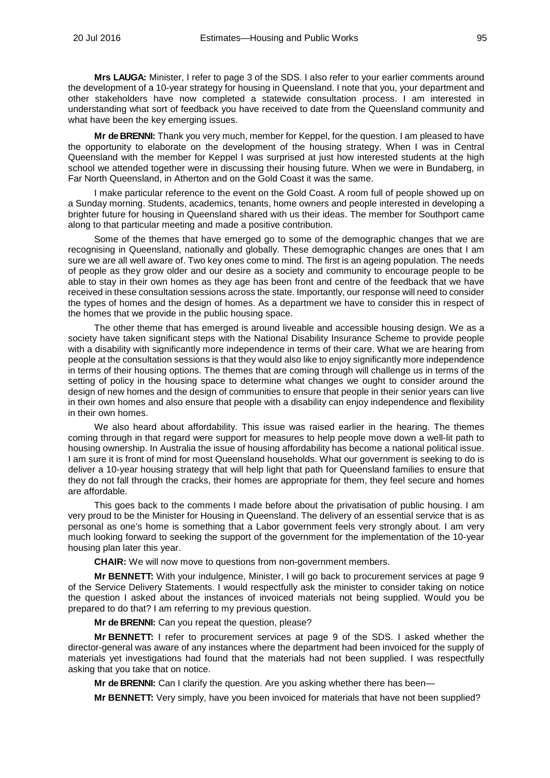**Mrs LAUGA:** Minister, I refer to page 3 of the SDS. I also refer to your earlier comments around the development of a 10-year strategy for housing in Queensland. I note that you, your department and other stakeholders have now completed a statewide consultation process. I am interested in understanding what sort of feedback you have received to date from the Queensland community and what have been the key emerging issues.

**Mr de BRENNI:** Thank you very much, member for Keppel, for the question. I am pleased to have the opportunity to elaborate on the development of the housing strategy. When I was in Central Queensland with the member for Keppel I was surprised at just how interested students at the high school we attended together were in discussing their housing future. When we were in Bundaberg, in Far North Queensland, in Atherton and on the Gold Coast it was the same.

I make particular reference to the event on the Gold Coast. A room full of people showed up on a Sunday morning. Students, academics, tenants, home owners and people interested in developing a brighter future for housing in Queensland shared with us their ideas. The member for Southport came along to that particular meeting and made a positive contribution.

Some of the themes that have emerged go to some of the demographic changes that we are recognising in Queensland, nationally and globally. These demographic changes are ones that I am sure we are all well aware of. Two key ones come to mind. The first is an ageing population. The needs of people as they grow older and our desire as a society and community to encourage people to be able to stay in their own homes as they age has been front and centre of the feedback that we have received in these consultation sessions across the state. Importantly, our response will need to consider the types of homes and the design of homes. As a department we have to consider this in respect of the homes that we provide in the public housing space.

The other theme that has emerged is around liveable and accessible housing design. We as a society have taken significant steps with the National Disability Insurance Scheme to provide people with a disability with significantly more independence in terms of their care. What we are hearing from people at the consultation sessions is that they would also like to enjoy significantly more independence in terms of their housing options. The themes that are coming through will challenge us in terms of the setting of policy in the housing space to determine what changes we ought to consider around the design of new homes and the design of communities to ensure that people in their senior years can live in their own homes and also ensure that people with a disability can enjoy independence and flexibility in their own homes.

We also heard about affordability. This issue was raised earlier in the hearing. The themes coming through in that regard were support for measures to help people move down a well-lit path to housing ownership. In Australia the issue of housing affordability has become a national political issue. I am sure it is front of mind for most Queensland households. What our government is seeking to do is deliver a 10-year housing strategy that will help light that path for Queensland families to ensure that they do not fall through the cracks, their homes are appropriate for them, they feel secure and homes are affordable.

This goes back to the comments I made before about the privatisation of public housing. I am very proud to be the Minister for Housing in Queensland. The delivery of an essential service that is as personal as one's home is something that a Labor government feels very strongly about. I am very much looking forward to seeking the support of the government for the implementation of the 10-year housing plan later this year.

**CHAIR:** We will now move to questions from non-government members.

**Mr BENNETT:** With your indulgence, Minister, I will go back to procurement services at page 9 of the Service Delivery Statements. I would respectfully ask the minister to consider taking on notice the question I asked about the instances of invoiced materials not being supplied. Would you be prepared to do that? I am referring to my previous question.

**Mr de BRENNI:** Can you repeat the question, please?

**Mr BENNETT:** I refer to procurement services at page 9 of the SDS. I asked whether the director-general was aware of any instances where the department had been invoiced for the supply of materials yet investigations had found that the materials had not been supplied. I was respectfully asking that you take that on notice.

**Mr de BRENNI:** Can I clarify the question. Are you asking whether there has been—

**Mr BENNETT:** Very simply, have you been invoiced for materials that have not been supplied?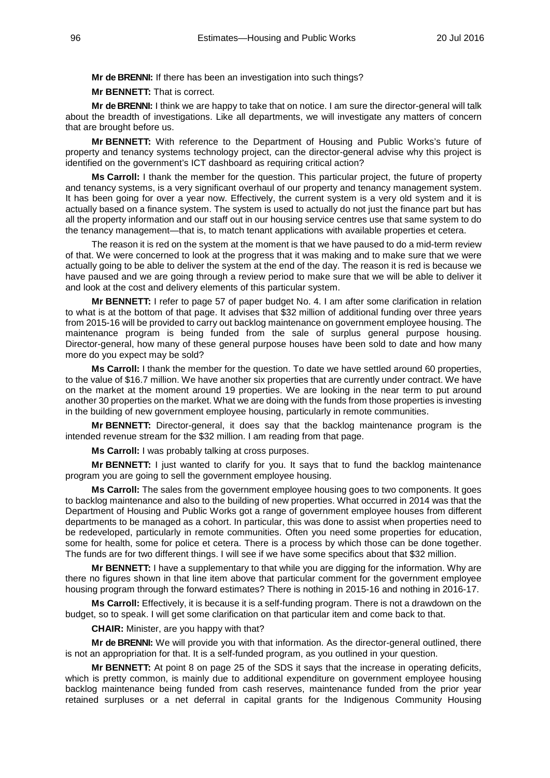**Mr de BRENNI:** If there has been an investigation into such things?

**Mr BENNETT:** That is correct.

**Mr de BRENNI:** I think we are happy to take that on notice. I am sure the director-general will talk about the breadth of investigations. Like all departments, we will investigate any matters of concern that are brought before us.

**Mr BENNETT:** With reference to the Department of Housing and Public Works's future of property and tenancy systems technology project, can the director-general advise why this project is identified on the government's ICT dashboard as requiring critical action?

**Ms Carroll:** I thank the member for the question. This particular project, the future of property and tenancy systems, is a very significant overhaul of our property and tenancy management system. It has been going for over a year now. Effectively, the current system is a very old system and it is actually based on a finance system. The system is used to actually do not just the finance part but has all the property information and our staff out in our housing service centres use that same system to do the tenancy management—that is, to match tenant applications with available properties et cetera.

The reason it is red on the system at the moment is that we have paused to do a mid-term review of that. We were concerned to look at the progress that it was making and to make sure that we were actually going to be able to deliver the system at the end of the day. The reason it is red is because we have paused and we are going through a review period to make sure that we will be able to deliver it and look at the cost and delivery elements of this particular system.

**Mr BENNETT:** I refer to page 57 of paper budget No. 4. I am after some clarification in relation to what is at the bottom of that page. It advises that \$32 million of additional funding over three years from 2015-16 will be provided to carry out backlog maintenance on government employee housing. The maintenance program is being funded from the sale of surplus general purpose housing. Director-general, how many of these general purpose houses have been sold to date and how many more do you expect may be sold?

**Ms Carroll:** I thank the member for the question. To date we have settled around 60 properties, to the value of \$16.7 million. We have another six properties that are currently under contract. We have on the market at the moment around 19 properties. We are looking in the near term to put around another 30 properties on the market. What we are doing with the funds from those properties is investing in the building of new government employee housing, particularly in remote communities.

**Mr BENNETT:** Director-general, it does say that the backlog maintenance program is the intended revenue stream for the \$32 million. I am reading from that page.

**Ms Carroll:** I was probably talking at cross purposes.

**Mr BENNETT:** I just wanted to clarify for you. It says that to fund the backlog maintenance program you are going to sell the government employee housing.

**Ms Carroll:** The sales from the government employee housing goes to two components. It goes to backlog maintenance and also to the building of new properties. What occurred in 2014 was that the Department of Housing and Public Works got a range of government employee houses from different departments to be managed as a cohort. In particular, this was done to assist when properties need to be redeveloped, particularly in remote communities. Often you need some properties for education, some for health, some for police et cetera. There is a process by which those can be done together. The funds are for two different things. I will see if we have some specifics about that \$32 million.

**Mr BENNETT:** I have a supplementary to that while you are digging for the information. Why are there no figures shown in that line item above that particular comment for the government employee housing program through the forward estimates? There is nothing in 2015-16 and nothing in 2016-17.

**Ms Carroll:** Effectively, it is because it is a self-funding program. There is not a drawdown on the budget, so to speak. I will get some clarification on that particular item and come back to that.

**CHAIR:** Minister, are you happy with that?

**Mr de BRENNI:** We will provide you with that information. As the director-general outlined, there is not an appropriation for that. It is a self-funded program, as you outlined in your question.

**Mr BENNETT:** At point 8 on page 25 of the SDS it says that the increase in operating deficits, which is pretty common, is mainly due to additional expenditure on government employee housing backlog maintenance being funded from cash reserves, maintenance funded from the prior year retained surpluses or a net deferral in capital grants for the Indigenous Community Housing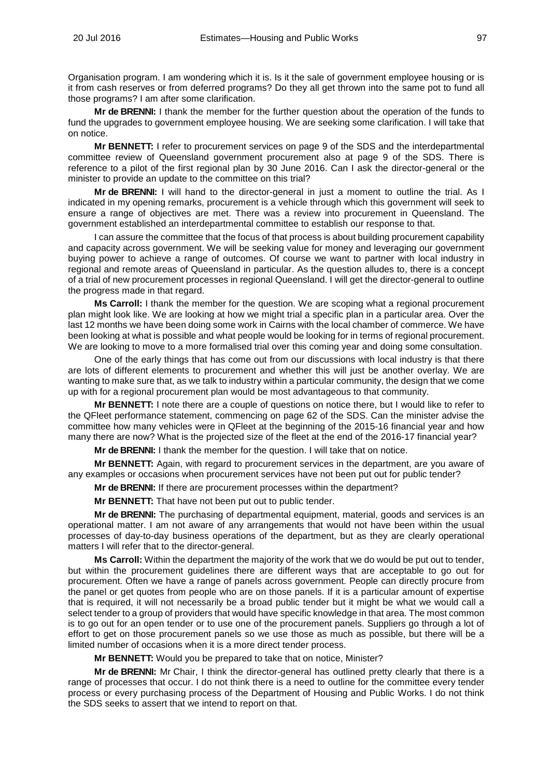Organisation program. I am wondering which it is. Is it the sale of government employee housing or is it from cash reserves or from deferred programs? Do they all get thrown into the same pot to fund all those programs? I am after some clarification.

**Mr de BRENNI:** I thank the member for the further question about the operation of the funds to fund the upgrades to government employee housing. We are seeking some clarification. I will take that on notice.

**Mr BENNETT:** I refer to procurement services on page 9 of the SDS and the interdepartmental committee review of Queensland government procurement also at page 9 of the SDS. There is reference to a pilot of the first regional plan by 30 June 2016. Can I ask the director-general or the minister to provide an update to the committee on this trial?

**Mr de BRENNI:** I will hand to the director-general in just a moment to outline the trial. As I indicated in my opening remarks, procurement is a vehicle through which this government will seek to ensure a range of objectives are met. There was a review into procurement in Queensland. The government established an interdepartmental committee to establish our response to that.

I can assure the committee that the focus of that process is about building procurement capability and capacity across government. We will be seeking value for money and leveraging our government buying power to achieve a range of outcomes. Of course we want to partner with local industry in regional and remote areas of Queensland in particular. As the question alludes to, there is a concept of a trial of new procurement processes in regional Queensland. I will get the director-general to outline the progress made in that regard.

**Ms Carroll:** I thank the member for the question. We are scoping what a regional procurement plan might look like. We are looking at how we might trial a specific plan in a particular area. Over the last 12 months we have been doing some work in Cairns with the local chamber of commerce. We have been looking at what is possible and what people would be looking for in terms of regional procurement. We are looking to move to a more formalised trial over this coming year and doing some consultation.

One of the early things that has come out from our discussions with local industry is that there are lots of different elements to procurement and whether this will just be another overlay. We are wanting to make sure that, as we talk to industry within a particular community, the design that we come up with for a regional procurement plan would be most advantageous to that community.

**Mr BENNETT:** I note there are a couple of questions on notice there, but I would like to refer to the QFleet performance statement, commencing on page 62 of the SDS. Can the minister advise the committee how many vehicles were in QFleet at the beginning of the 2015-16 financial year and how many there are now? What is the projected size of the fleet at the end of the 2016-17 financial year?

**Mr de BRENNI:** I thank the member for the question. I will take that on notice.

**Mr BENNETT:** Again, with regard to procurement services in the department, are you aware of any examples or occasions when procurement services have not been put out for public tender?

**Mr de BRENNI:** If there are procurement processes within the department?

**Mr BENNETT:** That have not been put out to public tender.

**Mr de BRENNI:** The purchasing of departmental equipment, material, goods and services is an operational matter. I am not aware of any arrangements that would not have been within the usual processes of day-to-day business operations of the department, but as they are clearly operational matters I will refer that to the director-general.

**Ms Carroll:** Within the department the majority of the work that we do would be put out to tender, but within the procurement guidelines there are different ways that are acceptable to go out for procurement. Often we have a range of panels across government. People can directly procure from the panel or get quotes from people who are on those panels. If it is a particular amount of expertise that is required, it will not necessarily be a broad public tender but it might be what we would call a select tender to a group of providers that would have specific knowledge in that area. The most common is to go out for an open tender or to use one of the procurement panels. Suppliers go through a lot of effort to get on those procurement panels so we use those as much as possible, but there will be a limited number of occasions when it is a more direct tender process.

**Mr BENNETT:** Would you be prepared to take that on notice, Minister?

**Mr de BRENNI:** Mr Chair, I think the director-general has outlined pretty clearly that there is a range of processes that occur. I do not think there is a need to outline for the committee every tender process or every purchasing process of the Department of Housing and Public Works. I do not think the SDS seeks to assert that we intend to report on that.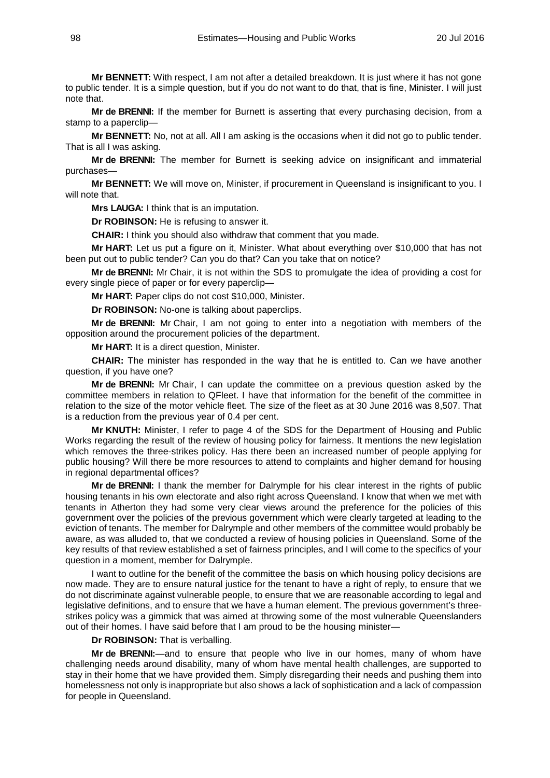**Mr BENNETT:** With respect, I am not after a detailed breakdown. It is just where it has not gone to public tender. It is a simple question, but if you do not want to do that, that is fine, Minister. I will just note that.

**Mr de BRENNI:** If the member for Burnett is asserting that every purchasing decision, from a stamp to a paperclip-

**Mr BENNETT:** No, not at all. All I am asking is the occasions when it did not go to public tender. That is all I was asking.

**Mr de BRENNI:** The member for Burnett is seeking advice on insignificant and immaterial purchases—

**Mr BENNETT:** We will move on, Minister, if procurement in Queensland is insignificant to you. I will note that.

**Mrs LAUGA:** I think that is an imputation.

**Dr ROBINSON:** He is refusing to answer it.

**CHAIR:** I think you should also withdraw that comment that you made.

**Mr HART:** Let us put a figure on it, Minister. What about everything over \$10,000 that has not been put out to public tender? Can you do that? Can you take that on notice?

**Mr de BRENNI:** Mr Chair, it is not within the SDS to promulgate the idea of providing a cost for every single piece of paper or for every paperclip—

**Mr HART:** Paper clips do not cost \$10,000, Minister.

**Dr ROBINSON:** No-one is talking about paperclips.

**Mr de BRENNI:** Mr Chair, I am not going to enter into a negotiation with members of the opposition around the procurement policies of the department.

**Mr HART:** It is a direct question, Minister.

**CHAIR:** The minister has responded in the way that he is entitled to. Can we have another question, if you have one?

**Mr de BRENNI:** Mr Chair, I can update the committee on a previous question asked by the committee members in relation to QFleet. I have that information for the benefit of the committee in relation to the size of the motor vehicle fleet. The size of the fleet as at 30 June 2016 was 8,507. That is a reduction from the previous year of 0.4 per cent.

**Mr KNUTH:** Minister, I refer to page 4 of the SDS for the Department of Housing and Public Works regarding the result of the review of housing policy for fairness. It mentions the new legislation which removes the three-strikes policy. Has there been an increased number of people applying for public housing? Will there be more resources to attend to complaints and higher demand for housing in regional departmental offices?

**Mr de BRENNI:** I thank the member for Dalrymple for his clear interest in the rights of public housing tenants in his own electorate and also right across Queensland. I know that when we met with tenants in Atherton they had some very clear views around the preference for the policies of this government over the policies of the previous government which were clearly targeted at leading to the eviction of tenants. The member for Dalrymple and other members of the committee would probably be aware, as was alluded to, that we conducted a review of housing policies in Queensland. Some of the key results of that review established a set of fairness principles, and I will come to the specifics of your question in a moment, member for Dalrymple.

I want to outline for the benefit of the committee the basis on which housing policy decisions are now made. They are to ensure natural justice for the tenant to have a right of reply, to ensure that we do not discriminate against vulnerable people, to ensure that we are reasonable according to legal and legislative definitions, and to ensure that we have a human element. The previous government's threestrikes policy was a gimmick that was aimed at throwing some of the most vulnerable Queenslanders out of their homes. I have said before that I am proud to be the housing minister—

### **Dr ROBINSON:** That is verballing.

**Mr de BRENNI:**—and to ensure that people who live in our homes, many of whom have challenging needs around disability, many of whom have mental health challenges, are supported to stay in their home that we have provided them. Simply disregarding their needs and pushing them into homelessness not only is inappropriate but also shows a lack of sophistication and a lack of compassion for people in Queensland.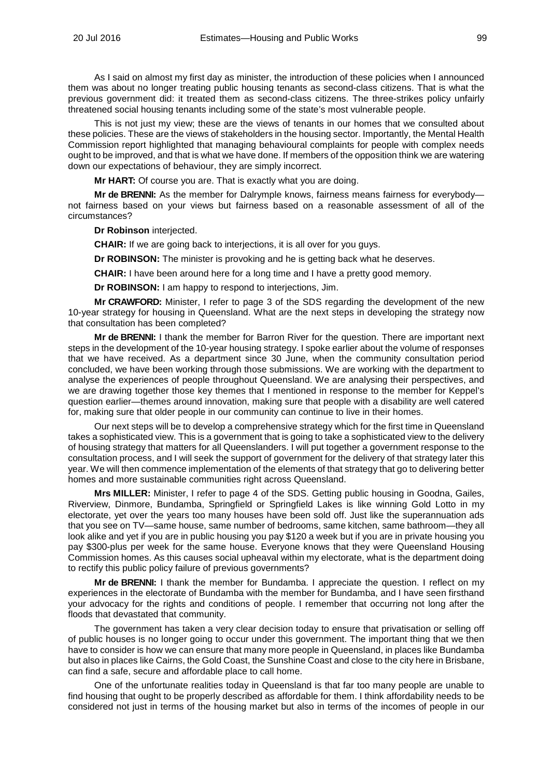As I said on almost my first day as minister, the introduction of these policies when I announced them was about no longer treating public housing tenants as second-class citizens. That is what the previous government did: it treated them as second-class citizens. The three-strikes policy unfairly threatened social housing tenants including some of the state's most vulnerable people.

This is not just my view; these are the views of tenants in our homes that we consulted about these policies. These are the views of stakeholders in the housing sector. Importantly, the Mental Health Commission report highlighted that managing behavioural complaints for people with complex needs ought to be improved, and that is what we have done. If members of the opposition think we are watering down our expectations of behaviour, they are simply incorrect.

**Mr HART:** Of course you are. That is exactly what you are doing.

**Mr de BRENNI:** As the member for Dalrymple knows, fairness means fairness for everybody not fairness based on your views but fairness based on a reasonable assessment of all of the circumstances?

**Dr Robinson** interjected.

**CHAIR:** If we are going back to interjections, it is all over for you guys.

**Dr ROBINSON:** The minister is provoking and he is getting back what he deserves.

**CHAIR:** I have been around here for a long time and I have a pretty good memory.

**Dr ROBINSON:** I am happy to respond to interjections, Jim.

**Mr CRAWFORD:** Minister, I refer to page 3 of the SDS regarding the development of the new 10-year strategy for housing in Queensland. What are the next steps in developing the strategy now that consultation has been completed?

**Mr de BRENNI:** I thank the member for Barron River for the question. There are important next steps in the development of the 10-year housing strategy. I spoke earlier about the volume of responses that we have received. As a department since 30 June, when the community consultation period concluded, we have been working through those submissions. We are working with the department to analyse the experiences of people throughout Queensland. We are analysing their perspectives, and we are drawing together those key themes that I mentioned in response to the member for Keppel's question earlier—themes around innovation, making sure that people with a disability are well catered for, making sure that older people in our community can continue to live in their homes.

Our next steps will be to develop a comprehensive strategy which for the first time in Queensland takes a sophisticated view. This is a government that is going to take a sophisticated view to the delivery of housing strategy that matters for all Queenslanders. I will put together a government response to the consultation process, and I will seek the support of government for the delivery of that strategy later this year. We will then commence implementation of the elements of that strategy that go to delivering better homes and more sustainable communities right across Queensland.

**Mrs MILLER:** Minister, I refer to page 4 of the SDS. Getting public housing in Goodna, Gailes, Riverview, Dinmore, Bundamba, Springfield or Springfield Lakes is like winning Gold Lotto in my electorate, yet over the years too many houses have been sold off. Just like the superannuation ads that you see on TV—same house, same number of bedrooms, same kitchen, same bathroom—they all look alike and yet if you are in public housing you pay \$120 a week but if you are in private housing you pay \$300-plus per week for the same house. Everyone knows that they were Queensland Housing Commission homes. As this causes social upheaval within my electorate, what is the department doing to rectify this public policy failure of previous governments?

**Mr de BRENNI:** I thank the member for Bundamba. I appreciate the question. I reflect on my experiences in the electorate of Bundamba with the member for Bundamba, and I have seen firsthand your advocacy for the rights and conditions of people. I remember that occurring not long after the floods that devastated that community.

The government has taken a very clear decision today to ensure that privatisation or selling off of public houses is no longer going to occur under this government. The important thing that we then have to consider is how we can ensure that many more people in Queensland, in places like Bundamba but also in places like Cairns, the Gold Coast, the Sunshine Coast and close to the city here in Brisbane, can find a safe, secure and affordable place to call home.

One of the unfortunate realities today in Queensland is that far too many people are unable to find housing that ought to be properly described as affordable for them. I think affordability needs to be considered not just in terms of the housing market but also in terms of the incomes of people in our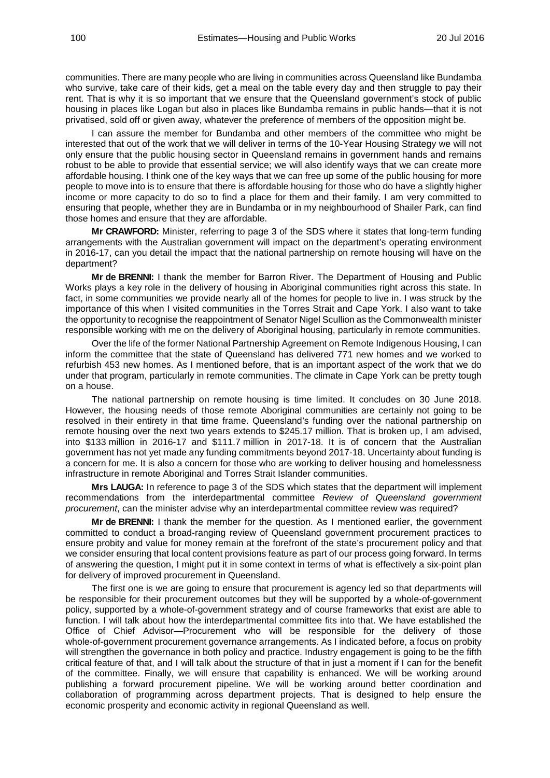communities. There are many people who are living in communities across Queensland like Bundamba who survive, take care of their kids, get a meal on the table every day and then struggle to pay their rent. That is why it is so important that we ensure that the Queensland government's stock of public housing in places like Logan but also in places like Bundamba remains in public hands—that it is not privatised, sold off or given away, whatever the preference of members of the opposition might be.

I can assure the member for Bundamba and other members of the committee who might be interested that out of the work that we will deliver in terms of the 10-Year Housing Strategy we will not only ensure that the public housing sector in Queensland remains in government hands and remains robust to be able to provide that essential service; we will also identify ways that we can create more affordable housing. I think one of the key ways that we can free up some of the public housing for more people to move into is to ensure that there is affordable housing for those who do have a slightly higher income or more capacity to do so to find a place for them and their family. I am very committed to ensuring that people, whether they are in Bundamba or in my neighbourhood of Shailer Park, can find those homes and ensure that they are affordable.

**Mr CRAWFORD:** Minister, referring to page 3 of the SDS where it states that long-term funding arrangements with the Australian government will impact on the department's operating environment in 2016-17, can you detail the impact that the national partnership on remote housing will have on the department?

**Mr de BRENNI:** I thank the member for Barron River. The Department of Housing and Public Works plays a key role in the delivery of housing in Aboriginal communities right across this state. In fact, in some communities we provide nearly all of the homes for people to live in. I was struck by the importance of this when I visited communities in the Torres Strait and Cape York. I also want to take the opportunity to recognise the reappointment of Senator Nigel Scullion as the Commonwealth minister responsible working with me on the delivery of Aboriginal housing, particularly in remote communities.

Over the life of the former National Partnership Agreement on Remote Indigenous Housing, I can inform the committee that the state of Queensland has delivered 771 new homes and we worked to refurbish 453 new homes. As I mentioned before, that is an important aspect of the work that we do under that program, particularly in remote communities. The climate in Cape York can be pretty tough on a house.

The national partnership on remote housing is time limited. It concludes on 30 June 2018. However, the housing needs of those remote Aboriginal communities are certainly not going to be resolved in their entirety in that time frame. Queensland's funding over the national partnership on remote housing over the next two years extends to \$245.17 million. That is broken up, I am advised, into \$133 million in 2016-17 and \$111.7 million in 2017-18. It is of concern that the Australian government has not yet made any funding commitments beyond 2017-18. Uncertainty about funding is a concern for me. It is also a concern for those who are working to deliver housing and homelessness infrastructure in remote Aboriginal and Torres Strait Islander communities.

**Mrs LAUGA:** In reference to page 3 of the SDS which states that the department will implement recommendations from the interdepartmental committee *Review of Queensland government procurement*, can the minister advise why an interdepartmental committee review was required?

**Mr de BRENNI:** I thank the member for the question. As I mentioned earlier, the government committed to conduct a broad-ranging review of Queensland government procurement practices to ensure probity and value for money remain at the forefront of the state's procurement policy and that we consider ensuring that local content provisions feature as part of our process going forward. In terms of answering the question, I might put it in some context in terms of what is effectively a six-point plan for delivery of improved procurement in Queensland.

The first one is we are going to ensure that procurement is agency led so that departments will be responsible for their procurement outcomes but they will be supported by a whole-of-government policy, supported by a whole-of-government strategy and of course frameworks that exist are able to function. I will talk about how the interdepartmental committee fits into that. We have established the Office of Chief Advisor—Procurement who will be responsible for the delivery of those whole-of-government procurement governance arrangements. As I indicated before, a focus on probity will strengthen the governance in both policy and practice. Industry engagement is going to be the fifth critical feature of that, and I will talk about the structure of that in just a moment if I can for the benefit of the committee. Finally, we will ensure that capability is enhanced. We will be working around publishing a forward procurement pipeline. We will be working around better coordination and collaboration of programming across department projects. That is designed to help ensure the economic prosperity and economic activity in regional Queensland as well.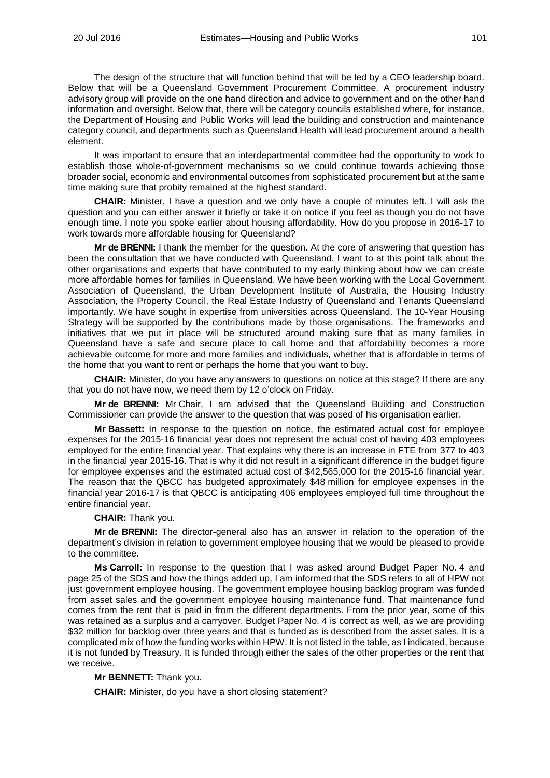The design of the structure that will function behind that will be led by a CEO leadership board. Below that will be a Queensland Government Procurement Committee. A procurement industry advisory group will provide on the one hand direction and advice to government and on the other hand information and oversight. Below that, there will be category councils established where, for instance, the Department of Housing and Public Works will lead the building and construction and maintenance category council, and departments such as Queensland Health will lead procurement around a health element.

It was important to ensure that an interdepartmental committee had the opportunity to work to establish those whole-of-government mechanisms so we could continue towards achieving those broader social, economic and environmental outcomes from sophisticated procurement but at the same time making sure that probity remained at the highest standard.

**CHAIR:** Minister, I have a question and we only have a couple of minutes left. I will ask the question and you can either answer it briefly or take it on notice if you feel as though you do not have enough time. I note you spoke earlier about housing affordability. How do you propose in 2016-17 to work towards more affordable housing for Queensland?

**Mr de BRENNI:** I thank the member for the question. At the core of answering that question has been the consultation that we have conducted with Queensland. I want to at this point talk about the other organisations and experts that have contributed to my early thinking about how we can create more affordable homes for families in Queensland. We have been working with the Local Government Association of Queensland, the Urban Development Institute of Australia, the Housing Industry Association, the Property Council, the Real Estate Industry of Queensland and Tenants Queensland importantly. We have sought in expertise from universities across Queensland. The 10-Year Housing Strategy will be supported by the contributions made by those organisations. The frameworks and initiatives that we put in place will be structured around making sure that as many families in Queensland have a safe and secure place to call home and that affordability becomes a more achievable outcome for more and more families and individuals, whether that is affordable in terms of the home that you want to rent or perhaps the home that you want to buy.

**CHAIR:** Minister, do you have any answers to questions on notice at this stage? If there are any that you do not have now, we need them by 12 o'clock on Friday.

**Mr de BRENNI:** Mr Chair, I am advised that the Queensland Building and Construction Commissioner can provide the answer to the question that was posed of his organisation earlier.

**Mr Bassett:** In response to the question on notice, the estimated actual cost for employee expenses for the 2015-16 financial year does not represent the actual cost of having 403 employees employed for the entire financial year. That explains why there is an increase in FTE from 377 to 403 in the financial year 2015-16. That is why it did not result in a significant difference in the budget figure for employee expenses and the estimated actual cost of \$42,565,000 for the 2015-16 financial year. The reason that the QBCC has budgeted approximately \$48 million for employee expenses in the financial year 2016-17 is that QBCC is anticipating 406 employees employed full time throughout the entire financial year.

#### **CHAIR:** Thank you.

**Mr de BRENNI:** The director-general also has an answer in relation to the operation of the department's division in relation to government employee housing that we would be pleased to provide to the committee.

**Ms Carroll:** In response to the question that I was asked around Budget Paper No. 4 and page 25 of the SDS and how the things added up, I am informed that the SDS refers to all of HPW not just government employee housing. The government employee housing backlog program was funded from asset sales and the government employee housing maintenance fund. That maintenance fund comes from the rent that is paid in from the different departments. From the prior year, some of this was retained as a surplus and a carryover. Budget Paper No. 4 is correct as well, as we are providing \$32 million for backlog over three years and that is funded as is described from the asset sales. It is a complicated mix of how the funding works within HPW. It is not listed in the table, as I indicated, because it is not funded by Treasury. It is funded through either the sales of the other properties or the rent that we receive.

### **Mr BENNETT:** Thank you.

**CHAIR:** Minister, do you have a short closing statement?